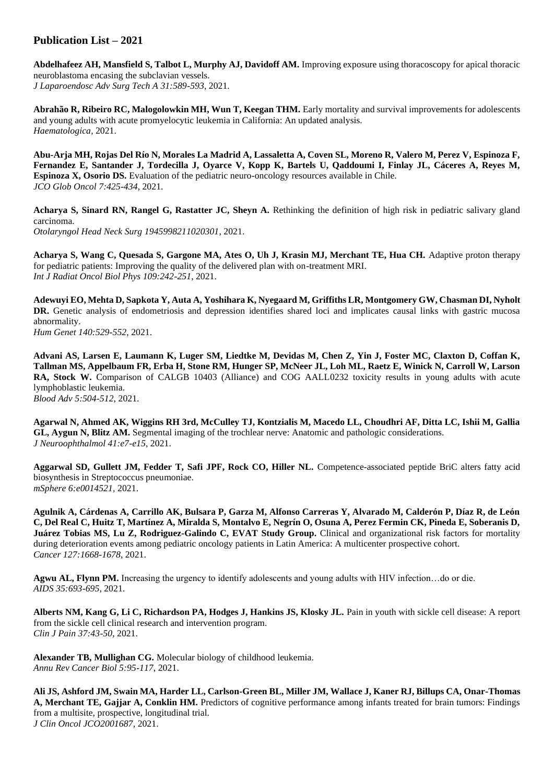## **Publication List – 2021**

**Abdelhafeez AH, Mansfield S, Talbot L, Murphy AJ, Davidoff AM.** Improving exposure using thoracoscopy for apical thoracic neuroblastoma encasing the subclavian vessels. *J Laparoendosc Adv Surg Tech A 31:589-593*, 2021.

**Abrahão R, Ribeiro RC, Malogolowkin MH, Wun T, Keegan THM.** Early mortality and survival improvements for adolescents and young adults with acute promyelocytic leukemia in California: An updated analysis. *Haematologica,* 2021.

**Abu-Arja MH, Rojas Del Río N, Morales La Madrid A, Lassaletta A, Coven SL, Moreno R, Valero M, Perez V, Espinoza F, Fernandez E, Santander J, Tordecilla J, Oyarce V, Kopp K, Bartels U, Qaddoumi I, Finlay JL, Cáceres A, Reyes M, Espinoza X, Osorio DS.** Evaluation of the pediatric neuro-oncology resources available in Chile. *JCO Glob Oncol 7:425-434*, 2021.

**Acharya S, Sinard RN, Rangel G, Rastatter JC, Sheyn A.** Rethinking the definition of high risk in pediatric salivary gland carcinoma.

*Otolaryngol Head Neck Surg 1945998211020301,* 2021.

**Acharya S, Wang C, Quesada S, Gargone MA, Ates O, Uh J, Krasin MJ, Merchant TE, Hua CH.** Adaptive proton therapy for pediatric patients: Improving the quality of the delivered plan with on-treatment MRI. *Int J Radiat Oncol Biol Phys 109:242-251*, 2021.

**Adewuyi EO, Mehta D, Sapkota Y, Auta A, Yoshihara K, Nyegaard M, Griffiths LR, Montgomery GW, Chasman DI, Nyholt**  DR. Genetic analysis of endometriosis and depression identifies shared loci and implicates causal links with gastric mucosa abnormality.

*Hum Genet 140:529-552*, 2021.

**Advani AS, Larsen E, Laumann K, Luger SM, Liedtke M, Devidas M, Chen Z, Yin J, Foster MC, Claxton D, Coffan K, Tallman MS, Appelbaum FR, Erba H, Stone RM, Hunger SP, McNeer JL, Loh ML, Raetz E, Winick N, Carroll W, Larson RA, Stock W.** Comparison of CALGB 10403 (Alliance) and COG AALL0232 toxicity results in young adults with acute lymphoblastic leukemia. *Blood Adv 5:504-512*, 2021.

**Agarwal N, Ahmed AK, Wiggins RH 3rd, McCulley TJ, Kontzialis M, Macedo LL, Choudhri AF, Ditta LC, Ishii M, Gallia GL, Aygun N, Blitz AM.** Segmental imaging of the trochlear nerve: Anatomic and pathologic considerations. *J Neuroophthalmol 41:e7-e15*, 2021.

**Aggarwal SD, Gullett JM, Fedder T, Safi JPF, Rock CO, Hiller NL.** Competence-associated peptide BriC alters fatty acid biosynthesis in Streptococcus pneumoniae. *mSphere 6:e0014521,* 2021.

**Agulnik A, Cárdenas A, Carrillo AK, Bulsara P, Garza M, Alfonso Carreras Y, Alvarado M, Calderón P, Díaz R, de León C, Del Real C, Huitz T, Martínez A, Miralda S, Montalvo E, Negrín O, Osuna A, Perez Fermin CK, Pineda E, Soberanis D, Juárez Tobias MS, Lu Z, Rodriguez-Galindo C, EVAT Study Group.** Clinical and organizational risk factors for mortality during deterioration events among pediatric oncology patients in Latin America: A multicenter prospective cohort. *Cancer 127:1668-1678*, 2021.

**Agwu AL, Flynn PM.** Increasing the urgency to identify adolescents and young adults with HIV infection…do or die. *AIDS 35:693-695*, 2021.

**Alberts NM, Kang G, Li C, Richardson PA, Hodges J, Hankins JS, Klosky JL.** Pain in youth with sickle cell disease: A report from the sickle cell clinical research and intervention program. *Clin J Pain 37:43-50*, 2021.

**Alexander TB, Mullighan CG.** Molecular biology of childhood leukemia. *Annu Rev Cancer Biol 5:95-117*, 2021.

**Ali JS, Ashford JM, Swain MA, Harder LL, Carlson-Green BL, Miller JM, Wallace J, Kaner RJ, Billups CA, Onar-Thomas A, Merchant TE, Gajjar A, Conklin HM.** Predictors of cognitive performance among infants treated for brain tumors: Findings from a multisite, prospective, longitudinal trial. *J Clin Oncol JCO2001687,* 2021.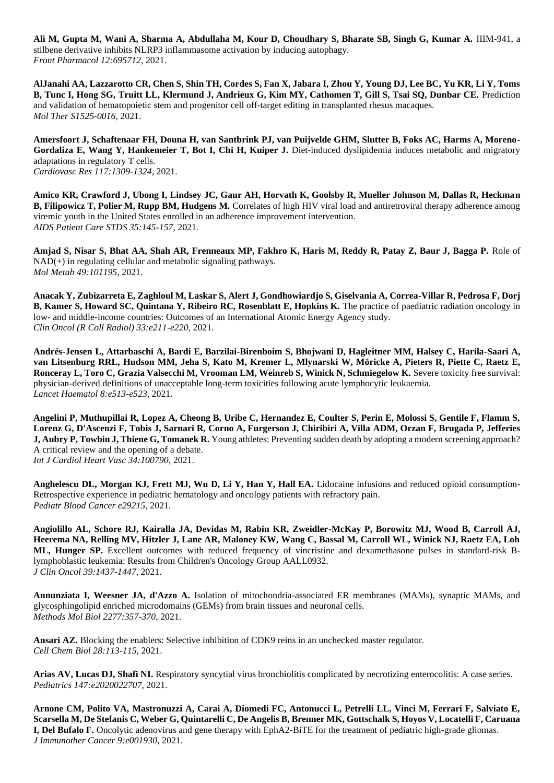**Ali M, Gupta M, Wani A, Sharma A, Abdullaha M, Kour D, Choudhary S, Bharate SB, Singh G, Kumar A.** IIIM-941, a stilbene derivative inhibits NLRP3 inflammasome activation by inducing autophagy. *Front Pharmacol 12:695712,* 2021.

**AlJanahi AA, Lazzarotto CR, Chen S, Shin TH, Cordes S, Fan X, Jabara I, Zhou Y, Young DJ, Lee BC, Yu KR, Li Y, Toms B, Tunc I, Hong SG, Truitt LL, Klermund J, Andrieux G, Kim MY, Cathomen T, Gill S, Tsai SQ, Dunbar CE.** Prediction and validation of hematopoietic stem and progenitor cell off-target editing in transplanted rhesus macaques. *Mol Ther S1525-0016,* 2021.

**Amersfoort J, Schaftenaar FH, Douna H, van Santbrink PJ, van Puijvelde GHM, Slutter B, Foks AC, Harms A, Moreno-**Gordaliza E, Wang Y, Hankemeier T, Bot I, Chi H, Kuiper J. Diet-induced dyslipidemia induces metabolic and migratory adaptations in regulatory T cells. *Cardiovasc Res 117:1309-1324*, 2021.

**Amico KR, Crawford J, Ubong I, Lindsey JC, Gaur AH, Horvath K, Goolsby R, Mueller Johnson M, Dallas R, Heckman B, Filipowicz T, Polier M, Rupp BM, Hudgens M.** Correlates of high HIV viral load and antiretroviral therapy adherence among viremic youth in the United States enrolled in an adherence improvement intervention. *AIDS Patient Care STDS 35:145-157*, 2021.

**Amjad S, Nisar S, Bhat AA, Shah AR, Frenneaux MP, Fakhro K, Haris M, Reddy R, Patay Z, Baur J, Bagga P.** Role of  $NAD(+)$  in regulating cellular and metabolic signaling pathways. *Mol Metab 49:101195,* 2021.

**Anacak Y, Zubizarreta E, Zaghloul M, Laskar S, Alert J, Gondhowiardjo S, Giselvania A, Correa-Villar R, Pedrosa F, Dorj B, Kamer S, Howard SC, Quintana Y, Ribeiro RC, Rosenblatt E, Hopkins K.** The practice of paediatric radiation oncology in low- and middle-income countries: Outcomes of an International Atomic Energy Agency study. *Clin Oncol (R Coll Radiol) 33:e211-e220*, 2021.

**Andrés-Jensen L, Attarbaschi A, Bardi E, Barzilai-Birenboim S, Bhojwani D, Hagleitner MM, Halsey C, Harila-Saari A, van Litsenburg RRL, Hudson MM, Jeha S, Kato M, Kremer L, Mlynarski W, Möricke A, Pieters R, Piette C, Raetz E, Ronceray L, Toro C, Grazia Valsecchi M, Vrooman LM, Weinreb S, Winick N, Schmiegelow K.** Severe toxicity free survival: physician-derived definitions of unacceptable long-term toxicities following acute lymphocytic leukaemia. *Lancet Haematol 8:e513-e523*, 2021.

**Angelini P, Muthupillai R, Lopez A, Cheong B, Uribe C, Hernandez E, Coulter S, Perin E, Molossi S, Gentile F, Flamm S, Lorenz G, D'Ascenzi F, Tobis J, Sarnari R, Corno A, Furgerson J, Chiribiri A, Villa ADM, Orzan F, Brugada P, Jefferies J, Aubry P, Towbin J, Thiene G, Tomanek R.** Young athletes: Preventing sudden death by adopting a modern screening approach? A critical review and the opening of a debate. *Int J Cardiol Heart Vasc 34:100790,* 2021.

**Anghelescu DL, Morgan KJ, Frett MJ, Wu D, Li Y, Han Y, Hall EA.** Lidocaine infusions and reduced opioid consumption-Retrospective experience in pediatric hematology and oncology patients with refractory pain. *Pediatr Blood Cancer e29215,* 2021.

**Angiolillo AL, Schore RJ, Kairalla JA, Devidas M, Rabin KR, Zweidler-McKay P, Borowitz MJ, Wood B, Carroll AJ, Heerema NA, Relling MV, Hitzler J, Lane AR, Maloney KW, Wang C, Bassal M, Carroll WL, Winick NJ, Raetz EA, Loh ML, Hunger SP.** Excellent outcomes with reduced frequency of vincristine and dexamethasone pulses in standard-risk Blymphoblastic leukemia: Results from Children's Oncology Group AALL0932. *J Clin Oncol 39:1437-1447*, 2021.

**Annunziata I, Weesner JA, d'Azzo A.** Isolation of mitochondria-associated ER membranes (MAMs), synaptic MAMs, and glycosphingolipid enriched microdomains (GEMs) from brain tissues and neuronal cells. *Methods Mol Biol 2277:357-370*, 2021.

**Ansari AZ.** Blocking the enablers: Selective inhibition of CDK9 reins in an unchecked master regulator. *Cell Chem Biol 28:113-115*, 2021.

**Arias AV, Lucas DJ, Shafi NI.** Respiratory syncytial virus bronchiolitis complicated by necrotizing enterocolitis: A case series. *Pediatrics 147:e2020022707,* 2021.

**Arnone CM, Polito VA, Mastronuzzi A, Carai A, Diomedi FC, Antonucci L, Petrelli LL, Vinci M, Ferrari F, Salviato E, Scarsella M, De Stefanis C, Weber G, Quintarelli C, De Angelis B, Brenner MK, Gottschalk S, Hoyos V, Locatelli F, Caruana I, Del Bufalo F.** Oncolytic adenovirus and gene therapy with EphA2-BiTE for the treatment of pediatric high-grade gliomas. *J Immunother Cancer 9:e001930,* 2021.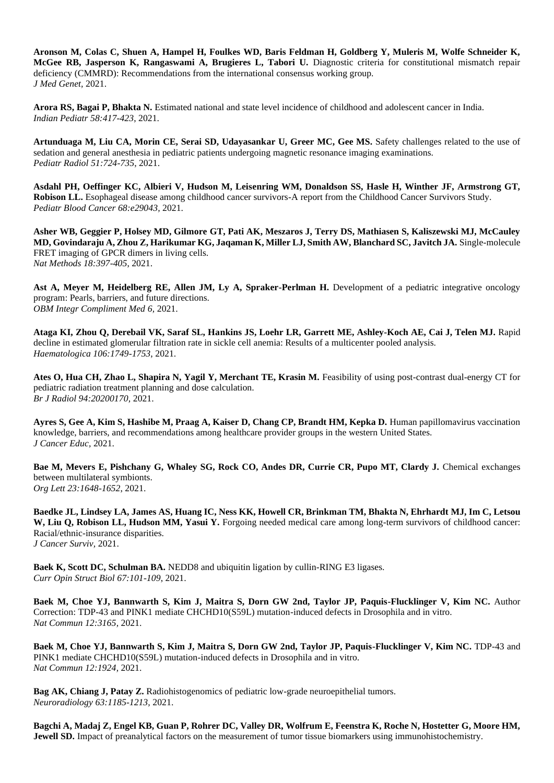**Aronson M, Colas C, Shuen A, Hampel H, Foulkes WD, Baris Feldman H, Goldberg Y, Muleris M, Wolfe Schneider K, McGee RB, Jasperson K, Rangaswami A, Brugieres L, Tabori U.** Diagnostic criteria for constitutional mismatch repair deficiency (CMMRD): Recommendations from the international consensus working group. *J Med Genet,* 2021.

**Arora RS, Bagai P, Bhakta N.** Estimated national and state level incidence of childhood and adolescent cancer in India. *Indian Pediatr 58:417-423*, 2021.

**Artunduaga M, Liu CA, Morin CE, Serai SD, Udayasankar U, Greer MC, Gee MS.** Safety challenges related to the use of sedation and general anesthesia in pediatric patients undergoing magnetic resonance imaging examinations. *Pediatr Radiol 51:724-735*, 2021.

**Asdahl PH, Oeffinger KC, Albieri V, Hudson M, Leisenring WM, Donaldson SS, Hasle H, Winther JF, Armstrong GT, Robison LL.** Esophageal disease among childhood cancer survivors-A report from the Childhood Cancer Survivors Study. *Pediatr Blood Cancer 68:e29043,* 2021.

**Asher WB, Geggier P, Holsey MD, Gilmore GT, Pati AK, Meszaros J, Terry DS, Mathiasen S, Kaliszewski MJ, McCauley MD, Govindaraju A, Zhou Z, Harikumar KG, Jaqaman K, Miller LJ, Smith AW, Blanchard SC, Javitch JA.** Single-molecule FRET imaging of GPCR dimers in living cells. *Nat Methods 18:397-405*, 2021.

Ast A, Meyer M, Heidelberg RE, Allen JM, Ly A, Spraker-Perlman H. Development of a pediatric integrative oncology program: Pearls, barriers, and future directions. *OBM Integr Compliment Med 6,* 2021.

**Ataga KI, Zhou Q, Derebail VK, Saraf SL, Hankins JS, Loehr LR, Garrett ME, Ashley-Koch AE, Cai J, Telen MJ.** Rapid decline in estimated glomerular filtration rate in sickle cell anemia: Results of a multicenter pooled analysis. *Haematologica 106:1749-1753*, 2021.

Ates O, Hua CH, Zhao L, Shapira N, Yagil Y, Merchant TE, Krasin M. Feasibility of using post-contrast dual-energy CT for pediatric radiation treatment planning and dose calculation. *Br J Radiol 94:20200170,* 2021.

Ayres S, Gee A, Kim S, Hashibe M, Praag A, Kaiser D, Chang CP, Brandt HM, Kepka D. Human papillomavirus vaccination knowledge, barriers, and recommendations among healthcare provider groups in the western United States. *J Cancer Educ,* 2021.

**Bae M, Mevers E, Pishchany G, Whaley SG, Rock CO, Andes DR, Currie CR, Pupo MT, Clardy J.** Chemical exchanges between multilateral symbionts. *Org Lett 23:1648-1652*, 2021.

**Baedke JL, Lindsey LA, James AS, Huang IC, Ness KK, Howell CR, Brinkman TM, Bhakta N, Ehrhardt MJ, Im C, Letsou W, Liu Q, Robison LL, Hudson MM, Yasui Y.** Forgoing needed medical care among long-term survivors of childhood cancer: Racial/ethnic-insurance disparities. *J Cancer Surviv,* 2021.

**Baek K, Scott DC, Schulman BA.** NEDD8 and ubiquitin ligation by cullin-RING E3 ligases. *Curr Opin Struct Biol 67:101-109*, 2021.

**Baek M, Choe YJ, Bannwarth S, Kim J, Maitra S, Dorn GW 2nd, Taylor JP, Paquis-Flucklinger V, Kim NC.** Author Correction: TDP-43 and PINK1 mediate CHCHD10(S59L) mutation-induced defects in Drosophila and in vitro. *Nat Commun 12:3165,* 2021.

**Baek M, Choe YJ, Bannwarth S, Kim J, Maitra S, Dorn GW 2nd, Taylor JP, Paquis-Flucklinger V, Kim NC.** *TDP-43* and PINK1 mediate CHCHD10(S59L) mutation-induced defects in Drosophila and in vitro. *Nat Commun 12:1924,* 2021.

**Bag AK, Chiang J, Patay Z.** Radiohistogenomics of pediatric low-grade neuroepithelial tumors. *Neuroradiology 63:1185-1213,* 2021.

**Bagchi A, Madaj Z, Engel KB, Guan P, Rohrer DC, Valley DR, Wolfrum E, Feenstra K, Roche N, Hostetter G, Moore HM, Jewell SD.** Impact of preanalytical factors on the measurement of tumor tissue biomarkers using immunohistochemistry.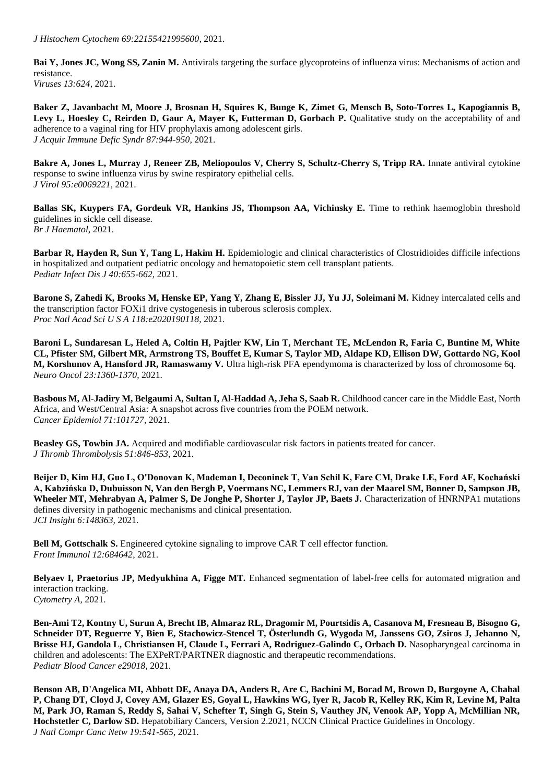*J Histochem Cytochem 69:22155421995600,* 2021.

**Bai Y, Jones JC, Wong SS, Zanin M.** Antivirals targeting the surface glycoproteins of influenza virus: Mechanisms of action and resistance. *Viruses 13:624,* 2021.

**Baker Z, Javanbacht M, Moore J, Brosnan H, Squires K, Bunge K, Zimet G, Mensch B, Soto-Torres L, Kapogiannis B,**  Levy L, Hoesley C, Reirden D, Gaur A, Mayer K, Futterman D, Gorbach P. Qualitative study on the acceptability of and adherence to a vaginal ring for HIV prophylaxis among adolescent girls. *J Acquir Immune Defic Syndr 87:944-950,* 2021.

**Bakre A, Jones L, Murray J, Reneer ZB, Meliopoulos V, Cherry S, Schultz-Cherry S, Tripp RA.** Innate antiviral cytokine response to swine influenza virus by swine respiratory epithelial cells. *J Virol 95:e0069221,* 2021.

**Ballas SK, Kuypers FA, Gordeuk VR, Hankins JS, Thompson AA, Vichinsky E.** Time to rethink haemoglobin threshold guidelines in sickle cell disease. *Br J Haematol,* 2021.

**Barbar R, Hayden R, Sun Y, Tang L, Hakim H.** Epidemiologic and clinical characteristics of Clostridioides difficile infections in hospitalized and outpatient pediatric oncology and hematopoietic stem cell transplant patients. *Pediatr Infect Dis J 40:655-662*, 2021.

**Barone S, Zahedi K, Brooks M, Henske EP, Yang Y, Zhang E, Bissler JJ, Yu JJ, Soleimani M.** Kidney intercalated cells and the transcription factor FOXi1 drive cystogenesis in tuberous sclerosis complex. *Proc Natl Acad Sci U S A 118:e2020190118,* 2021.

**Baroni L, Sundaresan L, Heled A, Coltin H, Pajtler KW, Lin T, Merchant TE, McLendon R, Faria C, Buntine M, White CL, Pfister SM, Gilbert MR, Armstrong TS, Bouffet E, Kumar S, Taylor MD, Aldape KD, Ellison DW, Gottardo NG, Kool M, Korshunov A, Hansford JR, Ramaswamy V.** Ultra high-risk PFA ependymoma is characterized by loss of chromosome 6q. *Neuro Oncol 23:1360-1370,* 2021.

**Basbous M, Al-Jadiry M, Belgaumi A, Sultan I, Al-Haddad A, Jeha S, Saab R.** Childhood cancer care in the Middle East, North Africa, and West/Central Asia: A snapshot across five countries from the POEM network. *Cancer Epidemiol 71:101727,* 2021.

**Beasley GS, Towbin JA.** Acquired and modifiable cardiovascular risk factors in patients treated for cancer. *J Thromb Thrombolysis 51:846-853*, 2021.

**Beijer D, Kim HJ, Guo L, O'Donovan K, Mademan I, Deconinck T, Van Schil K, Fare CM, Drake LE, Ford AF, Kochański A, Kabzińska D, Dubuisson N, Van den Bergh P, Voermans NC, Lemmers RJ, van der Maarel SM, Bonner D, Sampson JB, Wheeler MT, Mehrabyan A, Palmer S, De Jonghe P, Shorter J, Taylor JP, Baets J.** Characterization of HNRNPA1 mutations defines diversity in pathogenic mechanisms and clinical presentation. *JCI Insight 6:148363,* 2021.

**Bell M, Gottschalk S.** Engineered cytokine signaling to improve CAR T cell effector function. *Front Immunol 12:684642,* 2021.

**Belyaev I, Praetorius JP, Medyukhina A, Figge MT.** Enhanced segmentation of label-free cells for automated migration and interaction tracking. *Cytometry A,* 2021.

**Ben-Ami T2, Kontny U, Surun A, Brecht IB, Almaraz RL, Dragomir M, Pourtsidis A, Casanova M, Fresneau B, Bisogno G, Schneider DT, Reguerre Y, Bien E, Stachowicz-Stencel T, Österlundh G, Wygoda M, Janssens GO, Zsiros J, Jehanno N, Brisse HJ, Gandola L, Christiansen H, Claude L, Ferrari A, Rodriguez-Galindo C, Orbach D.** Nasopharyngeal carcinoma in children and adolescents: The EXPeRT/PARTNER diagnostic and therapeutic recommendations. *Pediatr Blood Cancer e29018,* 2021.

**Benson AB, D'Angelica MI, Abbott DE, Anaya DA, Anders R, Are C, Bachini M, Borad M, Brown D, Burgoyne A, Chahal P, Chang DT, Cloyd J, Covey AM, Glazer ES, Goyal L, Hawkins WG, Iyer R, Jacob R, Kelley RK, Kim R, Levine M, Palta M, Park JO, Raman S, Reddy S, Sahai V, Schefter T, Singh G, Stein S, Vauthey JN, Venook AP, Yopp A, McMillian NR, Hochstetler C, Darlow SD.** Hepatobiliary Cancers, Version 2.2021, NCCN Clinical Practice Guidelines in Oncology. *J Natl Compr Canc Netw 19:541-565*, 2021.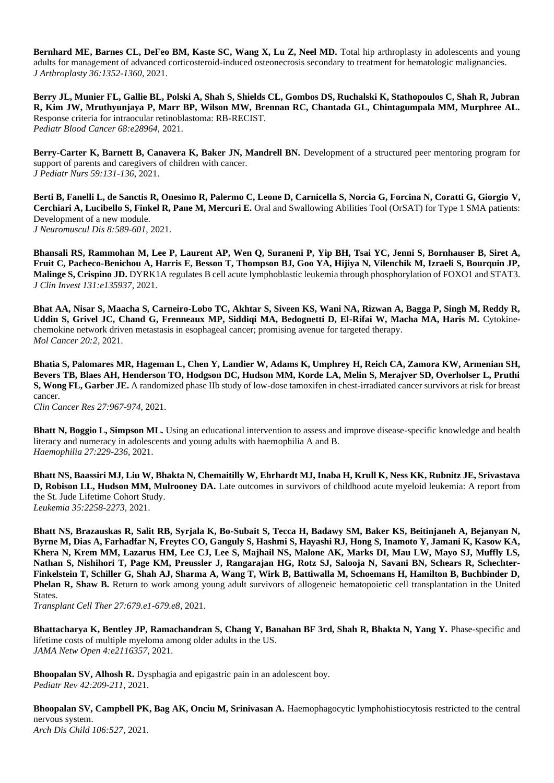**Bernhard ME, Barnes CL, DeFeo BM, Kaste SC, Wang X, Lu Z, Neel MD.** Total hip arthroplasty in adolescents and young adults for management of advanced corticosteroid-induced osteonecrosis secondary to treatment for hematologic malignancies. *J Arthroplasty 36:1352-1360*, 2021.

**Berry JL, Munier FL, Gallie BL, Polski A, Shah S, Shields CL, Gombos DS, Ruchalski K, Stathopoulos C, Shah R, Jubran R, Kim JW, Mruthyunjaya P, Marr BP, Wilson MW, Brennan RC, Chantada GL, Chintagumpala MM, Murphree AL.**  Response criteria for intraocular retinoblastoma: RB-RECIST. *Pediatr Blood Cancer 68:e28964,* 2021.

**Berry-Carter K, Barnett B, Canavera K, Baker JN, Mandrell BN.** Development of a structured peer mentoring program for support of parents and caregivers of children with cancer. *J Pediatr Nurs 59:131-136*, 2021.

**Berti B, Fanelli L, de Sanctis R, Onesimo R, Palermo C, Leone D, Carnicella S, Norcia G, Forcina N, Coratti G, Giorgio V, Cerchiari A, Lucibello S, Finkel R, Pane M, Mercuri E.** Oral and Swallowing Abilities Tool (OrSAT) for Type 1 SMA patients: Development of a new module. *J Neuromuscul Dis 8:589-601,* 2021.

**Bhansali RS, Rammohan M, Lee P, Laurent AP, Wen Q, Suraneni P, Yip BH, Tsai YC, Jenni S, Bornhauser B, Siret A, Fruit C, Pacheco-Benichou A, Harris E, Besson T, Thompson BJ, Goo YA, Hijiya N, Vilenchik M, Izraeli S, Bourquin JP, Malinge S, Crispino JD.** DYRK1A regulates B cell acute lymphoblastic leukemia through phosphorylation of FOXO1 and STAT3. *J Clin Invest 131:e135937,* 2021.

**Bhat AA, Nisar S, Maacha S, Carneiro-Lobo TC, Akhtar S, Siveen KS, Wani NA, Rizwan A, Bagga P, Singh M, Reddy R,**  Uddin S, Grivel JC, Chand G, Frenneaux MP, Siddiqi MA, Bedognetti D, El-Rifai W, Macha MA, Haris M. Cytokinechemokine network driven metastasis in esophageal cancer; promising avenue for targeted therapy. *Mol Cancer 20:2,* 2021.

**Bhatia S, Palomares MR, Hageman L, Chen Y, Landier W, Adams K, Umphrey H, Reich CA, Zamora KW, Armenian SH, Bevers TB, Blaes AH, Henderson TO, Hodgson DC, Hudson MM, Korde LA, Melin S, Merajver SD, Overholser L, Pruthi S, Wong FL, Garber JE.** A randomized phase IIb study of low-dose tamoxifen in chest-irradiated cancer survivors at risk for breast cancer.

*Clin Cancer Res 27:967-974*, 2021.

**Bhatt N, Boggio L, Simpson ML.** Using an educational intervention to assess and improve disease-specific knowledge and health literacy and numeracy in adolescents and young adults with haemophilia A and B. *Haemophilia 27:229-236*, 2021.

**Bhatt NS, Baassiri MJ, Liu W, Bhakta N, Chemaitilly W, Ehrhardt MJ, Inaba H, Krull K, Ness KK, Rubnitz JE, Srivastava D, Robison LL, Hudson MM, Mulrooney DA.** Late outcomes in survivors of childhood acute myeloid leukemia: A report from the St. Jude Lifetime Cohort Study. *Leukemia 35:2258-2273,* 2021.

**Bhatt NS, Brazauskas R, Salit RB, Syrjala K, Bo-Subait S, Tecca H, Badawy SM, Baker KS, Beitinjaneh A, Bejanyan N, Byrne M, Dias A, Farhadfar N, Freytes CO, Ganguly S, Hashmi S, Hayashi RJ, Hong S, Inamoto Y, Jamani K, Kasow KA, Khera N, Krem MM, Lazarus HM, Lee CJ, Lee S, Majhail NS, Malone AK, Marks DI, Mau LW, Mayo SJ, Muffly LS, Nathan S, Nishihori T, Page KM, Preussler J, Rangarajan HG, Rotz SJ, Salooja N, Savani BN, Schears R, Schechter-Finkelstein T, Schiller G, Shah AJ, Sharma A, Wang T, Wirk B, Battiwalla M, Schoemans H, Hamilton B, Buchbinder D, Phelan R, Shaw B.** Return to work among young adult survivors of allogeneic hematopoietic cell transplantation in the United States.

*Transplant Cell Ther 27:679.e1-679.e8*, 2021.

**Bhattacharya K, Bentley JP, Ramachandran S, Chang Y, Banahan BF 3rd, Shah R, Bhakta N, Yang Y.** Phase-specific and lifetime costs of multiple myeloma among older adults in the US. *JAMA Netw Open 4:e2116357,* 2021.

**Bhoopalan SV, Alhosh R.** Dysphagia and epigastric pain in an adolescent boy. *Pediatr Rev 42:209-211*, 2021.

**Bhoopalan SV, Campbell PK, Bag AK, Onciu M, Srinivasan A.** Haemophagocytic lymphohistiocytosis restricted to the central nervous system. *Arch Dis Child 106:527,* 2021.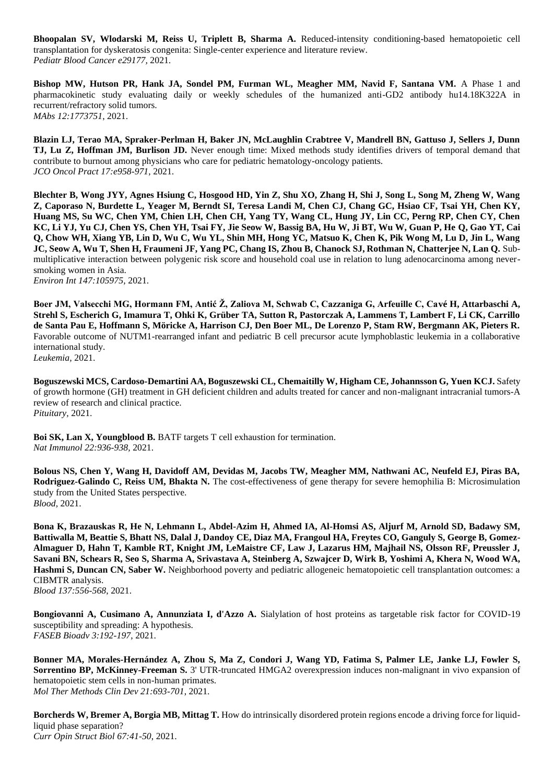**Bhoopalan SV, Wlodarski M, Reiss U, Triplett B, Sharma A.** Reduced-intensity conditioning-based hematopoietic cell transplantation for dyskeratosis congenita: Single-center experience and literature review. *Pediatr Blood Cancer e29177,* 2021.

Bishop MW, Hutson PR, Hank JA, Sondel PM, Furman WL, Meagher MM, Navid F, Santana VM. A Phase 1 and pharmacokinetic study evaluating daily or weekly schedules of the humanized anti-GD2 antibody hu14.18K322A in recurrent/refractory solid tumors. *MAbs 12:1773751*, 2021.

**Blazin LJ, Terao MA, Spraker-Perlman H, Baker JN, McLaughlin Crabtree V, Mandrell BN, Gattuso J, Sellers J, Dunn TJ, Lu Z, Hoffman JM, Burlison JD.** Never enough time: Mixed methods study identifies drivers of temporal demand that contribute to burnout among physicians who care for pediatric hematology-oncology patients. *JCO Oncol Pract 17:e958-971,* 2021.

**Blechter B, Wong JYY, Agnes Hsiung C, Hosgood HD, Yin Z, Shu XO, Zhang H, Shi J, Song L, Song M, Zheng W, Wang Z, Caporaso N, Burdette L, Yeager M, Berndt SI, Teresa Landi M, Chen CJ, Chang GC, Hsiao CF, Tsai YH, Chen KY, Huang MS, Su WC, Chen YM, Chien LH, Chen CH, Yang TY, Wang CL, Hung JY, Lin CC, Perng RP, Chen CY, Chen KC, Li YJ, Yu CJ, Chen YS, Chen YH, Tsai FY, Jie Seow W, Bassig BA, Hu W, Ji BT, Wu W, Guan P, He Q, Gao YT, Cai Q, Chow WH, Xiang YB, Lin D, Wu C, Wu YL, Shin MH, Hong YC, Matsuo K, Chen K, Pik Wong M, Lu D, Jin L, Wang JC, Seow A, Wu T, Shen H, Fraumeni JF, Yang PC, Chang IS, Zhou B, Chanock SJ, Rothman N, Chatterjee N, Lan Q. Sub**multiplicative interaction between polygenic risk score and household coal use in relation to lung adenocarcinoma among neversmoking women in Asia.

*Environ Int 147:105975,* 2021.

**Boer JM, Valsecchi MG, Hormann FM, Antić Ž, Zaliova M, Schwab C, Cazzaniga G, Arfeuille C, Cavé H, Attarbaschi A, Strehl S, Escherich G, Imamura T, Ohki K, Grüber TA, Sutton R, Pastorczak A, Lammens T, Lambert F, Li CK, Carrillo de Santa Pau E, Hoffmann S, Möricke A, Harrison CJ, Den Boer ML, De Lorenzo P, Stam RW, Bergmann AK, Pieters R.**  Favorable outcome of NUTM1-rearranged infant and pediatric B cell precursor acute lymphoblastic leukemia in a collaborative international study.

*Leukemia,* 2021.

**Boguszewski MCS, Cardoso-Demartini AA, Boguszewski CL, Chemaitilly W, Higham CE, Johannsson G, Yuen KCJ.** Safety of growth hormone (GH) treatment in GH deficient children and adults treated for cancer and non-malignant intracranial tumors-A review of research and clinical practice. *Pituitary,* 2021.

**Boi SK, Lan X, Youngblood B.** BATF targets T cell exhaustion for termination. *Nat Immunol 22:936-938,* 2021.

**Bolous NS, Chen Y, Wang H, Davidoff AM, Devidas M, Jacobs TW, Meagher MM, Nathwani AC, Neufeld EJ, Piras BA, Rodriguez-Galindo C, Reiss UM, Bhakta N.** The cost-effectiveness of gene therapy for severe hemophilia B: Microsimulation study from the United States perspective. *Blood,* 2021.

**Bona K, Brazauskas R, He N, Lehmann L, Abdel-Azim H, Ahmed IA, Al-Homsi AS, Aljurf M, Arnold SD, Badawy SM, Battiwalla M, Beattie S, Bhatt NS, Dalal J, Dandoy CE, Diaz MA, Frangoul HA, Freytes CO, Ganguly S, George B, Gomez-Almaguer D, Hahn T, Kamble RT, Knight JM, LeMaistre CF, Law J, Lazarus HM, Majhail NS, Olsson RF, Preussler J, Savani BN, Schears R, Seo S, Sharma A, Srivastava A, Steinberg A, Szwajcer D, Wirk B, Yoshimi A, Khera N, Wood WA, Hashmi S, Duncan CN, Saber W.** Neighborhood poverty and pediatric allogeneic hematopoietic cell transplantation outcomes: a CIBMTR analysis. *Blood 137:556-568*, 2021.

**Bongiovanni A, Cusimano A, Annunziata I, d'Azzo A.** Sialylation of host proteins as targetable risk factor for COVID-19 susceptibility and spreading: A hypothesis. *FASEB Bioadv 3:192-197*, 2021.

**Bonner MA, Morales-Hernández A, Zhou S, Ma Z, Condori J, Wang YD, Fatima S, Palmer LE, Janke LJ, Fowler S, Sorrentino BP, McKinney-Freeman S.** 3' UTR-truncated HMGA2 overexpression induces non-malignant in vivo expansion of hematopoietic stem cells in non-human primates. *Mol Ther Methods Clin Dev 21:693-701*, 2021.

**Borcherds W, Bremer A, Borgia MB, Mittag T.** How do intrinsically disordered protein regions encode a driving force for liquidliquid phase separation? *Curr Opin Struct Biol 67:41-50*, 2021.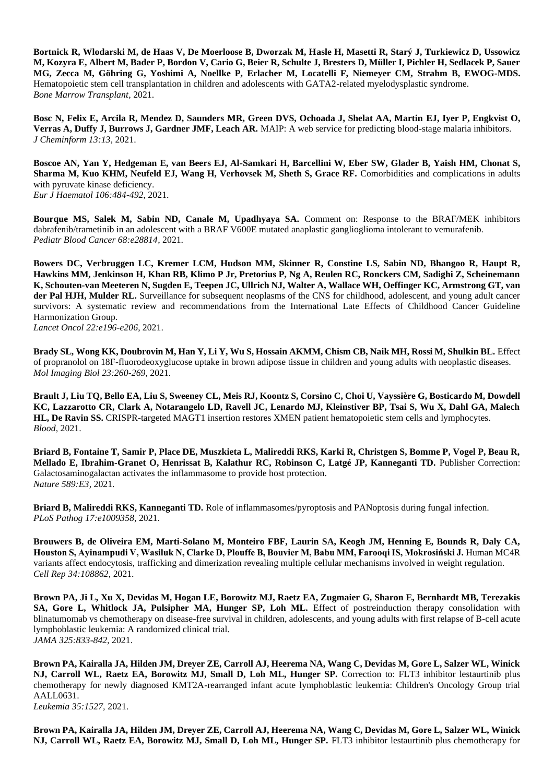**Bortnick R, Wlodarski M, de Haas V, De Moerloose B, Dworzak M, Hasle H, Masetti R, Starý J, Turkiewicz D, Ussowicz M, Kozyra E, Albert M, Bader P, Bordon V, Cario G, Beier R, Schulte J, Bresters D, Müller I, Pichler H, Sedlacek P, Sauer MG, Zecca M, Göhring G, Yoshimi A, Noellke P, Erlacher M, Locatelli F, Niemeyer CM, Strahm B, EWOG-MDS.**  Hematopoietic stem cell transplantation in children and adolescents with GATA2-related myelodysplastic syndrome. *Bone Marrow Transplant,* 2021.

**Bosc N, Felix E, Arcila R, Mendez D, Saunders MR, Green DVS, Ochoada J, Shelat AA, Martin EJ, Iyer P, Engkvist O, Verras A, Duffy J, Burrows J, Gardner JMF, Leach AR.** MAIP: A web service for predicting blood-stage malaria inhibitors. *J Cheminform 13:13,* 2021.

**Boscoe AN, Yan Y, Hedgeman E, van Beers EJ, Al-Samkari H, Barcellini W, Eber SW, Glader B, Yaish HM, Chonat S, Sharma M, Kuo KHM, Neufeld EJ, Wang H, Verhovsek M, Sheth S, Grace RF.** Comorbidities and complications in adults with pyruvate kinase deficiency. *Eur J Haematol 106:484-492*, 2021.

**Bourque MS, Salek M, Sabin ND, Canale M, Upadhyaya SA.** Comment on: Response to the BRAF/MEK inhibitors dabrafenib/trametinib in an adolescent with a BRAF V600E mutated anaplastic ganglioglioma intolerant to vemurafenib. *Pediatr Blood Cancer 68:e28814,* 2021.

**Bowers DC, Verbruggen LC, Kremer LCM, Hudson MM, Skinner R, Constine LS, Sabin ND, Bhangoo R, Haupt R, Hawkins MM, Jenkinson H, Khan RB, Klimo P Jr, Pretorius P, Ng A, Reulen RC, Ronckers CM, Sadighi Z, Scheinemann K, Schouten-van Meeteren N, Sugden E, Teepen JC, Ullrich NJ, Walter A, Wallace WH, Oeffinger KC, Armstrong GT, van der Pal HJH, Mulder RL.** Surveillance for subsequent neoplasms of the CNS for childhood, adolescent, and young adult cancer survivors: A systematic review and recommendations from the International Late Effects of Childhood Cancer Guideline Harmonization Group.

*Lancet Oncol 22:e196-e206*, 2021.

**Brady SL, Wong KK, Doubrovin M, Han Y, Li Y, Wu S, Hossain AKMM, Chism CB, Naik MH, Rossi M, Shulkin BL.** Effect of propranolol on 18F-fluorodeoxyglucose uptake in brown adipose tissue in children and young adults with neoplastic diseases. *Mol Imaging Biol 23:260-269*, 2021.

**Brault J, Liu TQ, Bello EA, Liu S, Sweeney CL, Meis RJ, Koontz S, Corsino C, Choi U, Vayssière G, Bosticardo M, Dowdell KC, Lazzarotto CR, Clark A, Notarangelo LD, Ravell JC, Lenardo MJ, Kleinstiver BP, Tsai S, Wu X, Dahl GA, Malech HL, De Ravin SS.** CRISPR-targeted MAGT1 insertion restores XMEN patient hematopoietic stem cells and lymphocytes. *Blood,* 2021.

**Briard B, Fontaine T, Samir P, Place DE, Muszkieta L, Malireddi RKS, Karki R, Christgen S, Bomme P, Vogel P, Beau R, Mellado E, Ibrahim-Granet O, Henrissat B, Kalathur RC, Robinson C, Latgé JP, Kanneganti TD.** Publisher Correction: Galactosaminogalactan activates the inflammasome to provide host protection. *Nature 589:E3,* 2021.

**Briard B, Malireddi RKS, Kanneganti TD.** Role of inflammasomes/pyroptosis and PANoptosis during fungal infection. *PLoS Pathog 17:e1009358,* 2021.

**Brouwers B, de Oliveira EM, Marti-Solano M, Monteiro FBF, Laurin SA, Keogh JM, Henning E, Bounds R, Daly CA, Houston S, Ayinampudi V, Wasiluk N, Clarke D, Plouffe B, Bouvier M, Babu MM, Farooqi IS, Mokrosiński J.** Human MC4R variants affect endocytosis, trafficking and dimerization revealing multiple cellular mechanisms involved in weight regulation. *Cell Rep 34:108862,* 2021.

**Brown PA, Ji L, Xu X, Devidas M, Hogan LE, Borowitz MJ, Raetz EA, Zugmaier G, Sharon E, Bernhardt MB, Terezakis SA, Gore L, Whitlock JA, Pulsipher MA, Hunger SP, Loh ML.** Effect of postreinduction therapy consolidation with blinatumomab vs chemotherapy on disease-free survival in children, adolescents, and young adults with first relapse of B-cell acute lymphoblastic leukemia: A randomized clinical trial. *JAMA 325:833-842*, 2021.

**Brown PA, Kairalla JA, Hilden JM, Dreyer ZE, Carroll AJ, Heerema NA, Wang C, Devidas M, Gore L, Salzer WL, Winick NJ, Carroll WL, Raetz EA, Borowitz MJ, Small D, Loh ML, Hunger SP.** Correction to: FLT3 inhibitor lestaurtinib plus chemotherapy for newly diagnosed KMT2A-rearranged infant acute lymphoblastic leukemia: Children's Oncology Group trial AALL0631.

*Leukemia 35:1527,* 2021.

**Brown PA, Kairalla JA, Hilden JM, Dreyer ZE, Carroll AJ, Heerema NA, Wang C, Devidas M, Gore L, Salzer WL, Winick NJ, Carroll WL, Raetz EA, Borowitz MJ, Small D, Loh ML, Hunger SP.** FLT3 inhibitor lestaurtinib plus chemotherapy for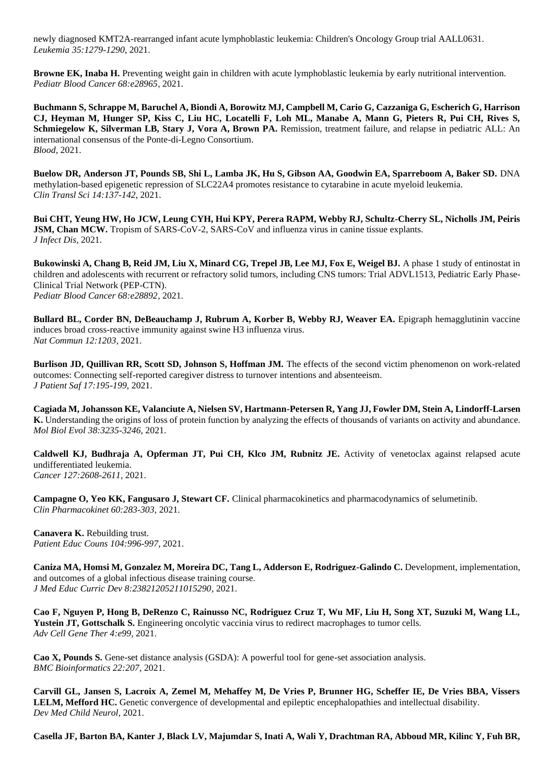newly diagnosed KMT2A-rearranged infant acute lymphoblastic leukemia: Children's Oncology Group trial AALL0631. *Leukemia 35:1279-1290*, 2021.

**Browne EK, Inaba H.** Preventing weight gain in children with acute lymphoblastic leukemia by early nutritional intervention. *Pediatr Blood Cancer 68:e28965,* 2021.

**Buchmann S, Schrappe M, Baruchel A, Biondi A, Borowitz MJ, Campbell M, Cario G, Cazzaniga G, Escherich G, Harrison CJ, Heyman M, Hunger SP, Kiss C, Liu HC, Locatelli F, Loh ML, Manabe A, Mann G, Pieters R, Pui CH, Rives S, Schmiegelow K, Silverman LB, Stary J, Vora A, Brown PA.** Remission, treatment failure, and relapse in pediatric ALL: An international consensus of the Ponte-di-Legno Consortium. *Blood,* 2021.

**Buelow DR, Anderson JT, Pounds SB, Shi L, Lamba JK, Hu S, Gibson AA, Goodwin EA, Sparreboom A, Baker SD.** DNA methylation-based epigenetic repression of SLC22A4 promotes resistance to cytarabine in acute myeloid leukemia. *Clin Transl Sci 14:137-142*, 2021.

**Bui CHT, Yeung HW, Ho JCW, Leung CYH, Hui KPY, Perera RAPM, Webby RJ, Schultz-Cherry SL, Nicholls JM, Peiris JSM, Chan MCW.** Tropism of SARS-CoV-2, SARS-CoV and influenza virus in canine tissue explants. *J Infect Dis,* 2021.

**Bukowinski A, Chang B, Reid JM, Liu X, Minard CG, Trepel JB, Lee MJ, Fox E, Weigel BJ.** A phase 1 study of entinostat in children and adolescents with recurrent or refractory solid tumors, including CNS tumors: Trial ADVL1513, Pediatric Early Phase-Clinical Trial Network (PEP-CTN). *Pediatr Blood Cancer 68:e28892,* 2021.

**Bullard BL, Corder BN, DeBeauchamp J, Rubrum A, Korber B, Webby RJ, Weaver EA.** Epigraph hemagglutinin vaccine induces broad cross-reactive immunity against swine H3 influenza virus. *Nat Commun 12:1203,* 2021.

**Burlison JD, Quillivan RR, Scott SD, Johnson S, Hoffman JM.** The effects of the second victim phenomenon on work-related outcomes: Connecting self-reported caregiver distress to turnover intentions and absenteeism. *J Patient Saf 17:195-199*, 2021.

**Cagiada M, Johansson KE, Valanciute A, Nielsen SV, Hartmann-Petersen R, Yang JJ, Fowler DM, Stein A, Lindorff-Larsen K.** Understanding the origins of loss of protein function by analyzing the effects of thousands of variants on activity and abundance. *Mol Biol Evol 38:3235-3246,* 2021.

**Caldwell KJ, Budhraja A, Opferman JT, Pui CH, Klco JM, Rubnitz JE.** Activity of venetoclax against relapsed acute undifferentiated leukemia. *Cancer 127:2608-2611,* 2021.

**Campagne O, Yeo KK, Fangusaro J, Stewart CF.** Clinical pharmacokinetics and pharmacodynamics of selumetinib. *Clin Pharmacokinet 60:283-303*, 2021.

**Canavera K.** Rebuilding trust. *Patient Educ Couns 104:996-997*, 2021.

Caniza MA, Homsi M, Gonzalez M, Moreira DC, Tang L, Adderson E, Rodriguez-Galindo C. Development, implementation, and outcomes of a global infectious disease training course. *J Med Educ Curric Dev 8:23821205211015290,* 2021.

**Cao F, Nguyen P, Hong B, DeRenzo C, Rainusso NC, Rodriguez Cruz T, Wu MF, Liu H, Song XT, Suzuki M, Wang LL, Yustein JT, Gottschalk S.** Engineering oncolytic vaccinia virus to redirect macrophages to tumor cells. *Adv Cell Gene Ther 4:e99,* 2021.

**Cao X, Pounds S.** Gene-set distance analysis (GSDA): A powerful tool for gene-set association analysis. *BMC Bioinformatics 22:207,* 2021.

**Carvill GL, Jansen S, Lacroix A, Zemel M, Mehaffey M, De Vries P, Brunner HG, Scheffer IE, De Vries BBA, Vissers LELM, Mefford HC.** Genetic convergence of developmental and epileptic encephalopathies and intellectual disability. *Dev Med Child Neurol,* 2021.

**Casella JF, Barton BA, Kanter J, Black LV, Majumdar S, Inati A, Wali Y, Drachtman RA, Abboud MR, Kilinc Y, Fuh BR,**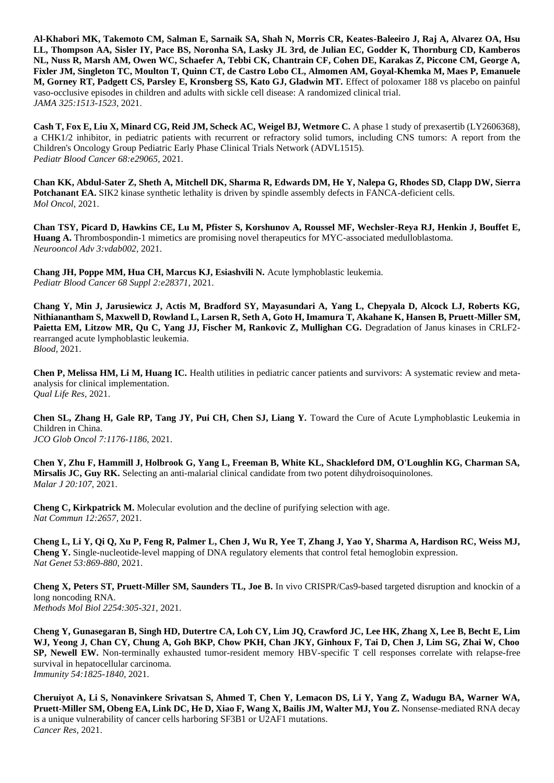**Al-Khabori MK, Takemoto CM, Salman E, Sarnaik SA, Shah N, Morris CR, Keates-Baleeiro J, Raj A, Alvarez OA, Hsu LL, Thompson AA, Sisler IY, Pace BS, Noronha SA, Lasky JL 3rd, de Julian EC, Godder K, Thornburg CD, Kamberos NL, Nuss R, Marsh AM, Owen WC, Schaefer A, Tebbi CK, Chantrain CF, Cohen DE, Karakas Z, Piccone CM, George A, Fixler JM, Singleton TC, Moulton T, Quinn CT, de Castro Lobo CL, Almomen AM, Goyal-Khemka M, Maes P, Emanuele M, Gorney RT, Padgett CS, Parsley E, Kronsberg SS, Kato GJ, Gladwin MT.** Effect of poloxamer 188 vs placebo on painful vaso-occlusive episodes in children and adults with sickle cell disease: A randomized clinical trial. *JAMA 325:1513-1523*, 2021.

**Cash T, Fox E, Liu X, Minard CG, Reid JM, Scheck AC, Weigel BJ, Wetmore C.** A phase 1 study of prexasertib (LY2606368), a CHK1/2 inhibitor, in pediatric patients with recurrent or refractory solid tumors, including CNS tumors: A report from the Children's Oncology Group Pediatric Early Phase Clinical Trials Network (ADVL1515). *Pediatr Blood Cancer 68:e29065,* 2021.

**Chan KK, Abdul-Sater Z, Sheth A, Mitchell DK, Sharma R, Edwards DM, He Y, Nalepa G, Rhodes SD, Clapp DW, Sierra Potchanant EA.** SIK2 kinase synthetic lethality is driven by spindle assembly defects in FANCA-deficient cells. *Mol Oncol,* 2021.

**Chan TSY, Picard D, Hawkins CE, Lu M, Pfister S, Korshunov A, Roussel MF, Wechsler-Reya RJ, Henkin J, Bouffet E, Huang A.** Thrombospondin-1 mimetics are promising novel therapeutics for MYC-associated medulloblastoma. *Neurooncol Adv 3:vdab002,* 2021.

**Chang JH, Poppe MM, Hua CH, Marcus KJ, Esiashvili N.** Acute lymphoblastic leukemia. *Pediatr Blood Cancer 68 Suppl 2:e28371,* 2021.

**Chang Y, Min J, Jarusiewicz J, Actis M, Bradford SY, Mayasundari A, Yang L, Chepyala D, Alcock LJ, Roberts KG, Nithianantham S, Maxwell D, Rowland L, Larsen R, Seth A, Goto H, Imamura T, Akahane K, Hansen B, Pruett-Miller SM, Paietta EM, Litzow MR, Qu C, Yang JJ, Fischer M, Rankovic Z, Mullighan CG.** Degradation of Janus kinases in CRLF2 rearranged acute lymphoblastic leukemia. *Blood,* 2021.

**Chen P, Melissa HM, Li M, Huang IC.** Health utilities in pediatric cancer patients and survivors: A systematic review and metaanalysis for clinical implementation. *Qual Life Res,* 2021.

**Chen SL, Zhang H, Gale RP, Tang JY, Pui CH, Chen SJ, Liang Y.** Toward the Cure of Acute Lymphoblastic Leukemia in Children in China. *JCO Glob Oncol 7:1176-1186*, 2021.

**Chen Y, Zhu F, Hammill J, Holbrook G, Yang L, Freeman B, White KL, Shackleford DM, O'Loughlin KG, Charman SA, Mirsalis JC, Guy RK.** Selecting an anti-malarial clinical candidate from two potent dihydroisoquinolones. *Malar J 20:107,* 2021.

**Cheng C, Kirkpatrick M.** Molecular evolution and the decline of purifying selection with age. *Nat Commun 12:2657,* 2021.

**Cheng L, Li Y, Qi Q, Xu P, Feng R, Palmer L, Chen J, Wu R, Yee T, Zhang J, Yao Y, Sharma A, Hardison RC, Weiss MJ, Cheng Y.** Single-nucleotide-level mapping of DNA regulatory elements that control fetal hemoglobin expression. *Nat Genet 53:869-880*, 2021.

**Cheng X, Peters ST, Pruett-Miller SM, Saunders TL, Joe B.** In vivo CRISPR/Cas9-based targeted disruption and knockin of a long noncoding RNA. *Methods Mol Biol 2254:305-321*, 2021.

**Cheng Y, Gunasegaran B, Singh HD, Dutertre CA, Loh CY, Lim JQ, Crawford JC, Lee HK, Zhang X, Lee B, Becht E, Lim WJ, Yeong J, Chan CY, Chung A, Goh BKP, Chow PKH, Chan JKY, Ginhoux F, Tai D, Chen J, Lim SG, Zhai W, Choo SP, Newell EW.** Non-terminally exhausted tumor-resident memory HBV-specific T cell responses correlate with relapse-free survival in hepatocellular carcinoma.

*Immunity 54:1825-1840,* 2021.

**Cheruiyot A, Li S, Nonavinkere Srivatsan S, Ahmed T, Chen Y, Lemacon DS, Li Y, Yang Z, Wadugu BA, Warner WA, Pruett-Miller SM, Obeng EA, Link DC, He D, Xiao F, Wang X, Bailis JM, Walter MJ, You Z.** Nonsense-mediated RNA decay is a unique vulnerability of cancer cells harboring SF3B1 or U2AF1 mutations. *Cancer Res,* 2021.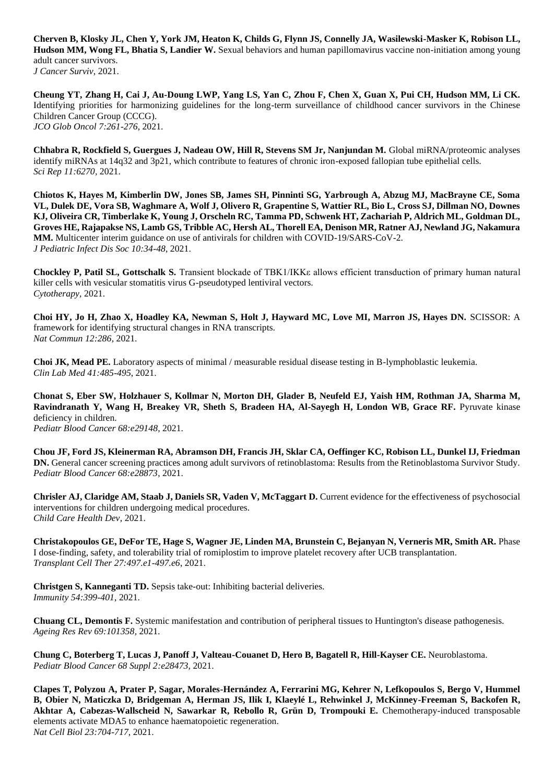**Cherven B, Klosky JL, Chen Y, York JM, Heaton K, Childs G, Flynn JS, Connelly JA, Wasilewski-Masker K, Robison LL, Hudson MM, Wong FL, Bhatia S, Landier W.** Sexual behaviors and human papillomavirus vaccine non-initiation among young adult cancer survivors. *J Cancer Surviv,* 2021.

**Cheung YT, Zhang H, Cai J, Au-Doung LWP, Yang LS, Yan C, Zhou F, Chen X, Guan X, Pui CH, Hudson MM, Li CK.**  Identifying priorities for harmonizing guidelines for the long-term surveillance of childhood cancer survivors in the Chinese Children Cancer Group (CCCG). *JCO Glob Oncol 7:261-276*, 2021.

**Chhabra R, Rockfield S, Guergues J, Nadeau OW, Hill R, Stevens SM Jr, Nanjundan M.** Global miRNA/proteomic analyses identify miRNAs at 14q32 and 3p21, which contribute to features of chronic iron-exposed fallopian tube epithelial cells. *Sci Rep 11:6270,* 2021.

**Chiotos K, Hayes M, Kimberlin DW, Jones SB, James SH, Pinninti SG, Yarbrough A, Abzug MJ, MacBrayne CE, Soma VL, Dulek DE, Vora SB, Waghmare A, Wolf J, Olivero R, Grapentine S, Wattier RL, Bio L, Cross SJ, Dillman NO, Downes KJ, Oliveira CR, Timberlake K, Young J, Orscheln RC, Tamma PD, Schwenk HT, Zachariah P, Aldrich ML, Goldman DL, Groves HE, Rajapakse NS, Lamb GS, Tribble AC, Hersh AL, Thorell EA, Denison MR, Ratner AJ, Newland JG, Nakamura MM.** Multicenter interim guidance on use of antivirals for children with COVID-19/SARS-CoV-2. *J Pediatric Infect Dis Soc 10:34-48*, 2021.

**Chockley P, Patil SL, Gottschalk S.** Transient blockade of TBK1/IKKε allows efficient transduction of primary human natural killer cells with vesicular stomatitis virus G-pseudotyped lentiviral vectors. *Cytotherapy,* 2021.

**Choi HY, Jo H, Zhao X, Hoadley KA, Newman S, Holt J, Hayward MC, Love MI, Marron JS, Hayes DN.** SCISSOR: A framework for identifying structural changes in RNA transcripts. *Nat Commun 12:286,* 2021.

**Choi JK, Mead PE.** Laboratory aspects of minimal / measurable residual disease testing in B-lymphoblastic leukemia. *Clin Lab Med 41:485-495*, 2021.

**Chonat S, Eber SW, Holzhauer S, Kollmar N, Morton DH, Glader B, Neufeld EJ, Yaish HM, Rothman JA, Sharma M, Ravindranath Y, Wang H, Breakey VR, Sheth S, Bradeen HA, Al-Sayegh H, London WB, Grace RF.** Pyruvate kinase deficiency in children.

*Pediatr Blood Cancer 68:e29148,* 2021.

**Chou JF, Ford JS, Kleinerman RA, Abramson DH, Francis JH, Sklar CA, Oeffinger KC, Robison LL, Dunkel IJ, Friedman DN.** General cancer screening practices among adult survivors of retinoblastoma: Results from the Retinoblastoma Survivor Study. *Pediatr Blood Cancer 68:e28873*, 2021.

**Chrisler AJ, Claridge AM, Staab J, Daniels SR, Vaden V, McTaggart D.** Current evidence for the effectiveness of psychosocial interventions for children undergoing medical procedures. *Child Care Health Dev,* 2021.

**Christakopoulos GE, DeFor TE, Hage S, Wagner JE, Linden MA, Brunstein C, Bejanyan N, Verneris MR, Smith AR.** Phase I dose-finding, safety, and tolerability trial of romiplostim to improve platelet recovery after UCB transplantation. *Transplant Cell Ther 27:497.e1-497.e6*, 2021.

**Christgen S, Kanneganti TD.** Sepsis take-out: Inhibiting bacterial deliveries. *Immunity 54:399-401*, 2021.

**Chuang CL, Demontis F.** Systemic manifestation and contribution of peripheral tissues to Huntington's disease pathogenesis. *Ageing Res Rev 69:101358,* 2021.

**Chung C, Boterberg T, Lucas J, Panoff J, Valteau-Couanet D, Hero B, Bagatell R, Hill-Kayser CE.** Neuroblastoma. *Pediatr Blood Cancer 68 Suppl 2:e28473,* 2021.

**Clapes T, Polyzou A, Prater P, Sagar, Morales-Hernández A, Ferrarini MG, Kehrer N, Lefkopoulos S, Bergo V, Hummel B, Obier N, Maticzka D, Bridgeman A, Herman JS, Ilik I, Klaeylé L, Rehwinkel J, McKinney-Freeman S, Backofen R,**  Akhtar A, Cabezas-Wallscheid N, Sawarkar R, Rebollo R, Grün D, Trompouki E. Chemotherapy-induced transposable elements activate MDA5 to enhance haematopoietic regeneration. *Nat Cell Biol 23:704-717*, 2021.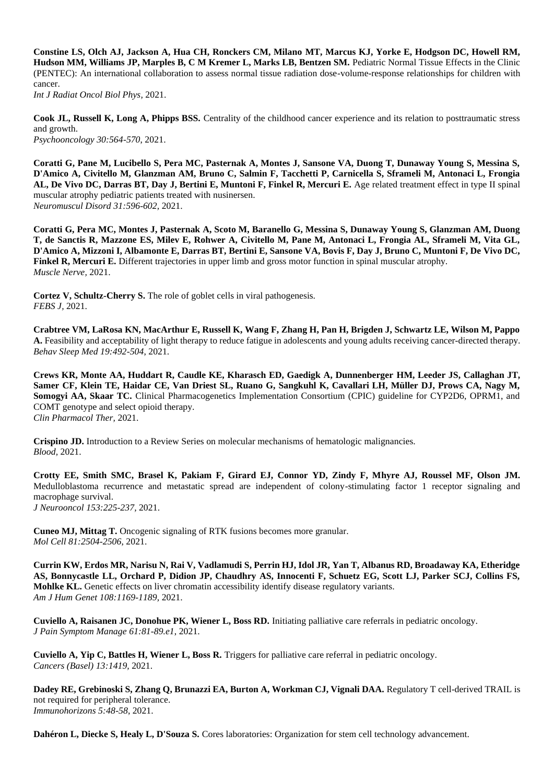**Constine LS, Olch AJ, Jackson A, Hua CH, Ronckers CM, Milano MT, Marcus KJ, Yorke E, Hodgson DC, Howell RM, Hudson MM, Williams JP, Marples B, C M Kremer L, Marks LB, Bentzen SM.** Pediatric Normal Tissue Effects in the Clinic (PENTEC): An international collaboration to assess normal tissue radiation dose-volume-response relationships for children with cancer.

*Int J Radiat Oncol Biol Phys,* 2021.

**Cook JL, Russell K, Long A, Phipps BSS.** Centrality of the childhood cancer experience and its relation to posttraumatic stress and growth. *Psychooncology 30:564-570*, 2021.

**Coratti G, Pane M, Lucibello S, Pera MC, Pasternak A, Montes J, Sansone VA, Duong T, Dunaway Young S, Messina S, D'Amico A, Civitello M, Glanzman AM, Bruno C, Salmin F, Tacchetti P, Carnicella S, Sframeli M, Antonaci L, Frongia AL, De Vivo DC, Darras BT, Day J, Bertini E, Muntoni F, Finkel R, Mercuri E.** Age related treatment effect in type II spinal muscular atrophy pediatric patients treated with nusinersen. *Neuromuscul Disord 31:596-602,* 2021.

**Coratti G, Pera MC, Montes J, Pasternak A, Scoto M, Baranello G, Messina S, Dunaway Young S, Glanzman AM, Duong T, de Sanctis R, Mazzone ES, Milev E, Rohwer A, Civitello M, Pane M, Antonaci L, Frongia AL, Sframeli M, Vita GL, D'Amico A, Mizzoni I, Albamonte E, Darras BT, Bertini E, Sansone VA, Bovis F, Day J, Bruno C, Muntoni F, De Vivo DC, Finkel R, Mercuri E.** Different trajectories in upper limb and gross motor function in spinal muscular atrophy. *Muscle Nerve,* 2021.

**Cortez V, Schultz-Cherry S.** The role of goblet cells in viral pathogenesis. *FEBS J,* 2021.

**Crabtree VM, LaRosa KN, MacArthur E, Russell K, Wang F, Zhang H, Pan H, Brigden J, Schwartz LE, Wilson M, Pappo A.** Feasibility and acceptability of light therapy to reduce fatigue in adolescents and young adults receiving cancer-directed therapy. *Behav Sleep Med 19:492-504*, 2021.

**Crews KR, Monte AA, Huddart R, Caudle KE, Kharasch ED, Gaedigk A, Dunnenberger HM, Leeder JS, Callaghan JT, Samer CF, Klein TE, Haidar CE, Van Driest SL, Ruano G, Sangkuhl K, Cavallari LH, Müller DJ, Prows CA, Nagy M, Somogyi AA, Skaar TC.** Clinical Pharmacogenetics Implementation Consortium (CPIC) guideline for CYP2D6, OPRM1, and COMT genotype and select opioid therapy. *Clin Pharmacol Ther,* 2021.

**Crispino JD.** Introduction to a Review Series on molecular mechanisms of hematologic malignancies. *Blood,* 2021.

**Crotty EE, Smith SMC, Brasel K, Pakiam F, Girard EJ, Connor YD, Zindy F, Mhyre AJ, Roussel MF, Olson JM.**  Medulloblastoma recurrence and metastatic spread are independent of colony-stimulating factor 1 receptor signaling and macrophage survival. *J Neurooncol 153:225-237,* 2021.

**Cuneo MJ, Mittag T.** Oncogenic signaling of RTK fusions becomes more granular. *Mol Cell 81:2504-2506*, 2021.

**Currin KW, Erdos MR, Narisu N, Rai V, Vadlamudi S, Perrin HJ, Idol JR, Yan T, Albanus RD, Broadaway KA, Etheridge AS, Bonnycastle LL, Orchard P, Didion JP, Chaudhry AS, Innocenti F, Schuetz EG, Scott LJ, Parker SCJ, Collins FS, Mohlke KL.** Genetic effects on liver chromatin accessibility identify disease regulatory variants. *Am J Hum Genet 108:1169-1189,* 2021.

**Cuviello A, Raisanen JC, Donohue PK, Wiener L, Boss RD.** Initiating palliative care referrals in pediatric oncology. *J Pain Symptom Manage 61:81-89.e1*, 2021.

**Cuviello A, Yip C, Battles H, Wiener L, Boss R.** Triggers for palliative care referral in pediatric oncology. *Cancers (Basel) 13:1419,* 2021.

**Dadey RE, Grebinoski S, Zhang Q, Brunazzi EA, Burton A, Workman CJ, Vignali DAA.** Regulatory T cell-derived TRAIL is not required for peripheral tolerance. *Immunohorizons 5:48-58*, 2021.

**Dahéron L, Diecke S, Healy L, D'Souza S.** Cores laboratories: Organization for stem cell technology advancement.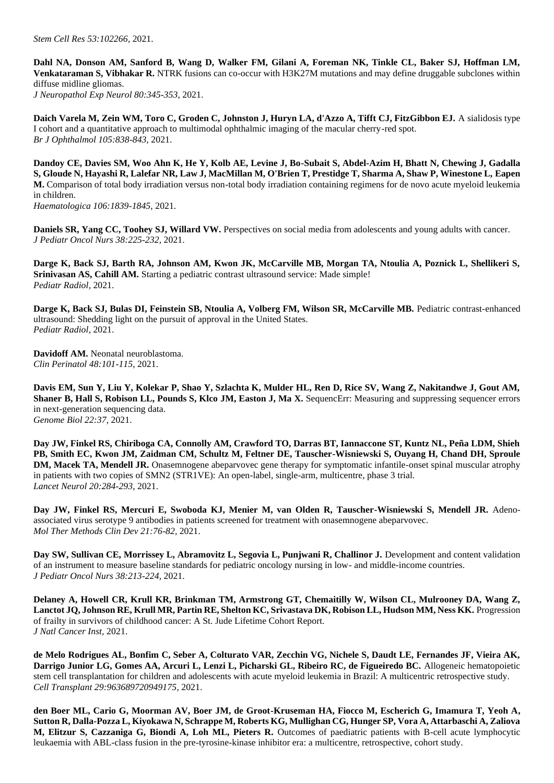**Dahl NA, Donson AM, Sanford B, Wang D, Walker FM, Gilani A, Foreman NK, Tinkle CL, Baker SJ, Hoffman LM, Venkataraman S, Vibhakar R.** NTRK fusions can co-occur with H3K27M mutations and may define druggable subclones within diffuse midline gliomas. *J Neuropathol Exp Neurol 80:345-353,* 2021.

**Daich Varela M, Zein WM, Toro C, Groden C, Johnston J, Huryn LA, d'Azzo A, Tifft CJ, FitzGibbon EJ.** A sialidosis type I cohort and a quantitative approach to multimodal ophthalmic imaging of the macular cherry-red spot. *Br J Ophthalmol 105:838-843*, 2021.

**Dandoy CE, Davies SM, Woo Ahn K, He Y, Kolb AE, Levine J, Bo-Subait S, Abdel-Azim H, Bhatt N, Chewing J, Gadalla S, Gloude N, Hayashi R, Lalefar NR, Law J, MacMillan M, O'Brien T, Prestidge T, Sharma A, Shaw P, Winestone L, Eapen M.** Comparison of total body irradiation versus non-total body irradiation containing regimens for de novo acute myeloid leukemia in children.

*Haematologica 106:1839-1845*, 2021.

**Daniels SR, Yang CC, Toohey SJ, Willard VW.** Perspectives on social media from adolescents and young adults with cancer. *J Pediatr Oncol Nurs 38:225-232,* 2021.

**Darge K, Back SJ, Barth RA, Johnson AM, Kwon JK, McCarville MB, Morgan TA, Ntoulia A, Poznick L, Shellikeri S, Srinivasan AS, Cahill AM.** Starting a pediatric contrast ultrasound service: Made simple! *Pediatr Radiol,* 2021.

**Darge K, Back SJ, Bulas DI, Feinstein SB, Ntoulia A, Volberg FM, Wilson SR, McCarville MB.** Pediatric contrast-enhanced ultrasound: Shedding light on the pursuit of approval in the United States. *Pediatr Radiol,* 2021.

**Davidoff AM.** Neonatal neuroblastoma. *Clin Perinatol 48:101-115*, 2021.

**Davis EM, Sun Y, Liu Y, Kolekar P, Shao Y, Szlachta K, Mulder HL, Ren D, Rice SV, Wang Z, Nakitandwe J, Gout AM, Shaner B, Hall S, Robison LL, Pounds S, Klco JM, Easton J, Ma X.** SequencErr: Measuring and suppressing sequencer errors in next-generation sequencing data. *Genome Biol 22:37,* 2021.

**Day JW, Finkel RS, Chiriboga CA, Connolly AM, Crawford TO, Darras BT, Iannaccone ST, Kuntz NL, Peña LDM, Shieh PB, Smith EC, Kwon JM, Zaidman CM, Schultz M, Feltner DE, Tauscher-Wisniewski S, Ouyang H, Chand DH, Sproule DM, Macek TA, Mendell JR.** Onasemnogene abeparvovec gene therapy for symptomatic infantile-onset spinal muscular atrophy in patients with two copies of SMN2 (STR1VE): An open-label, single-arm, multicentre, phase 3 trial. *Lancet Neurol 20:284-293*, 2021.

**Day JW, Finkel RS, Mercuri E, Swoboda KJ, Menier M, van Olden R, Tauscher-Wisniewski S, Mendell JR.** Adenoassociated virus serotype 9 antibodies in patients screened for treatment with onasemnogene abeparvovec. *Mol Ther Methods Clin Dev 21:76-82*, 2021.

Day SW, Sullivan CE, Morrissey L, Abramovitz L, Segovia L, Punjwani R, Challinor J. Development and content validation of an instrument to measure baseline standards for pediatric oncology nursing in low- and middle-income countries. *J Pediatr Oncol Nurs 38:213-224*, 2021.

**Delaney A, Howell CR, Krull KR, Brinkman TM, Armstrong GT, Chemaitilly W, Wilson CL, Mulrooney DA, Wang Z, Lanctot JQ, Johnson RE, Krull MR, Partin RE, Shelton KC, Srivastava DK, Robison LL, Hudson MM, Ness KK.** Progression of frailty in survivors of childhood cancer: A St. Jude Lifetime Cohort Report. *J Natl Cancer Inst,* 2021.

**de Melo Rodrigues AL, Bonfim C, Seber A, Colturato VAR, Zecchin VG, Nichele S, Daudt LE, Fernandes JF, Vieira AK, Darrigo Junior LG, Gomes AA, Arcuri L, Lenzi L, Picharski GL, Ribeiro RC, de Figueiredo BC.** Allogeneic hematopoietic stem cell transplantation for children and adolescents with acute myeloid leukemia in Brazil: A multicentric retrospective study. *Cell Transplant 29:963689720949175,* 2021.

**den Boer ML, Cario G, Moorman AV, Boer JM, de Groot-Kruseman HA, Fiocco M, Escherich G, Imamura T, Yeoh A, Sutton R, Dalla-Pozza L, Kiyokawa N, Schrappe M, Roberts KG, Mullighan CG, Hunger SP, Vora A, Attarbaschi A, Zaliova M, Elitzur S, Cazzaniga G, Biondi A, Loh ML, Pieters R.** Outcomes of paediatric patients with B-cell acute lymphocytic leukaemia with ABL-class fusion in the pre-tyrosine-kinase inhibitor era: a multicentre, retrospective, cohort study.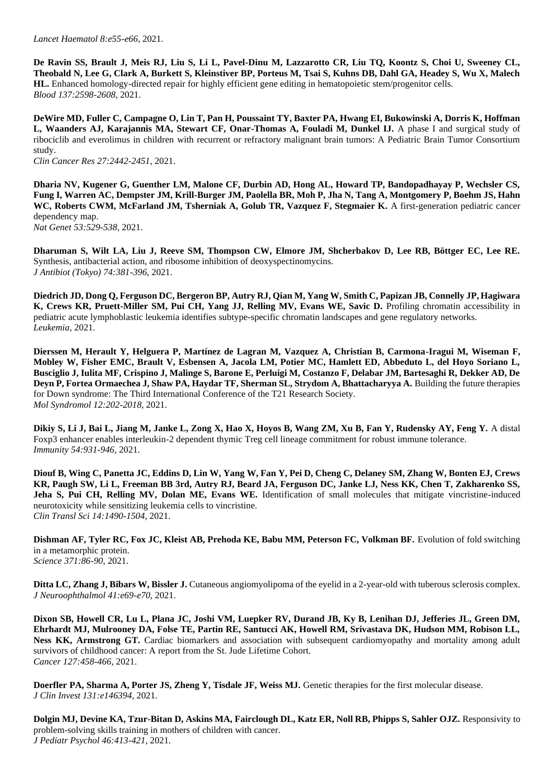*Lancet Haematol 8:e55-e66*, 2021.

**De Ravin SS, Brault J, Meis RJ, Liu S, Li L, Pavel-Dinu M, Lazzarotto CR, Liu TQ, Koontz S, Choi U, Sweeney CL, Theobald N, Lee G, Clark A, Burkett S, Kleinstiver BP, Porteus M, Tsai S, Kuhns DB, Dahl GA, Headey S, Wu X, Malech HL.** Enhanced homology-directed repair for highly efficient gene editing in hematopoietic stem/progenitor cells. *Blood 137:2598-2608*, 2021.

**DeWire MD, Fuller C, Campagne O, Lin T, Pan H, Poussaint TY, Baxter PA, Hwang EI, Bukowinski A, Dorris K, Hoffman L, Waanders AJ, Karajannis MA, Stewart CF, Onar-Thomas A, Fouladi M, Dunkel IJ.** A phase I and surgical study of ribociclib and everolimus in children with recurrent or refractory malignant brain tumors: A Pediatric Brain Tumor Consortium study.

*Clin Cancer Res 27:2442-2451*, 2021.

**Dharia NV, Kugener G, Guenther LM, Malone CF, Durbin AD, Hong AL, Howard TP, Bandopadhayay P, Wechsler CS, Fung I, Warren AC, Dempster JM, Krill-Burger JM, Paolella BR, Moh P, Jha N, Tang A, Montgomery P, Boehm JS, Hahn WC, Roberts CWM, McFarland JM, Tsherniak A, Golub TR, Vazquez F, Stegmaier K.** A first-generation pediatric cancer dependency map.

*Nat Genet 53:529-538,* 2021.

**Dharuman S, Wilt LA, Liu J, Reeve SM, Thompson CW, Elmore JM, Shcherbakov D, Lee RB, Böttger EC, Lee RE.**  Synthesis, antibacterial action, and ribosome inhibition of deoxyspectinomycins. *J Antibiot (Tokyo) 74:381-396*, 2021.

**Diedrich JD, Dong Q, Ferguson DC, Bergeron BP, Autry RJ, Qian M, Yang W, Smith C, Papizan JB, Connelly JP, Hagiwara**  K, Crews KR, Pruett-Miller SM, Pui CH, Yang JJ, Relling MV, Evans WE, Savic D. Profiling chromatin accessibility in pediatric acute lymphoblastic leukemia identifies subtype-specific chromatin landscapes and gene regulatory networks. *Leukemia,* 2021.

**Dierssen M, Herault Y, Helguera P, Martínez de Lagran M, Vazquez A, Christian B, Carmona-Iragui M, Wiseman F, Mobley W, Fisher EMC, Brault V, Esbensen A, Jacola LM, Potier MC, Hamlett ED, Abbeduto L, del Hoyo Soriano L, Busciglio J, Iulita MF, Crispino J, Malinge S, Barone E, Perluigi M, Costanzo F, Delabar JM, Bartesaghi R, Dekker AD, De Deyn P, Fortea Ormaechea J, Shaw PA, Haydar TF, Sherman SL, Strydom A, Bhattacharyya A.** Building the future therapies for Down syndrome: The Third International Conference of the T21 Research Society. *Mol Syndromol 12:202-2018*, 2021.

**Dikiy S, Li J, Bai L, Jiang M, Janke L, Zong X, Hao X, Hoyos B, Wang ZM, Xu B, Fan Y, Rudensky AY, Feng Y.** A distal Foxp3 enhancer enables interleukin-2 dependent thymic Treg cell lineage commitment for robust immune tolerance. *Immunity 54:931-946,* 2021.

**Diouf B, Wing C, Panetta JC, Eddins D, Lin W, Yang W, Fan Y, Pei D, Cheng C, Delaney SM, Zhang W, Bonten EJ, Crews KR, Paugh SW, Li L, Freeman BB 3rd, Autry RJ, Beard JA, Ferguson DC, Janke LJ, Ness KK, Chen T, Zakharenko SS,**  Jeha S, Pui CH, Relling MV, Dolan ME, Evans WE. Identification of small molecules that mitigate vincristine-induced neurotoxicity while sensitizing leukemia cells to vincristine. *Clin Transl Sci 14:1490-1504,* 2021.

**Dishman AF, Tyler RC, Fox JC, Kleist AB, Prehoda KE, Babu MM, Peterson FC, Volkman BF.** Evolution of fold switching in a metamorphic protein. *Science 371:86-90*, 2021.

**Ditta LC, Zhang J, Bibars W, Bissler J.** Cutaneous angiomyolipoma of the eyelid in a 2-year-old with tuberous sclerosis complex. *J Neuroophthalmol 41:e69-e70*, 2021.

**Dixon SB, Howell CR, Lu L, Plana JC, Joshi VM, Luepker RV, Durand JB, Ky B, Lenihan DJ, Jefferies JL, Green DM, Ehrhardt MJ, Mulrooney DA, Folse TE, Partin RE, Santucci AK, Howell RM, Srivastava DK, Hudson MM, Robison LL, Ness KK, Armstrong GT.** Cardiac biomarkers and association with subsequent cardiomyopathy and mortality among adult survivors of childhood cancer: A report from the St. Jude Lifetime Cohort. *Cancer 127:458-466*, 2021.

**Doerfler PA, Sharma A, Porter JS, Zheng Y, Tisdale JF, Weiss MJ.** Genetic therapies for the first molecular disease. *J Clin Invest 131:e146394,* 2021.

**Dolgin MJ, Devine KA, Tzur-Bitan D, Askins MA, Fairclough DL, Katz ER, Noll RB, Phipps S, Sahler OJZ.** Responsivity to problem-solving skills training in mothers of children with cancer. *J Pediatr Psychol 46:413-421*, 2021.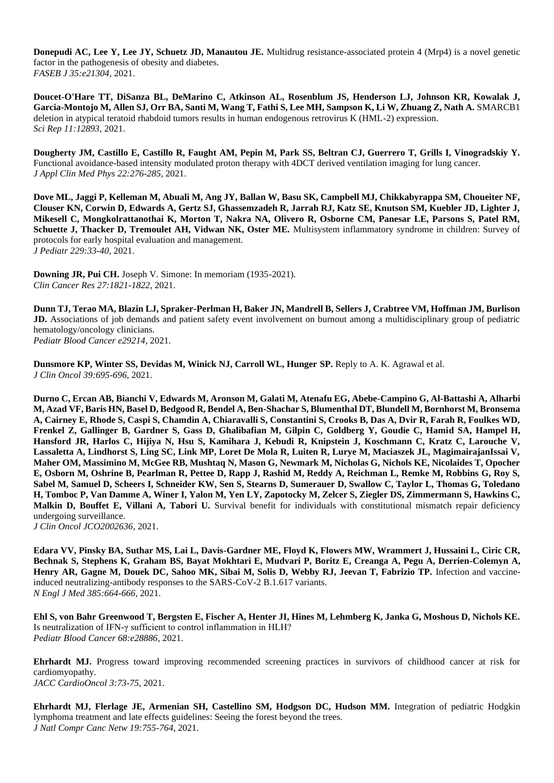**Donepudi AC, Lee Y, Lee JY, Schuetz JD, Manautou JE.** Multidrug resistance-associated protein 4 (Mrp4) is a novel genetic factor in the pathogenesis of obesity and diabetes. *FASEB J 35:e21304,* 2021.

**Doucet-O'Hare TT, DiSanza BL, DeMarino C, Atkinson AL, Rosenblum JS, Henderson LJ, Johnson KR, Kowalak J, Garcia-Montojo M, Allen SJ, Orr BA, Santi M, Wang T, Fathi S, Lee MH, Sampson K, Li W, Zhuang Z, Nath A.** SMARCB1 deletion in atypical teratoid rhabdoid tumors results in human endogenous retrovirus K (HML-2) expression. *Sci Rep 11:12893,* 2021.

**Dougherty JM, Castillo E, Castillo R, Faught AM, Pepin M, Park SS, Beltran CJ, Guerrero T, Grills I, Vinogradskiy Y.**  Functional avoidance-based intensity modulated proton therapy with 4DCT derived ventilation imaging for lung cancer. *J Appl Clin Med Phys 22:276-285*, 2021.

**Dove ML, Jaggi P, Kelleman M, Abuali M, Ang JY, Ballan W, Basu SK, Campbell MJ, Chikkabyrappa SM, Choueiter NF, Clouser KN, Corwin D, Edwards A, Gertz SJ, Ghassemzadeh R, Jarrah RJ, Katz SE, Knutson SM, Kuebler JD, Lighter J, Mikesell C, Mongkolrattanothai K, Morton T, Nakra NA, Olivero R, Osborne CM, Panesar LE, Parsons S, Patel RM, Schuette J, Thacker D, Tremoulet AH, Vidwan NK, Oster ME.** Multisystem inflammatory syndrome in children: Survey of protocols for early hospital evaluation and management. *J Pediatr 229:33-40*, 2021.

**Downing JR, Pui CH.** Joseph V. Simone: In memoriam (1935-2021). *Clin Cancer Res 27:1821-1822*, 2021.

**Dunn TJ, Terao MA, Blazin LJ, Spraker-Perlman H, Baker JN, Mandrell B, Sellers J, Crabtree VM, Hoffman JM, Burlison JD.** Associations of job demands and patient safety event involvement on burnout among a multidisciplinary group of pediatric hematology/oncology clinicians. *Pediatr Blood Cancer e29214,* 2021.

**Dunsmore KP, Winter SS, Devidas M, Winick NJ, Carroll WL, Hunger SP.** Reply to A. K. Agrawal et al. *J Clin Oncol 39:695-696*, 2021.

**Durno C, Ercan AB, Bianchi V, Edwards M, Aronson M, Galati M, Atenafu EG, Abebe-Campino G, Al-Battashi A, Alharbi M, Azad VF, Baris HN, Basel D, Bedgood R, Bendel A, Ben-Shachar S, Blumenthal DT, Blundell M, Bornhorst M, Bronsema A, Cairney E, Rhode S, Caspi S, Chamdin A, Chiaravalli S, Constantini S, Crooks B, Das A, Dvir R, Farah R, Foulkes WD, Frenkel Z, Gallinger B, Gardner S, Gass D, Ghalibafian M, Gilpin C, Goldberg Y, Goudie C, Hamid SA, Hampel H, Hansford JR, Harlos C, Hijiya N, Hsu S, Kamihara J, Kebudi R, Knipstein J, Koschmann C, Kratz C, Larouche V, Lassaletta A, Lindhorst S, Ling SC, Link MP, Loret De Mola R, Luiten R, Lurye M, Maciaszek JL, MagimairajanIssai V, Maher OM, Massimino M, McGee RB, Mushtaq N, Mason G, Newmark M, Nicholas G, Nichols KE, Nicolaides T, Opocher E, Osborn M, Oshrine B, Pearlman R, Pettee D, Rapp J, Rashid M, Reddy A, Reichman L, Remke M, Robbins G, Roy S, Sabel M, Samuel D, Scheers I, Schneider KW, Sen S, Stearns D, Sumerauer D, Swallow C, Taylor L, Thomas G, Toledano H, Tomboc P, Van Damme A, Winer I, Yalon M, Yen LY, Zapotocky M, Zelcer S, Ziegler DS, Zimmermann S, Hawkins C,**  Malkin D, Bouffet E, Villani A, Tabori U. Survival benefit for individuals with constitutional mismatch repair deficiency undergoing surveillance. *J Clin Oncol JCO2002636,* 2021.

**Edara VV, Pinsky BA, Suthar MS, Lai L, Davis-Gardner ME, Floyd K, Flowers MW, Wrammert J, Hussaini L, Ciric CR, Bechnak S, Stephens K, Graham BS, Bayat Mokhtari E, Mudvari P, Boritz E, Creanga A, Pegu A, Derrien-Colemyn A, Henry AR, Gagne M, Douek DC, Sahoo MK, Sibai M, Solis D, Webby RJ, Jeevan T, Fabrizio TP.** Infection and vaccineinduced neutralizing-antibody responses to the SARS-CoV-2 B.1.617 variants. *N Engl J Med 385:664-666,* 2021.

**Ehl S, von Bahr Greenwood T, Bergsten E, Fischer A, Henter JI, Hines M, Lehmberg K, Janka G, Moshous D, Nichols KE.**  Is neutralization of IFN-γ sufficient to control inflammation in HLH? *Pediatr Blood Cancer 68:e28886,* 2021.

**Ehrhardt MJ.** Progress toward improving recommended screening practices in survivors of childhood cancer at risk for cardiomyopathy. *JACC CardioOncol 3:73-75*, 2021.

**Ehrhardt MJ, Flerlage JE, Armenian SH, Castellino SM, Hodgson DC, Hudson MM.** Integration of pediatric Hodgkin lymphoma treatment and late effects guidelines: Seeing the forest beyond the trees. *J Natl Compr Canc Netw 19:755-764*, 2021.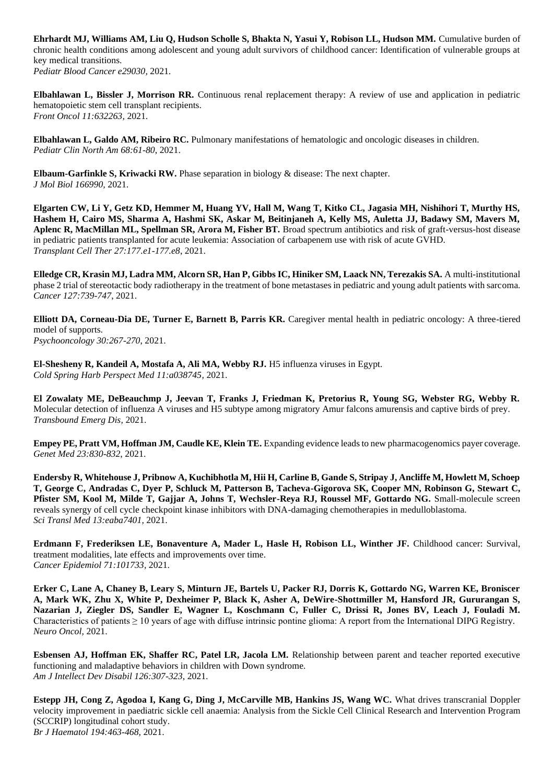**Ehrhardt MJ, Williams AM, Liu Q, Hudson Scholle S, Bhakta N, Yasui Y, Robison LL, Hudson MM.** Cumulative burden of chronic health conditions among adolescent and young adult survivors of childhood cancer: Identification of vulnerable groups at key medical transitions.

*Pediatr Blood Cancer e29030,* 2021.

**Elbahlawan L, Bissler J, Morrison RR.** Continuous renal replacement therapy: A review of use and application in pediatric hematopoietic stem cell transplant recipients. *Front Oncol 11:632263,* 2021.

**Elbahlawan L, Galdo AM, Ribeiro RC.** Pulmonary manifestations of hematologic and oncologic diseases in children. *Pediatr Clin North Am 68:61-80*, 2021.

**Elbaum-Garfinkle S, Kriwacki RW.** Phase separation in biology & disease: The next chapter. *J Mol Biol 166990,* 2021.

**Elgarten CW, Li Y, Getz KD, Hemmer M, Huang YV, Hall M, Wang T, Kitko CL, Jagasia MH, Nishihori T, Murthy HS, Hashem H, Cairo MS, Sharma A, Hashmi SK, Askar M, Beitinjaneh A, Kelly MS, Auletta JJ, Badawy SM, Mavers M, Aplenc R, MacMillan ML, Spellman SR, Arora M, Fisher BT.** Broad spectrum antibiotics and risk of graft-versus-host disease in pediatric patients transplanted for acute leukemia: Association of carbapenem use with risk of acute GVHD. *Transplant Cell Ther 27:177.e1-177.e8*, 2021.

**Elledge CR, Krasin MJ, Ladra MM, Alcorn SR, Han P, Gibbs IC, Hiniker SM, Laack NN, Terezakis SA.** A multi-institutional phase 2 trial of stereotactic body radiotherapy in the treatment of bone metastases in pediatric and young adult patients with sarcoma. *Cancer 127:739-747*, 2021.

**Elliott DA, Corneau-Dia DE, Turner E, Barnett B, Parris KR.** Caregiver mental health in pediatric oncology: A three-tiered model of supports. *Psychooncology 30:267-270*, 2021.

**El-Shesheny R, Kandeil A, Mostafa A, Ali MA, Webby RJ.** H5 influenza viruses in Egypt. *Cold Spring Harb Perspect Med 11:a038745,* 2021.

**El Zowalaty ME, DeBeauchmp J, Jeevan T, Franks J, Friedman K, Pretorius R, Young SG, Webster RG, Webby R.**  Molecular detection of influenza A viruses and H5 subtype among migratory Amur falcons amurensis and captive birds of prey. *Transbound Emerg Dis,* 2021.

**Empey PE, Pratt VM, Hoffman JM, Caudle KE, Klein TE.** Expanding evidence leads to new pharmacogenomics payer coverage. *Genet Med 23:830-832*, 2021.

**Endersby R, Whitehouse J, Pribnow A, Kuchibhotla M, Hii H, Carline B, Gande S, Stripay J, Ancliffe M, Howlett M, Schoep T, George C, Andradas C, Dyer P, Schluck M, Patterson B, Tacheva-Gigorova SK, Cooper MN, Robinson G, Stewart C, Pfister SM, Kool M, Milde T, Gajjar A, Johns T, Wechsler-Reya RJ, Roussel MF, Gottardo NG.** Small-molecule screen reveals synergy of cell cycle checkpoint kinase inhibitors with DNA-damaging chemotherapies in medulloblastoma. *Sci Transl Med 13:eaba7401,* 2021.

Erdmann F, Frederiksen LE, Bonaventure A, Mader L, Hasle H, Robison LL, Winther JF. Childhood cancer: Survival, treatment modalities, late effects and improvements over time. *Cancer Epidemiol 71:101733,* 2021.

**Erker C, Lane A, Chaney B, Leary S, Minturn JE, Bartels U, Packer RJ, Dorris K, Gottardo NG, Warren KE, Broniscer A, Mark WK, Zhu X, White P, Dexheimer P, Black K, Asher A, DeWire-Shottmiller M, Hansford JR, Gururangan S, Nazarian J, Ziegler DS, Sandler E, Wagner L, Koschmann C, Fuller C, Drissi R, Jones BV, Leach J, Fouladi M.**  Characteristics of patients  $\geq 10$  years of age with diffuse intrinsic pontine glioma: A report from the International DIPG Registry. *Neuro Oncol,* 2021.

**Esbensen AJ, Hoffman EK, Shaffer RC, Patel LR, Jacola LM.** Relationship between parent and teacher reported executive functioning and maladaptive behaviors in children with Down syndrome. *Am J Intellect Dev Disabil 126:307-323*, 2021.

**Estepp JH, Cong Z, Agodoa I, Kang G, Ding J, McCarville MB, Hankins JS, Wang WC.** What drives transcranial Doppler velocity improvement in paediatric sickle cell anaemia: Analysis from the Sickle Cell Clinical Research and Intervention Program (SCCRIP) longitudinal cohort study. *Br J Haematol 194:463-468,* 2021.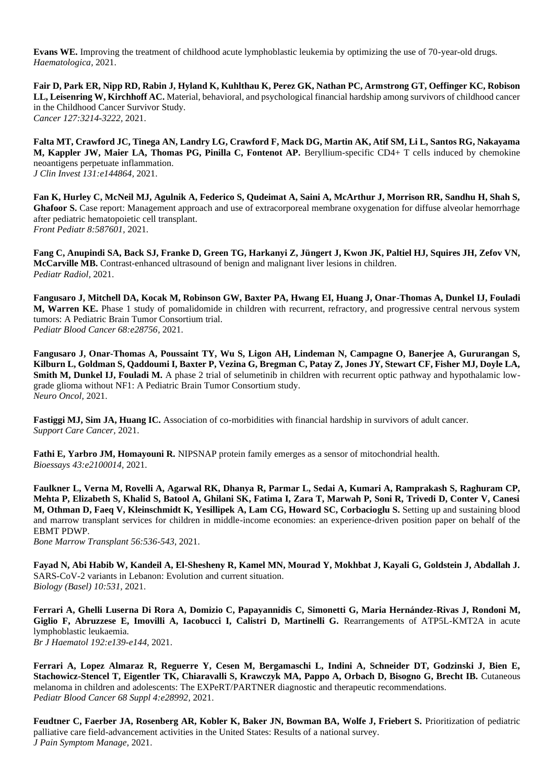**Evans WE.** Improving the treatment of childhood acute lymphoblastic leukemia by optimizing the use of 70-year-old drugs. *Haematologica,* 2021.

**Fair D, Park ER, Nipp RD, Rabin J, Hyland K, Kuhlthau K, Perez GK, Nathan PC, Armstrong GT, Oeffinger KC, Robison LL, Leisenring W, Kirchhoff AC.** Material, behavioral, and psychological financial hardship among survivors of childhood cancer in the Childhood Cancer Survivor Study. *Cancer 127:3214-3222,* 2021.

**Falta MT, Crawford JC, Tinega AN, Landry LG, Crawford F, Mack DG, Martin AK, Atif SM, Li L, Santos RG, Nakayama M, Kappler JW, Maier LA, Thomas PG, Pinilla C, Fontenot AP.** Beryllium-specific CD4+ T cells induced by chemokine neoantigens perpetuate inflammation. *J Clin Invest 131:e144864,* 2021.

**Fan K, Hurley C, McNeil MJ, Agulnik A, Federico S, Qudeimat A, Saini A, McArthur J, Morrison RR, Sandhu H, Shah S,**  Ghafoor S. Case report: Management approach and use of extracorporeal membrane oxygenation for diffuse alveolar hemorrhage after pediatric hematopoietic cell transplant. *Front Pediatr 8:587601,* 2021.

**Fang C, Anupindi SA, Back SJ, Franke D, Green TG, Harkanyi Z, Jüngert J, Kwon JK, Paltiel HJ, Squires JH, Zefov VN, McCarville MB.** Contrast-enhanced ultrasound of benign and malignant liver lesions in children. *Pediatr Radiol,* 2021.

**Fangusaro J, Mitchell DA, Kocak M, Robinson GW, Baxter PA, Hwang EI, Huang J, Onar-Thomas A, Dunkel IJ, Fouladi M, Warren KE.** Phase 1 study of pomalidomide in children with recurrent, refractory, and progressive central nervous system tumors: A Pediatric Brain Tumor Consortium trial. *Pediatr Blood Cancer 68:e28756,* 2021.

**Fangusaro J, Onar-Thomas A, Poussaint TY, Wu S, Ligon AH, Lindeman N, Campagne O, Banerjee A, Gururangan S, Kilburn L, Goldman S, Qaddoumi I, Baxter P, Vezina G, Bregman C, Patay Z, Jones JY, Stewart CF, Fisher MJ, Doyle LA, Smith M, Dunkel IJ, Fouladi M.** A phase 2 trial of selumetinib in children with recurrent optic pathway and hypothalamic lowgrade glioma without NF1: A Pediatric Brain Tumor Consortium study. *Neuro Oncol,* 2021.

**Fastiggi MJ, Sim JA, Huang IC.** Association of co-morbidities with financial hardship in survivors of adult cancer. *Support Care Cancer,* 2021.

**Fathi E, Yarbro JM, Homayouni R.** NIPSNAP protein family emerges as a sensor of mitochondrial health. *Bioessays 43:e2100014,* 2021.

**Faulkner L, Verna M, Rovelli A, Agarwal RK, Dhanya R, Parmar L, Sedai A, Kumari A, Ramprakash S, Raghuram CP, Mehta P, Elizabeth S, Khalid S, Batool A, Ghilani SK, Fatima I, Zara T, Marwah P, Soni R, Trivedi D, Conter V, Canesi M, Othman D, Faeq V, Kleinschmidt K, Yesillipek A, Lam CG, Howard SC, Corbacioglu S.** Setting up and sustaining blood and marrow transplant services for children in middle-income economies: an experience-driven position paper on behalf of the EBMT PDWP.

*Bone Marrow Transplant 56:536-543*, 2021.

**Fayad N, Abi Habib W, Kandeil A, El-Shesheny R, Kamel MN, Mourad Y, Mokhbat J, Kayali G, Goldstein J, Abdallah J.**  SARS-CoV-2 variants in Lebanon: Evolution and current situation. *Biology (Basel) 10:531,* 2021.

**Ferrari A, Ghelli Luserna Di Rora A, Domizio C, Papayannidis C, Simonetti G, Maria Hernández-Rivas J, Rondoni M, Giglio F, Abruzzese E, Imovilli A, Iacobucci I, Calistri D, Martinelli G.** Rearrangements of ATP5L-KMT2A in acute lymphoblastic leukaemia. *Br J Haematol 192:e139-e144*, 2021.

**Ferrari A, Lopez Almaraz R, Reguerre Y, Cesen M, Bergamaschi L, Indini A, Schneider DT, Godzinski J, Bien E, Stachowicz-Stencel T, Eigentler TK, Chiaravalli S, Krawczyk MA, Pappo A, Orbach D, Bisogno G, Brecht IB.** Cutaneous melanoma in children and adolescents: The EXPeRT/PARTNER diagnostic and therapeutic recommendations. *Pediatr Blood Cancer 68 Suppl 4:e28992,* 2021.

**Feudtner C, Faerber JA, Rosenberg AR, Kobler K, Baker JN, Bowman BA, Wolfe J, Friebert S.** Prioritization of pediatric palliative care field-advancement activities in the United States: Results of a national survey. *J Pain Symptom Manage,* 2021.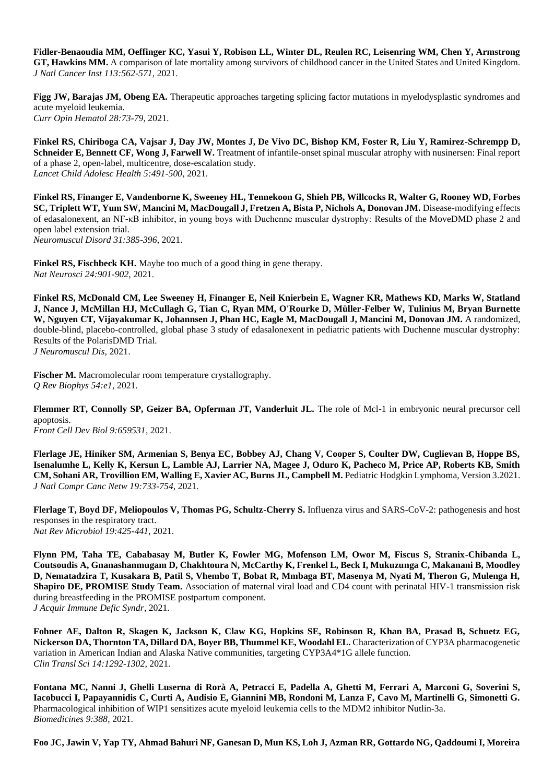**Fidler-Benaoudia MM, Oeffinger KC, Yasui Y, Robison LL, Winter DL, Reulen RC, Leisenring WM, Chen Y, Armstrong GT, Hawkins MM.** A comparison of late mortality among survivors of childhood cancer in the United States and United Kingdom. *J Natl Cancer Inst 113:562-571*, 2021.

**Figg JW, Barajas JM, Obeng EA.** Therapeutic approaches targeting splicing factor mutations in myelodysplastic syndromes and acute myeloid leukemia. *Curr Opin Hematol 28:73-79*, 2021.

**Finkel RS, Chiriboga CA, Vajsar J, Day JW, Montes J, De Vivo DC, Bishop KM, Foster R, Liu Y, Ramirez-Schrempp D, Schneider E, Bennett CF, Wong J, Farwell W.** Treatment of infantile-onset spinal muscular atrophy with nusinersen: Final report of a phase 2, open-label, multicentre, dose-escalation study. *Lancet Child Adolesc Health 5:491-500,* 2021.

**Finkel RS, Finanger E, Vandenborne K, Sweeney HL, Tennekoon G, Shieh PB, Willcocks R, Walter G, Rooney WD, Forbes SC, Triplett WT, Yum SW, Mancini M, MacDougall J, Fretzen A, Bista P, Nichols A, Donovan JM.** Disease-modifying effects of edasalonexent, an NF-κB inhibitor, in young boys with Duchenne muscular dystrophy: Results of the MoveDMD phase 2 and open label extension trial. *Neuromuscul Disord 31:385-396*, 2021.

**Finkel RS, Fischbeck KH.** Maybe too much of a good thing in gene therapy. *Nat Neurosci 24:901-902,* 2021.

**Finkel RS, McDonald CM, Lee Sweeney H, Finanger E, Neil Knierbein E, Wagner KR, Mathews KD, Marks W, Statland J, Nance J, McMillan HJ, McCullagh G, Tian C, Ryan MM, O'Rourke D, Müller-Felber W, Tulinius M, Bryan Burnette W, Nguyen CT, Vijayakumar K, Johannsen J, Phan HC, Eagle M, MacDougall J, Mancini M, Donovan JM.** A randomized, double-blind, placebo-controlled, global phase 3 study of edasalonexent in pediatric patients with Duchenne muscular dystrophy: Results of the PolarisDMD Trial. *J Neuromuscul Dis,* 2021.

Fischer M. Macromolecular room temperature crystallography. *Q Rev Biophys 54:e1,* 2021.

**Flemmer RT, Connolly SP, Geizer BA, Opferman JT, Vanderluit JL.** The role of Mcl-1 in embryonic neural precursor cell apoptosis.

*Front Cell Dev Biol 9:659531,* 2021.

**Flerlage JE, Hiniker SM, Armenian S, Benya EC, Bobbey AJ, Chang V, Cooper S, Coulter DW, Cuglievan B, Hoppe BS, Isenalumhe L, Kelly K, Kersun L, Lamble AJ, Larrier NA, Magee J, Oduro K, Pacheco M, Price AP, Roberts KB, Smith CM, Sohani AR, Trovillion EM, Walling E, Xavier AC, Burns JL, Campbell M.** Pediatric Hodgkin Lymphoma, Version 3.2021. *J Natl Compr Canc Netw 19:733-754*, 2021.

**Flerlage T, Boyd DF, Meliopoulos V, Thomas PG, Schultz-Cherry S.** Influenza virus and SARS-CoV-2: pathogenesis and host responses in the respiratory tract. *Nat Rev Microbiol 19:425-441*, 2021.

**Flynn PM, Taha TE, Cababasay M, Butler K, Fowler MG, Mofenson LM, Owor M, Fiscus S, Stranix-Chibanda L, Coutsoudis A, Gnanashanmugam D, Chakhtoura N, McCarthy K, Frenkel L, Beck I, Mukuzunga C, Makanani B, Moodley D, Nematadzira T, Kusakara B, Patil S, Vhembo T, Bobat R, Mmbaga BT, Masenya M, Nyati M, Theron G, Mulenga H, Shapiro DE, PROMISE Study Team.** Association of maternal viral load and CD4 count with perinatal HIV-1 transmission risk during breastfeeding in the PROMISE postpartum component. *J Acquir Immune Defic Syndr,* 2021.

**Fohner AE, Dalton R, Skagen K, Jackson K, Claw KG, Hopkins SE, Robinson R, Khan BA, Prasad B, Schuetz EG, Nickerson DA, Thornton TA, Dillard DA, Boyer BB, Thummel KE, Woodahl EL.** Characterization of CYP3A pharmacogenetic variation in American Indian and Alaska Native communities, targeting CYP3A4\*1G allele function. *Clin Transl Sci 14:1292-1302,* 2021.

**Fontana MC, Nanni J, Ghelli Luserna di Rorà A, Petracci E, Padella A, Ghetti M, Ferrari A, Marconi G, Soverini S, Iacobucci I, Papayannidis C, Curti A, Audisio E, Giannini MB, Rondoni M, Lanza F, Cavo M, Martinelli G, Simonetti G.**  Pharmacological inhibition of WIP1 sensitizes acute myeloid leukemia cells to the MDM2 inhibitor Nutlin-3a. *Biomedicines 9:388,* 2021.

**Foo JC, Jawin V, Yap TY, Ahmad Bahuri NF, Ganesan D, Mun KS, Loh J, Azman RR, Gottardo NG, Qaddoumi I, Moreira**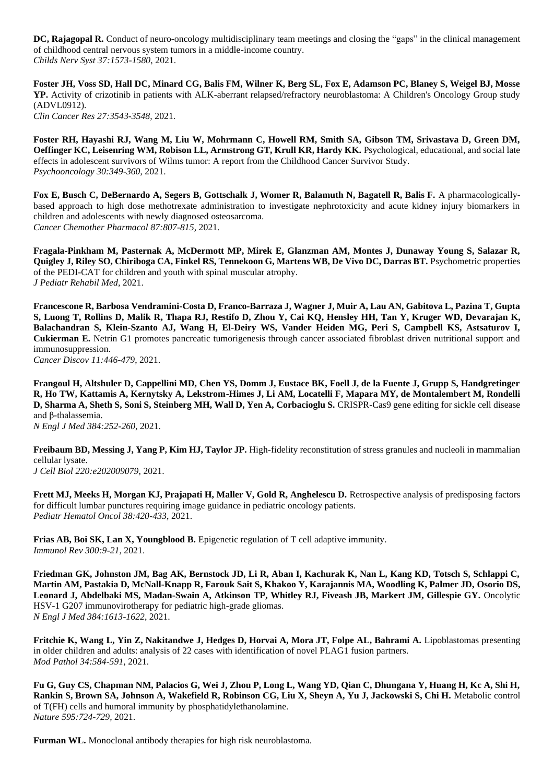**DC. Rajagopal R.** Conduct of neuro-oncology multidisciplinary team meetings and closing the "gaps" in the clinical management of childhood central nervous system tumors in a middle-income country. *Childs Nerv Syst 37:1573-1580*, 2021.

**Foster JH, Voss SD, Hall DC, Minard CG, Balis FM, Wilner K, Berg SL, Fox E, Adamson PC, Blaney S, Weigel BJ, Mosse YP.** Activity of crizotinib in patients with ALK-aberrant relapsed/refractory neuroblastoma: A Children's Oncology Group study (ADVL0912). *Clin Cancer Res 27:3543-3548,* 2021.

**Foster RH, Hayashi RJ, Wang M, Liu W, Mohrmann C, Howell RM, Smith SA, Gibson TM, Srivastava D, Green DM, Oeffinger KC, Leisenring WM, Robison LL, Armstrong GT, Krull KR, Hardy KK.** Psychological, educational, and social late effects in adolescent survivors of Wilms tumor: A report from the Childhood Cancer Survivor Study. *Psychooncology 30:349-360*, 2021.

Fox E, Busch C, DeBernardo A, Segers B, Gottschalk J, Womer R, Balamuth N, Bagatell R, Balis F. A pharmacologicallybased approach to high dose methotrexate administration to investigate nephrotoxicity and acute kidney injury biomarkers in children and adolescents with newly diagnosed osteosarcoma. *Cancer Chemother Pharmacol 87:807-815,* 2021.

**Fragala-Pinkham M, Pasternak A, McDermott MP, Mirek E, Glanzman AM, Montes J, Dunaway Young S, Salazar R, Quigley J, Riley SO, Chiriboga CA, Finkel RS, Tennekoon G, Martens WB, De Vivo DC, Darras BT.** Psychometric properties of the PEDI-CAT for children and youth with spinal muscular atrophy. *J Pediatr Rehabil Med,* 2021.

**Francescone R, Barbosa Vendramini-Costa D, Franco-Barraza J, Wagner J, Muir A, Lau AN, Gabitova L, Pazina T, Gupta S, Luong T, Rollins D, Malik R, Thapa RJ, Restifo D, Zhou Y, Cai KQ, Hensley HH, Tan Y, Kruger WD, Devarajan K, Balachandran S, Klein-Szanto AJ, Wang H, El-Deiry WS, Vander Heiden MG, Peri S, Campbell KS, Astsaturov I, Cukierman E.** Netrin G1 promotes pancreatic tumorigenesis through cancer associated fibroblast driven nutritional support and immunosuppression.

*Cancer Discov 11:446-479*, 2021.

**Frangoul H, Altshuler D, Cappellini MD, Chen YS, Domm J, Eustace BK, Foell J, de la Fuente J, Grupp S, Handgretinger R, Ho TW, Kattamis A, Kernytsky A, Lekstrom-Himes J, Li AM, Locatelli F, Mapara MY, de Montalembert M, Rondelli D, Sharma A, Sheth S, Soni S, Steinberg MH, Wall D, Yen A, Corbacioglu S. CRISPR-Cas9 gene editing for sickle cell disease** and β-thalassemia.

*N Engl J Med 384:252-260*, 2021.

**Freibaum BD, Messing J, Yang P, Kim HJ, Taylor JP.** High-fidelity reconstitution of stress granules and nucleoli in mammalian cellular lysate. *J Cell Biol 220:e202009079,* 2021.

**Frett MJ, Meeks H, Morgan KJ, Prajapati H, Maller V, Gold R, Anghelescu D.** Retrospective analysis of predisposing factors for difficult lumbar punctures requiring image guidance in pediatric oncology patients. *Pediatr Hematol Oncol 38:420-433*, 2021.

**Frias AB, Boi SK, Lan X, Youngblood B.** Epigenetic regulation of T cell adaptive immunity. *Immunol Rev 300:9-21*, 2021.

**Friedman GK, Johnston JM, Bag AK, Bernstock JD, Li R, Aban I, Kachurak K, Nan L, Kang KD, Totsch S, Schlappi C, Martin AM, Pastakia D, McNall-Knapp R, Farouk Sait S, Khakoo Y, Karajannis MA, Woodling K, Palmer JD, Osorio DS, Leonard J, Abdelbaki MS, Madan-Swain A, Atkinson TP, Whitley RJ, Fiveash JB, Markert JM, Gillespie GY.** Oncolytic HSV-1 G207 immunovirotherapy for pediatric high-grade gliomas. *N Engl J Med 384:1613-1622*, 2021.

**Fritchie K, Wang L, Yin Z, Nakitandwe J, Hedges D, Horvai A, Mora JT, Folpe AL, Bahrami A. Lipoblastomas presenting** in older children and adults: analysis of 22 cases with identification of novel PLAG1 fusion partners. *Mod Pathol 34:584-591*, 2021.

**Fu G, Guy CS, Chapman NM, Palacios G, Wei J, Zhou P, Long L, Wang YD, Qian C, Dhungana Y, Huang H, Kc A, Shi H,**  Rankin S, Brown SA, Johnson A, Wakefield R, Robinson CG, Liu X, Sheyn A, Yu J, Jackowski S, Chi H. Metabolic control of T(FH) cells and humoral immunity by phosphatidylethanolamine. *Nature 595:724-729,* 2021.

**Furman WL.** Monoclonal antibody therapies for high risk neuroblastoma.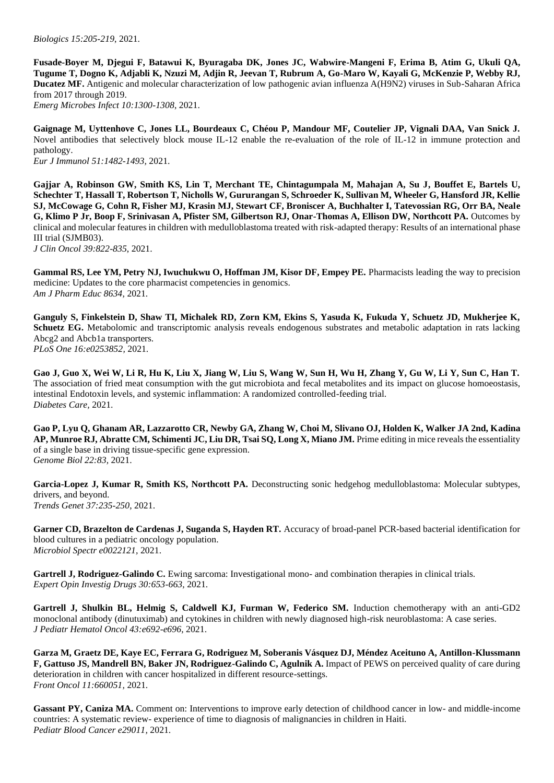*Biologics 15:205-219*, 2021.

**Fusade-Boyer M, Djegui F, Batawui K, Byuragaba DK, Jones JC, Wabwire-Mangeni F, Erima B, Atim G, Ukuli QA, Tugume T, Dogno K, Adjabli K, Nzuzi M, Adjin R, Jeevan T, Rubrum A, Go-Maro W, Kayali G, McKenzie P, Webby RJ, Ducatez MF.** Antigenic and molecular characterization of low pathogenic avian influenza A(H9N2) viruses in Sub-Saharan Africa from 2017 through 2019.

*Emerg Microbes Infect 10:1300-1308*, 2021.

**Gaignage M, Uyttenhove C, Jones LL, Bourdeaux C, Chéou P, Mandour MF, Coutelier JP, Vignali DAA, Van Snick J.**  Novel antibodies that selectively block mouse IL-12 enable the re-evaluation of the role of IL-12 in immune protection and pathology. *Eur J Immunol 51:1482-1493,* 2021.

**Gajjar A, Robinson GW, Smith KS, Lin T, Merchant TE, Chintagumpala M, Mahajan A, Su J, Bouffet E, Bartels U, Schechter T, Hassall T, Robertson T, Nicholls W, Gururangan S, Schroeder K, Sullivan M, Wheeler G, Hansford JR, Kellie SJ, McCowage G, Cohn R, Fisher MJ, Krasin MJ, Stewart CF, Broniscer A, Buchhalter I, Tatevossian RG, Orr BA, Neale G, Klimo P Jr, Boop F, Srinivasan A, Pfister SM, Gilbertson RJ, Onar-Thomas A, Ellison DW, Northcott PA.** Outcomes by clinical and molecular features in children with medulloblastoma treated with risk-adapted therapy: Results of an international phase III trial (SJMB03). *J Clin Oncol 39:822-835*, 2021.

**Gammal RS, Lee YM, Petry NJ, Iwuchukwu O, Hoffman JM, Kisor DF, Empey PE.** Pharmacists leading the way to precision medicine: Updates to the core pharmacist competencies in genomics. *Am J Pharm Educ 8634,* 2021.

**Ganguly S, Finkelstein D, Shaw TI, Michalek RD, Zorn KM, Ekins S, Yasuda K, Fukuda Y, Schuetz JD, Mukherjee K, Schuetz EG.** Metabolomic and transcriptomic analysis reveals endogenous substrates and metabolic adaptation in rats lacking Abcg2 and Abcb1a transporters. *PLoS One 16:e0253852,* 2021.

**Gao J, Guo X, Wei W, Li R, Hu K, Liu X, Jiang W, Liu S, Wang W, Sun H, Wu H, Zhang Y, Gu W, Li Y, Sun C, Han T.**  The association of fried meat consumption with the gut microbiota and fecal metabolites and its impact on glucose homoeostasis, intestinal Endotoxin levels, and systemic inflammation: A randomized controlled-feeding trial. *Diabetes Care,* 2021.

**Gao P, Lyu Q, Ghanam AR, Lazzarotto CR, Newby GA, Zhang W, Choi M, Slivano OJ, Holden K, Walker JA 2nd, Kadina AP, Munroe RJ, Abratte CM, Schimenti JC, Liu DR, Tsai SQ, Long X, Miano JM.** Prime editing in mice reveals the essentiality of a single base in driving tissue-specific gene expression. *Genome Biol 22:83,* 2021.

Garcia-Lopez J, Kumar R, Smith KS, Northcott PA. Deconstructing sonic hedgehog medulloblastoma: Molecular subtypes, drivers, and beyond. *Trends Genet 37:235-250*, 2021.

**Garner CD, Brazelton de Cardenas J, Suganda S, Hayden RT.** Accuracy of broad-panel PCR-based bacterial identification for blood cultures in a pediatric oncology population. *Microbiol Spectr e0022121,* 2021.

Gartrell J, Rodriguez-Galindo C. Ewing sarcoma: Investigational mono- and combination therapies in clinical trials. *Expert Opin Investig Drugs 30:653-663*, 2021.

**Gartrell J, Shulkin BL, Helmig S, Caldwell KJ, Furman W, Federico SM.** Induction chemotherapy with an anti-GD2 monoclonal antibody (dinutuximab) and cytokines in children with newly diagnosed high-risk neuroblastoma: A case series. *J Pediatr Hematol Oncol 43:e692-e696*, 2021.

**Garza M, Graetz DE, Kaye EC, Ferrara G, Rodriguez M, Soberanis Vásquez DJ, Méndez Aceituno A, Antillon-Klussmann**  F, Gattuso JS, Mandrell BN, Baker JN, Rodriguez-Galindo C, Agulnik A. Impact of PEWS on perceived quality of care during deterioration in children with cancer hospitalized in different resource-settings. *Front Oncol 11:660051,* 2021.

**Gassant PY, Caniza MA.** Comment on: Interventions to improve early detection of childhood cancer in low- and middle-income countries: A systematic review- experience of time to diagnosis of malignancies in children in Haiti. *Pediatr Blood Cancer e29011,* 2021.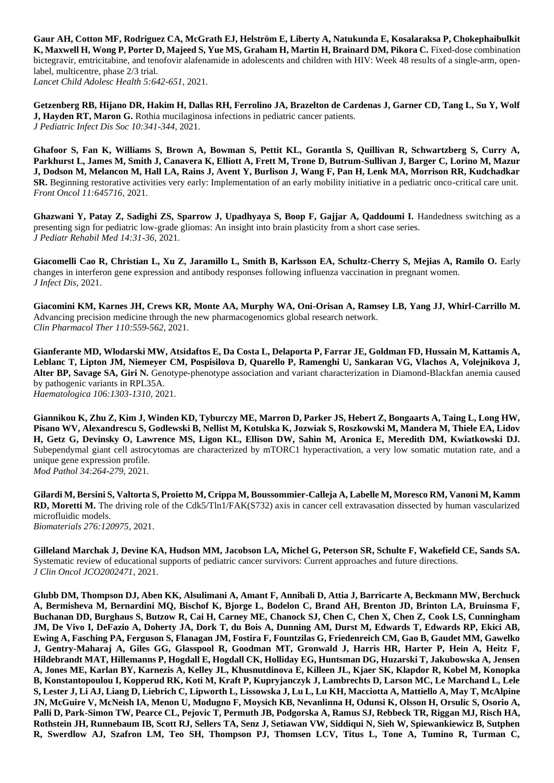**Gaur AH, Cotton MF, Rodriguez CA, McGrath EJ, Helström E, Liberty A, Natukunda E, Kosalaraksa P, Chokephaibulkit K, Maxwell H, Wong P, Porter D, Majeed S, Yue MS, Graham H, Martin H, Brainard DM, Pikora C.** Fixed-dose combination bictegravir, emtricitabine, and tenofovir alafenamide in adolescents and children with HIV: Week 48 results of a single-arm, openlabel, multicentre, phase 2/3 trial. *Lancet Child Adolesc Health 5:642-651,* 2021.

**Getzenberg RB, Hijano DR, Hakim H, Dallas RH, Ferrolino JA, Brazelton de Cardenas J, Garner CD, Tang L, Su Y, Wolf J, Hayden RT, Maron G.** Rothia mucilaginosa infections in pediatric cancer patients. *J Pediatric Infect Dis Soc 10:341-344*, 2021.

**Ghafoor S, Fan K, Williams S, Brown A, Bowman S, Pettit KL, Gorantla S, Quillivan R, Schwartzberg S, Curry A, Parkhurst L, James M, Smith J, Canavera K, Elliott A, Frett M, Trone D, Butrum-Sullivan J, Barger C, Lorino M, Mazur J, Dodson M, Melancon M, Hall LA, Rains J, Avent Y, Burlison J, Wang F, Pan H, Lenk MA, Morrison RR, Kudchadkar SR.** Beginning restorative activities very early: Implementation of an early mobility initiative in a pediatric onco-critical care unit. *Front Oncol 11:645716,* 2021.

**Ghazwani Y, Patay Z, Sadighi ZS, Sparrow J, Upadhyaya S, Boop F, Gajjar A, Qaddoumi I.** Handedness switching as a presenting sign for pediatric low-grade gliomas: An insight into brain plasticity from a short case series. *J Pediatr Rehabil Med 14:31-36*, 2021.

**Giacomelli Cao R, Christian L, Xu Z, Jaramillo L, Smith B, Karlsson EA, Schultz-Cherry S, Mejias A, Ramilo O.** Early changes in interferon gene expression and antibody responses following influenza vaccination in pregnant women. *J Infect Dis,* 2021.

**Giacomini KM, Karnes JH, Crews KR, Monte AA, Murphy WA, Oni-Orisan A, Ramsey LB, Yang JJ, Whirl-Carrillo M.**  Advancing precision medicine through the new pharmacogenomics global research network. *Clin Pharmacol Ther 110:559-562,* 2021.

**Gianferante MD, Wlodarski MW, Atsidaftos E, Da Costa L, Delaporta P, Farrar JE, Goldman FD, Hussain M, Kattamis A, Leblanc T, Lipton JM, Niemeyer CM, Pospisilova D, Quarello P, Ramenghi U, Sankaran VG, Vlachos A, Volejnikova J, Alter BP, Savage SA, Giri N.** Genotype-phenotype association and variant characterization in Diamond-Blackfan anemia caused by pathogenic variants in RPL35A. *Haematologica 106:1303-1310*, 2021.

**Giannikou K, Zhu Z, Kim J, Winden KD, Tyburczy ME, Marron D, Parker JS, Hebert Z, Bongaarts A, Taing L, Long HW, Pisano WV, Alexandrescu S, Godlewski B, Nellist M, Kotulska K, Jozwiak S, Roszkowski M, Mandera M, Thiele EA, Lidov H, Getz G, Devinsky O, Lawrence MS, Ligon KL, Ellison DW, Sahin M, Aronica E, Meredith DM, Kwiatkowski DJ.**  Subependymal giant cell astrocytomas are characterized by mTORC1 hyperactivation, a very low somatic mutation rate, and a unique gene expression profile. *Mod Pathol 34:264-279*, 2021.

**Gilardi M, Bersini S, Valtorta S, Proietto M, Crippa M, Boussommier-Calleja A, Labelle M, Moresco RM, Vanoni M, Kamm RD, Moretti M.** The driving role of the Cdk5/Tln1/FAK(S732) axis in cancer cell extravasation dissected by human vascularized microfluidic models. *Biomaterials 276:120975,* 2021.

**Gilleland Marchak J, Devine KA, Hudson MM, Jacobson LA, Michel G, Peterson SR, Schulte F, Wakefield CE, Sands SA.**  Systematic review of educational supports of pediatric cancer survivors: Current approaches and future directions. *J Clin Oncol JCO2002471,* 2021.

**Glubb DM, Thompson DJ, Aben KK, Alsulimani A, Amant F, Annibali D, Attia J, Barricarte A, Beckmann MW, Berchuck A, Bermisheva M, Bernardini MQ, Bischof K, Bjorge L, Bodelon C, Brand AH, Brenton JD, Brinton LA, Bruinsma F, Buchanan DD, Burghaus S, Butzow R, Cai H, Carney ME, Chanock SJ, Chen C, Chen X, Chen Z, Cook LS, Cunningham JM, De Vivo I, DeFazio A, Doherty JA, Dork T, du Bois A, Dunning AM, Durst M, Edwards T, Edwards RP, Ekici AB, Ewing A, Fasching PA, Ferguson S, Flanagan JM, Fostira F, Fountzilas G, Friedenreich CM, Gao B, Gaudet MM, Gawelko J, Gentry-Maharaj A, Giles GG, Glasspool R, Goodman MT, Gronwald J, Harris HR, Harter P, Hein A, Heitz F, Hildebrandt MAT, Hillemanns P, Hogdall E, Hogdall CK, Holliday EG, Huntsman DG, Huzarski T, Jakubowska A, Jensen A, Jones ME, Karlan BY, Karnezis A, Kelley JL, Khusnutdinova E, Killeen JL, Kjaer SK, Klapdor R, Kobel M, Konopka B, Konstantopoulou I, Kopperud RK, Koti M, Kraft P, Kupryjanczyk J, Lambrechts D, Larson MC, Le Marchand L, Lele S, Lester J, Li AJ, Liang D, Liebrich C, Lipworth L, Lissowska J, Lu L, Lu KH, Macciotta A, Mattiello A, May T, McAlpine JN, McGuire V, McNeish IA, Menon U, Modugno F, Moysich KB, Nevanlinna H, Odunsi K, Olsson H, Orsulic S, Osorio A, Palli D, Park-Simon TW, Pearce CL, Pejovic T, Permuth JB, Podgorska A, Ramus SJ, Rebbeck TR, Riggan MJ, Risch HA, Rothstein JH, Runnebaum IB, Scott RJ, Sellers TA, Senz J, Setiawan VW, Siddiqui N, Sieh W, Spiewankiewicz B, Sutphen R, Swerdlow AJ, Szafron LM, Teo SH, Thompson PJ, Thomsen LCV, Titus L, Tone A, Tumino R, Turman C,**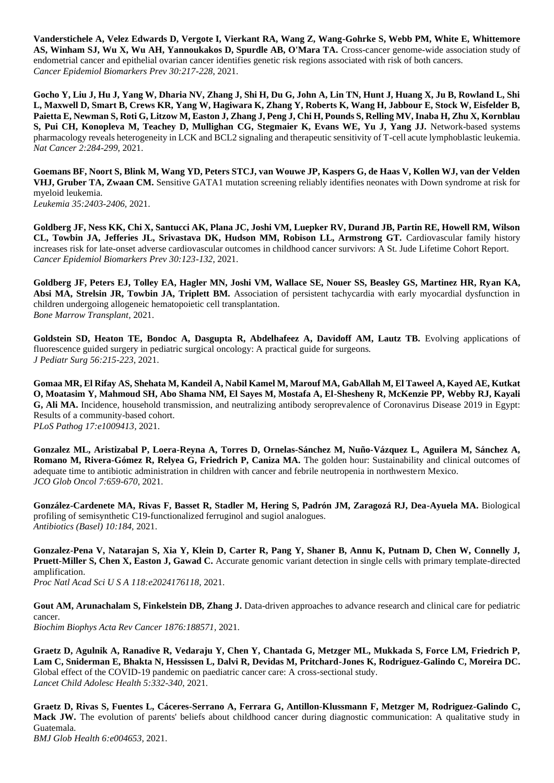**Vanderstichele A, Velez Edwards D, Vergote I, Vierkant RA, Wang Z, Wang-Gohrke S, Webb PM, White E, Whittemore**  AS, Winham SJ, Wu X, Wu AH, Yannoukakos D, Spurdle AB, O'Mara TA. Cross-cancer genome-wide association study of endometrial cancer and epithelial ovarian cancer identifies genetic risk regions associated with risk of both cancers. *Cancer Epidemiol Biomarkers Prev 30:217-228*, 2021.

**Gocho Y, Liu J, Hu J, Yang W, Dharia NV, Zhang J, Shi H, Du G, John A, Lin TN, Hunt J, Huang X, Ju B, Rowland L, Shi L, Maxwell D, Smart B, Crews KR, Yang W, Hagiwara K, Zhang Y, Roberts K, Wang H, Jabbour E, Stock W, Eisfelder B, Paietta E, Newman S, Roti G, Litzow M, Easton J, Zhang J, Peng J, Chi H, Pounds S, Relling MV, Inaba H, Zhu X, Kornblau S, Pui CH, Konopleva M, Teachey D, Mullighan CG, Stegmaier K, Evans WE, Yu J, Yang JJ.** Network-based systems pharmacology reveals heterogeneity in LCK and BCL2 signaling and therapeutic sensitivity of T-cell acute lymphoblastic leukemia. *Nat Cancer 2:284-299*, 2021.

**Goemans BF, Noort S, Blink M, Wang YD, Peters STCJ, van Wouwe JP, Kaspers G, de Haas V, Kollen WJ, van der Velden VHJ, Gruber TA, Zwaan CM.** Sensitive GATA1 mutation screening reliably identifies neonates with Down syndrome at risk for myeloid leukemia.

*Leukemia 35:2403-2406,* 2021.

**Goldberg JF, Ness KK, Chi X, Santucci AK, Plana JC, Joshi VM, Luepker RV, Durand JB, Partin RE, Howell RM, Wilson CL, Towbin JA, Jefferies JL, Srivastava DK, Hudson MM, Robison LL, Armstrong GT.** Cardiovascular family history increases risk for late-onset adverse cardiovascular outcomes in childhood cancer survivors: A St. Jude Lifetime Cohort Report. *Cancer Epidemiol Biomarkers Prev 30:123-132*, 2021.

**Goldberg JF, Peters EJ, Tolley EA, Hagler MN, Joshi VM, Wallace SE, Nouer SS, Beasley GS, Martinez HR, Ryan KA, Absi MA, Strelsin JR, Towbin JA, Triplett BM.** Association of persistent tachycardia with early myocardial dysfunction in children undergoing allogeneic hematopoietic cell transplantation. *Bone Marrow Transplant,* 2021.

Goldstein SD, Heaton TE, Bondoc A, Dasgupta R, Abdelhafeez A, Davidoff AM, Lautz TB. Evolving applications of fluorescence guided surgery in pediatric surgical oncology: A practical guide for surgeons. *J Pediatr Surg 56:215-223*, 2021.

**Gomaa MR, El Rifay AS, Shehata M, Kandeil A, Nabil Kamel M, Marouf MA, GabAllah M, El Taweel A, Kayed AE, Kutkat O, Moatasim Y, Mahmoud SH, Abo Shama NM, El Sayes M, Mostafa A, El-Shesheny R, McKenzie PP, Webby RJ, Kayali G, Ali MA.** Incidence, household transmission, and neutralizing antibody seroprevalence of Coronavirus Disease 2019 in Egypt: Results of a community-based cohort. *PLoS Pathog 17:e1009413,* 2021.

**Gonzalez ML, Aristizabal P, Loera-Reyna A, Torres D, Ornelas-Sánchez M, Nuño-Vázquez L, Aguilera M, Sánchez A, Romano M, Rivera-Gómez R, Relyea G, Friedrich P, Caniza MA.** The golden hour: Sustainability and clinical outcomes of adequate time to antibiotic administration in children with cancer and febrile neutropenia in northwestern Mexico. *JCO Glob Oncol 7:659-670*, 2021.

**González-Cardenete MA, Rivas F, Basset R, Stadler M, Hering S, Padrón JM, Zaragozá RJ, Dea-Ayuela MA.** Biological profiling of semisynthetic C19-functionalized ferruginol and sugiol analogues. *Antibiotics (Basel) 10:184,* 2021.

**Gonzalez-Pena V, Natarajan S, Xia Y, Klein D, Carter R, Pang Y, Shaner B, Annu K, Putnam D, Chen W, Connelly J, Pruett-Miller S, Chen X, Easton J, Gawad C.** Accurate genomic variant detection in single cells with primary template-directed amplification.

*Proc Natl Acad Sci U S A 118:e2024176118,* 2021.

Gout AM, Arunachalam S, Finkelstein DB, Zhang J. Data-driven approaches to advance research and clinical care for pediatric cancer.

*Biochim Biophys Acta Rev Cancer 1876:188571,* 2021.

**Graetz D, Agulnik A, Ranadive R, Vedaraju Y, Chen Y, Chantada G, Metzger ML, Mukkada S, Force LM, Friedrich P, Lam C, Sniderman E, Bhakta N, Hessissen L, Dalvi R, Devidas M, Pritchard-Jones K, Rodriguez-Galindo C, Moreira DC.**  Global effect of the COVID-19 pandemic on paediatric cancer care: A cross-sectional study. *Lancet Child Adolesc Health 5:332-340*, 2021.

**Graetz D, Rivas S, Fuentes L, Cáceres-Serrano A, Ferrara G, Antillon-Klussmann F, Metzger M, Rodriguez-Galindo C, Mack JW.** The evolution of parents' beliefs about childhood cancer during diagnostic communication: A qualitative study in Guatemala.

*BMJ Glob Health 6:e004653,* 2021.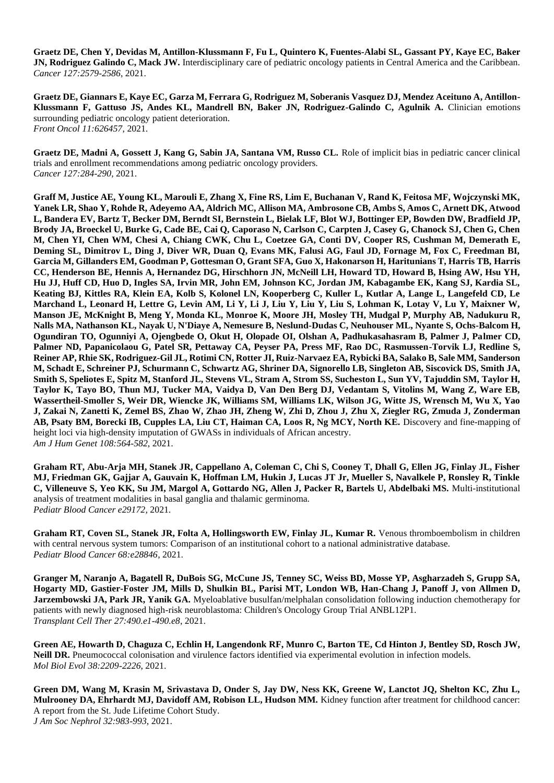**Graetz DE, Chen Y, Devidas M, Antillon-Klussmann F, Fu L, Quintero K, Fuentes-Alabi SL, Gassant PY, Kaye EC, Baker JN, Rodriguez Galindo C, Mack JW.** Interdisciplinary care of pediatric oncology patients in Central America and the Caribbean. *Cancer 127:2579-2586*, 2021.

**Graetz DE, Giannars E, Kaye EC, Garza M, Ferrara G, Rodriguez M, Soberanis Vasquez DJ, Mendez Aceituno A, Antillon-**Klussmann F, Gattuso JS, Andes KL, Mandrell BN, Baker JN, Rodriguez-Galindo C, Agulnik A. Clinician emotions surrounding pediatric oncology patient deterioration. *Front Oncol 11:626457,* 2021.

**Graetz DE, Madni A, Gossett J, Kang G, Sabin JA, Santana VM, Russo CL.** Role of implicit bias in pediatric cancer clinical trials and enrollment recommendations among pediatric oncology providers. *Cancer 127:284-290*, 2021.

**Graff M, Justice AE, Young KL, Marouli E, Zhang X, Fine RS, Lim E, Buchanan V, Rand K, Feitosa MF, Wojczynski MK, Yanek LR, Shao Y, Rohde R, Adeyemo AA, Aldrich MC, Allison MA, Ambrosone CB, Ambs S, Amos C, Arnett DK, Atwood L, Bandera EV, Bartz T, Becker DM, Berndt SI, Bernstein L, Bielak LF, Blot WJ, Bottinger EP, Bowden DW, Bradfield JP, Brody JA, Broeckel U, Burke G, Cade BE, Cai Q, Caporaso N, Carlson C, Carpten J, Casey G, Chanock SJ, Chen G, Chen M, Chen YI, Chen WM, Chesi A, Chiang CWK, Chu L, Coetzee GA, Conti DV, Cooper RS, Cushman M, Demerath E, Deming SL, Dimitrov L, Ding J, Diver WR, Duan Q, Evans MK, Falusi AG, Faul JD, Fornage M, Fox C, Freedman BI, Garcia M, Gillanders EM, Goodman P, Gottesman O, Grant SFA, Guo X, Hakonarson H, Haritunians T, Harris TB, Harris CC, Henderson BE, Hennis A, Hernandez DG, Hirschhorn JN, McNeill LH, Howard TD, Howard B, Hsing AW, Hsu YH, Hu JJ, Huff CD, Huo D, Ingles SA, Irvin MR, John EM, Johnson KC, Jordan JM, Kabagambe EK, Kang SJ, Kardia SL, Keating BJ, Kittles RA, Klein EA, Kolb S, Kolonel LN, Kooperberg C, Kuller L, Kutlar A, Lange L, Langefeld CD, Le Marchand L, Leonard H, Lettre G, Levin AM, Li Y, Li J, Liu Y, Liu Y, Liu S, Lohman K, Lotay V, Lu Y, Maixner W, Manson JE, McKnight B, Meng Y, Monda KL, Monroe K, Moore JH, Mosley TH, Mudgal P, Murphy AB, Nadukuru R, Nalls MA, Nathanson KL, Nayak U, N'Diaye A, Nemesure B, Neslund-Dudas C, Neuhouser ML, Nyante S, Ochs-Balcom H, Ogundiran TO, Ogunniyi A, Ojengbede O, Okut H, Olopade OI, Olshan A, Padhukasahasram B, Palmer J, Palmer CD, Palmer ND, Papanicolaou G, Patel SR, Pettaway CA, Peyser PA, Press MF, Rao DC, Rasmussen-Torvik LJ, Redline S, Reiner AP, Rhie SK, Rodriguez-Gil JL, Rotimi CN, Rotter JI, Ruiz-Narvaez EA, Rybicki BA, Salako B, Sale MM, Sanderson M, Schadt E, Schreiner PJ, Schurmann C, Schwartz AG, Shriner DA, Signorello LB, Singleton AB, Siscovick DS, Smith JA, Smith S, Speliotes E, Spitz M, Stanford JL, Stevens VL, Stram A, Strom SS, Sucheston L, Sun YV, Tajuddin SM, Taylor H, Taylor K, Tayo BO, Thun MJ, Tucker MA, Vaidya D, Van Den Berg DJ, Vedantam S, Vitolins M, Wang Z, Ware EB, Wassertheil-Smoller S, Weir DR, Wiencke JK, Williams SM, Williams LK, Wilson JG, Witte JS, Wrensch M, Wu X, Yao J, Zakai N, Zanetti K, Zemel BS, Zhao W, Zhao JH, Zheng W, Zhi D, Zhou J, Zhu X, Ziegler RG, Zmuda J, Zonderman AB, Psaty BM, Borecki IB, Cupples LA, Liu CT, Haiman CA, Loos R, Ng MCY, North KE.** Discovery and fine-mapping of height loci via high-density imputation of GWASs in individuals of African ancestry. *Am J Hum Genet 108:564-582*, 2021.

**Graham RT, Abu-Arja MH, Stanek JR, Cappellano A, Coleman C, Chi S, Cooney T, Dhall G, Ellen JG, Finlay JL, Fisher MJ, Friedman GK, Gajjar A, Gauvain K, Hoffman LM, Hukin J, Lucas JT Jr, Mueller S, Navalkele P, Ronsley R, Tinkle C, Villeneuve S, Yeo KK, Su JM, Margol A, Gottardo NG, Allen J, Packer R, Bartels U, Abdelbaki MS.** Multi-institutional analysis of treatment modalities in basal ganglia and thalamic germinoma. *Pediatr Blood Cancer e29172,* 2021.

Graham RT, Coven SL, Stanek JR, Folta A, Hollingsworth EW, Finlay JL, Kumar R. Venous thromboembolism in children with central nervous system tumors: Comparison of an institutional cohort to a national administrative database. *Pediatr Blood Cancer 68:e28846,* 2021.

**Granger M, Naranjo A, Bagatell R, DuBois SG, McCune JS, Tenney SC, Weiss BD, Mosse YP, Asgharzadeh S, Grupp SA, Hogarty MD, Gastier-Foster JM, Mills D, Shulkin BL, Parisi MT, London WB, Han-Chang J, Panoff J, von Allmen D, Jarzembowski JA, Park JR, Yanik GA.** Myeloablative busulfan/melphalan consolidation following induction chemotherapy for patients with newly diagnosed high-risk neuroblastoma: Children's Oncology Group Trial ANBL12P1. *Transplant Cell Ther 27:490.e1-490.e8*, 2021.

**Green AE, Howarth D, Chaguza C, Echlin H, Langendonk RF, Munro C, Barton TE, Cd Hinton J, Bentley SD, Rosch JW, Neill DR.** Pneumococcal colonisation and virulence factors identified via experimental evolution in infection models. *Mol Biol Evol 38:2209-2226*, 2021.

**Green DM, Wang M, Krasin M, Srivastava D, Onder S, Jay DW, Ness KK, Greene W, Lanctot JQ, Shelton KC, Zhu L, Mulrooney DA, Ehrhardt MJ, Davidoff AM, Robison LL, Hudson MM.** Kidney function after treatment for childhood cancer: A report from the St. Jude Lifetime Cohort Study. *J Am Soc Nephrol 32:983-993*, 2021.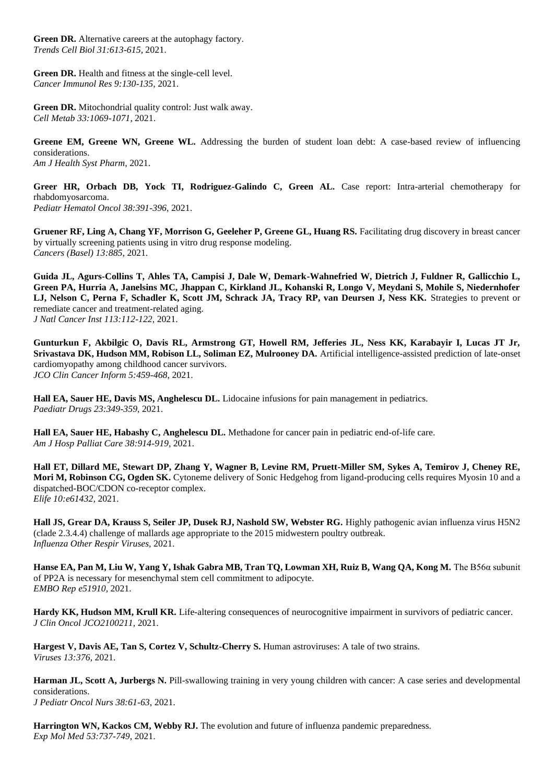**Green DR.** Alternative careers at the autophagy factory. *Trends Cell Biol 31:613-615,* 2021.

Green DR. Health and fitness at the single-cell level. *Cancer Immunol Res 9:130-135*, 2021.

**Green DR.** Mitochondrial quality control: Just walk away. *Cell Metab 33:1069-1071*, 2021.

**Greene EM, Greene WN, Greene WL.** Addressing the burden of student loan debt: A case-based review of influencing considerations. *Am J Health Syst Pharm,* 2021.

Greer HR, Orbach DB, Yock TI, Rodriguez-Galindo C, Green AL. Case report: Intra-arterial chemotherapy for rhabdomyosarcoma. *Pediatr Hematol Oncol 38:391-396*, 2021.

**Gruener RF, Ling A, Chang YF, Morrison G, Geeleher P, Greene GL, Huang RS.** Facilitating drug discovery in breast cancer by virtually screening patients using in vitro drug response modeling.

*Cancers (Basel) 13:885,* 2021.

**Guida JL, Agurs-Collins T, Ahles TA, Campisi J, Dale W, Demark-Wahnefried W, Dietrich J, Fuldner R, Gallicchio L, Green PA, Hurria A, Janelsins MC, Jhappan C, Kirkland JL, Kohanski R, Longo V, Meydani S, Mohile S, Niedernhofer LJ, Nelson C, Perna F, Schadler K, Scott JM, Schrack JA, Tracy RP, van Deursen J, Ness KK.** Strategies to prevent or remediate cancer and treatment-related aging. *J Natl Cancer Inst 113:112-122*, 2021.

**Gunturkun F, Akbilgic O, Davis RL, Armstrong GT, Howell RM, Jefferies JL, Ness KK, Karabayir I, Lucas JT Jr, Srivastava DK, Hudson MM, Robison LL, Soliman EZ, Mulrooney DA.** Artificial intelligence-assisted prediction of late-onset cardiomyopathy among childhood cancer survivors. *JCO Clin Cancer Inform 5:459-468*, 2021.

**Hall EA, Sauer HE, Davis MS, Anghelescu DL.** Lidocaine infusions for pain management in pediatrics. *Paediatr Drugs 23:349-359*, 2021.

**Hall EA, Sauer HE, Habashy C, Anghelescu DL.** Methadone for cancer pain in pediatric end-of-life care. *Am J Hosp Palliat Care 38:914-919*, 2021.

**Hall ET, Dillard ME, Stewart DP, Zhang Y, Wagner B, Levine RM, Pruett-Miller SM, Sykes A, Temirov J, Cheney RE, Mori M, Robinson CG, Ogden SK.** Cytoneme delivery of Sonic Hedgehog from ligand-producing cells requires Myosin 10 and a dispatched-BOC/CDON co-receptor complex. *Elife 10:e61432,* 2021.

**Hall JS, Grear DA, Krauss S, Seiler JP, Dusek RJ, Nashold SW, Webster RG.** Highly pathogenic avian influenza virus H5N2 (clade 2.3.4.4) challenge of mallards age appropriate to the 2015 midwestern poultry outbreak. *Influenza Other Respir Viruses,* 2021.

**Hanse EA, Pan M, Liu W, Yang Y, Ishak Gabra MB, Tran TQ, Lowman XH, Ruiz B, Wang QA, Kong M.** The B56α subunit of PP2A is necessary for mesenchymal stem cell commitment to adipocyte. *EMBO Rep e51910,* 2021.

**Hardy KK, Hudson MM, Krull KR.** Life-altering consequences of neurocognitive impairment in survivors of pediatric cancer. *J Clin Oncol JCO2100211,* 2021.

**Hargest V, Davis AE, Tan S, Cortez V, Schultz-Cherry S. Human astroviruses:** A tale of two strains. *Viruses 13:376,* 2021.

**Harman JL, Scott A, Jurbergs N.** Pill-swallowing training in very young children with cancer: A case series and developmental considerations. *J Pediatr Oncol Nurs 38:61-63*, 2021.

Harrington WN, Kackos CM, Webby RJ. The evolution and future of influenza pandemic preparedness. *Exp Mol Med 53:737-749*, 2021.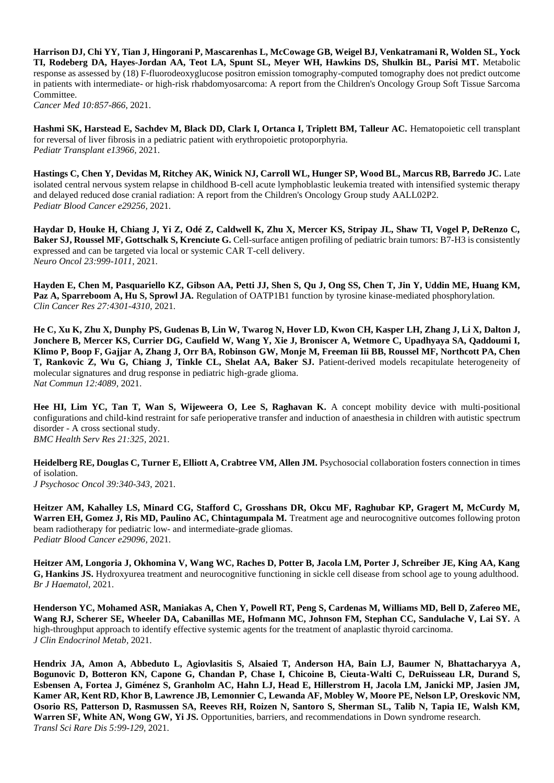**Harrison DJ, Chi YY, Tian J, Hingorani P, Mascarenhas L, McCowage GB, Weigel BJ, Venkatramani R, Wolden SL, Yock TI, Rodeberg DA, Hayes-Jordan AA, Teot LA, Spunt SL, Meyer WH, Hawkins DS, Shulkin BL, Parisi MT.** Metabolic response as assessed by (18) F-fluorodeoxyglucose positron emission tomography-computed tomography does not predict outcome in patients with intermediate- or high-risk rhabdomyosarcoma: A report from the Children's Oncology Group Soft Tissue Sarcoma Committee.

*Cancer Med 10:857-866*, 2021.

**Hashmi SK, Harstead E, Sachdev M, Black DD, Clark I, Ortanca I, Triplett BM, Talleur AC.** Hematopoietic cell transplant for reversal of liver fibrosis in a pediatric patient with erythropoietic protoporphyria. *Pediatr Transplant e13966,* 2021.

Hastings C, Chen Y, Devidas M, Ritchey AK, Winick NJ, Carroll WL, Hunger SP, Wood BL, Marcus RB, Barredo JC. Late isolated central nervous system relapse in childhood B-cell acute lymphoblastic leukemia treated with intensified systemic therapy and delayed reduced dose cranial radiation: A report from the Children's Oncology Group study AALL02P2. *Pediatr Blood Cancer e29256,* 2021.

**Haydar D, Houke H, Chiang J, Yi Z, Odé Z, Caldwell K, Zhu X, Mercer KS, Stripay JL, Shaw TI, Vogel P, DeRenzo C, Baker SJ, Roussel MF, Gottschalk S, Krenciute G.** Cell-surface antigen profiling of pediatric brain tumors: B7-H3 is consistently expressed and can be targeted via local or systemic CAR T-cell delivery. *Neuro Oncol 23:999-1011*, 2021.

**Hayden E, Chen M, Pasquariello KZ, Gibson AA, Petti JJ, Shen S, Qu J, Ong SS, Chen T, Jin Y, Uddin ME, Huang KM, Paz A, Sparreboom A, Hu S, Sprowl JA.** Regulation of OATP1B1 function by tyrosine kinase-mediated phosphorylation. *Clin Cancer Res 27:4301-4310,* 2021.

**He C, Xu K, Zhu X, Dunphy PS, Gudenas B, Lin W, Twarog N, Hover LD, Kwon CH, Kasper LH, Zhang J, Li X, Dalton J, Jonchere B, Mercer KS, Currier DG, Caufield W, Wang Y, Xie J, Broniscer A, Wetmore C, Upadhyaya SA, Qaddoumi I, Klimo P, Boop F, Gajjar A, Zhang J, Orr BA, Robinson GW, Monje M, Freeman Iii BB, Roussel MF, Northcott PA, Chen T, Rankovic Z, Wu G, Chiang J, Tinkle CL, Shelat AA, Baker SJ.** Patient-derived models recapitulate heterogeneity of molecular signatures and drug response in pediatric high-grade glioma. *Nat Commun 12:4089,* 2021.

**Hee HI, Lim YC, Tan T, Wan S, Wijeweera O, Lee S, Raghavan K.** A concept mobility device with multi-positional configurations and child-kind restraint for safe perioperative transfer and induction of anaesthesia in children with autistic spectrum disorder - A cross sectional study. *BMC Health Serv Res 21:325,* 2021.

**Heidelberg RE, Douglas C, Turner E, Elliott A, Crabtree VM, Allen JM.** Psychosocial collaboration fosters connection in times of isolation. *J Psychosoc Oncol 39:340-343*, 2021.

**Heitzer AM, Kahalley LS, Minard CG, Stafford C, Grosshans DR, Okcu MF, Raghubar KP, Gragert M, McCurdy M,**  Warren EH, Gomez J, Ris MD, Paulino AC, Chintagumpala M. Treatment age and neurocognitive outcomes following proton beam radiotherapy for pediatric low- and intermediate-grade gliomas. *Pediatr Blood Cancer e29096,* 2021.

**Heitzer AM, Longoria J, Okhomina V, Wang WC, Raches D, Potter B, Jacola LM, Porter J, Schreiber JE, King AA, Kang G, Hankins JS.** Hydroxyurea treatment and neurocognitive functioning in sickle cell disease from school age to young adulthood. *Br J Haematol,* 2021.

**Henderson YC, Mohamed ASR, Maniakas A, Chen Y, Powell RT, Peng S, Cardenas M, Williams MD, Bell D, Zafereo ME, Wang RJ, Scherer SE, Wheeler DA, Cabanillas ME, Hofmann MC, Johnson FM, Stephan CC, Sandulache V, Lai SY.** A high-throughput approach to identify effective systemic agents for the treatment of anaplastic thyroid carcinoma. *J Clin Endocrinol Metab,* 2021.

**Hendrix JA, Amon A, Abbeduto L, Agiovlasitis S, Alsaied T, Anderson HA, Bain LJ, Baumer N, Bhattacharyya A, Bogunovic D, Botteron KN, Capone G, Chandan P, Chase I, Chicoine B, Cieuta-Walti C, DeRuisseau LR, Durand S, Esbensen A, Fortea J, Giménez S, Granholm AC, Hahn LJ, Head E, Hillerstrom H, Jacola LM, Janicki MP, Jasien JM, Kamer AR, Kent RD, Khor B, Lawrence JB, Lemonnier C, Lewanda AF, Mobley W, Moore PE, Nelson LP, Oreskovic NM, Osorio RS, Patterson D, Rasmussen SA, Reeves RH, Roizen N, Santoro S, Sherman SL, Talib N, Tapia IE, Walsh KM, Warren SF, White AN, Wong GW, Yi JS.** Opportunities, barriers, and recommendations in Down syndrome research. *Transl Sci Rare Dis 5:99-129*, 2021.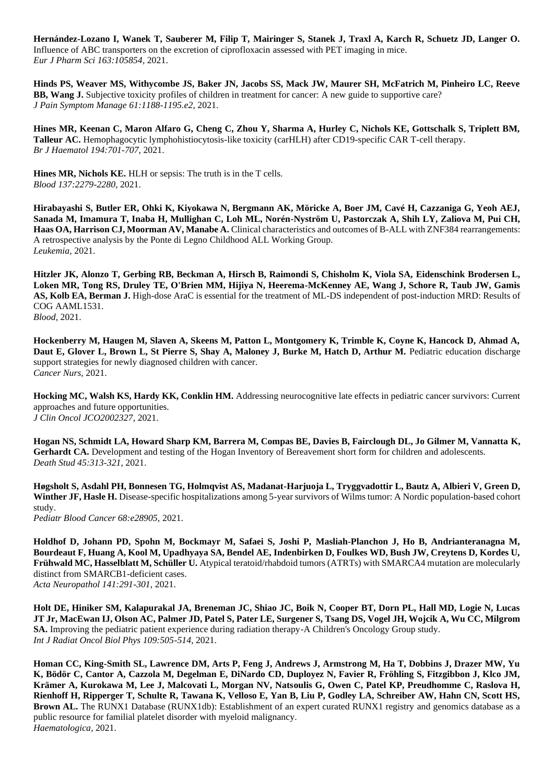**Hernández-Lozano I, Wanek T, Sauberer M, Filip T, Mairinger S, Stanek J, Traxl A, Karch R, Schuetz JD, Langer O.**  Influence of ABC transporters on the excretion of ciprofloxacin assessed with PET imaging in mice. *Eur J Pharm Sci 163:105854,* 2021.

**Hinds PS, Weaver MS, Withycombe JS, Baker JN, Jacobs SS, Mack JW, Maurer SH, McFatrich M, Pinheiro LC, Reeve BB, Wang J.** Subjective toxicity profiles of children in treatment for cancer: A new guide to supportive care? *J Pain Symptom Manage 61:1188-1195.e2*, 2021.

**Hines MR, Keenan C, Maron Alfaro G, Cheng C, Zhou Y, Sharma A, Hurley C, Nichols KE, Gottschalk S, Triplett BM, Talleur AC.** Hemophagocytic lymphohistiocytosis-like toxicity (carHLH) after CD19-specific CAR T-cell therapy. *Br J Haematol 194:701-707,* 2021.

**Hines MR, Nichols KE.** HLH or sepsis: The truth is in the T cells. *Blood 137:2279-2280*, 2021.

**Hirabayashi S, Butler ER, Ohki K, Kiyokawa N, Bergmann AK, Möricke A, Boer JM, Cavé H, Cazzaniga G, Yeoh AEJ, Sanada M, Imamura T, Inaba H, Mullighan C, Loh ML, Norén-Nyström U, Pastorczak A, Shih LY, Zaliova M, Pui CH, Haas OA, Harrison CJ, Moorman AV, Manabe A.** Clinical characteristics and outcomes of B-ALL with ZNF384 rearrangements: A retrospective analysis by the Ponte di Legno Childhood ALL Working Group. *Leukemia,* 2021.

**Hitzler JK, Alonzo T, Gerbing RB, Beckman A, Hirsch B, Raimondi S, Chisholm K, Viola SA, Eidenschink Brodersen L, Loken MR, Tong RS, Druley TE, O'Brien MM, Hijiya N, Heerema-McKenney AE, Wang J, Schore R, Taub JW, Gamis**  AS, Kolb EA, Berman J. High-dose AraC is essential for the treatment of ML-DS independent of post-induction MRD: Results of COG AAML1531. *Blood,* 2021.

**Hockenberry M, Haugen M, Slaven A, Skeens M, Patton L, Montgomery K, Trimble K, Coyne K, Hancock D, Ahmad A,**  Daut E, Glover L, Brown L, St Pierre S, Shay A, Maloney J, Burke M, Hatch D, Arthur M. Pediatric education discharge support strategies for newly diagnosed children with cancer. *Cancer Nurs,* 2021.

**Hocking MC, Walsh KS, Hardy KK, Conklin HM.** Addressing neurocognitive late effects in pediatric cancer survivors: Current approaches and future opportunities. *J Clin Oncol JCO2002327,* 2021.

**Hogan NS, Schmidt LA, Howard Sharp KM, Barrera M, Compas BE, Davies B, Fairclough DL, Jo Gilmer M, Vannatta K,**  Gerhardt CA. Development and testing of the Hogan Inventory of Bereavement short form for children and adolescents. *Death Stud 45:313-321*, 2021.

**Høgsholt S, Asdahl PH, Bonnesen TG, Holmqvist AS, Madanat-Harjuoja L, Tryggvadottir L, Bautz A, Albieri V, Green D,**  Winther JF, Hasle H. Disease-specific hospitalizations among 5-year survivors of Wilms tumor: A Nordic population-based cohort study.

*Pediatr Blood Cancer 68:e28905,* 2021.

**Holdhof D, Johann PD, Spohn M, Bockmayr M, Safaei S, Joshi P, Masliah-Planchon J, Ho B, Andrianteranagna M, Bourdeaut F, Huang A, Kool M, Upadhyaya SA, Bendel AE, Indenbirken D, Foulkes WD, Bush JW, Creytens D, Kordes U, Frühwald MC, Hasselblatt M, Schüller U.** Atypical teratoid/rhabdoid tumors (ATRTs) with SMARCA4 mutation are molecularly distinct from SMARCB1-deficient cases. *Acta Neuropathol 141:291-301*, 2021.

**Holt DE, Hiniker SM, Kalapurakal JA, Breneman JC, Shiao JC, Boik N, Cooper BT, Dorn PL, Hall MD, Logie N, Lucas JT Jr, MacEwan IJ, Olson AC, Palmer JD, Patel S, Pater LE, Surgener S, Tsang DS, Vogel JH, Wojcik A, Wu CC, Milgrom SA.** Improving the pediatric patient experience during radiation therapy-A Children's Oncology Group study. *Int J Radiat Oncol Biol Phys 109:505-514*, 2021.

**Homan CC, King-Smith SL, Lawrence DM, Arts P, Feng J, Andrews J, Armstrong M, Ha T, Dobbins J, Drazer MW, Yu K, Bödör C, Cantor A, Cazzola M, Degelman E, DiNardo CD, Duployez N, Favier R, Fröhling S, Fitzgibbon J, Klco JM, Krämer A, Kurokawa M, Lee J, Malcovati L, Morgan NV, Natsoulis G, Owen C, Patel KP, Preudhomme C, Raslova H, Rienhoff H, Ripperger T, Schulte R, Tawana K, Velloso E, Yan B, Liu P, Godley LA, Schreiber AW, Hahn CN, Scott HS, Brown AL.** The RUNX1 Database (RUNX1db): Establishment of an expert curated RUNX1 registry and genomics database as a public resource for familial platelet disorder with myeloid malignancy. *Haematologica,* 2021.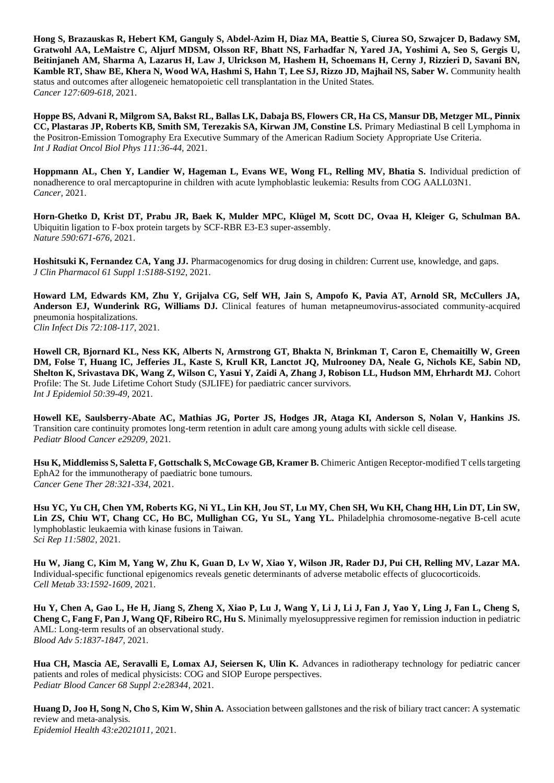**Hong S, Brazauskas R, Hebert KM, Ganguly S, Abdel-Azim H, Diaz MA, Beattie S, Ciurea SO, Szwajcer D, Badawy SM, Gratwohl AA, LeMaistre C, Aljurf MDSM, Olsson RF, Bhatt NS, Farhadfar N, Yared JA, Yoshimi A, Seo S, Gergis U, Beitinjaneh AM, Sharma A, Lazarus H, Law J, Ulrickson M, Hashem H, Schoemans H, Cerny J, Rizzieri D, Savani BN, Kamble RT, Shaw BE, Khera N, Wood WA, Hashmi S, Hahn T, Lee SJ, Rizzo JD, Majhail NS, Saber W.** Community health status and outcomes after allogeneic hematopoietic cell transplantation in the United States. *Cancer 127:609-618*, 2021.

**Hoppe BS, Advani R, Milgrom SA, Bakst RL, Ballas LK, Dabaja BS, Flowers CR, Ha CS, Mansur DB, Metzger ML, Pinnix CC, Plastaras JP, Roberts KB, Smith SM, Terezakis SA, Kirwan JM, Constine LS.** Primary Mediastinal B cell Lymphoma in the Positron-Emission Tomography Era Executive Summary of the American Radium Society Appropriate Use Criteria. *Int J Radiat Oncol Biol Phys 111:36-44,* 2021.

Hoppmann AL, Chen Y, Landier W, Hageman L, Evans WE, Wong FL, Relling MV, Bhatia S. Individual prediction of nonadherence to oral mercaptopurine in children with acute lymphoblastic leukemia: Results from COG AALL03N1. *Cancer,* 2021.

**Horn-Ghetko D, Krist DT, Prabu JR, Baek K, Mulder MPC, Klügel M, Scott DC, Ovaa H, Kleiger G, Schulman BA.**  Ubiquitin ligation to F-box protein targets by SCF-RBR E3-E3 super-assembly. *Nature 590:671-676*, 2021.

**Hoshitsuki K, Fernandez CA, Yang JJ.** Pharmacogenomics for drug dosing in children: Current use, knowledge, and gaps. *J Clin Pharmacol 61 Suppl 1:S188-S192*, 2021.

**Howard LM, Edwards KM, Zhu Y, Grijalva CG, Self WH, Jain S, Ampofo K, Pavia AT, Arnold SR, McCullers JA, Anderson EJ, Wunderink RG, Williams DJ.** Clinical features of human metapneumovirus-associated community-acquired pneumonia hospitalizations. *Clin Infect Dis 72:108-117*, 2021.

**Howell CR, Bjornard KL, Ness KK, Alberts N, Armstrong GT, Bhakta N, Brinkman T, Caron E, Chemaitilly W, Green DM, Folse T, Huang IC, Jefferies JL, Kaste S, Krull KR, Lanctot JQ, Mulrooney DA, Neale G, Nichols KE, Sabin ND, Shelton K, Srivastava DK, Wang Z, Wilson C, Yasui Y, Zaidi A, Zhang J, Robison LL, Hudson MM, Ehrhardt MJ.** Cohort Profile: The St. Jude Lifetime Cohort Study (SJLIFE) for paediatric cancer survivors. *Int J Epidemiol 50:39-49*, 2021.

**Howell KE, Saulsberry-Abate AC, Mathias JG, Porter JS, Hodges JR, Ataga KI, Anderson S, Nolan V, Hankins JS.**  Transition care continuity promotes long-term retention in adult care among young adults with sickle cell disease. *Pediatr Blood Cancer e29209,* 2021.

Hsu K, Middlemiss S, Saletta F, Gottschalk S, McCowage GB, Kramer B. Chimeric Antigen Receptor-modified T cells targeting EphA2 for the immunotherapy of paediatric bone tumours. *Cancer Gene Ther 28:321-334*, 2021.

**Hsu YC, Yu CH, Chen YM, Roberts KG, Ni YL, Lin KH, Jou ST, Lu MY, Chen SH, Wu KH, Chang HH, Lin DT, Lin SW, Lin ZS, Chiu WT, Chang CC, Ho BC, Mullighan CG, Yu SL, Yang YL.** Philadelphia chromosome-negative B-cell acute lymphoblastic leukaemia with kinase fusions in Taiwan. *Sci Rep 11:5802,* 2021.

**Hu W, Jiang C, Kim M, Yang W, Zhu K, Guan D, Lv W, Xiao Y, Wilson JR, Rader DJ, Pui CH, Relling MV, Lazar MA.**  Individual-specific functional epigenomics reveals genetic determinants of adverse metabolic effects of glucocorticoids. *Cell Metab 33:1592-1609,* 2021.

**Hu Y, Chen A, Gao L, He H, Jiang S, Zheng X, Xiao P, Lu J, Wang Y, Li J, Li J, Fan J, Yao Y, Ling J, Fan L, Cheng S, Cheng C, Fang F, Pan J, Wang QF, Ribeiro RC, Hu S.** Minimally myelosuppressive regimen for remission induction in pediatric AML: Long-term results of an observational study. *Blood Adv 5:1837-1847*, 2021.

**Hua CH, Mascia AE, Seravalli E, Lomax AJ, Seiersen K, Ulin K.** Advances in radiotherapy technology for pediatric cancer patients and roles of medical physicists: COG and SIOP Europe perspectives. *Pediatr Blood Cancer 68 Suppl 2:e28344,* 2021.

**Huang D, Joo H, Song N, Cho S, Kim W, Shin A.** Association between gallstones and the risk of biliary tract cancer: A systematic review and meta-analysis. *Epidemiol Health 43:e2021011,* 2021.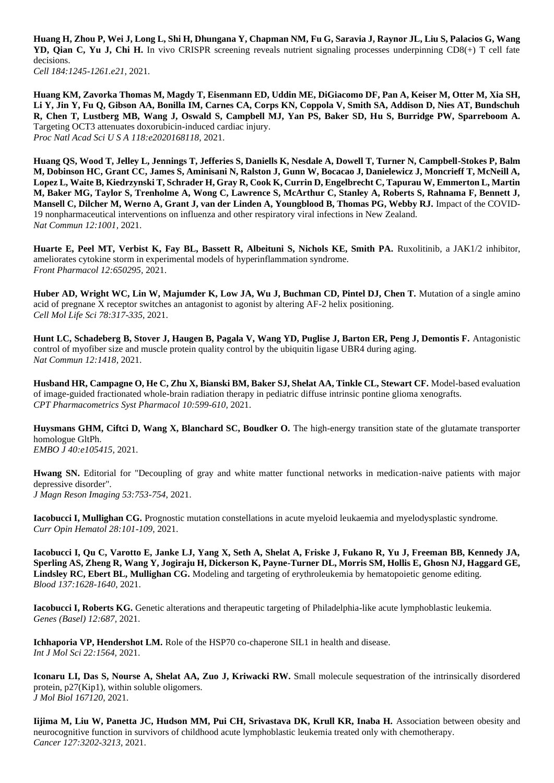**Huang H, Zhou P, Wei J, Long L, Shi H, Dhungana Y, Chapman NM, Fu G, Saravia J, Raynor JL, Liu S, Palacios G, Wang YD, Qian C, Yu J, Chi H.** In vivo CRISPR screening reveals nutrient signaling processes underpinning CD8(+) T cell fate decisions.

*Cell 184:1245-1261.e21*, 2021.

**Huang KM, Zavorka Thomas M, Magdy T, Eisenmann ED, Uddin ME, DiGiacomo DF, Pan A, Keiser M, Otter M, Xia SH, Li Y, Jin Y, Fu Q, Gibson AA, Bonilla IM, Carnes CA, Corps KN, Coppola V, Smith SA, Addison D, Nies AT, Bundschuh R, Chen T, Lustberg MB, Wang J, Oswald S, Campbell MJ, Yan PS, Baker SD, Hu S, Burridge PW, Sparreboom A.**  Targeting OCT3 attenuates doxorubicin-induced cardiac injury. *Proc Natl Acad Sci U S A 118:e2020168118,* 2021.

**Huang QS, Wood T, Jelley L, Jennings T, Jefferies S, Daniells K, Nesdale A, Dowell T, Turner N, Campbell-Stokes P, Balm M, Dobinson HC, Grant CC, James S, Aminisani N, Ralston J, Gunn W, Bocacao J, Danielewicz J, Moncrieff T, McNeill A, Lopez L, Waite B, Kiedrzynski T, Schrader H, Gray R, Cook K, Currin D, Engelbrecht C, Tapurau W, Emmerton L, Martin M, Baker MG, Taylor S, Trenholme A, Wong C, Lawrence S, McArthur C, Stanley A, Roberts S, Rahnama F, Bennett J, Mansell C, Dilcher M, Werno A, Grant J, van der Linden A, Youngblood B, Thomas PG, Webby RJ.** Impact of the COVID-19 nonpharmaceutical interventions on influenza and other respiratory viral infections in New Zealand. *Nat Commun 12:1001,* 2021.

Huarte E, Peel MT, Verbist K, Fay BL, Bassett R, Albeituni S, Nichols KE, Smith PA. Ruxolitinib, a JAK1/2 inhibitor, ameliorates cytokine storm in experimental models of hyperinflammation syndrome. *Front Pharmacol 12:650295,* 2021.

**Huber AD, Wright WC, Lin W, Majumder K, Low JA, Wu J, Buchman CD, Pintel DJ, Chen T.** Mutation of a single amino acid of pregnane X receptor switches an antagonist to agonist by altering AF-2 helix positioning. *Cell Mol Life Sci 78:317-335*, 2021.

**Hunt LC, Schadeberg B, Stover J, Haugen B, Pagala V, Wang YD, Puglise J, Barton ER, Peng J, Demontis F.** Antagonistic control of myofiber size and muscle protein quality control by the ubiquitin ligase UBR4 during aging. *Nat Commun 12:1418,* 2021.

**Husband HR, Campagne O, He C, Zhu X, Bianski BM, Baker SJ, Shelat AA, Tinkle CL, Stewart CF.** Model-based evaluation of image-guided fractionated whole-brain radiation therapy in pediatric diffuse intrinsic pontine glioma xenografts. *CPT Pharmacometrics Syst Pharmacol 10:599-610,* 2021.

Huysmans GHM, Ciftci D, Wang X, Blanchard SC, Boudker O. The high-energy transition state of the glutamate transporter homologue GltPh. *EMBO J 40:e105415,* 2021.

**Hwang SN.** Editorial for "Decoupling of gray and white matter functional networks in medication-naive patients with major depressive disorder". *J Magn Reson Imaging 53:753-754*, 2021.

**Iacobucci I, Mullighan CG.** Prognostic mutation constellations in acute myeloid leukaemia and myelodysplastic syndrome. *Curr Opin Hematol 28:101-109*, 2021.

**Iacobucci I, Qu C, Varotto E, Janke LJ, Yang X, Seth A, Shelat A, Friske J, Fukano R, Yu J, Freeman BB, Kennedy JA, Sperling AS, Zheng R, Wang Y, Jogiraju H, Dickerson K, Payne-Turner DL, Morris SM, Hollis E, Ghosn NJ, Haggard GE, Lindsley RC, Ebert BL, Mullighan CG.** Modeling and targeting of erythroleukemia by hematopoietic genome editing. *Blood 137:1628-1640*, 2021.

**Iacobucci I, Roberts KG.** Genetic alterations and therapeutic targeting of Philadelphia-like acute lymphoblastic leukemia. *Genes (Basel) 12:687,* 2021.

**Ichhaporia VP, Hendershot LM.** Role of the HSP70 co-chaperone SIL1 in health and disease. *Int J Mol Sci 22:1564,* 2021.

**Iconaru LI, Das S, Nourse A, Shelat AA, Zuo J, Kriwacki RW.** Small molecule sequestration of the intrinsically disordered protein, p27(Kip1), within soluble oligomers. *J Mol Biol 167120,* 2021.

**Iijima M, Liu W, Panetta JC, Hudson MM, Pui CH, Srivastava DK, Krull KR, Inaba H.** Association between obesity and neurocognitive function in survivors of childhood acute lymphoblastic leukemia treated only with chemotherapy. *Cancer 127:3202-3213,* 2021.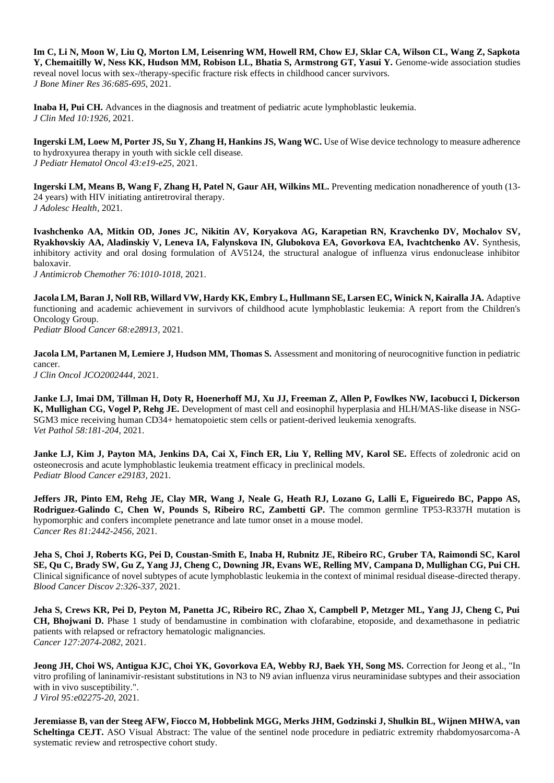**Im C, Li N, Moon W, Liu Q, Morton LM, Leisenring WM, Howell RM, Chow EJ, Sklar CA, Wilson CL, Wang Z, Sapkota Y, Chemaitilly W, Ness KK, Hudson MM, Robison LL, Bhatia S, Armstrong GT, Yasui Y.** Genome-wide association studies reveal novel locus with sex-/therapy-specific fracture risk effects in childhood cancer survivors. *J Bone Miner Res 36:685-695*, 2021.

**Inaba H, Pui CH.** Advances in the diagnosis and treatment of pediatric acute lymphoblastic leukemia. *J Clin Med 10:1926,* 2021.

**Ingerski LM, Loew M, Porter JS, Su Y, Zhang H, Hankins JS, Wang WC.** Use of Wise device technology to measure adherence to hydroxyurea therapy in youth with sickle cell disease. *J Pediatr Hematol Oncol 43:e19-e25*, 2021.

**Ingerski LM, Means B, Wang F, Zhang H, Patel N, Gaur AH, Wilkins ML.** Preventing medication nonadherence of youth (13- 24 years) with HIV initiating antiretroviral therapy. *J Adolesc Health,* 2021.

**Ivashchenko AA, Mitkin OD, Jones JC, Nikitin AV, Koryakova AG, Karapetian RN, Kravchenko DV, Mochalov SV, Ryakhovskiy AA, Aladinskiy V, Leneva IA, Falynskova IN, Glubokova EA, Govorkova EA, Ivachtchenko AV.** Synthesis, inhibitory activity and oral dosing formulation of AV5124, the structural analogue of influenza virus endonuclease inhibitor baloxavir.

*J Antimicrob Chemother 76:1010-1018*, 2021.

**Jacola LM, Baran J, Noll RB, Willard VW, Hardy KK, Embry L, Hullmann SE, Larsen EC, Winick N, Kairalla JA.** Adaptive functioning and academic achievement in survivors of childhood acute lymphoblastic leukemia: A report from the Children's Oncology Group.

*Pediatr Blood Cancer 68:e28913,* 2021.

**Jacola LM, Partanen M, Lemiere J, Hudson MM, Thomas S.** Assessment and monitoring of neurocognitive function in pediatric cancer. *J Clin Oncol JCO2002444,* 2021.

**Janke LJ, Imai DM, Tillman H, Doty R, Hoenerhoff MJ, Xu JJ, Freeman Z, Allen P, Fowlkes NW, Iacobucci I, Dickerson K, Mullighan CG, Vogel P, Rehg JE.** Development of mast cell and eosinophil hyperplasia and HLH/MAS-like disease in NSG-SGM3 mice receiving human CD34+ hematopoietic stem cells or patient-derived leukemia xenografts. *Vet Pathol 58:181-204*, 2021.

Janke LJ, Kim J, Payton MA, Jenkins DA, Cai X, Finch ER, Liu Y, Relling MV, Karol SE. Effects of zoledronic acid on osteonecrosis and acute lymphoblastic leukemia treatment efficacy in preclinical models. *Pediatr Blood Cancer e29183,* 2021.

**Jeffers JR, Pinto EM, Rehg JE, Clay MR, Wang J, Neale G, Heath RJ, Lozano G, Lalli E, Figueiredo BC, Pappo AS, Rodriguez-Galindo C, Chen W, Pounds S, Ribeiro RC, Zambetti GP.** The common germline TP53-R337H mutation is hypomorphic and confers incomplete penetrance and late tumor onset in a mouse model. *Cancer Res 81:2442-2456*, 2021.

**Jeha S, Choi J, Roberts KG, Pei D, Coustan-Smith E, Inaba H, Rubnitz JE, Ribeiro RC, Gruber TA, Raimondi SC, Karol SE, Qu C, Brady SW, Gu Z, Yang JJ, Cheng C, Downing JR, Evans WE, Relling MV, Campana D, Mullighan CG, Pui CH.**  Clinical significance of novel subtypes of acute lymphoblastic leukemia in the context of minimal residual disease-directed therapy. *Blood Cancer Discov 2:326-337*, 2021.

**Jeha S, Crews KR, Pei D, Peyton M, Panetta JC, Ribeiro RC, Zhao X, Campbell P, Metzger ML, Yang JJ, Cheng C, Pui CH, Bhojwani D.** Phase 1 study of bendamustine in combination with clofarabine, etoposide, and dexamethasone in pediatric patients with relapsed or refractory hematologic malignancies. *Cancer 127:2074-2082,* 2021.

**Jeong JH, Choi WS, Antigua KJC, Choi YK, Govorkova EA, Webby RJ, Baek YH, Song MS.** Correction for Jeong et al., "In vitro profiling of laninamivir-resistant substitutions in N3 to N9 avian influenza virus neuraminidase subtypes and their association with in vivo susceptibility.". *J Virol 95:e02275-20,* 2021.

**Jeremiasse B, van der Steeg AFW, Fiocco M, Hobbelink MGG, Merks JHM, Godzinski J, Shulkin BL, Wijnen MHWA, van Scheltinga CEJT.** ASO Visual Abstract: The value of the sentinel node procedure in pediatric extremity rhabdomyosarcoma-A systematic review and retrospective cohort study.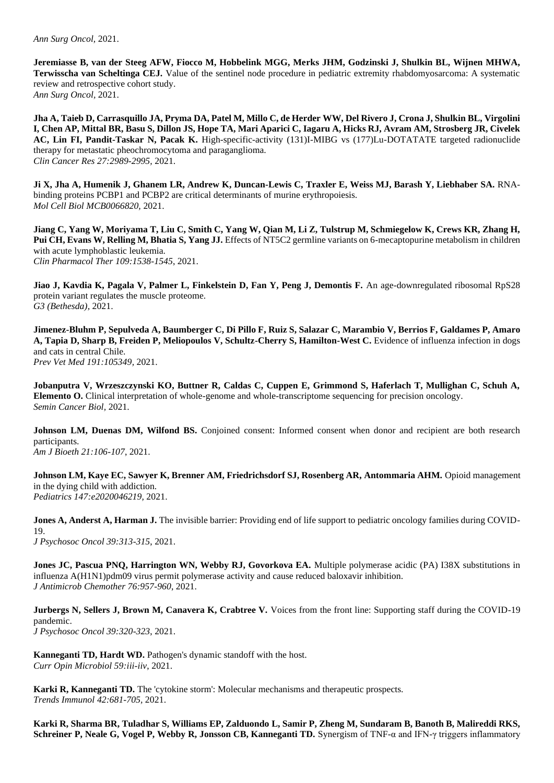**Jeremiasse B, van der Steeg AFW, Fiocco M, Hobbelink MGG, Merks JHM, Godzinski J, Shulkin BL, Wijnen MHWA, Terwisscha van Scheltinga CEJ.** Value of the sentinel node procedure in pediatric extremity rhabdomyosarcoma: A systematic review and retrospective cohort study. *Ann Surg Oncol,* 2021.

**Jha A, Taieb D, Carrasquillo JA, Pryma DA, Patel M, Millo C, de Herder WW, Del Rivero J, Crona J, Shulkin BL, Virgolini I, Chen AP, Mittal BR, Basu S, Dillon JS, Hope TA, Mari Aparici C, Iagaru A, Hicks RJ, Avram AM, Strosberg JR, Civelek AC, Lin FI, Pandit-Taskar N, Pacak K.** High-specific-activity (131)I-MIBG vs (177)Lu-DOTATATE targeted radionuclide therapy for metastatic pheochromocytoma and paraganglioma. *Clin Cancer Res 27:2989-2995,* 2021.

**Ji X, Jha A, Humenik J, Ghanem LR, Andrew K, Duncan-Lewis C, Traxler E, Weiss MJ, Barash Y, Liebhaber SA.** RNAbinding proteins PCBP1 and PCBP2 are critical determinants of murine erythropoiesis. *Mol Cell Biol MCB0066820,* 2021.

**Jiang C, Yang W, Moriyama T, Liu C, Smith C, Yang W, Qian M, Li Z, Tulstrup M, Schmiegelow K, Crews KR, Zhang H, Pui CH, Evans W, Relling M, Bhatia S, Yang JJ.** Effects of NT5C2 germline variants on 6-mecaptopurine metabolism in children with acute lymphoblastic leukemia. *Clin Pharmacol Ther 109:1538-1545*, 2021.

**Jiao J, Kavdia K, Pagala V, Palmer L, Finkelstein D, Fan Y, Peng J, Demontis F.** An age-downregulated ribosomal RpS28 protein variant regulates the muscle proteome. *G3 (Bethesda),* 2021.

**Jimenez-Bluhm P, Sepulveda A, Baumberger C, Di Pillo F, Ruiz S, Salazar C, Marambio V, Berrios F, Galdames P, Amaro**  A, Tapia D, Sharp B, Freiden P, Meliopoulos V, Schultz-Cherry S, Hamilton-West C. Evidence of influenza infection in dogs and cats in central Chile. *Prev Vet Med 191:105349,* 2021.

**Jobanputra V, Wrzeszczynski KO, Buttner R, Caldas C, Cuppen E, Grimmond S, Haferlach T, Mullighan C, Schuh A, Elemento O.** Clinical interpretation of whole-genome and whole-transcriptome sequencing for precision oncology. *Semin Cancer Biol,* 2021.

**Johnson LM, Duenas DM, Wilfond BS.** Conjoined consent: Informed consent when donor and recipient are both research participants. *Am J Bioeth 21:106-107*, 2021.

**Johnson LM, Kaye EC, Sawyer K, Brenner AM, Friedrichsdorf SJ, Rosenberg AR, Antommaria AHM.** Opioid management in the dying child with addiction. *Pediatrics 147:e2020046219,* 2021.

**Jones A, Anderst A, Harman J.** The invisible barrier: Providing end of life support to pediatric oncology families during COVID-19.

*J Psychosoc Oncol 39:313-315*, 2021.

**Jones JC, Pascua PNQ, Harrington WN, Webby RJ, Govorkova EA.** Multiple polymerase acidic (PA) I38X substitutions in influenza A(H1N1)pdm09 virus permit polymerase activity and cause reduced baloxavir inhibition. *J Antimicrob Chemother 76:957-960*, 2021.

**Jurbergs N, Sellers J, Brown M, Canavera K, Crabtree V.** Voices from the front line: Supporting staff during the COVID-19 pandemic.

*J Psychosoc Oncol 39:320-323*, 2021.

**Kanneganti TD, Hardt WD.** Pathogen's dynamic standoff with the host. *Curr Opin Microbiol 59:iii-iiv*, 2021.

**Karki R, Kanneganti TD.** The 'cytokine storm': Molecular mechanisms and therapeutic prospects. *Trends Immunol 42:681-705,* 2021.

**Karki R, Sharma BR, Tuladhar S, Williams EP, Zalduondo L, Samir P, Zheng M, Sundaram B, Banoth B, Malireddi RKS, Schreiner P, Neale G, Vogel P, Webby R, Jonsson CB, Kanneganti TD.** Synergism of TNF-α and IFN-γ triggers inflammatory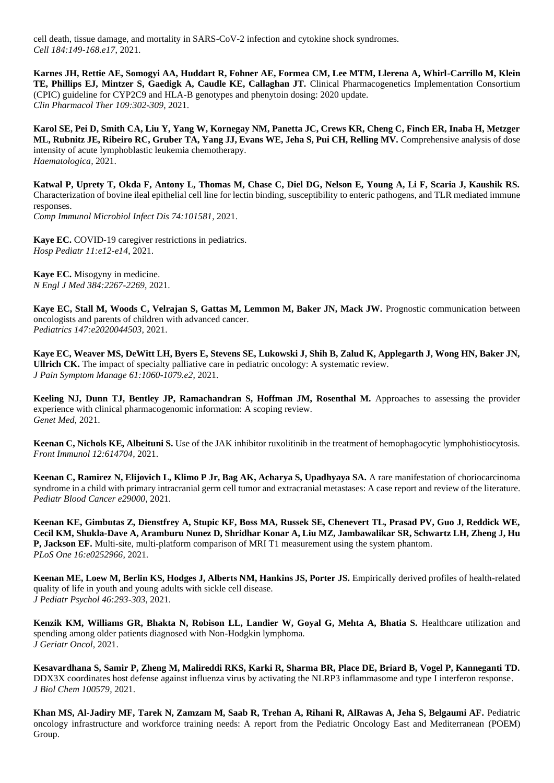cell death, tissue damage, and mortality in SARS-CoV-2 infection and cytokine shock syndromes. *Cell 184:149-168.e17*, 2021.

**Karnes JH, Rettie AE, Somogyi AA, Huddart R, Fohner AE, Formea CM, Lee MTM, Llerena A, Whirl-Carrillo M, Klein TE, Phillips EJ, Mintzer S, Gaedigk A, Caudle KE, Callaghan JT.** Clinical Pharmacogenetics Implementation Consortium (CPIC) guideline for CYP2C9 and HLA-B genotypes and phenytoin dosing: 2020 update. *Clin Pharmacol Ther 109:302-309*, 2021.

**Karol SE, Pei D, Smith CA, Liu Y, Yang W, Kornegay NM, Panetta JC, Crews KR, Cheng C, Finch ER, Inaba H, Metzger ML, Rubnitz JE, Ribeiro RC, Gruber TA, Yang JJ, Evans WE, Jeha S, Pui CH, Relling MV.** Comprehensive analysis of dose intensity of acute lymphoblastic leukemia chemotherapy. *Haematologica,* 2021.

**Katwal P, Uprety T, Okda F, Antony L, Thomas M, Chase C, Diel DG, Nelson E, Young A, Li F, Scaria J, Kaushik RS.**  Characterization of bovine ileal epithelial cell line for lectin binding, susceptibility to enteric pathogens, and TLR mediated immune responses.

*Comp Immunol Microbiol Infect Dis 74:101581,* 2021.

**Kaye EC.** COVID-19 caregiver restrictions in pediatrics. *Hosp Pediatr 11:e12-e14*, 2021.

**Kaye EC.** Misogyny in medicine. *N Engl J Med 384:2267-2269*, 2021.

**Kaye EC, Stall M, Woods C, Velrajan S, Gattas M, Lemmon M, Baker JN, Mack JW.** Prognostic communication between oncologists and parents of children with advanced cancer. *Pediatrics 147:e2020044503,* 2021.

**Kaye EC, Weaver MS, DeWitt LH, Byers E, Stevens SE, Lukowski J, Shih B, Zalud K, Applegarth J, Wong HN, Baker JN, Ullrich CK.** The impact of specialty palliative care in pediatric oncology: A systematic review. *J Pain Symptom Manage 61:1060-1079.e2*, 2021.

Keeling NJ, Dunn TJ, Bentley JP, Ramachandran S, Hoffman JM, Rosenthal M. Approaches to assessing the provider experience with clinical pharmacogenomic information: A scoping review. *Genet Med,* 2021.

**Keenan C, Nichols KE, Albeituni S.** Use of the JAK inhibitor ruxolitinib in the treatment of hemophagocytic lymphohistiocytosis. *Front Immunol 12:614704,* 2021.

**Keenan C, Ramirez N, Elijovich L, Klimo P Jr, Bag AK, Acharya S, Upadhyaya SA.** A rare manifestation of choriocarcinoma syndrome in a child with primary intracranial germ cell tumor and extracranial metastases: A case report and review of the literature. *Pediatr Blood Cancer e29000,* 2021.

**Keenan KE, Gimbutas Z, Dienstfrey A, Stupic KF, Boss MA, Russek SE, Chenevert TL, Prasad PV, Guo J, Reddick WE, Cecil KM, Shukla-Dave A, Aramburu Nunez D, Shridhar Konar A, Liu MZ, Jambawalikar SR, Schwartz LH, Zheng J, Hu P, Jackson EF.** Multi-site, multi-platform comparison of MRI T1 measurement using the system phantom. *PLoS One 16:e0252966,* 2021.

**Keenan ME, Loew M, Berlin KS, Hodges J, Alberts NM, Hankins JS, Porter JS.** Empirically derived profiles of health-related quality of life in youth and young adults with sickle cell disease. *J Pediatr Psychol 46:293-303*, 2021.

Kenzik KM, Williams GR, Bhakta N, Robison LL, Landier W, Goyal G, Mehta A, Bhatia S. Healthcare utilization and spending among older patients diagnosed with Non-Hodgkin lymphoma. *J Geriatr Oncol,* 2021.

**Kesavardhana S, Samir P, Zheng M, Malireddi RKS, Karki R, Sharma BR, Place DE, Briard B, Vogel P, Kanneganti TD.**  DDX3X coordinates host defense against influenza virus by activating the NLRP3 inflammasome and type I interferon response. *J Biol Chem 100579,* 2021.

**Khan MS, Al-Jadiry MF, Tarek N, Zamzam M, Saab R, Trehan A, Rihani R, AlRawas A, Jeha S, Belgaumi AF.** Pediatric oncology infrastructure and workforce training needs: A report from the Pediatric Oncology East and Mediterranean (POEM) Group.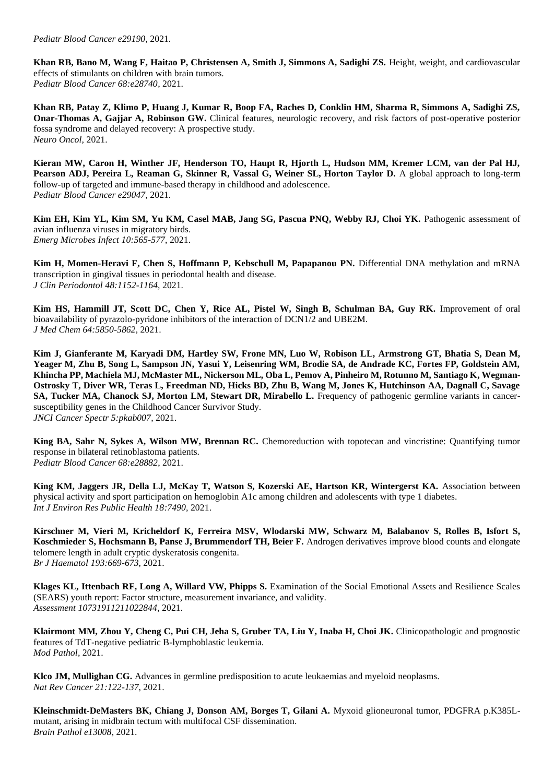**Khan RB, Bano M, Wang F, Haitao P, Christensen A, Smith J, Simmons A, Sadighi ZS.** Height, weight, and cardiovascular effects of stimulants on children with brain tumors. *Pediatr Blood Cancer 68:e28740,* 2021.

**Khan RB, Patay Z, Klimo P, Huang J, Kumar R, Boop FA, Raches D, Conklin HM, Sharma R, Simmons A, Sadighi ZS, Onar-Thomas A, Gajjar A, Robinson GW.** Clinical features, neurologic recovery, and risk factors of post-operative posterior fossa syndrome and delayed recovery: A prospective study. *Neuro Oncol,* 2021.

**Kieran MW, Caron H, Winther JF, Henderson TO, Haupt R, Hjorth L, Hudson MM, Kremer LCM, van der Pal HJ,**  Pearson ADJ, Pereira L, Reaman G, Skinner R, Vassal G, Weiner SL, Horton Taylor D. A global approach to long-term follow-up of targeted and immune-based therapy in childhood and adolescence. *Pediatr Blood Cancer e29047,* 2021.

Kim EH, Kim YL, Kim SM, Yu KM, Casel MAB, Jang SG, Pascua PNQ, Webby RJ, Choi YK. Pathogenic assessment of avian influenza viruses in migratory birds. *Emerg Microbes Infect 10:565-577*, 2021.

**Kim H, Momen-Heravi F, Chen S, Hoffmann P, Kebschull M, Papapanou PN.** Differential DNA methylation and mRNA transcription in gingival tissues in periodontal health and disease. *J Clin Periodontol 48:1152-1164,* 2021.

**Kim HS, Hammill JT, Scott DC, Chen Y, Rice AL, Pistel W, Singh B, Schulman BA, Guy RK.** Improvement of oral bioavailability of pyrazolo-pyridone inhibitors of the interaction of DCN1/2 and UBE2M. *J Med Chem 64:5850-5862*, 2021.

**Kim J, Gianferante M, Karyadi DM, Hartley SW, Frone MN, Luo W, Robison LL, Armstrong GT, Bhatia S, Dean M, Yeager M, Zhu B, Song L, Sampson JN, Yasui Y, Leisenring WM, Brodie SA, de Andrade KC, Fortes FP, Goldstein AM, Khincha PP, Machiela MJ, McMaster ML, Nickerson ML, Oba L, Pemov A, Pinheiro M, Rotunno M, Santiago K, Wegman-Ostrosky T, Diver WR, Teras L, Freedman ND, Hicks BD, Zhu B, Wang M, Jones K, Hutchinson AA, Dagnall C, Savage SA, Tucker MA, Chanock SJ, Morton LM, Stewart DR, Mirabello L.** Frequency of pathogenic germline variants in cancersusceptibility genes in the Childhood Cancer Survivor Study. *JNCI Cancer Spectr 5:pkab007,* 2021.

**King BA, Sahr N, Sykes A, Wilson MW, Brennan RC.** Chemoreduction with topotecan and vincristine: Quantifying tumor response in bilateral retinoblastoma patients. *Pediatr Blood Cancer 68:e28882*, 2021.

**King KM, Jaggers JR, Della LJ, McKay T, Watson S, Kozerski AE, Hartson KR, Wintergerst KA.** Association between physical activity and sport participation on hemoglobin A1c among children and adolescents with type 1 diabetes. *Int J Environ Res Public Health 18:7490,* 2021.

**Kirschner M, Vieri M, Kricheldorf K, Ferreira MSV, Wlodarski MW, Schwarz M, Balabanov S, Rolles B, Isfort S, Koschmieder S, Hochsmann B, Panse J, Brummendorf TH, Beier F.** Androgen derivatives improve blood counts and elongate telomere length in adult cryptic dyskeratosis congenita. *Br J Haematol 193:669-673*, 2021.

**Klages KL, Ittenbach RF, Long A, Willard VW, Phipps S.** Examination of the Social Emotional Assets and Resilience Scales (SEARS) youth report: Factor structure, measurement invariance, and validity. *Assessment 10731911211022844,* 2021.

**Klairmont MM, Zhou Y, Cheng C, Pui CH, Jeha S, Gruber TA, Liu Y, Inaba H, Choi JK.** Clinicopathologic and prognostic features of TdT-negative pediatric B-lymphoblastic leukemia. *Mod Pathol,* 2021.

**Klco JM, Mullighan CG.** Advances in germline predisposition to acute leukaemias and myeloid neoplasms. *Nat Rev Cancer 21:122-137*, 2021.

**Kleinschmidt-DeMasters BK, Chiang J, Donson AM, Borges T, Gilani A.** Myxoid glioneuronal tumor, PDGFRA p.K385Lmutant, arising in midbrain tectum with multifocal CSF dissemination. *Brain Pathol e13008,* 2021.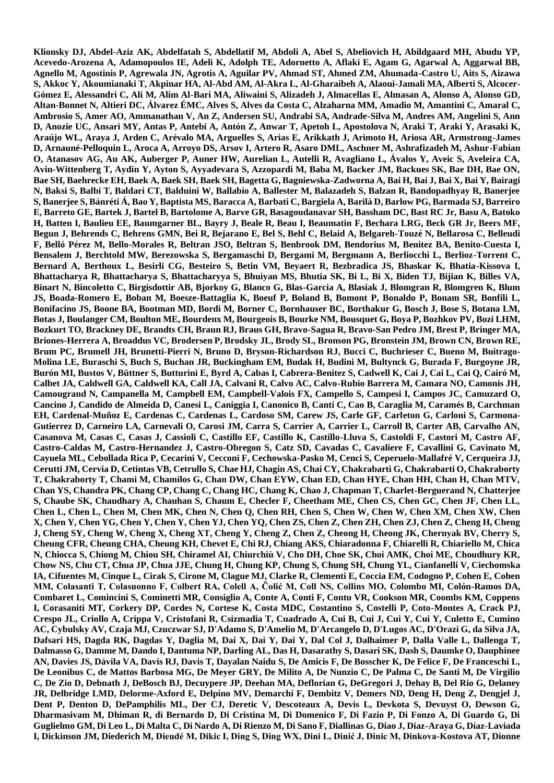**Klionsky DJ, Abdel-Aziz AK, Abdelfatah S, Abdellatif M, Abdoli A, Abel S, Abeliovich H, Abildgaard MH, Abudu YP, Acevedo-Arozena A, Adamopoulos IE, Adeli K, Adolph TE, Adornetto A, Aflaki E, Agam G, Agarwal A, Aggarwal BB, Agnello M, Agostinis P, Agrewala JN, Agrotis A, Aguilar PV, Ahmad ST, Ahmed ZM, Ahumada-Castro U, Aits S, Aizawa S, Akkoc Y, Akoumianaki T, Akpinar HA, Al-Abd AM, Al-Akra L, Al-Gharaibeh A, Alaoui-Jamali MA, Alberti S, Alcocer-Gómez E, Alessandri C, Ali M, Alim Al-Bari MA, Aliwaini S, Alizadeh J, Almacellas E, Almasan A, Alonso A, Alonso GD, Altan-Bonnet N, Altieri DC, Álvarez ÉMC, Alves S, Alves da Costa C, Alzaharna MM, Amadio M, Amantini C, Amaral C, Ambrosio S, Amer AO, Ammanathan V, An Z, Andersen SU, Andrabi SA, Andrade-Silva M, Andres AM, Angelini S, Ann D, Anozie UC, Ansari MY, Antas P, Antebi A, Antón Z, Anwar T, Apetoh L, Apostolova N, Araki T, Araki Y, Arasaki K, Araújo WL, Araya J, Arden C, Arévalo MA, Arguelles S, Arias E, Arikkath J, Arimoto H, Ariosa AR, Armstrong-James D, Arnauné-Pelloquin L, Aroca A, Arroyo DS, Arsov I, Artero R, Asaro DML, Aschner M, Ashrafizadeh M, Ashur-Fabian O, Atanasov AG, Au AK, Auberger P, Auner HW, Aurelian L, Autelli R, Avagliano L, Ávalos Y, Aveic S, Aveleira CA, Avin-Wittenberg T, Aydin Y, Ayton S, Ayyadevara S, Azzopardi M, Baba M, Backer JM, Backues SK, Bae DH, Bae ON, Bae SH, Baehrecke EH, Baek A, Baek SH, Baek SH, Bagetta G, Bagniewska-Zadworna A, Bai H, Bai J, Bai X, Bai Y, Bairagi N, Baksi S, Balbi T, Baldari CT, Balduini W, Ballabio A, Ballester M, Balazadeh S, Balzan R, Bandopadhyay R, Banerjee S, Banerjee S, Bánréti Á, Bao Y, Baptista MS, Baracca A, Barbati C, Bargiela A, Barilà D, Barlow PG, Barmada SJ, Barreiro E, Barreto GE, Bartek J, Bartel B, Bartolome A, Barve GR, Basagoudanavar SH, Bassham DC, Bast RC Jr, Basu A, Batoko H, Batten I, Baulieu EE, Baumgarner BL, Bayry J, Beale R, Beau I, Beaumatin F, Bechara LRG, Beck GR Jr, Beers MF, Begun J, Behrends C, Behrens GMN, Bei R, Bejarano E, Bel S, Behl C, Belaid A, Belgareh-Touzé N, Bellarosa C, Belleudi F, Belló Pérez M, Bello-Morales R, Beltran JSO, Beltran S, Benbrook DM, Bendorius M, Benitez BA, Benito-Cuesta I, Bensalem J, Berchtold MW, Berezowska S, Bergamaschi D, Bergami M, Bergmann A, Berliocchi L, Berlioz-Torrent C, Bernard A, Berthoux L, Besirli CG, Besteiro S, Betin VM, Beyaert R, Bezbradica JS, Bhaskar K, Bhatia-Kissova I, Bhattacharya R, Bhattacharya S, Bhattacharyya S, Bhuiyan MS, Bhutia SK, Bi L, Bi X, Biden TJ, Bijian K, Billes VA, Binart N, Bincoletto C, Birgisdottir AB, Bjorkoy G, Blanco G, Blas-Garcia A, Blasiak J, Blomgran R, Blomgren K, Blum JS, Boada-Romero E, Boban M, Boesze-Battaglia K, Boeuf P, Boland B, Bomont P, Bonaldo P, Bonam SR, Bonfili L, Bonifacino JS, Boone BA, Bootman MD, Bordi M, Borner C, Bornhauser BC, Borthakur G, Bosch J, Bose S, Botana LM, Botas J, Boulanger CM, Boulton ME, Bourdenx M, Bourgeois B, Bourke NM, Bousquet G, Boya P, Bozhkov PV, Bozi LHM, Bozkurt TO, Brackney DE, Brandts CH, Braun RJ, Braus GH, Bravo-Sagua R, Bravo-San Pedro JM, Brest P, Bringer MA, Briones-Herrera A, Broaddus VC, Brodersen P, Brodsky JL, Brody SL, Bronson PG, Bronstein JM, Brown CN, Brown RE, Brum PC, Brumell JH, Brunetti-Pierri N, Bruno D, Bryson-Richardson RJ, Bucci C, Buchrieser C, Bueno M, Buitrago-Molina LE, Buraschi S, Buch S, Buchan JR, Buckingham EM, Budak H, Budini M, Bultynck G, Burada F, Burgoyne JR, Burón MI, Bustos V, Büttner S, Butturini E, Byrd A, Cabas I, Cabrera-Benitez S, Cadwell K, Cai J, Cai L, Cai Q, Cairó M, Calbet JA, Caldwell GA, Caldwell KA, Call JA, Calvani R, Calvo AC, Calvo-Rubio Barrera M, Camara NO, Camonis JH, Camougrand N, Campanella M, Campbell EM, Campbell-Valois FX, Campello S, Campesi I, Campos JC, Camuzard O, Cancino J, Candido de Almeida D, Canesi L, Caniggia I, Canonico B, Cantí C, Cao B, Caraglia M, Caramés B, Carchman EH, Cardenal-Muñoz E, Cardenas C, Cardenas L, Cardoso SM, Carew JS, Carle GF, Carleton G, Carloni S, Carmona-Gutierrez D, Carneiro LA, Carnevali O, Carosi JM, Carra S, Carrier A, Carrier L, Carroll B, Carter AB, Carvalho AN, Casanova M, Casas C, Casas J, Cassioli C, Castillo EF, Castillo K, Castillo-Lluva S, Castoldi F, Castori M, Castro AF, Castro-Caldas M, Castro-Hernandez J, Castro-Obregon S, Catz SD, Cavadas C, Cavaliere F, Cavallini G, Cavinato M, Cayuela ML, Cebollada Rica P, Cecarini V, Cecconi F, Cechowska-Pasko M, Cenci S, Ceperuelo-Mallafré V, Cerqueira JJ, Cerutti JM, Cervia D, Cetintas VB, Cetrullo S, Chae HJ, Chagin AS, Chai CY, Chakrabarti G, Chakrabarti O, Chakraborty T, Chakraborty T, Chami M, Chamilos G, Chan DW, Chan EYW, Chan ED, Chan HYE, Chan HH, Chan H, Chan MTV, Chan YS, Chandra PK, Chang CP, Chang C, Chang HC, Chang K, Chao J, Chapman T, Charlet-Berguerand N, Chatterjee S, Chaube SK, Chaudhary A, Chauhan S, Chaum E, Checler F, Cheetham ME, Chen CS, Chen GC, Chen JF, Chen LL, Chen L, Chen L, Chen M, Chen MK, Chen N, Chen Q, Chen RH, Chen S, Chen W, Chen W, Chen XM, Chen XW, Chen X, Chen Y, Chen YG, Chen Y, Chen Y, Chen YJ, Chen YQ, Chen ZS, Chen Z, Chen ZH, Chen ZJ, Chen Z, Cheng H, Cheng J, Cheng SY, Cheng W, Cheng X, Cheng XT, Cheng Y, Cheng Z, Chen Z, Cheong H, Cheong JK, Chernyak BV, Cherry S, Cheung CFR, Cheung CHA, Cheung KH, Chevet E, Chi RJ, Chiang AKS, Chiaradonna F, Chiarelli R, Chiariello M, Chica N, Chiocca S, Chiong M, Chiou SH, Chiramel AI, Chiurchiù V, Cho DH, Choe SK, Choi AMK, Choi ME, Choudhury KR, Chow NS, Chu CT, Chua JP, Chua JJE, Chung H, Chung KP, Chung S, Chung SH, Chung YL, Cianfanelli V, Ciechomska IA, Cifuentes M, Cinque L, Cirak S, Cirone M, Clague MJ, Clarke R, Clementi E, Coccia EM, Codogno P, Cohen E, Cohen MM, Colasanti T, Colasuonno F, Colbert RA, Colell A, Čolić M, Coll NS, Collins MO, Colombo MI, Colón-Ramos DA, Combaret L, Comincini S, Cominetti MR, Consiglio A, Conte A, Conti F, Contu VR, Cookson MR, Coombs KM, Coppens I, Corasaniti MT, Corkery DP, Cordes N, Cortese K, Costa MDC, Costantino S, Costelli P, Coto-Montes A, Crack PJ, Crespo JL, Criollo A, Crippa V, Cristofani R, Csizmadia T, Cuadrado A, Cui B, Cui J, Cui Y, Cui Y, Culetto E, Cumino AC, Cybulsky AV, Czaja MJ, Czuczwar SJ, D'Adamo S, D'Amelio M, D'Arcangelo D, D'Lugos AC, D'Orazi G, da Silva JA, Dafsari HS, Dagda RK, Dagdas Y, Daglia M, Dai X, Dai Y, Dai Y, Dal Col J, Dalhaimer P, Dalla Valle L, Dallenga T, Dalmasso G, Damme M, Dando I, Dantuma NP, Darling AL, Das H, Dasarathy S, Dasari SK, Dash S, Daumke O, Dauphinee AN, Davies JS, Dávila VA, Davis RJ, Davis T, Dayalan Naidu S, De Amicis F, De Bosscher K, De Felice F, De Franceschi L, De Leonibus C, de Mattos Barbosa MG, De Meyer GRY, De Milito A, De Nunzio C, De Palma C, De Santi M, De Virgilio C, De Zio D, Debnath J, DeBosch BJ, Decuypere JP, Deehan MA, Deflorian G, DeGregori J, Dehay B, Del Rio G, Delaney JR, Delbridge LMD, Delorme-Axford E, Delpino MV, Demarchi F, Dembitz V, Demers ND, Deng H, Deng Z, Dengjel J, Dent P, Denton D, DePamphilis ML, Der CJ, Deretic V, Descoteaux A, Devis L, Devkota S, Devuyst O, Dewson G, Dharmasivam M, Dhiman R, di Bernardo D, Di Cristina M, Di Domenico F, Di Fazio P, Di Fonzo A, Di Guardo G, Di Guglielmo GM, Di Leo L, Di Malta C, Di Nardo A, Di Rienzo M, Di Sano F, Diallinas G, Diao J, Diaz-Araya G, Díaz-Laviada I, Dickinson JM, Diederich M, Dieudé M, Dikic I, Ding S, Ding WX, Dini L, Dinić J, Dinic M, Dinkova-Kostova AT, Dionne**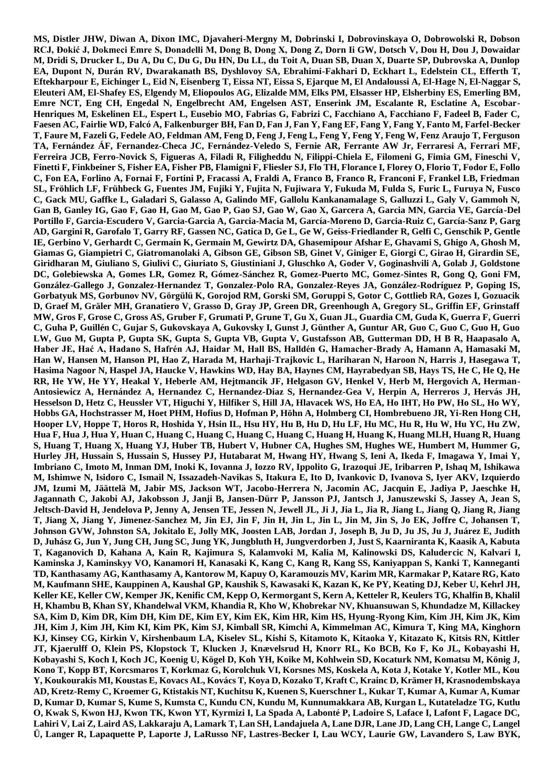**MS, Distler JHW, Diwan A, Dixon IMC, Djavaheri-Mergny M, Dobrinski I, Dobrovinskaya O, Dobrowolski R, Dobson RCJ, Đokić J, Dokmeci Emre S, Donadelli M, Dong B, Dong X, Dong Z, Dorn Ii GW, Dotsch V, Dou H, Dou J, Dowaidar M, Dridi S, Drucker L, Du A, Du C, Du G, Du HN, Du LL, du Toit A, Duan SB, Duan X, Duarte SP, Dubrovska A, Dunlop EA, Dupont N, Durán RV, Dwarakanath BS, Dyshlovoy SA, Ebrahimi-Fakhari D, Eckhart L, Edelstein CL, Efferth T, Eftekharpour E, Eichinger L, Eid N, Eisenberg T, Eissa NT, Eissa S, Ejarque M, El Andaloussi A, El-Hage N, El-Naggar S, Eleuteri AM, El-Shafey ES, Elgendy M, Eliopoulos AG, Elizalde MM, Elks PM, Elsasser HP, Elsherbiny ES, Emerling BM, Emre NCT, Eng CH, Engedal N, Engelbrecht AM, Engelsen AST, Enserink JM, Escalante R, Esclatine A, Escobar-Henriques M, Eskelinen EL, Espert L, Eusebio MO, Fabrias G, Fabrizi C, Facchiano A, Facchiano F, Fadeel B, Fader C, Faesen AC, Fairlie WD, Falcó A, Falkenburger BH, Fan D, Fan J, Fan Y, Fang EF, Fang Y, Fang Y, Fanto M, Farfel-Becker T, Faure M, Fazeli G, Fedele AO, Feldman AM, Feng D, Feng J, Feng L, Feng Y, Feng Y, Feng W, Fenz Araujo T, Ferguson TA, Fernández ÁF, Fernandez-Checa JC, Fernández-Veledo S, Fernie AR, Ferrante AW Jr, Ferraresi A, Ferrari MF, Ferreira JCB, Ferro-Novick S, Figueras A, Filadi R, Filigheddu N, Filippi-Chiela E, Filomeni G, Fimia GM, Fineschi V, Finetti F, Finkbeiner S, Fisher EA, Fisher PB, Flamigni F, Fliesler SJ, Flo TH, Florance I, Florey O, Florio T, Fodor E, Follo C, Fon EA, Forlino A, Fornai F, Fortini P, Fracassi A, Fraldi A, Franco B, Franco R, Franconi F, Frankel LB, Friedman SL, Fröhlich LF, Frühbeck G, Fuentes JM, Fujiki Y, Fujita N, Fujiwara Y, Fukuda M, Fulda S, Furic L, Furuya N, Fusco C, Gack MU, Gaffke L, Galadari S, Galasso A, Galindo MF, Gallolu Kankanamalage S, Galluzzi L, Galy V, Gammoh N, Gan B, Ganley IG, Gao F, Gao H, Gao M, Gao P, Gao SJ, Gao W, Gao X, Garcera A, Garcia MN, Garcia VE, García-Del Portillo F, Garcia-Escudero V, Garcia-Garcia A, Garcia-Macia M, García-Moreno D, Garcia-Ruiz C, García-Sanz P, Garg AD, Gargini R, Garofalo T, Garry RF, Gassen NC, Gatica D, Ge L, Ge W, Geiss-Friedlander R, Gelfi C, Genschik P, Gentle IE, Gerbino V, Gerhardt C, Germain K, Germain M, Gewirtz DA, Ghasemipour Afshar E, Ghavami S, Ghigo A, Ghosh M, Giamas G, Giampietri C, Giatromanolaki A, Gibson GE, Gibson SB, Ginet V, Giniger E, Giorgi C, Girao H, Girardin SE, Giridharan M, Giuliano S, Giulivi C, Giuriato S, Giustiniani J, Gluschko A, Goder V, Goginashvili A, Golab J, Goldstone DC, Golebiewska A, Gomes LR, Gomez R, Gómez-Sánchez R, Gomez-Puerto MC, Gomez-Sintes R, Gong Q, Goni FM, González-Gallego J, Gonzalez-Hernandez T, Gonzalez-Polo RA, Gonzalez-Reyes JA, González-Rodríguez P, Goping IS, Gorbatyuk MS, Gorbunov NV, Görgülü K, Gorojod RM, Gorski SM, Goruppi S, Gotor C, Gottlieb RA, Gozes I, Gozuacik D, Graef M, Gräler MH, Granatiero V, Grasso D, Gray JP, Green DR, Greenhough A, Gregory SL, Griffin EF, Grinstaff MW, Gros F, Grose C, Gross AS, Gruber F, Grumati P, Grune T, Gu X, Guan JL, Guardia CM, Guda K, Guerra F, Guerri C, Guha P, Guillén C, Gujar S, Gukovskaya A, Gukovsky I, Gunst J, Günther A, Guntur AR, Guo C, Guo C, Guo H, Guo LW, Guo M, Gupta P, Gupta SK, Gupta S, Gupta VB, Gupta V, Gustafsson AB, Gutterman DD, H B R, Haapasalo A, Haber JE, Hać A, Hadano S, Hafrén AJ, Haidar M, Hall BS, Halldén G, Hamacher-Brady A, Hamann A, Hamasaki M, Han W, Hansen M, Hanson PI, Hao Z, Harada M, Harhaji-Trajkovic L, Hariharan N, Haroon N, Harris J, Hasegawa T, Hasima Nagoor N, Haspel JA, Haucke V, Hawkins WD, Hay BA, Haynes CM, Hayrabedyan SB, Hays TS, He C, He Q, He RR, He YW, He YY, Heakal Y, Heberle AM, Hejtmancik JF, Helgason GV, Henkel V, Herb M, Hergovich A, Herman-Antosiewicz A, Hernández A, Hernandez C, Hernandez-Diaz S, Hernandez-Gea V, Herpin A, Herreros J, Hervás JH, Hesselson D, Hetz C, Heussler VT, Higuchi Y, Hilfiker S, Hill JA, Hlavacek WS, Ho EA, Ho IHT, Ho PW, Ho SL, Ho WY, Hobbs GA, Hochstrasser M, Hoet PHM, Hofius D, Hofman P, Höhn A, Holmberg CI, Hombrebueno JR, Yi-Ren Hong CH, Hooper LV, Hoppe T, Horos R, Hoshida Y, Hsin IL, Hsu HY, Hu B, Hu D, Hu LF, Hu MC, Hu R, Hu W, Hu YC, Hu ZW, Hua F, Hua J, Hua Y, Huan C, Huang C, Huang C, Huang C, Huang C, Huang H, Huang K, Huang MLH, Huang R, Huang S, Huang T, Huang X, Huang YJ, Huber TB, Hubert V, Hubner CA, Hughes SM, Hughes WE, Humbert M, Hummer G, Hurley JH, Hussain S, Hussain S, Hussey PJ, Hutabarat M, Hwang HY, Hwang S, Ieni A, Ikeda F, Imagawa Y, Imai Y, Imbriano C, Imoto M, Inman DM, Inoki K, Iovanna J, Iozzo RV, Ippolito G, Irazoqui JE, Iribarren P, Ishaq M, Ishikawa M, Ishimwe N, Isidoro C, Ismail N, Issazadeh-Navikas S, Itakura E, Ito D, Ivankovic D, Ivanova S, Iyer AKV, Izquierdo JM, Izumi M, Jäättelä M, Jabir MS, Jackson WT, Jacobo-Herrera N, Jacomin AC, Jacquin E, Jadiya P, Jaeschke H, Jagannath C, Jakobi AJ, Jakobsson J, Janji B, Jansen-Dürr P, Jansson PJ, Jantsch J, Januszewski S, Jassey A, Jean S, Jeltsch-David H, Jendelova P, Jenny A, Jensen TE, Jessen N, Jewell JL, Ji J, Jia L, Jia R, Jiang L, Jiang Q, Jiang R, Jiang T, Jiang X, Jiang Y, Jimenez-Sanchez M, Jin EJ, Jin F, Jin H, Jin L, Jin L, Jin M, Jin S, Jo EK, Joffre C, Johansen T, Johnson GVW, Johnston SA, Jokitalo E, Jolly MK, Joosten LAB, Jordan J, Joseph B, Ju D, Ju JS, Ju J, Juárez E, Judith D, Juhász G, Jun Y, Jung CH, Jung SC, Jung YK, Jungbluth H, Jungverdorben J, Just S, Kaarniranta K, Kaasik A, Kabuta T, Kaganovich D, Kahana A, Kain R, Kajimura S, Kalamvoki M, Kalia M, Kalinowski DS, Kaludercic N, Kalvari I, Kaminska J, Kaminskyy VO, Kanamori H, Kanasaki K, Kang C, Kang R, Kang SS, Kaniyappan S, Kanki T, Kanneganti TD, Kanthasamy AG, Kanthasamy A, Kantorow M, Kapuy O, Karamouzis MV, Karim MR, Karmakar P, Katare RG, Kato M, Kaufmann SHE, Kauppinen A, Kaushal GP, Kaushik S, Kawasaki K, Kazan K, Ke PY, Keating DJ, Keber U, Kehrl JH, Keller KE, Keller CW, Kemper JK, Kenific CM, Kepp O, Kermorgant S, Kern A, Ketteler R, Keulers TG, Khalfin B, Khalil H, Khambu B, Khan SY, Khandelwal VKM, Khandia R, Kho W, Khobrekar NV, Khuansuwan S, Khundadze M, Killackey SA, Kim D, Kim DR, Kim DH, Kim DE, Kim EY, Kim EK, Kim HR, Kim HS, Hyung-Ryong Kim, Kim JH, Kim JK, Kim JH, Kim J, Kim JH, Kim KI, Kim PK, Kim SJ, Kimball SR, Kimchi A, Kimmelman AC, Kimura T, King MA, Kinghorn KJ, Kinsey CG, Kirkin V, Kirshenbaum LA, Kiselev SL, Kishi S, Kitamoto K, Kitaoka Y, Kitazato K, Kitsis RN, Kittler JT, Kjaerulff O, Klein PS, Klopstock T, Klucken J, Knævelsrud H, Knorr RL, Ko BCB, Ko F, Ko JL, Kobayashi H, Kobayashi S, Koch I, Koch JC, Koenig U, Kögel D, Koh YH, Koike M, Kohlwein SD, Kocaturk NM, Komatsu M, König J, Kono T, Kopp BT, Korcsmaros T, Korkmaz G, Korolchuk VI, Korsnes MS, Koskela A, Kota J, Kotake Y, Kotler ML, Kou Y, Koukourakis MI, Koustas E, Kovacs AL, Kovács T, Koya D, Kozako T, Kraft C, Krainc D, Krämer H, Krasnodembskaya AD, Kretz-Remy C, Kroemer G, Ktistakis NT, Kuchitsu K, Kuenen S, Kuerschner L, Kukar T, Kumar A, Kumar A, Kumar D, Kumar D, Kumar S, Kume S, Kumsta C, Kundu CN, Kundu M, Kunnumakkara AB, Kurgan L, Kutateladze TG, Kutlu O, Kwak S, Kwon HJ, Kwon TK, Kwon YT, Kyrmizi I, La Spada A, Labonté P, Ladoire S, Laface I, Lafont F, Lagace DC, Lahiri V, Lai Z, Laird AS, Lakkaraju A, Lamark T, Lan SH, Landajuela A, Lane DJR, Lane JD, Lang CH, Lange C, Langel Ü, Langer R, Lapaquette P, Laporte J, LaRusso NF, Lastres-Becker I, Lau WCY, Laurie GW, Lavandero S, Law BYK,**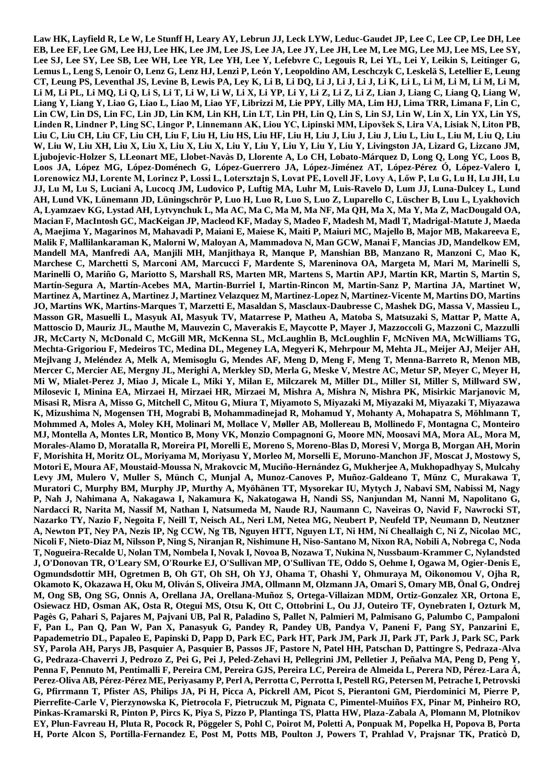**Law HK, Layfield R, Le W, Le Stunff H, Leary AY, Lebrun JJ, Leck LYW, Leduc-Gaudet JP, Lee C, Lee CP, Lee DH, Lee EB, Lee EF, Lee GM, Lee HJ, Lee HK, Lee JM, Lee JS, Lee JA, Lee JY, Lee JH, Lee M, Lee MG, Lee MJ, Lee MS, Lee SY,**  Lee SJ, Lee SY, Lee SB, Lee WH, Lee YR, Lee YH, Lee Y, Lefebvre C, Legouis R, Lei YL, Lei Y, Leikin S, Leitinger G, **Lemus L, Leng S, Lenoir O, Lenz G, Lenz HJ, Lenzi P, León Y, Leopoldino AM, Leschczyk C, Leskelä S, Letellier E, Leung CT, Leung PS, Leventhal JS, Levine B, Lewis PA, Ley K, Li B, Li DQ, Li J, Li J, Li J, Li K, Li L, Li M, Li M, Li M, Li M, Li M, Li PL, Li MQ, Li Q, Li S, Li T, Li W, Li W, Li X, Li YP, Li Y, Li Z, Li Z, Li Z, Lian J, Liang C, Liang Q, Liang W, Liang Y, Liang Y, Liao G, Liao L, Liao M, Liao YF, Librizzi M, Lie PPY, Lilly MA, Lim HJ, Lima TRR, Limana F, Lin C, Lin CW, Lin DS, Lin FC, Lin JD, Lin KM, Lin KH, Lin LT, Lin PH, Lin Q, Lin S, Lin SJ, Lin W, Lin X, Lin YX, Lin YS, Linden R, Lindner P, Ling SC, Lingor P, Linnemann AK, Liou YC, Lipinski MM, Lipovšek S, Lira VA, Lisiak N, Liton PB, Liu C, Liu CH, Liu CF, Liu CH, Liu F, Liu H, Liu HS, Liu HF, Liu H, Liu J, Liu J, Liu J, Liu L, Liu L, Liu M, Liu Q, Liu W, Liu W, Liu XH, Liu X, Liu X, Liu X, Liu X, Liu Y, Liu Y, Liu Y, Liu Y, Liu Y, Livingston JA, Lizard G, Lizcano JM, Ljubojevic-Holzer S, LLeonart ME, Llobet-Navàs D, Llorente A, Lo CH, Lobato-Márquez D, Long Q, Long YC, Loos B, Loos JA, López MG, López-Doménech G, López-Guerrero JA, López-Jiménez AT, López-Pérez Ó, López-Valero I, Lorenowicz MJ, Lorente M, Lorincz P, Lossi L, Lotersztajn S, Lovat PE, Lovell JF, Lovy A, Lőw P, Lu G, Lu H, Lu JH, Lu JJ, Lu M, Lu S, Luciani A, Lucocq JM, Ludovico P, Luftig MA, Luhr M, Luis-Ravelo D, Lum JJ, Luna-Dulcey L, Lund AH, Lund VK, Lünemann JD, Lüningschrör P, Luo H, Luo R, Luo S, Luo Z, Luparello C, Lüscher B, Luu L, Lyakhovich A, Lyamzaev KG, Lystad AH, Lytvynchuk L, Ma AC, Ma C, Ma M, Ma NF, Ma QH, Ma X, Ma Y, Ma Z, MacDougald OA, Macian F, MacIntosh GC, MacKeigan JP, Macleod KF, Maday S, Madeo F, Madesh M, Madl T, Madrigal-Matute J, Maeda A, Maejima Y, Magarinos M, Mahavadi P, Maiani E, Maiese K, Maiti P, Maiuri MC, Majello B, Major MB, Makareeva E, Malik F, Mallilankaraman K, Malorni W, Maloyan A, Mammadova N, Man GCW, Manai F, Mancias JD, Mandelkow EM, Mandell MA, Manfredi AA, Manjili MH, Manjithaya R, Manque P, Manshian BB, Manzano R, Manzoni C, Mao K, Marchese C, Marchetti S, Marconi AM, Marcucci F, Mardente S, Mareninova OA, Margeta M, Mari M, Marinelli S, Marinelli O, Mariño G, Mariotto S, Marshall RS, Marten MR, Martens S, Martin APJ, Martin KR, Martin S, Martin S, Martín-Segura A, Martín-Acebes MA, Martin-Burriel I, Martin-Rincon M, Martin-Sanz P, Martina JA, Martinet W, Martinez A, Martinez A, Martinez J, Martinez Velazquez M, Martinez-Lopez N, Martinez-Vicente M, Martins DO, Martins JO, Martins WK, Martins-Marques T, Marzetti E, Masaldan S, Masclaux-Daubresse C, Mashek DG, Massa V, Massieu L, Masson GR, Masuelli L, Masyuk AI, Masyuk TV, Matarrese P, Matheu A, Matoba S, Matsuzaki S, Mattar P, Matte A, Mattoscio D, Mauriz JL, Mauthe M, Mauvezin C, Maverakis E, Maycotte P, Mayer J, Mazzoccoli G, Mazzoni C, Mazzulli JR, McCarty N, McDonald C, McGill MR, McKenna SL, McLaughlin B, McLoughlin F, McNiven MA, McWilliams TG, Mechta-Grigoriou F, Medeiros TC, Medina DL, Megeney LA, Megyeri K, Mehrpour M, Mehta JL, Meijer AJ, Meijer AH, Mejlvang J, Meléndez A, Melk A, Memisoglu G, Mendes AF, Meng D, Meng F, Meng T, Menna-Barreto R, Menon MB, Mercer C, Mercier AE, Mergny JL, Merighi A, Merkley SD, Merla G, Meske V, Mestre AC, Metur SP, Meyer C, Meyer H, Mi W, Mialet-Perez J, Miao J, Micale L, Miki Y, Milan E, Milczarek M, Miller DL, Miller SI, Miller S, Millward SW, Milosevic I, Minina EA, Mirzaei H, Mirzaei HR, Mirzaei M, Mishra A, Mishra N, Mishra PK, Misirkic Marjanovic M, Misasi R, Misra A, Misso G, Mitchell C, Mitou G, Miura T, Miyamoto S, Miyazaki M, Miyazaki M, Miyazaki T, Miyazawa K, Mizushima N, Mogensen TH, Mograbi B, Mohammadinejad R, Mohamud Y, Mohanty A, Mohapatra S, Möhlmann T, Mohmmed A, Moles A, Moley KH, Molinari M, Mollace V, Møller AB, Mollereau B, Mollinedo F, Montagna C, Monteiro MJ, Montella A, Montes LR, Montico B, Mony VK, Monzio Compagnoni G, Moore MN, Moosavi MA, Mora AL, Mora M, Morales-Alamo D, Moratalla R, Moreira PI, Morelli E, Moreno S, Moreno-Blas D, Moresi V, Morga B, Morgan AH, Morin F, Morishita H, Moritz OL, Moriyama M, Moriyasu Y, Morleo M, Morselli E, Moruno-Manchon JF, Moscat J, Mostowy S, Motori E, Moura AF, Moustaid-Moussa N, Mrakovcic M, Muciño-Hernández G, Mukherjee A, Mukhopadhyay S, Mulcahy Levy JM, Mulero V, Muller S, Münch C, Munjal A, Munoz-Canoves P, Muñoz-Galdeano T, Münz C, Murakawa T, Muratori C, Murphy BM, Murphy JP, Murthy A, Myöhänen TT, Mysorekar IU, Mytych J, Nabavi SM, Nabissi M, Nagy P, Nah J, Nahimana A, Nakagawa I, Nakamura K, Nakatogawa H, Nandi SS, Nanjundan M, Nanni M, Napolitano G, Nardacci R, Narita M, Nassif M, Nathan I, Natsumeda M, Naude RJ, Naumann C, Naveiras O, Navid F, Nawrocki ST, Nazarko TY, Nazio F, Negoita F, Neill T, Neisch AL, Neri LM, Netea MG, Neubert P, Neufeld TP, Neumann D, Neutzner A, Newton PT, Ney PA, Nezis IP, Ng CCW, Ng TB, Nguyen HTT, Nguyen LT, Ni HM, Ní Cheallaigh C, Ni Z, Nicolao MC, Nicoli F, Nieto-Diaz M, Nilsson P, Ning S, Niranjan R, Nishimune H, Niso-Santano M, Nixon RA, Nobili A, Nobrega C, Noda T, Nogueira-Recalde U, Nolan TM, Nombela I, Novak I, Novoa B, Nozawa T, Nukina N, Nussbaum-Krammer C, Nylandsted J, O'Donovan TR, O'Leary SM, O'Rourke EJ, O'Sullivan MP, O'Sullivan TE, Oddo S, Oehme I, Ogawa M, Ogier-Denis E, Ogmundsdottir MH, Ogretmen B, Oh GT, Oh SH, Oh YJ, Ohama T, Ohashi Y, Ohmuraya M, Oikonomou V, Ojha R, Okamoto K, Okazawa H, Oku M, Oliván S, Oliveira JMA, Ollmann M, Olzmann JA, Omari S, Omary MB, Önal G, Ondrej M, Ong SB, Ong SG, Onnis A, Orellana JA, Orellana-Muñoz S, Ortega-Villaizan MDM, Ortiz-Gonzalez XR, Ortona E, Osiewacz HD, Osman AK, Osta R, Otegui MS, Otsu K, Ott C, Ottobrini L, Ou JJ, Outeiro TF, Oynebraten I, Ozturk M, Pagès G, Pahari S, Pajares M, Pajvani UB, Pal R, Paladino S, Pallet N, Palmieri M, Palmisano G, Palumbo C, Pampaloni F, Pan L, Pan Q, Pan W, Pan X, Panasyuk G, Pandey R, Pandey UB, Pandya V, Paneni F, Pang SY, Panzarini E, Papademetrio DL, Papaleo E, Papinski D, Papp D, Park EC, Park HT, Park JM, Park JI, Park JT, Park J, Park SC, Park SY, Parola AH, Parys JB, Pasquier A, Pasquier B, Passos JF, Pastore N, Patel HH, Patschan D, Pattingre S, Pedraza-Alva G, Pedraza-Chaverri J, Pedrozo Z, Pei G, Pei J, Peled-Zehavi H, Pellegrini JM, Pelletier J, Peñalva MA, Peng D, Peng Y, Penna F, Pennuto M, Pentimalli F, Pereira CM, Pereira GJS, Pereira LC, Pereira de Almeida L, Perera ND, Pérez-Lara Á, Perez-Oliva AB, Pérez-Pérez ME, Periyasamy P, Perl A, Perrotta C, Perrotta I, Pestell RG, Petersen M, Petrache I, Petrovski G, Pfirrmann T, Pfister AS, Philips JA, Pi H, Picca A, Pickrell AM, Picot S, Pierantoni GM, Pierdominici M, Pierre P, Pierrefite-Carle V, Pierzynowska K, Pietrocola F, Pietruczuk M, Pignata C, Pimentel-Muiños FX, Pinar M, Pinheiro RO, Pinkas-Kramarski R, Pinton P, Pircs K, Piya S, Pizzo P, Plantinga TS, Platta HW, Plaza-Zabala A, Plomann M, Plotnikov EY, Plun-Favreau H, Pluta R, Pocock R, Pöggeler S, Pohl C, Poirot M, Poletti A, Ponpuak M, Popelka H, Popova B, Porta H, Porte Alcon S, Portilla-Fernandez E, Post M, Potts MB, Poulton J, Powers T, Prahlad V, Prajsnar TK, Praticò D,**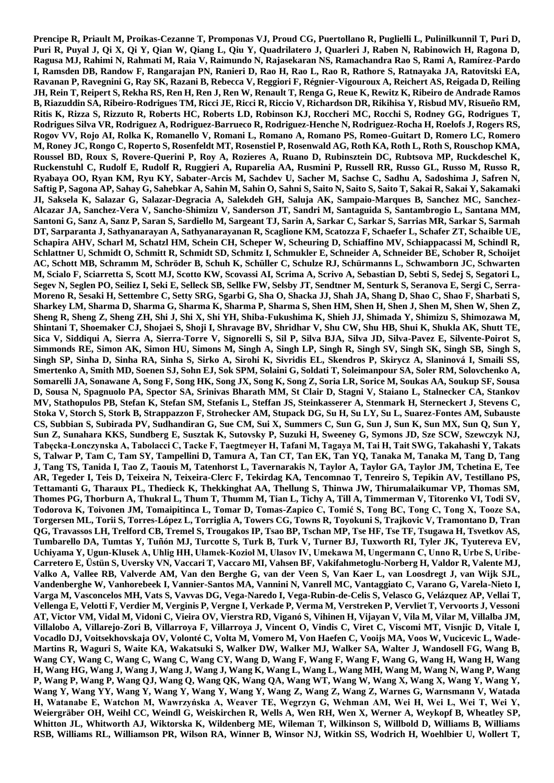**Prencipe R, Priault M, Proikas-Cezanne T, Promponas VJ, Proud CG, Puertollano R, Puglielli L, Pulinilkunnil T, Puri D, Puri R, Puyal J, Qi X, Qi Y, Qian W, Qiang L, Qiu Y, Quadrilatero J, Quarleri J, Raben N, Rabinowich H, Ragona D, Ragusa MJ, Rahimi N, Rahmati M, Raia V, Raimundo N, Rajasekaran NS, Ramachandra Rao S, Rami A, Ramírez-Pardo I, Ramsden DB, Randow F, Rangarajan PN, Ranieri D, Rao H, Rao L, Rao R, Rathore S, Ratnayaka JA, Ratovitski EA, Ravanan P, Ravegnini G, Ray SK, Razani B, Rebecca V, Reggiori F, Régnier-Vigouroux A, Reichert AS, Reigada D, Reiling JH, Rein T, Reipert S, Rekha RS, Ren H, Ren J, Ren W, Renault T, Renga G, Reue K, Rewitz K, Ribeiro de Andrade Ramos B, Riazuddin SA, Ribeiro-Rodrigues TM, Ricci JE, Ricci R, Riccio V, Richardson DR, Rikihisa Y, Risbud MV, Risueño RM, Ritis K, Rizza S, Rizzuto R, Roberts HC, Roberts LD, Robinson KJ, Roccheri MC, Rocchi S, Rodney GG, Rodrigues T, Rodrigues Silva VR, Rodriguez A, Rodriguez-Barrueco R, Rodriguez-Henche N, Rodriguez-Rocha H, Roelofs J, Rogers RS, Rogov VV, Rojo AI, Rolka K, Romanello V, Romani L, Romano A, Romano PS, Romeo-Guitart D, Romero LC, Romero M, Roney JC, Rongo C, Roperto S, Rosenfeldt MT, Rosenstiel P, Rosenwald AG, Roth KA, Roth L, Roth S, Rouschop KMA, Roussel BD, Roux S, Rovere-Querini P, Roy A, Rozieres A, Ruano D, Rubinsztein DC, Rubtsova MP, Ruckdeschel K, Ruckenstuhl C, Rudolf E, Rudolf R, Ruggieri A, Ruparelia AA, Rusmini P, Russell RR, Russo GL, Russo M, Russo R, Ryabaya OO, Ryan KM, Ryu KY, Sabater-Arcis M, Sachdev U, Sacher M, Sachse C, Sadhu A, Sadoshima J, Safren N, Saftig P, Sagona AP, Sahay G, Sahebkar A, Sahin M, Sahin O, Sahni S, Saito N, Saito S, Saito T, Sakai R, Sakai Y, Sakamaki JI, Saksela K, Salazar G, Salazar-Degracia A, Salekdeh GH, Saluja AK, Sampaio-Marques B, Sanchez MC, Sanchez-Alcazar JA, Sanchez-Vera V, Sancho-Shimizu V, Sanderson JT, Sandri M, Santaguida S, Santambrogio L, Santana MM, Santoni G, Sanz A, Sanz P, Saran S, Sardiello M, Sargeant TJ, Sarin A, Sarkar C, Sarkar S, Sarrias MR, Sarkar S, Sarmah DT, Sarparanta J, Sathyanarayan A, Sathyanarayanan R, Scaglione KM, Scatozza F, Schaefer L, Schafer ZT, Schaible UE, Schapira AHV, Scharl M, Schatzl HM, Schein CH, Scheper W, Scheuring D, Schiaffino MV, Schiappacassi M, Schindl R, Schlattner U, Schmidt O, Schmitt R, Schmidt SD, Schmitz I, Schmukler E, Schneider A, Schneider BE, Schober R, Schoijet AC, Schott MB, Schramm M, Schröder B, Schuh K, Schüller C, Schulze RJ, Schürmanns L, Schwamborn JC, Schwarten M, Scialo F, Sciarretta S, Scott MJ, Scotto KW, Scovassi AI, Scrima A, Scrivo A, Sebastian D, Sebti S, Sedej S, Segatori L, Segev N, Seglen PO, Seiliez I, Seki E, Selleck SB, Sellke FW, Selsby JT, Sendtner M, Senturk S, Seranova E, Sergi C, Serra-Moreno R, Sesaki H, Settembre C, Setty SRG, Sgarbi G, Sha O, Shacka JJ, Shah JA, Shang D, Shao C, Shao F, Sharbati S, Sharkey LM, Sharma D, Sharma G, Sharma K, Sharma P, Sharma S, Shen HM, Shen H, Shen J, Shen M, Shen W, Shen Z, Sheng R, Sheng Z, Sheng ZH, Shi J, Shi X, Shi YH, Shiba-Fukushima K, Shieh JJ, Shimada Y, Shimizu S, Shimozawa M, Shintani T, Shoemaker CJ, Shojaei S, Shoji I, Shravage BV, Shridhar V, Shu CW, Shu HB, Shui K, Shukla AK, Shutt TE, Sica V, Siddiqui A, Sierra A, Sierra-Torre V, Signorelli S, Sil P, Silva BJA, Silva JD, Silva-Pavez E, Silvente-Poirot S, Simmonds RE, Simon AK, Simon HU, Simons M, Singh A, Singh LP, Singh R, Singh SV, Singh SK, Singh SB, Singh S, Singh SP, Sinha D, Sinha RA, Sinha S, Sirko A, Sirohi K, Sivridis EL, Skendros P, Skirycz A, Slaninová I, Smaili SS, Smertenko A, Smith MD, Soenen SJ, Sohn EJ, Sok SPM, Solaini G, Soldati T, Soleimanpour SA, Soler RM, Solovchenko A, Somarelli JA, Sonawane A, Song F, Song HK, Song JX, Song K, Song Z, Soria LR, Sorice M, Soukas AA, Soukup SF, Sousa D, Sousa N, Spagnuolo PA, Spector SA, Srinivas Bharath MM, St Clair D, Stagni V, Staiano L, Stalnecker CA, Stankov MV, Stathopulos PB, Stefan K, Stefan SM, Stefanis L, Steffan JS, Steinkasserer A, Stenmark H, Sterneckert J, Stevens C, Stoka V, Storch S, Stork B, Strappazzon F, Strohecker AM, Stupack DG, Su H, Su LY, Su L, Suarez-Fontes AM, Subauste CS, Subbian S, Subirada PV, Sudhandiran G, Sue CM, Sui X, Summers C, Sun G, Sun J, Sun K, Sun MX, Sun Q, Sun Y, Sun Z, Sunahara KKS, Sundberg E, Susztak K, Sutovsky P, Suzuki H, Sweeney G, Symons JD, Sze SCW, Szewczyk NJ, Tabęcka-Łonczynska A, Tabolacci C, Tacke F, Taegtmeyer H, Tafani M, Tagaya M, Tai H, Tait SWG, Takahashi Y, Takats S, Talwar P, Tam C, Tam SY, Tampellini D, Tamura A, Tan CT, Tan EK, Tan YQ, Tanaka M, Tanaka M, Tang D, Tang J, Tang TS, Tanida I, Tao Z, Taouis M, Tatenhorst L, Tavernarakis N, Taylor A, Taylor GA, Taylor JM, Tchetina E, Tee AR, Tegeder I, Teis D, Teixeira N, Teixeira-Clerc F, Tekirdag KA, Tencomnao T, Tenreiro S, Tepikin AV, Testillano PS, Tettamanti G, Tharaux PL, Thedieck K, Thekkinghat AA, Thellung S, Thinwa JW, Thirumalaikumar VP, Thomas SM, Thomes PG, Thorburn A, Thukral L, Thum T, Thumm M, Tian L, Tichy A, Till A, Timmerman V, Titorenko VI, Todi SV, Todorova K, Toivonen JM, Tomaipitinca L, Tomar D, Tomas-Zapico C, Tomić S, Tong BC, Tong C, Tong X, Tooze SA, Torgersen ML, Torii S, Torres-López L, Torriglia A, Towers CG, Towns R, Toyokuni S, Trajkovic V, Tramontano D, Tran QG, Travassos LH, Trelford CB, Tremel S, Trougakos IP, Tsao BP, Tschan MP, Tse HF, Tse TF, Tsugawa H, Tsvetkov AS, Tumbarello DA, Tumtas Y, Tuñón MJ, Turcotte S, Turk B, Turk V, Turner BJ, Tuxworth RI, Tyler JK, Tyutereva EV, Uchiyama Y, Ugun-Klusek A, Uhlig HH, Ułamek-Kozioł M, Ulasov IV, Umekawa M, Ungermann C, Unno R, Urbe S, Uribe-Carretero E, Üstün S, Uversky VN, Vaccari T, Vaccaro MI, Vahsen BF, Vakifahmetoglu-Norberg H, Valdor R, Valente MJ, Valko A, Vallee RB, Valverde AM, Van den Berghe G, van der Veen S, Van Kaer L, van Loosdregt J, van Wijk SJL, Vandenberghe W, Vanhorebeek I, Vannier-Santos MA, Vannini N, Vanrell MC, Vantaggiato C, Varano G, Varela-Nieto I, Varga M, Vasconcelos MH, Vats S, Vavvas DG, Vega-Naredo I, Vega-Rubin-de-Celis S, Velasco G, Velázquez AP, Vellai T, Vellenga E, Velotti F, Verdier M, Verginis P, Vergne I, Verkade P, Verma M, Verstreken P, Vervliet T, Vervoorts J, Vessoni AT, Victor VM, Vidal M, Vidoni C, Vieira OV, Vierstra RD, Viganó S, Vihinen H, Vijayan V, Vila M, Vilar M, Villalba JM, Villalobo A, Villarejo-Zori B, Villarroya F, Villarroya J, Vincent O, Vindis C, Viret C, Viscomi MT, Visnjic D, Vitale I, Vocadlo DJ, Voitsekhovskaja OV, Volonté C, Volta M, Vomero M, Von Haefen C, Vooijs MA, Voos W, Vucicevic L, Wade-Martins R, Waguri S, Waite KA, Wakatsuki S, Walker DW, Walker MJ, Walker SA, Walter J, Wandosell FG, Wang B, Wang CY, Wang C, Wang C, Wang C, Wang CY, Wang D, Wang F, Wang F, Wang F, Wang G, Wang H, Wang H, Wang H, Wang HG, Wang J, Wang J, Wang J, Wang J, Wang K, Wang L, Wang L, Wang MH, Wang M, Wang N, Wang P, Wang P, Wang P, Wang P, Wang QJ, Wang Q, Wang QK, Wang QA, Wang WT, Wang W, Wang X, Wang X, Wang Y, Wang Y, Wang Y, Wang YY, Wang Y, Wang Y, Wang Y, Wang Y, Wang Z, Wang Z, Wang Z, Warnes G, Warnsmann V, Watada H, Watanabe E, Watchon M, Wawrzyńska A, Weaver TE, Wegrzyn G, Wehman AM, Wei H, Wei L, Wei T, Wei Y, Weiergräber OH, Weihl CC, Weindl G, Weiskirchen R, Wells A, Wen RH, Wen X, Werner A, Weykopf B, Wheatley SP, Whitton JL, Whitworth AJ, Wiktorska K, Wildenberg ME, Wileman T, Wilkinson S, Willbold D, Williams B, Williams RSB, Williams RL, Williamson PR, Wilson RA, Winner B, Winsor NJ, Witkin SS, Wodrich H, Woehlbier U, Wollert T,**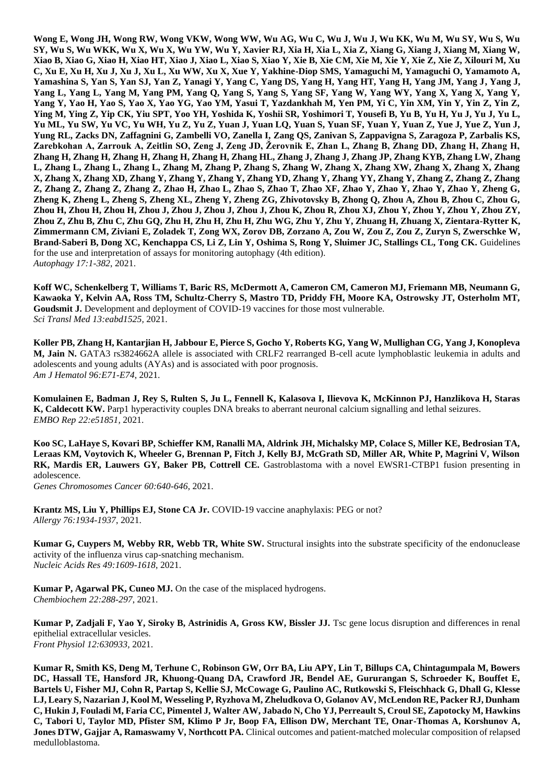**Wong E, Wong JH, Wong RW, Wong VKW, Wong WW, Wu AG, Wu C, Wu J, Wu J, Wu KK, Wu M, Wu SY, Wu S, Wu SY, Wu S, Wu WKK, Wu X, Wu X, Wu YW, Wu Y, Xavier RJ, Xia H, Xia L, Xia Z, Xiang G, Xiang J, Xiang M, Xiang W, Xiao B, Xiao G, Xiao H, Xiao HT, Xiao J, Xiao L, Xiao S, Xiao Y, Xie B, Xie CM, Xie M, Xie Y, Xie Z, Xie Z, Xilouri M, Xu C, Xu E, Xu H, Xu J, Xu J, Xu L, Xu WW, Xu X, Xue Y, Yakhine-Diop SMS, Yamaguchi M, Yamaguchi O, Yamamoto A, Yamashina S, Yan S, Yan SJ, Yan Z, Yanagi Y, Yang C, Yang DS, Yang H, Yang HT, Yang H, Yang JM, Yang J, Yang J, Yang L, Yang L, Yang M, Yang PM, Yang Q, Yang S, Yang S, Yang SF, Yang W, Yang WY, Yang X, Yang X, Yang Y, Yang Y, Yao H, Yao S, Yao X, Yao YG, Yao YM, Yasui T, Yazdankhah M, Yen PM, Yi C, Yin XM, Yin Y, Yin Z, Yin Z, Ying M, Ying Z, Yip CK, Yiu SPT, Yoo YH, Yoshida K, Yoshii SR, Yoshimori T, Yousefi B, Yu B, Yu H, Yu J, Yu J, Yu L, Yu ML, Yu SW, Yu VC, Yu WH, Yu Z, Yu Z, Yuan J, Yuan LQ, Yuan S, Yuan SF, Yuan Y, Yuan Z, Yue J, Yue Z, Yun J, Yung RL, Zacks DN, Zaffagnini G, Zambelli VO, Zanella I, Zang QS, Zanivan S, Zappavigna S, Zaragoza P, Zarbalis KS,**  Zarebkohan A, Zarrouk A, Zeitlin SO, Zeng J, Zeng JD, Žerovnik E, Zhan L, Zhang B, Zhang DD, Zhang H, Zhang H, **Zhang H, Zhang H, Zhang H, Zhang H, Zhang H, Zhang HL, Zhang J, Zhang J, Zhang JP, Zhang KYB, Zhang LW, Zhang L, Zhang L, Zhang L, Zhang L, Zhang M, Zhang P, Zhang S, Zhang W, Zhang X, Zhang XW, Zhang X, Zhang X, Zhang X, Zhang X, Zhang XD, Zhang Y, Zhang Y, Zhang Y, Zhang YD, Zhang Y, Zhang YY, Zhang Y, Zhang Z, Zhang Z, Zhang Z, Zhang Z, Zhang Z, Zhang Z, Zhao H, Zhao L, Zhao S, Zhao T, Zhao XF, Zhao Y, Zhao Y, Zhao Y, Zhao Y, Zheng G, Zheng K, Zheng L, Zheng S, Zheng XL, Zheng Y, Zheng ZG, Zhivotovsky B, Zhong Q, Zhou A, Zhou B, Zhou C, Zhou G, Zhou H, Zhou H, Zhou H, Zhou J, Zhou J, Zhou J, Zhou J, Zhou K, Zhou R, Zhou XJ, Zhou Y, Zhou Y, Zhou Y, Zhou ZY, Zhou Z, Zhu B, Zhu C, Zhu GQ, Zhu H, Zhu H, Zhu H, Zhu WG, Zhu Y, Zhu Y, Zhuang H, Zhuang X, Zientara-Rytter K, Zimmermann CM, Ziviani E, Zoladek T, Zong WX, Zorov DB, Zorzano A, Zou W, Zou Z, Zou Z, Zuryn S, Zwerschke W, Brand-Saberi B, Dong XC, Kenchappa CS, Li Z, Lin Y, Oshima S, Rong Y, Sluimer JC, Stallings CL, Tong CK.** Guidelines for the use and interpretation of assays for monitoring autophagy (4th edition). *Autophagy 17:1-382*, 2021.

**Koff WC, Schenkelberg T, Williams T, Baric RS, McDermott A, Cameron CM, Cameron MJ, Friemann MB, Neumann G, Kawaoka Y, Kelvin AA, Ross TM, Schultz-Cherry S, Mastro TD, Priddy FH, Moore KA, Ostrowsky JT, Osterholm MT, Goudsmit J.** Development and deployment of COVID-19 vaccines for those most vulnerable. *Sci Transl Med 13:eabd1525,* 2021.

**Koller PB, Zhang H, Kantarjian H, Jabbour E, Pierce S, Gocho Y, Roberts KG, Yang W, Mullighan CG, Yang J, Konopleva M, Jain N.** GATA3 rs3824662A allele is associated with CRLF2 rearranged B-cell acute lymphoblastic leukemia in adults and adolescents and young adults (AYAs) and is associated with poor prognosis. *Am J Hematol 96:E71-E74*, 2021.

**Komulainen E, Badman J, Rey S, Rulten S, Ju L, Fennell K, Kalasova I, Ilievova K, McKinnon PJ, Hanzlikova H, Staras K, Caldecott KW.** Parp1 hyperactivity couples DNA breaks to aberrant neuronal calcium signalling and lethal seizures. *EMBO Rep 22:e51851,* 2021.

**Koo SC, LaHaye S, Kovari BP, Schieffer KM, Ranalli MA, Aldrink JH, Michalsky MP, Colace S, Miller KE, Bedrosian TA, Leraas KM, Voytovich K, Wheeler G, Brennan P, Fitch J, Kelly BJ, McGrath SD, Miller AR, White P, Magrini V, Wilson RK, Mardis ER, Lauwers GY, Baker PB, Cottrell CE.** Gastroblastoma with a novel EWSR1-CTBP1 fusion presenting in adolescence.

*Genes Chromosomes Cancer 60:640-646*, 2021.

**Krantz MS, Liu Y, Phillips EJ, Stone CA Jr.** COVID-19 vaccine anaphylaxis: PEG or not? *Allergy 76:1934-1937*, 2021.

**Kumar G, Cuypers M, Webby RR, Webb TR, White SW.** Structural insights into the substrate specificity of the endonuclease activity of the influenza virus cap-snatching mechanism. *Nucleic Acids Res 49:1609-1618*, 2021.

**Kumar P, Agarwal PK, Cuneo MJ.** On the case of the misplaced hydrogens. *Chembiochem 22:288-297*, 2021.

**Kumar P, Zadjali F, Yao Y, Siroky B, Astrinidis A, Gross KW, Bissler JJ.** Tsc gene locus disruption and differences in renal epithelial extracellular vesicles. *Front Physiol 12:630933,* 2021.

**Kumar R, Smith KS, Deng M, Terhune C, Robinson GW, Orr BA, Liu APY, Lin T, Billups CA, Chintagumpala M, Bowers DC, Hassall TE, Hansford JR, Khuong-Quang DA, Crawford JR, Bendel AE, Gururangan S, Schroeder K, Bouffet E, Bartels U, Fisher MJ, Cohn R, Partap S, Kellie SJ, McCowage G, Paulino AC, Rutkowski S, Fleischhack G, Dhall G, Klesse LJ, Leary S, Nazarian J, Kool M, Wesseling P, Ryzhova M, Zheludkova O, Golanov AV, McLendon RE, Packer RJ, Dunham C, Hukin J, Fouladi M, Faria CC, Pimentel J, Walter AW, Jabado N, Cho YJ, Perreault S, Croul SE, Zapotocky M, Hawkins C, Tabori U, Taylor MD, Pfister SM, Klimo P Jr, Boop FA, Ellison DW, Merchant TE, Onar-Thomas A, Korshunov A, Jones DTW, Gajjar A, Ramaswamy V, Northcott PA.** Clinical outcomes and patient-matched molecular composition of relapsed medulloblastoma.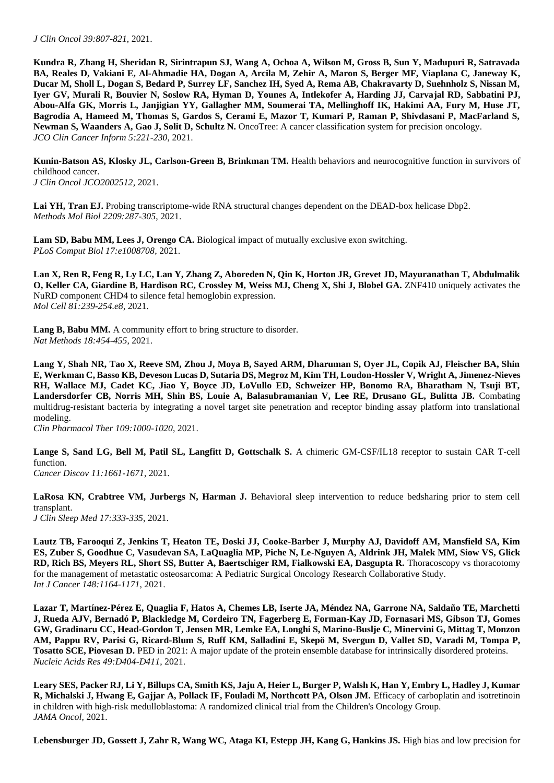**Kundra R, Zhang H, Sheridan R, Sirintrapun SJ, Wang A, Ochoa A, Wilson M, Gross B, Sun Y, Madupuri R, Satravada BA, Reales D, Vakiani E, Al-Ahmadie HA, Dogan A, Arcila M, Zehir A, Maron S, Berger MF, Viaplana C, Janeway K, Ducar M, Sholl L, Dogan S, Bedard P, Surrey LF, Sanchez IH, Syed A, Rema AB, Chakravarty D, Suehnholz S, Nissan M, Iyer GV, Murali R, Bouvier N, Soslow RA, Hyman D, Younes A, Intlekofer A, Harding JJ, Carvajal RD, Sabbatini PJ, Abou-Alfa GK, Morris L, Janjigian YY, Gallagher MM, Soumerai TA, Mellinghoff IK, Hakimi AA, Fury M, Huse JT, Bagrodia A, Hameed M, Thomas S, Gardos S, Cerami E, Mazor T, Kumari P, Raman P, Shivdasani P, MacFarland S, Newman S, Waanders A, Gao J, Solit D, Schultz N.** OncoTree: A cancer classification system for precision oncology. *JCO Clin Cancer Inform 5:221-230*, 2021.

Kunin-Batson AS, Klosky JL, Carlson-Green B, Brinkman TM. Health behaviors and neurocognitive function in survivors of childhood cancer. *J Clin Oncol JCO2002512,* 2021.

Lai YH, Tran EJ. Probing transcriptome-wide RNA structural changes dependent on the DEAD-box helicase Dbp2. *Methods Mol Biol 2209:287-305*, 2021.

Lam SD, Babu MM, Lees J, Orengo CA. Biological impact of mutually exclusive exon switching. *PLoS Comput Biol 17:e1008708,* 2021.

**Lan X, Ren R, Feng R, Ly LC, Lan Y, Zhang Z, Aboreden N, Qin K, Horton JR, Grevet JD, Mayuranathan T, Abdulmalik O, Keller CA, Giardine B, Hardison RC, Crossley M, Weiss MJ, Cheng X, Shi J, Blobel GA. ZNF410 uniquely activates the** NuRD component CHD4 to silence fetal hemoglobin expression. *Mol Cell 81:239-254.e8*, 2021.

**Lang B, Babu MM.** A community effort to bring structure to disorder. *Nat Methods 18:454-455*, 2021.

**Lang Y, Shah NR, Tao X, Reeve SM, Zhou J, Moya B, Sayed ARM, Dharuman S, Oyer JL, Copik AJ, Fleischer BA, Shin E, Werkman C, Basso KB, Deveson Lucas D, Sutaria DS, Megroz M, Kim TH, Loudon-Hossler V, Wright A, Jimenez-Nieves RH, Wallace MJ, Cadet KC, Jiao Y, Boyce JD, LoVullo ED, Schweizer HP, Bonomo RA, Bharatham N, Tsuji BT, Landersdorfer CB, Norris MH, Shin BS, Louie A, Balasubramanian V, Lee RE, Drusano GL, Bulitta JB.** Combating multidrug-resistant bacteria by integrating a novel target site penetration and receptor binding assay platform into translational modeling.

*Clin Pharmacol Ther 109:1000-1020*, 2021.

Lange S, Sand LG, Bell M, Patil SL, Langfitt D, Gottschalk S. A chimeric GM-CSF/IL18 receptor to sustain CAR T-cell function. *Cancer Discov 11:1661-1671*, 2021.

**LaRosa KN, Crabtree VM, Jurbergs N, Harman J.** Behavioral sleep intervention to reduce bedsharing prior to stem cell transplant.

*J Clin Sleep Med 17:333-335*, 2021.

**Lautz TB, Farooqui Z, Jenkins T, Heaton TE, Doski JJ, Cooke-Barber J, Murphy AJ, Davidoff AM, Mansfield SA, Kim ES, Zuber S, Goodhue C, Vasudevan SA, LaQuaglia MP, Piche N, Le-Nguyen A, Aldrink JH, Malek MM, Siow VS, Glick RD, Rich BS, Meyers RL, Short SS, Butter A, Baertschiger RM, Fialkowski EA, Dasgupta R.** Thoracoscopy vs thoracotomy for the management of metastatic osteosarcoma: A Pediatric Surgical Oncology Research Collaborative Study. *Int J Cancer 148:1164-1171*, 2021.

**Lazar T, Martínez-Pérez E, Quaglia F, Hatos A, Chemes LB, Iserte JA, Méndez NA, Garrone NA, Saldaño TE, Marchetti J, Rueda AJV, Bernadó P, Blackledge M, Cordeiro TN, Fagerberg E, Forman-Kay JD, Fornasari MS, Gibson TJ, Gomes GW, Gradinaru CC, Head-Gordon T, Jensen MR, Lemke EA, Longhi S, Marino-Buslje C, Minervini G, Mittag T, Monzon AM, Pappu RV, Parisi G, Ricard-Blum S, Ruff KM, Salladini E, Skepö M, Svergun D, Vallet SD, Varadi M, Tompa P, Tosatto SCE, Piovesan D.** PED in 2021: A major update of the protein ensemble database for intrinsically disordered proteins. *Nucleic Acids Res 49:D404-D411*, 2021.

**Leary SES, Packer RJ, Li Y, Billups CA, Smith KS, Jaju A, Heier L, Burger P, Walsh K, Han Y, Embry L, Hadley J, Kumar R, Michalski J, Hwang E, Gajjar A, Pollack IF, Fouladi M, Northcott PA, Olson JM.** Efficacy of carboplatin and isotretinoin in children with high-risk medulloblastoma: A randomized clinical trial from the Children's Oncology Group. *JAMA Oncol,* 2021.

Lebensburger JD, Gossett J, Zahr R, Wang WC, Ataga KI, Estepp JH, Kang G, Hankins JS. High bias and low precision for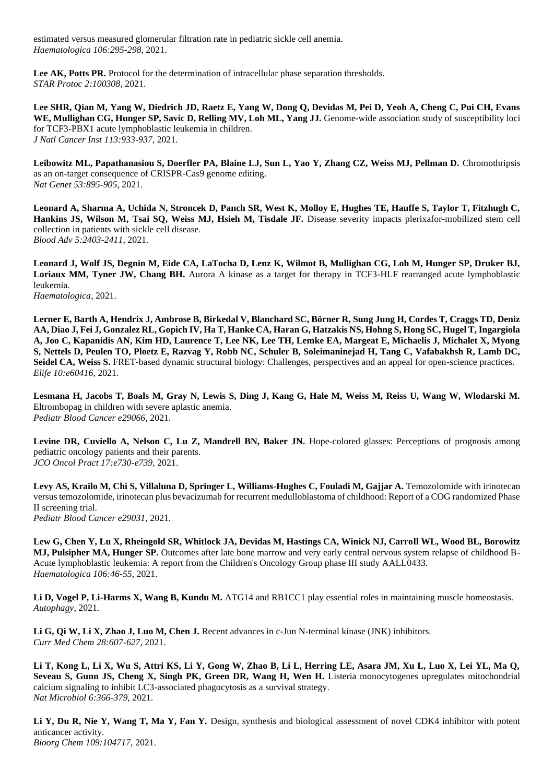estimated versus measured glomerular filtration rate in pediatric sickle cell anemia. *Haematologica 106:295-298*, 2021.

Lee AK, Potts PR. Protocol for the determination of intracellular phase separation thresholds. *STAR Protoc 2:100308,* 2021.

**Lee SHR, Qian M, Yang W, Diedrich JD, Raetz E, Yang W, Dong Q, Devidas M, Pei D, Yeoh A, Cheng C, Pui CH, Evans**  WE, Mullighan CG, Hunger SP, Savic D, Relling MV, Loh ML, Yang JJ. Genome-wide association study of susceptibility loci for TCF3-PBX1 acute lymphoblastic leukemia in children. *J Natl Cancer Inst 113:933-937*, 2021.

**Leibowitz ML, Papathanasiou S, Doerfler PA, Blaine LJ, Sun L, Yao Y, Zhang CZ, Weiss MJ, Pellman D.** Chromothripsis as an on-target consequence of CRISPR-Cas9 genome editing. *Nat Genet 53:895-905*, 2021.

**Leonard A, Sharma A, Uchida N, Stroncek D, Panch SR, West K, Molloy E, Hughes TE, Hauffe S, Taylor T, Fitzhugh C,**  Hankins JS, Wilson M, Tsai SQ, Weiss MJ, Hsieh M, Tisdale JF. Disease severity impacts plerixafor-mobilized stem cell collection in patients with sickle cell disease. *Blood Adv 5:2403-2411*, 2021.

**Leonard J, Wolf JS, Degnin M, Eide CA, LaTocha D, Lenz K, Wilmot B, Mullighan CG, Loh M, Hunger SP, Druker BJ, Loriaux MM, Tyner JW, Chang BH.** Aurora A kinase as a target for therapy in TCF3-HLF rearranged acute lymphoblastic leukemia.

*Haematologica,* 2021.

**Lerner E, Barth A, Hendrix J, Ambrose B, Birkedal V, Blanchard SC, Börner R, Sung Jung H, Cordes T, Craggs TD, Deniz AA, Diao J, Fei J, Gonzalez RL, Gopich IV, Ha T, Hanke CA, Haran G, Hatzakis NS, Hohng S, Hong SC, Hugel T, Ingargiola A, Joo C, Kapanidis AN, Kim HD, Laurence T, Lee NK, Lee TH, Lemke EA, Margeat E, Michaelis J, Michalet X, Myong S, Nettels D, Peulen TO, Ploetz E, Razvag Y, Robb NC, Schuler B, Soleimaninejad H, Tang C, Vafabakhsh R, Lamb DC, Seidel CA, Weiss S.** FRET-based dynamic structural biology: Challenges, perspectives and an appeal for open-science practices. *Elife 10:e60416,* 2021.

**Lesmana H, Jacobs T, Boals M, Gray N, Lewis S, Ding J, Kang G, Hale M, Weiss M, Reiss U, Wang W, Wlodarski M.**  Eltrombopag in children with severe aplastic anemia. *Pediatr Blood Cancer e29066,* 2021.

Levine DR, Cuviello A, Nelson C, Lu Z, Mandrell BN, Baker JN. Hope-colored glasses: Perceptions of prognosis among pediatric oncology patients and their parents. *JCO Oncol Pract 17:e730-e739*, 2021.

Levy AS, Krailo M, Chi S, Villaluna D, Springer L, Williams-Hughes C, Fouladi M, Gajjar A. Temozolomide with irinotecan versus temozolomide, irinotecan plus bevacizumab for recurrent medulloblastoma of childhood: Report of a COG randomized Phase II screening trial.

*Pediatr Blood Cancer e29031,* 2021.

**Lew G, Chen Y, Lu X, Rheingold SR, Whitlock JA, Devidas M, Hastings CA, Winick NJ, Carroll WL, Wood BL, Borowitz MJ, Pulsipher MA, Hunger SP.** Outcomes after late bone marrow and very early central nervous system relapse of childhood B-Acute lymphoblastic leukemia: A report from the Children's Oncology Group phase III study AALL0433. *Haematologica 106:46-55*, 2021.

Li D, Vogel P, Li-Harms X, Wang B, Kundu M. ATG14 and RB1CC1 play essential roles in maintaining muscle homeostasis. *Autophagy,* 2021.

Li G, Oi W, Li X, Zhao J, Luo M, Chen J. Recent advances in c-Jun N-terminal kinase (JNK) inhibitors. *Curr Med Chem 28:607-627*, 2021.

**Li T, Kong L, Li X, Wu S, Attri KS, Li Y, Gong W, Zhao B, Li L, Herring LE, Asara JM, Xu L, Luo X, Lei YL, Ma Q, Seveau S, Gunn JS, Cheng X, Singh PK, Green DR, Wang H, Wen H.** Listeria monocytogenes upregulates mitochondrial calcium signaling to inhibit LC3-associated phagocytosis as a survival strategy. *Nat Microbiol 6:366-379*, 2021.

**Li Y, Du R, Nie Y, Wang T, Ma Y, Fan Y.** Design, synthesis and biological assessment of novel CDK4 inhibitor with potent anticancer activity. *Bioorg Chem 109:104717,* 2021.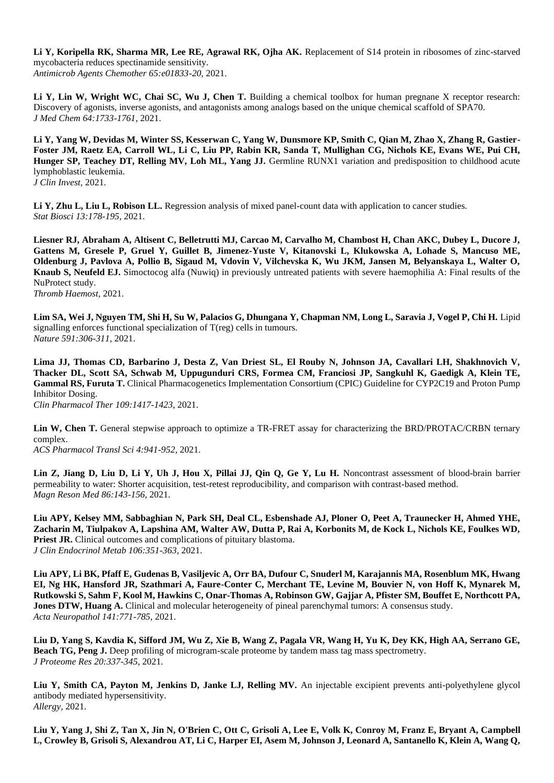**Li Y, Koripella RK, Sharma MR, Lee RE, Agrawal RK, Ojha AK.** Replacement of S14 protein in ribosomes of zinc-starved mycobacteria reduces spectinamide sensitivity. *Antimicrob Agents Chemother 65:e01833-20,* 2021.

Li Y, Lin W, Wright WC, Chai SC, Wu J, Chen T. Building a chemical toolbox for human pregnane X receptor research: Discovery of agonists, inverse agonists, and antagonists among analogs based on the unique chemical scaffold of SPA70. *J Med Chem 64:1733-1761*, 2021.

**Li Y, Yang W, Devidas M, Winter SS, Kesserwan C, Yang W, Dunsmore KP, Smith C, Qian M, Zhao X, Zhang R, Gastier-Foster JM, Raetz EA, Carroll WL, Li C, Liu PP, Rabin KR, Sanda T, Mullighan CG, Nichols KE, Evans WE, Pui CH,**  Hunger SP, Teachey DT, Relling MV, Loh ML, Yang JJ. Germline RUNX1 variation and predisposition to childhood acute lymphoblastic leukemia. *J Clin Invest,* 2021.

**Li Y, Zhu L, Liu L, Robison LL.** Regression analysis of mixed panel-count data with application to cancer studies. *Stat Biosci 13:178-195*, 2021.

**Liesner RJ, Abraham A, Altisent C, Belletrutti MJ, Carcao M, Carvalho M, Chambost H, Chan AKC, Dubey L, Ducore J, Gattens M, Gresele P, Gruel Y, Guillet B, Jimenez-Yuste V, Kitanovski L, Klukowska A, Lohade S, Mancuso ME, Oldenburg J, Pavlova A, Pollio B, Sigaud M, Vdovin V, Vilchevska K, Wu JKM, Jansen M, Belyanskaya L, Walter O, Knaub S, Neufeld EJ.** Simoctocog alfa (Nuwiq) in previously untreated patients with severe haemophilia A: Final results of the NuProtect study.

*Thromb Haemost,* 2021.

Lim SA, Wei J, Nguyen TM, Shi H, Su W, Palacios G, Dhungana Y, Chapman NM, Long L, Saravia J, Vogel P, Chi H. Lipid signalling enforces functional specialization of T(reg) cells in tumours. *Nature 591:306-311*, 2021.

**Lima JJ, Thomas CD, Barbarino J, Desta Z, Van Driest SL, El Rouby N, Johnson JA, Cavallari LH, Shakhnovich V, Thacker DL, Scott SA, Schwab M, Uppugunduri CRS, Formea CM, Franciosi JP, Sangkuhl K, Gaedigk A, Klein TE, Gammal RS, Furuta T.** Clinical Pharmacogenetics Implementation Consortium (CPIC) Guideline for CYP2C19 and Proton Pump Inhibitor Dosing. *Clin Pharmacol Ther 109:1417-1423*, 2021.

Lin W, Chen T. General stepwise approach to optimize a TR-FRET assay for characterizing the BRD/PROTAC/CRBN ternary complex. *ACS Pharmacol Transl Sci 4:941-952*, 2021.

Lin Z, Jiang D, Liu D, Li Y, Uh J, Hou X, Pillai JJ, Qin Q, Ge Y, Lu H. Noncontrast assessment of blood-brain barrier permeability to water: Shorter acquisition, test-retest reproducibility, and comparison with contrast-based method. *Magn Reson Med 86:143-156*, 2021.

**Liu APY, Kelsey MM, Sabbaghian N, Park SH, Deal CL, Esbenshade AJ, Ploner O, Peet A, Traunecker H, Ahmed YHE, Zacharin M, Tiulpakov A, Lapshina AM, Walter AW, Dutta P, Rai A, Korbonits M, de Kock L, Nichols KE, Foulkes WD,**  Priest JR. Clinical outcomes and complications of pituitary blastoma. *J Clin Endocrinol Metab 106:351-363*, 2021.

**Liu APY, Li BK, Pfaff E, Gudenas B, Vasiljevic A, Orr BA, Dufour C, Snuderl M, Karajannis MA, Rosenblum MK, Hwang EI, Ng HK, Hansford JR, Szathmari A, Faure-Conter C, Merchant TE, Levine M, Bouvier N, von Hoff K, Mynarek M, Rutkowski S, Sahm F, Kool M, Hawkins C, Onar-Thomas A, Robinson GW, Gajjar A, Pfister SM, Bouffet E, Northcott PA, Jones DTW, Huang A.** Clinical and molecular heterogeneity of pineal parenchymal tumors: A consensus study. *Acta Neuropathol 141:771-785*, 2021.

**Liu D, Yang S, Kavdia K, Sifford JM, Wu Z, Xie B, Wang Z, Pagala VR, Wang H, Yu K, Dey KK, High AA, Serrano GE,**  Beach TG, Peng J. Deep profiling of microgram-scale proteome by tandem mass tag mass spectrometry. *J Proteome Res 20:337-345*, 2021.

**Liu Y, Smith CA, Payton M, Jenkins D, Janke LJ, Relling MV.** An injectable excipient prevents anti-polyethylene glycol antibody mediated hypersensitivity. *Allergy,* 2021.

**Liu Y, Yang J, Shi Z, Tan X, Jin N, O'Brien C, Ott C, Grisoli A, Lee E, Volk K, Conroy M, Franz E, Bryant A, Campbell L, Crowley B, Grisoli S, Alexandrou AT, Li C, Harper EI, Asem M, Johnson J, Leonard A, Santanello K, Klein A, Wang Q,**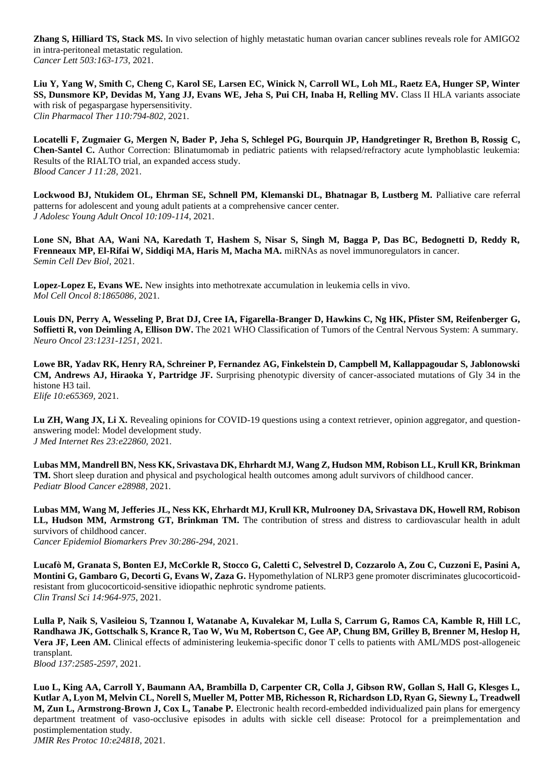**Zhang S, Hilliard TS, Stack MS.** In vivo selection of highly metastatic human ovarian cancer sublines reveals role for AMIGO2 in intra-peritoneal metastatic regulation. *Cancer Lett 503:163-173*, 2021.

**Liu Y, Yang W, Smith C, Cheng C, Karol SE, Larsen EC, Winick N, Carroll WL, Loh ML, Raetz EA, Hunger SP, Winter SS, Dunsmore KP, Devidas M, Yang JJ, Evans WE, Jeha S, Pui CH, Inaba H, Relling MV.** Class II HLA variants associate with risk of pegaspargase hypersensitivity. *Clin Pharmacol Ther 110:794-802,* 2021.

**Locatelli F, Zugmaier G, Mergen N, Bader P, Jeha S, Schlegel PG, Bourquin JP, Handgretinger R, Brethon B, Rossig C, Chen-Santel C.** Author Correction: Blinatumomab in pediatric patients with relapsed/refractory acute lymphoblastic leukemia: Results of the RIALTO trial, an expanded access study. *Blood Cancer J 11:28,* 2021.

Lockwood BJ, Ntukidem OL, Ehrman SE, Schnell PM, Klemanski DL, Bhatnagar B, Lustberg M. Palliative care referral patterns for adolescent and young adult patients at a comprehensive cancer center. *J Adolesc Young Adult Oncol 10:109-114*, 2021.

**Lone SN, Bhat AA, Wani NA, Karedath T, Hashem S, Nisar S, Singh M, Bagga P, Das BC, Bedognetti D, Reddy R, Frenneaux MP, El-Rifai W, Siddiqi MA, Haris M, Macha MA.** miRNAs as novel immunoregulators in cancer. *Semin Cell Dev Biol,* 2021.

**Lopez-Lopez E, Evans WE.** New insights into methotrexate accumulation in leukemia cells in vivo. *Mol Cell Oncol 8:1865086,* 2021.

**Louis DN, Perry A, Wesseling P, Brat DJ, Cree IA, Figarella-Branger D, Hawkins C, Ng HK, Pfister SM, Reifenberger G, Soffietti R, von Deimling A, Ellison DW.** The 2021 WHO Classification of Tumors of the Central Nervous System: A summary. *Neuro Oncol 23:1231-1251,* 2021.

**Lowe BR, Yadav RK, Henry RA, Schreiner P, Fernandez AG, Finkelstein D, Campbell M, Kallappagoudar S, Jablonowski CM, Andrews AJ, Hiraoka Y, Partridge JF.** Surprising phenotypic diversity of cancer-associated mutations of Gly 34 in the histone H3 tail.

*Elife 10:e65369,* 2021.

Lu ZH, Wang JX, Li X. Revealing opinions for COVID-19 questions using a context retriever, opinion aggregator, and questionanswering model: Model development study. *J Med Internet Res 23:e22860,* 2021.

**Lubas MM, Mandrell BN, Ness KK, Srivastava DK, Ehrhardt MJ, Wang Z, Hudson MM, Robison LL, Krull KR, Brinkman TM.** Short sleep duration and physical and psychological health outcomes among adult survivors of childhood cancer. *Pediatr Blood Cancer e28988,* 2021.

**Lubas MM, Wang M, Jefferies JL, Ness KK, Ehrhardt MJ, Krull KR, Mulrooney DA, Srivastava DK, Howell RM, Robison**  LL, Hudson MM, Armstrong GT, Brinkman TM. The contribution of stress and distress to cardiovascular health in adult survivors of childhood cancer. *Cancer Epidemiol Biomarkers Prev 30:286-294*, 2021.

**Lucafò M, Granata S, Bonten EJ, McCorkle R, Stocco G, Caletti C, Selvestrel D, Cozzarolo A, Zou C, Cuzzoni E, Pasini A, Montini G, Gambaro G, Decorti G, Evans W, Zaza G.** Hypomethylation of NLRP3 gene promoter discriminates glucocorticoidresistant from glucocorticoid-sensitive idiopathic nephrotic syndrome patients. *Clin Transl Sci 14:964-975*, 2021.

**Lulla P, Naik S, Vasileiou S, Tzannou I, Watanabe A, Kuvalekar M, Lulla S, Carrum G, Ramos CA, Kamble R, Hill LC, Randhawa JK, Gottschalk S, Krance R, Tao W, Wu M, Robertson C, Gee AP, Chung BM, Grilley B, Brenner M, Heslop H, Vera JF, Leen AM.** Clinical effects of administering leukemia-specific donor T cells to patients with AML/MDS post-allogeneic transplant. *Blood 137:2585-2597*, 2021.

**Luo L, King AA, Carroll Y, Baumann AA, Brambilla D, Carpenter CR, Colla J, Gibson RW, Gollan S, Hall G, Klesges L, Kutlar A, Lyon M, Melvin CL, Norell S, Mueller M, Potter MB, Richesson R, Richardson LD, Ryan G, Siewny L, Treadwell M, Zun L, Armstrong-Brown J, Cox L, Tanabe P.** Electronic health record-embedded individualized pain plans for emergency department treatment of vaso-occlusive episodes in adults with sickle cell disease: Protocol for a preimplementation and postimplementation study.

*JMIR Res Protoc 10:e24818,* 2021.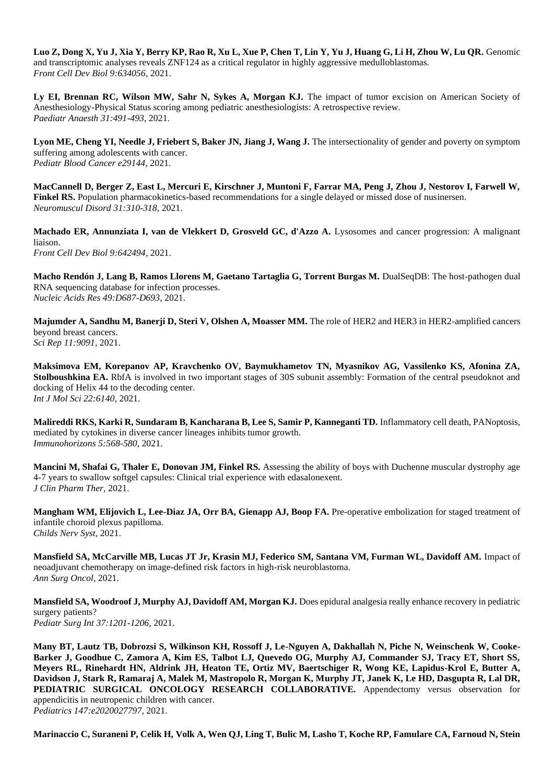**Luo Z, Dong X, Yu J, Xia Y, Berry KP, Rao R, Xu L, Xue P, Chen T, Lin Y, Yu J, Huang G, Li H, Zhou W, Lu QR.** Genomic and transcriptomic analyses reveals ZNF124 as a critical regulator in highly aggressive medulloblastomas. *Front Cell Dev Biol 9:634056,* 2021.

Ly EI, Brennan RC, Wilson MW, Sahr N, Sykes A, Morgan KJ. The impact of tumor excision on American Society of Anesthesiology-Physical Status scoring among pediatric anesthesiologists: A retrospective review. *Paediatr Anaesth 31:491-493*, 2021.

Lyon ME, Cheng YI, Needle J, Friebert S, Baker JN, Jiang J, Wang J. The intersectionality of gender and poverty on symptom suffering among adolescents with cancer. *Pediatr Blood Cancer e29144,* 2021.

**MacCannell D, Berger Z, East L, Mercuri E, Kirschner J, Muntoni F, Farrar MA, Peng J, Zhou J, Nestorov I, Farwell W, Finkel RS.** Population pharmacokinetics-based recommendations for a single delayed or missed dose of nusinersen. *Neuromuscul Disord 31:310-318,* 2021.

**Machado ER, Annunziata I, van de Vlekkert D, Grosveld GC, d'Azzo A.** Lysosomes and cancer progression: A malignant liaison. *Front Cell Dev Biol 9:642494,* 2021.

**Macho Rendón J, Lang B, Ramos Llorens M, Gaetano Tartaglia G, Torrent Burgas M.** DualSeqDB: The host-pathogen dual RNA sequencing database for infection processes. *Nucleic Acids Res 49:D687-D693*, 2021.

**Majumder A, Sandhu M, Banerji D, Steri V, Olshen A, Moasser MM.** The role of HER2 and HER3 in HER2-amplified cancers beyond breast cancers. *Sci Rep 11:9091,* 2021.

**Maksimova EM, Korepanov AP, Kravchenko OV, Baymukhametov TN, Myasnikov AG, Vassilenko KS, Afonina ZA, Stolboushkina EA.** RbfA is involved in two important stages of 30S subunit assembly: Formation of the central pseudoknot and docking of Helix 44 to the decoding center. *Int J Mol Sci 22:6140,* 2021.

**Malireddi RKS, Karki R, Sundaram B, Kancharana B, Lee S, Samir P, Kanneganti TD.** Inflammatory cell death, PANoptosis, mediated by cytokines in diverse cancer lineages inhibits tumor growth. *Immunohorizons 5:568-580*, 2021.

**Mancini M, Shafai G, Thaler E, Donovan JM, Finkel RS.** Assessing the ability of boys with Duchenne muscular dystrophy age 4-7 years to swallow softgel capsules: Clinical trial experience with edasalonexent. *J Clin Pharm Ther,* 2021.

**Mangham WM, Elijovich L, Lee-Diaz JA, Orr BA, Gienapp AJ, Boop FA.** Pre-operative embolization for staged treatment of infantile choroid plexus papilloma. *Childs Nerv Syst,* 2021.

**Mansfield SA, McCarville MB, Lucas JT Jr, Krasin MJ, Federico SM, Santana VM, Furman WL, Davidoff AM.** Impact of neoadjuvant chemotherapy on image-defined risk factors in high-risk neuroblastoma. *Ann Surg Oncol,* 2021.

**Mansfield SA, Woodroof J, Murphy AJ, Davidoff AM, Morgan KJ.** Does epidural analgesia really enhance recovery in pediatric surgery patients? *Pediatr Surg Int 37:1201-1206,* 2021.

**Many BT, Lautz TB, Dobrozsi S, Wilkinson KH, Rossoff J, Le-Nguyen A, Dakhallah N, Piche N, Weinschenk W, Cooke-Barker J, Goodhue C, Zamora A, Kim ES, Talbot LJ, Quevedo OG, Murphy AJ, Commander SJ, Tracy ET, Short SS, Meyers RL, Rinehardt HN, Aldrink JH, Heaton TE, Ortiz MV, Baertschiger R, Wong KE, Lapidus-Krol E, Butter A, Davidson J, Stark R, Ramaraj A, Malek M, Mastropolo R, Morgan K, Murphy JT, Janek K, Le HD, Dasgupta R, Lal DR, PEDIATRIC SURGICAL ONCOLOGY RESEARCH COLLABORATIVE.** Appendectomy versus observation for appendicitis in neutropenic children with cancer.

*Pediatrics 147:e2020027797,* 2021.

**Marinaccio C, Suraneni P, Celik H, Volk A, Wen QJ, Ling T, Bulic M, Lasho T, Koche RP, Famulare CA, Farnoud N, Stein**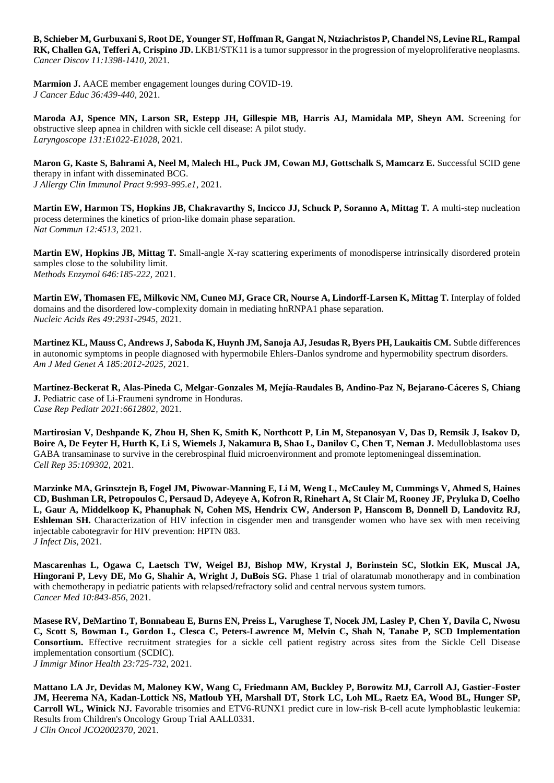**B, Schieber M, Gurbuxani S, Root DE, Younger ST, Hoffman R, Gangat N, Ntziachristos P, Chandel NS, Levine RL, Rampal RK, Challen GA, Tefferi A, Crispino JD.** LKB1/STK11 is a tumor suppressor in the progression of myeloproliferative neoplasms. *Cancer Discov 11:1398-1410*, 2021.

**Marmion J.** AACE member engagement lounges during COVID-19. *J Cancer Educ 36:439-440,* 2021.

**Maroda AJ, Spence MN, Larson SR, Estepp JH, Gillespie MB, Harris AJ, Mamidala MP, Sheyn AM.** Screening for obstructive sleep apnea in children with sickle cell disease: A pilot study. *Laryngoscope 131:E1022-E1028*, 2021.

**Maron G, Kaste S, Bahrami A, Neel M, Malech HL, Puck JM, Cowan MJ, Gottschalk S, Mamcarz E.** Successful SCID gene therapy in infant with disseminated BCG. *J Allergy Clin Immunol Pract 9:993-995.e1*, 2021.

**Martin EW, Harmon TS, Hopkins JB, Chakravarthy S, Incicco JJ, Schuck P, Soranno A, Mittag T.** A multi-step nucleation process determines the kinetics of prion-like domain phase separation. *Nat Commun 12:4513,* 2021.

**Martin EW, Hopkins JB, Mittag T.** Small-angle X-ray scattering experiments of monodisperse intrinsically disordered protein samples close to the solubility limit. *Methods Enzymol 646:185-222*, 2021.

**Martin EW, Thomasen FE, Milkovic NM, Cuneo MJ, Grace CR, Nourse A, Lindorff-Larsen K, Mittag T.** Interplay of folded domains and the disordered low-complexity domain in mediating hnRNPA1 phase separation. *Nucleic Acids Res 49:2931-2945*, 2021.

**Martinez KL, Mauss C, Andrews J, Saboda K, Huynh JM, Sanoja AJ, Jesudas R, Byers PH, Laukaitis CM.** Subtle differences in autonomic symptoms in people diagnosed with hypermobile Ehlers-Danlos syndrome and hypermobility spectrum disorders. *Am J Med Genet A 185:2012-2025,* 2021.

**Martínez-Beckerat R, Alas-Pineda C, Melgar-Gonzales M, Mejía-Raudales B, Andino-Paz N, Bejarano-Cáceres S, Chiang J.** Pediatric case of Li-Fraumeni syndrome in Honduras. *Case Rep Pediatr 2021:6612802,* 2021.

**Martirosian V, Deshpande K, Zhou H, Shen K, Smith K, Northcott P, Lin M, Stepanosyan V, Das D, Remsik J, Isakov D, Boire A, De Feyter H, Hurth K, Li S, Wiemels J, Nakamura B, Shao L, Danilov C, Chen T, Neman J.** Medulloblastoma uses GABA transaminase to survive in the cerebrospinal fluid microenvironment and promote leptomeningeal dissemination. *Cell Rep 35:109302,* 2021.

**Marzinke MA, Grinsztejn B, Fogel JM, Piwowar-Manning E, Li M, Weng L, McCauley M, Cummings V, Ahmed S, Haines CD, Bushman LR, Petropoulos C, Persaud D, Adeyeye A, Kofron R, Rinehart A, St Clair M, Rooney JF, Pryluka D, Coelho L, Gaur A, Middelkoop K, Phanuphak N, Cohen MS, Hendrix CW, Anderson P, Hanscom B, Donnell D, Landovitz RJ, Eshleman SH.** Characterization of HIV infection in cisgender men and transgender women who have sex with men receiving injectable cabotegravir for HIV prevention: HPTN 083. *J Infect Dis,* 2021.

**Mascarenhas L, Ogawa C, Laetsch TW, Weigel BJ, Bishop MW, Krystal J, Borinstein SC, Slotkin EK, Muscal JA, Hingorani P, Levy DE, Mo G, Shahir A, Wright J, DuBois SG.** Phase 1 trial of olaratumab monotherapy and in combination with chemotherapy in pediatric patients with relapsed/refractory solid and central nervous system tumors. *Cancer Med 10:843-856*, 2021.

**Masese RV, DeMartino T, Bonnabeau E, Burns EN, Preiss L, Varughese T, Nocek JM, Lasley P, Chen Y, Davila C, Nwosu C, Scott S, Bowman L, Gordon L, Clesca C, Peters-Lawrence M, Melvin C, Shah N, Tanabe P, SCD Implementation Consortium.** Effective recruitment strategies for a sickle cell patient registry across sites from the Sickle Cell Disease implementation consortium (SCDIC). *J Immigr Minor Health 23:725-732*, 2021.

**Mattano LA Jr, Devidas M, Maloney KW, Wang C, Friedmann AM, Buckley P, Borowitz MJ, Carroll AJ, Gastier-Foster JM, Heerema NA, Kadan-Lottick NS, Matloub YH, Marshall DT, Stork LC, Loh ML, Raetz EA, Wood BL, Hunger SP, Carroll WL, Winick NJ.** Favorable trisomies and ETV6-RUNX1 predict cure in low-risk B-cell acute lymphoblastic leukemia: Results from Children's Oncology Group Trial AALL0331. *J Clin Oncol JCO2002370,* 2021.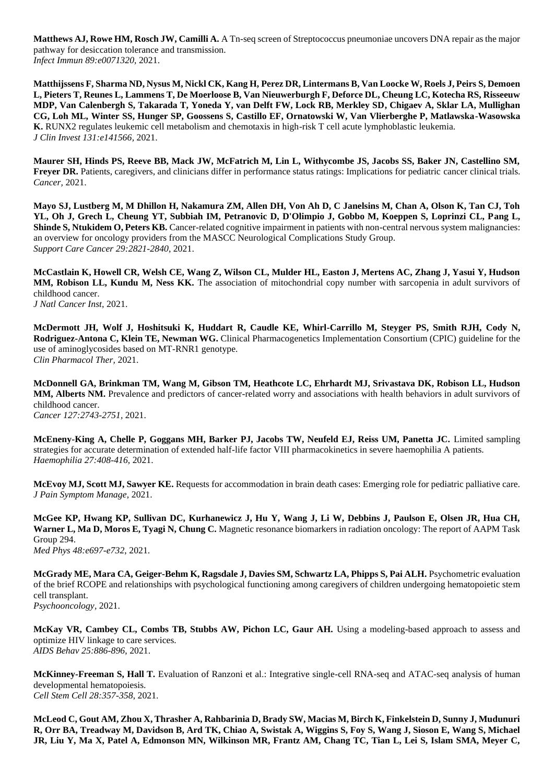**Matthews AJ, Rowe HM, Rosch JW, Camilli A.** A Tn-seq screen of Streptococcus pneumoniae uncovers DNA repair as the major pathway for desiccation tolerance and transmission. *Infect Immun 89:e0071320,* 2021.

**Matthijssens F, Sharma ND, Nysus M, Nickl CK, Kang H, Perez DR, Lintermans B, Van Loocke W, Roels J, Peirs S, Demoen L, Pieters T, Reunes L, Lammens T, De Moerloose B, Van Nieuwerburgh F, Deforce DL, Cheung LC, Kotecha RS, Risseeuw MDP, Van Calenbergh S, Takarada T, Yoneda Y, van Delft FW, Lock RB, Merkley SD, Chigaev A, Sklar LA, Mullighan CG, Loh ML, Winter SS, Hunger SP, Goossens S, Castillo EF, Ornatowski W, Van Vlierberghe P, Matlawska-Wasowska K.** RUNX2 regulates leukemic cell metabolism and chemotaxis in high-risk T cell acute lymphoblastic leukemia. *J Clin Invest 131:e141566,* 2021.

**Maurer SH, Hinds PS, Reeve BB, Mack JW, McFatrich M, Lin L, Withycombe JS, Jacobs SS, Baker JN, Castellino SM, Freyer DR.** Patients, caregivers, and clinicians differ in performance status ratings: Implications for pediatric cancer clinical trials. *Cancer,* 2021.

**Mayo SJ, Lustberg M, M Dhillon H, Nakamura ZM, Allen DH, Von Ah D, C Janelsins M, Chan A, Olson K, Tan CJ, Toh YL, Oh J, Grech L, Cheung YT, Subbiah IM, Petranovic D, D'Olimpio J, Gobbo M, Koeppen S, Loprinzi CL, Pang L, Shinde S, Ntukidem O, Peters KB.** Cancer-related cognitive impairment in patients with non-central nervous system malignancies: an overview for oncology providers from the MASCC Neurological Complications Study Group. *Support Care Cancer 29:2821-2840*, 2021.

**McCastlain K, Howell CR, Welsh CE, Wang Z, Wilson CL, Mulder HL, Easton J, Mertens AC, Zhang J, Yasui Y, Hudson**  MM, Robison LL, Kundu M, Ness KK. The association of mitochondrial copy number with sarcopenia in adult survivors of childhood cancer. *J Natl Cancer Inst,* 2021.

**McDermott JH, Wolf J, Hoshitsuki K, Huddart R, Caudle KE, Whirl-Carrillo M, Steyger PS, Smith RJH, Cody N, Rodriguez-Antona C, Klein TE, Newman WG.** Clinical Pharmacogenetics Implementation Consortium (CPIC) guideline for the use of aminoglycosides based on MT-RNR1 genotype. *Clin Pharmacol Ther,* 2021.

**McDonnell GA, Brinkman TM, Wang M, Gibson TM, Heathcote LC, Ehrhardt MJ, Srivastava DK, Robison LL, Hudson MM, Alberts NM.** Prevalence and predictors of cancer-related worry and associations with health behaviors in adult survivors of childhood cancer. *Cancer 127:2743-2751,* 2021.

**McEneny-King A, Chelle P, Goggans MH, Barker PJ, Jacobs TW, Neufeld EJ, Reiss UM, Panetta JC.** Limited sampling strategies for accurate determination of extended half-life factor VIII pharmacokinetics in severe haemophilia A patients. *Haemophilia 27:408-416,* 2021.

**McEvoy MJ, Scott MJ, Sawyer KE.** Requests for accommodation in brain death cases: Emerging role for pediatric palliative care. *J Pain Symptom Manage,* 2021.

**McGee KP, Hwang KP, Sullivan DC, Kurhanewicz J, Hu Y, Wang J, Li W, Debbins J, Paulson E, Olsen JR, Hua CH, Warner L, Ma D, Moros E, Tyagi N, Chung C.** Magnetic resonance biomarkers in radiation oncology: The report of AAPM Task Group 294. *Med Phys 48:e697-e732*, 2021.

**McGrady ME, Mara CA, Geiger-Behm K, Ragsdale J, Davies SM, Schwartz LA, Phipps S, Pai ALH.** Psychometric evaluation of the brief RCOPE and relationships with psychological functioning among caregivers of children undergoing hematopoietic stem cell transplant. *Psychooncology,* 2021.

**McKay VR, Cambey CL, Combs TB, Stubbs AW, Pichon LC, Gaur AH.** Using a modeling-based approach to assess and optimize HIV linkage to care services. *AIDS Behav 25:886-896*, 2021.

**McKinney-Freeman S, Hall T.** Evaluation of Ranzoni et al.: Integrative single-cell RNA-seq and ATAC-seq analysis of human developmental hematopoiesis. *Cell Stem Cell 28:357-358*, 2021.

**McLeod C, Gout AM, Zhou X, Thrasher A, Rahbarinia D, Brady SW, Macias M, Birch K, Finkelstein D, Sunny J, Mudunuri R, Orr BA, Treadway M, Davidson B, Ard TK, Chiao A, Swistak A, Wiggins S, Foy S, Wang J, Sioson E, Wang S, Michael JR, Liu Y, Ma X, Patel A, Edmonson MN, Wilkinson MR, Frantz AM, Chang TC, Tian L, Lei S, Islam SMA, Meyer C,**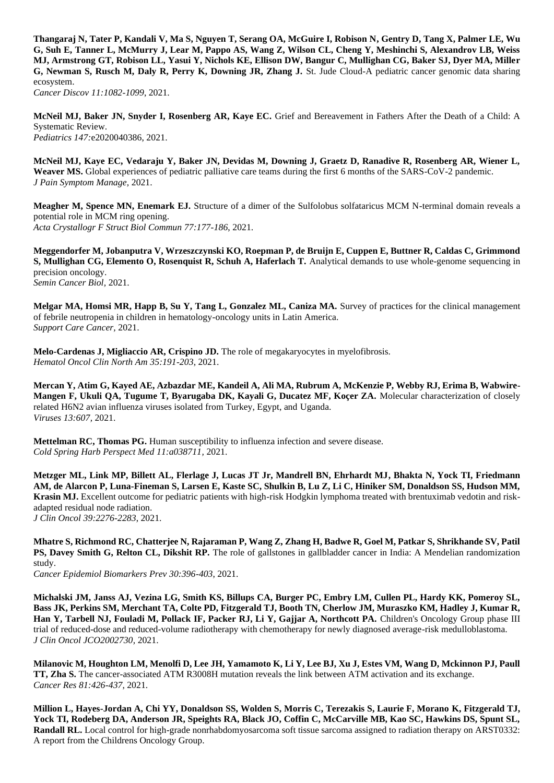**Thangaraj N, Tater P, Kandali V, Ma S, Nguyen T, Serang OA, McGuire I, Robison N, Gentry D, Tang X, Palmer LE, Wu G, Suh E, Tanner L, McMurry J, Lear M, Pappo AS, Wang Z, Wilson CL, Cheng Y, Meshinchi S, Alexandrov LB, Weiss MJ, Armstrong GT, Robison LL, Yasui Y, Nichols KE, Ellison DW, Bangur C, Mullighan CG, Baker SJ, Dyer MA, Miller G, Newman S, Rusch M, Daly R, Perry K, Downing JR, Zhang J.** St. Jude Cloud-A pediatric cancer genomic data sharing ecosystem. *Cancer Discov 11:1082-1099*, 2021.

**McNeil MJ, Baker JN, Snyder I, Rosenberg AR, Kaye EC.** Grief and Bereavement in Fathers After the Death of a Child: A Systematic Review. *Pediatrics 147:*e2020040386, 2021.

**McNeil MJ, Kaye EC, Vedaraju Y, Baker JN, Devidas M, Downing J, Graetz D, Ranadive R, Rosenberg AR, Wiener L, Weaver MS.** Global experiences of pediatric palliative care teams during the first 6 months of the SARS-CoV-2 pandemic. *J Pain Symptom Manage,* 2021.

**Meagher M, Spence MN, Enemark EJ.** Structure of a dimer of the Sulfolobus solfataricus MCM N-terminal domain reveals a potential role in MCM ring opening. *Acta Crystallogr F Struct Biol Commun 77:177-186*, 2021.

**Meggendorfer M, Jobanputra V, Wrzeszczynski KO, Roepman P, de Bruijn E, Cuppen E, Buttner R, Caldas C, Grimmond S, Mullighan CG, Elemento O, Rosenquist R, Schuh A, Haferlach T.** Analytical demands to use whole-genome sequencing in precision oncology.

*Semin Cancer Biol,* 2021.

**Melgar MA, Homsi MR, Happ B, Su Y, Tang L, Gonzalez ML, Caniza MA.** Survey of practices for the clinical management of febrile neutropenia in children in hematology-oncology units in Latin America. *Support Care Cancer,* 2021.

**Melo-Cardenas J, Migliaccio AR, Crispino JD.** The role of megakaryocytes in myelofibrosis. *Hematol Oncol Clin North Am 35:191-203*, 2021.

**Mercan Y, Atim G, Kayed AE, Azbazdar ME, Kandeil A, Ali MA, Rubrum A, McKenzie P, Webby RJ, Erima B, Wabwire-Mangen F, Ukuli QA, Tugume T, Byarugaba DK, Kayali G, Ducatez MF, Koçer ZA.** Molecular characterization of closely related H6N2 avian influenza viruses isolated from Turkey, Egypt, and Uganda. *Viruses 13:607,* 2021.

**Mettelman RC, Thomas PG.** Human susceptibility to influenza infection and severe disease. *Cold Spring Harb Perspect Med 11:a038711,* 2021.

**Metzger ML, Link MP, Billett AL, Flerlage J, Lucas JT Jr, Mandrell BN, Ehrhardt MJ, Bhakta N, Yock TI, Friedmann AM, de Alarcon P, Luna-Fineman S, Larsen E, Kaste SC, Shulkin B, Lu Z, Li C, Hiniker SM, Donaldson SS, Hudson MM, Krasin MJ.** Excellent outcome for pediatric patients with high-risk Hodgkin lymphoma treated with brentuximab vedotin and riskadapted residual node radiation. *J Clin Oncol 39:2276-2283*, 2021.

**Mhatre S, Richmond RC, Chatterjee N, Rajaraman P, Wang Z, Zhang H, Badwe R, Goel M, Patkar S, Shrikhande SV, Patil PS, Davey Smith G, Relton CL, Dikshit RP.** The role of gallstones in gallbladder cancer in India: A Mendelian randomization study.

*Cancer Epidemiol Biomarkers Prev 30:396-403*, 2021.

**Michalski JM, Janss AJ, Vezina LG, Smith KS, Billups CA, Burger PC, Embry LM, Cullen PL, Hardy KK, Pomeroy SL, Bass JK, Perkins SM, Merchant TA, Colte PD, Fitzgerald TJ, Booth TN, Cherlow JM, Muraszko KM, Hadley J, Kumar R, Han Y, Tarbell NJ, Fouladi M, Pollack IF, Packer RJ, Li Y, Gajjar A, Northcott PA.** Children's Oncology Group phase III trial of reduced-dose and reduced-volume radiotherapy with chemotherapy for newly diagnosed average-risk medulloblastoma. *J Clin Oncol JCO2002730,* 2021.

**Milanovic M, Houghton LM, Menolfi D, Lee JH, Yamamoto K, Li Y, Lee BJ, Xu J, Estes VM, Wang D, Mckinnon PJ, Paull TT, Zha S.** The cancer-associated ATM R3008H mutation reveals the link between ATM activation and its exchange. *Cancer Res 81:426-437*, 2021.

**Million L, Hayes-Jordan A, Chi YY, Donaldson SS, Wolden S, Morris C, Terezakis S, Laurie F, Morano K, Fitzgerald TJ, Yock TI, Rodeberg DA, Anderson JR, Speights RA, Black JO, Coffin C, McCarville MB, Kao SC, Hawkins DS, Spunt SL, Randall RL.** Local control for high-grade nonrhabdomyosarcoma soft tissue sarcoma assigned to radiation therapy on ARST0332: A report from the Childrens Oncology Group.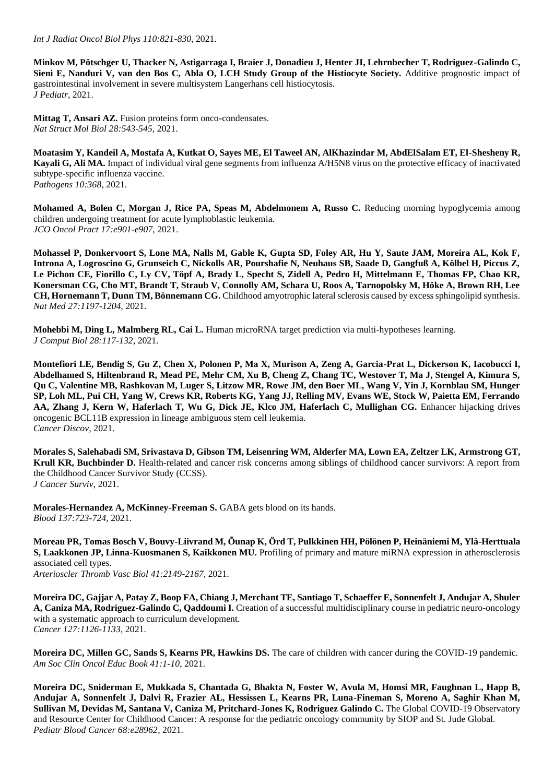*Int J Radiat Oncol Biol Phys 110:821-830*, 2021.

**Minkov M, Pötschger U, Thacker N, Astigarraga I, Braier J, Donadieu J, Henter JI, Lehrnbecher T, Rodriguez-Galindo C, Sieni E, Nanduri V, van den Bos C, Abla O, LCH Study Group of the Histiocyte Society.** Additive prognostic impact of gastrointestinal involvement in severe multisystem Langerhans cell histiocytosis. *J Pediatr,* 2021.

Mittag T, Ansari AZ. Fusion proteins form onco-condensates. *Nat Struct Mol Biol 28:543-545*, 2021.

**Moatasim Y, Kandeil A, Mostafa A, Kutkat O, Sayes ME, El Taweel AN, AlKhazindar M, AbdElSalam ET, El-Shesheny R, Kayali G, Ali MA.** Impact of individual viral gene segments from influenza A/H5N8 virus on the protective efficacy of inactivated subtype-specific influenza vaccine. *Pathogens 10:368,* 2021.

**Mohamed A, Bolen C, Morgan J, Rice PA, Speas M, Abdelmonem A, Russo C.** Reducing morning hypoglycemia among children undergoing treatment for acute lymphoblastic leukemia. *JCO Oncol Pract 17:e901-e907*, 2021.

**Mohassel P, Donkervoort S, Lone MA, Nalls M, Gable K, Gupta SD, Foley AR, Hu Y, Saute JAM, Moreira AL, Kok F, Introna A, Logroscino G, Grunseich C, Nickolls AR, Pourshafie N, Neuhaus SB, Saade D, Gangfuß A, Kölbel H, Piccus Z, Le Pichon CE, Fiorillo C, Ly CV, Töpf A, Brady L, Specht S, Zidell A, Pedro H, Mittelmann E, Thomas FP, Chao KR, Konersman CG, Cho MT, Brandt T, Straub V, Connolly AM, Schara U, Roos A, Tarnopolsky M, Höke A, Brown RH, Lee CH, Hornemann T, Dunn TM, Bönnemann CG.** Childhood amyotrophic lateral sclerosis caused by excess sphingolipid synthesis. *Nat Med 27:1197-1204,* 2021.

**Mohebbi M, Ding L, Malmberg RL, Cai L.** Human microRNA target prediction via multi-hypotheses learning. *J Comput Biol 28:117-132*, 2021.

**Montefiori LE, Bendig S, Gu Z, Chen X, Polonen P, Ma X, Murison A, Zeng A, Garcia-Prat L, Dickerson K, Iacobucci I, Abdelhamed S, Hiltenbrand R, Mead PE, Mehr CM, Xu B, Cheng Z, Chang TC, Westover T, Ma J, Stengel A, Kimura S, Qu C, Valentine MB, Rashkovan M, Luger S, Litzow MR, Rowe JM, den Boer ML, Wang V, Yin J, Kornblau SM, Hunger SP, Loh ML, Pui CH, Yang W, Crews KR, Roberts KG, Yang JJ, Relling MV, Evans WE, Stock W, Paietta EM, Ferrando AA, Zhang J, Kern W, Haferlach T, Wu G, Dick JE, Klco JM, Haferlach C, Mullighan CG.** Enhancer hijacking drives oncogenic BCL11B expression in lineage ambiguous stem cell leukemia. *Cancer Discov,* 2021.

**Morales S, Salehabadi SM, Srivastava D, Gibson TM, Leisenring WM, Alderfer MA, Lown EA, Zeltzer LK, Armstrong GT, Krull KR, Buchbinder D.** Health-related and cancer risk concerns among siblings of childhood cancer survivors: A report from the Childhood Cancer Survivor Study (CCSS). *J Cancer Surviv,* 2021.

**Morales-Hernandez A, McKinney-Freeman S. GABA gets blood on its hands.** *Blood 137:723-724*, 2021.

**Moreau PR, Tomas Bosch V, Bouvy-Liivrand M, Õunap K, Örd T, Pulkkinen HH, Pölönen P, Heinäniemi M, Ylä-Herttuala S, Laakkonen JP, Linna-Kuosmanen S, Kaikkonen MU.** Profiling of primary and mature miRNA expression in atherosclerosis associated cell types. *Arterioscler Thromb Vasc Biol 41:2149-2167,* 2021.

**Moreira DC, Gajjar A, Patay Z, Boop FA, Chiang J, Merchant TE, Santiago T, Schaeffer E, Sonnenfelt J, Andujar A, Shuler**  A, Caniza MA, Rodriguez-Galindo C, Qaddoumi I. Creation of a successful multidisciplinary course in pediatric neuro-oncology with a systematic approach to curriculum development. *Cancer 127:1126-1133*, 2021.

**Moreira DC, Millen GC, Sands S, Kearns PR, Hawkins DS.** The care of children with cancer during the COVID-19 pandemic. *Am Soc Clin Oncol Educ Book 41:1-10*, 2021.

**Moreira DC, Sniderman E, Mukkada S, Chantada G, Bhakta N, Foster W, Avula M, Homsi MR, Faughnan L, Happ B, Andujar A, Sonnenfelt J, Dalvi R, Frazier AL, Hessissen L, Kearns PR, Luna-Fineman S, Moreno A, Saghir Khan M, Sullivan M, Devidas M, Santana V, Caniza M, Pritchard-Jones K, Rodriguez Galindo C.** The Global COVID-19 Observatory and Resource Center for Childhood Cancer: A response for the pediatric oncology community by SIOP and St. Jude Global. *Pediatr Blood Cancer 68:e28962,* 2021.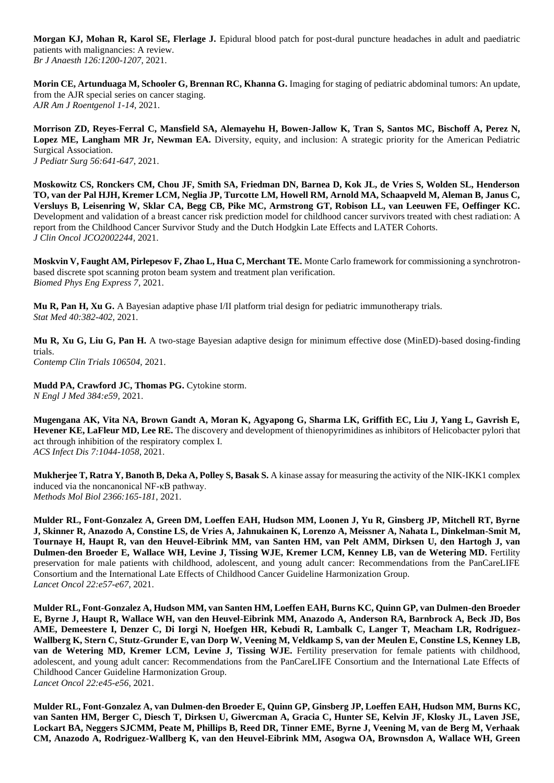**Morgan KJ, Mohan R, Karol SE, Flerlage J.** Epidural blood patch for post-dural puncture headaches in adult and paediatric patients with malignancies: A review. *Br J Anaesth 126:1200-1207*, 2021.

**Morin CE, Artunduaga M, Schooler G, Brennan RC, Khanna G.** Imaging for staging of pediatric abdominal tumors: An update, from the AJR special series on cancer staging. *AJR Am J Roentgenol 1-14,* 2021.

**Morrison ZD, Reyes-Ferral C, Mansfield SA, Alemayehu H, Bowen-Jallow K, Tran S, Santos MC, Bischoff A, Perez N, Lopez ME, Langham MR Jr, Newman EA.** Diversity, equity, and inclusion: A strategic priority for the American Pediatric Surgical Association. *J Pediatr Surg 56:641-647*, 2021.

**Moskowitz CS, Ronckers CM, Chou JF, Smith SA, Friedman DN, Barnea D, Kok JL, de Vries S, Wolden SL, Henderson TO, van der Pal HJH, Kremer LCM, Neglia JP, Turcotte LM, Howell RM, Arnold MA, Schaapveld M, Aleman B, Janus C, Versluys B, Leisenring W, Sklar CA, Begg CB, Pike MC, Armstrong GT, Robison LL, van Leeuwen FE, Oeffinger KC.**  Development and validation of a breast cancer risk prediction model for childhood cancer survivors treated with chest radiation: A report from the Childhood Cancer Survivor Study and the Dutch Hodgkin Late Effects and LATER Cohorts. *J Clin Oncol JCO2002244,* 2021.

**Moskvin V, Faught AM, Pirlepesov F, Zhao L, Hua C, Merchant TE.** Monte Carlo framework for commissioning a synchrotronbased discrete spot scanning proton beam system and treatment plan verification. *Biomed Phys Eng Express 7,* 2021.

**Mu R, Pan H, Xu G.** A Bayesian adaptive phase I/II platform trial design for pediatric immunotherapy trials. *Stat Med 40:382-402*, 2021.

**Mu R, Xu G, Liu G, Pan H.** A two-stage Bayesian adaptive design for minimum effective dose (MinED)-based dosing-finding trials.

*Contemp Clin Trials 106504,* 2021.

Mudd PA, Crawford JC, Thomas PG. Cytokine storm. *N Engl J Med 384:e59,* 2021.

**Mugengana AK, Vita NA, Brown Gandt A, Moran K, Agyapong G, Sharma LK, Griffith EC, Liu J, Yang L, Gavrish E, Hevener KE, LaFleur MD, Lee RE.** The discovery and development of thienopyrimidines as inhibitors of Helicobacter pylori that act through inhibition of the respiratory complex I. *ACS Infect Dis 7:1044-1058*, 2021.

**Mukherjee T, Ratra Y, Banoth B, Deka A, Polley S, Basak S.** A kinase assay for measuring the activity of the NIK-IKK1 complex induced via the noncanonical NF-κB pathway. *Methods Mol Biol 2366:165-181*, 2021.

**Mulder RL, Font-Gonzalez A, Green DM, Loeffen EAH, Hudson MM, Loonen J, Yu R, Ginsberg JP, Mitchell RT, Byrne J, Skinner R, Anazodo A, Constine LS, de Vries A, Jahnukainen K, Lorenzo A, Meissner A, Nahata L, Dinkelman-Smit M, Tournaye H, Haupt R, van den Heuvel-Eibrink MM, van Santen HM, van Pelt AMM, Dirksen U, den Hartogh J, van Dulmen-den Broeder E, Wallace WH, Levine J, Tissing WJE, Kremer LCM, Kenney LB, van de Wetering MD.** Fertility preservation for male patients with childhood, adolescent, and young adult cancer: Recommendations from the PanCareLIFE Consortium and the International Late Effects of Childhood Cancer Guideline Harmonization Group. *Lancet Oncol 22:e57-e67*, 2021.

**Mulder RL, Font-Gonzalez A, Hudson MM, van Santen HM, Loeffen EAH, Burns KC, Quinn GP, van Dulmen-den Broeder E, Byrne J, Haupt R, Wallace WH, van den Heuvel-Eibrink MM, Anazodo A, Anderson RA, Barnbrock A, Beck JD, Bos AME, Demeestere I, Denzer C, Di Iorgi N, Hoefgen HR, Kebudi R, Lambalk C, Langer T, Meacham LR, Rodriguez-Wallberg K, Stern C, Stutz-Grunder E, van Dorp W, Veening M, Veldkamp S, van der Meulen E, Constine LS, Kenney LB,**  van de Wetering MD, Kremer LCM, Levine J, Tissing WJE. Fertility preservation for female patients with childhood, adolescent, and young adult cancer: Recommendations from the PanCareLIFE Consortium and the International Late Effects of Childhood Cancer Guideline Harmonization Group. *Lancet Oncol 22:e45-e56*, 2021.

**Mulder RL, Font-Gonzalez A, van Dulmen-den Broeder E, Quinn GP, Ginsberg JP, Loeffen EAH, Hudson MM, Burns KC, van Santen HM, Berger C, Diesch T, Dirksen U, Giwercman A, Gracia C, Hunter SE, Kelvin JF, Klosky JL, Laven JSE, Lockart BA, Neggers SJCMM, Peate M, Phillips B, Reed DR, Tinner EME, Byrne J, Veening M, van de Berg M, Verhaak CM, Anazodo A, Rodriguez-Wallberg K, van den Heuvel-Eibrink MM, Asogwa OA, Brownsdon A, Wallace WH, Green**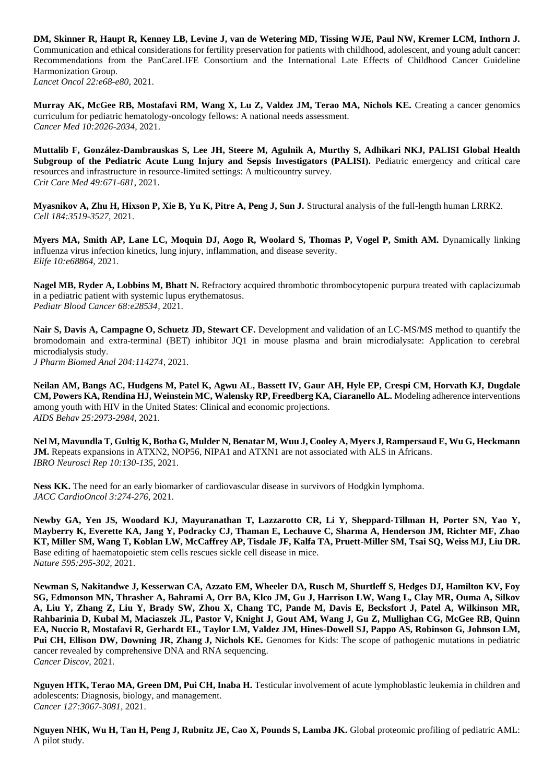**DM, Skinner R, Haupt R, Kenney LB, Levine J, van de Wetering MD, Tissing WJE, Paul NW, Kremer LCM, Inthorn J.**  Communication and ethical considerations for fertility preservation for patients with childhood, adolescent, and young adult cancer: Recommendations from the PanCareLIFE Consortium and the International Late Effects of Childhood Cancer Guideline Harmonization Group. *Lancet Oncol 22:e68-e80*, 2021.

**Murray AK, McGee RB, Mostafavi RM, Wang X, Lu Z, Valdez JM, Terao MA, Nichols KE.** Creating a cancer genomics curriculum for pediatric hematology-oncology fellows: A national needs assessment. *Cancer Med 10:2026-2034*, 2021.

**Muttalib F, González-Dambrauskas S, Lee JH, Steere M, Agulnik A, Murthy S, Adhikari NKJ, PALISI Global Health Subgroup of the Pediatric Acute Lung Injury and Sepsis Investigators (PALISI).** Pediatric emergency and critical care resources and infrastructure in resource-limited settings: A multicountry survey. *Crit Care Med 49:671-681*, 2021.

**Myasnikov A, Zhu H, Hixson P, Xie B, Yu K, Pitre A, Peng J, Sun J.** Structural analysis of the full-length human LRRK2. *Cell 184:3519-3527,* 2021.

**Myers MA, Smith AP, Lane LC, Moquin DJ, Aogo R, Woolard S, Thomas P, Vogel P, Smith AM.** Dynamically linking influenza virus infection kinetics, lung injury, inflammation, and disease severity. *Elife 10:e68864,* 2021.

**Nagel MB, Ryder A, Lobbins M, Bhatt N.** Refractory acquired thrombotic thrombocytopenic purpura treated with caplacizumab in a pediatric patient with systemic lupus erythematosus. *Pediatr Blood Cancer 68:e28534,* 2021.

**Nair S, Davis A, Campagne O, Schuetz JD, Stewart CF.** Development and validation of an LC-MS/MS method to quantify the bromodomain and extra-terminal (BET) inhibitor JQ1 in mouse plasma and brain microdialysate: Application to cerebral microdialysis study.

*J Pharm Biomed Anal 204:114274,* 2021.

**Neilan AM, Bangs AC, Hudgens M, Patel K, Agwu AL, Bassett IV, Gaur AH, Hyle EP, Crespi CM, Horvath KJ, Dugdale CM, Powers KA, Rendina HJ, Weinstein MC, Walensky RP, Freedberg KA, Ciaranello AL.** Modeling adherence interventions among youth with HIV in the United States: Clinical and economic projections. *AIDS Behav 25:2973-2984,* 2021.

**Nel M, Mavundla T, Gultig K, Botha G, Mulder N, Benatar M, Wuu J, Cooley A, Myers J, Rampersaud E, Wu G, Heckmann JM.** Repeats expansions in ATXN2, NOP56, NIPA1 and ATXN1 are not associated with ALS in Africans. *IBRO Neurosci Rep 10:130-135*, 2021.

Ness KK. The need for an early biomarker of cardiovascular disease in survivors of Hodgkin lymphoma. *JACC CardioOncol 3:274-276*, 2021.

**Newby GA, Yen JS, Woodard KJ, Mayuranathan T, Lazzarotto CR, Li Y, Sheppard-Tillman H, Porter SN, Yao Y, Mayberry K, Everette KA, Jang Y, Podracky CJ, Thaman E, Lechauve C, Sharma A, Henderson JM, Richter MF, Zhao KT, Miller SM, Wang T, Koblan LW, McCaffrey AP, Tisdale JF, Kalfa TA, Pruett-Miller SM, Tsai SQ, Weiss MJ, Liu DR.**  Base editing of haematopoietic stem cells rescues sickle cell disease in mice. *Nature 595:295-302,* 2021.

**Newman S, Nakitandwe J, Kesserwan CA, Azzato EM, Wheeler DA, Rusch M, Shurtleff S, Hedges DJ, Hamilton KV, Foy SG, Edmonson MN, Thrasher A, Bahrami A, Orr BA, Klco JM, Gu J, Harrison LW, Wang L, Clay MR, Ouma A, Silkov A, Liu Y, Zhang Z, Liu Y, Brady SW, Zhou X, Chang TC, Pande M, Davis E, Becksfort J, Patel A, Wilkinson MR, Rahbarinia D, Kubal M, Maciaszek JL, Pastor V, Knight J, Gout AM, Wang J, Gu Z, Mullighan CG, McGee RB, Quinn EA, Nuccio R, Mostafavi R, Gerhardt EL, Taylor LM, Valdez JM, Hines-Dowell SJ, Pappo AS, Robinson G, Johnson LM, Pui CH, Ellison DW, Downing JR, Zhang J, Nichols KE.** Genomes for Kids: The scope of pathogenic mutations in pediatric cancer revealed by comprehensive DNA and RNA sequencing. *Cancer Discov,* 2021.

Nguyen HTK, Terao MA, Green DM, Pui CH, Inaba H. Testicular involvement of acute lymphoblastic leukemia in children and adolescents: Diagnosis, biology, and management. *Cancer 127:3067-3081,* 2021.

**Nguyen NHK, Wu H, Tan H, Peng J, Rubnitz JE, Cao X, Pounds S, Lamba JK.** Global proteomic profiling of pediatric AML: A pilot study.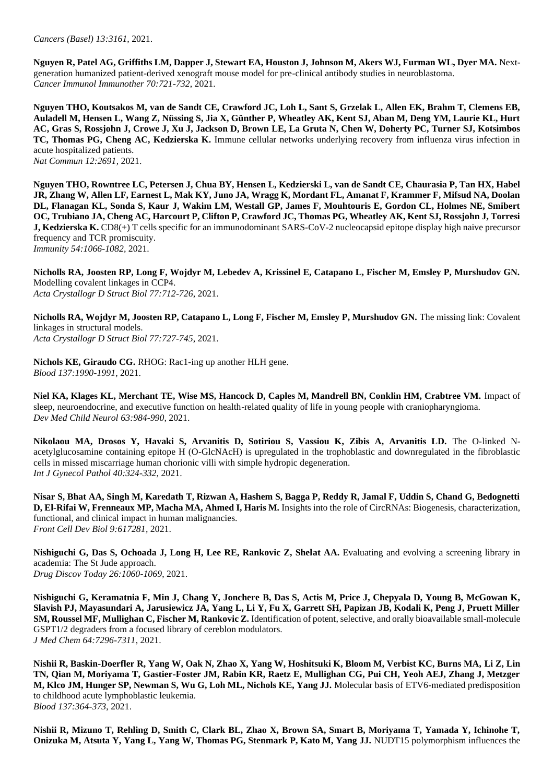*Cancers (Basel) 13:3161,* 2021.

**Nguyen R, Patel AG, Griffiths LM, Dapper J, Stewart EA, Houston J, Johnson M, Akers WJ, Furman WL, Dyer MA.** Nextgeneration humanized patient-derived xenograft mouse model for pre-clinical antibody studies in neuroblastoma. *Cancer Immunol Immunother 70:721-732*, 2021.

**Nguyen THO, Koutsakos M, van de Sandt CE, Crawford JC, Loh L, Sant S, Grzelak L, Allen EK, Brahm T, Clemens EB, Auladell M, Hensen L, Wang Z, Nüssing S, Jia X, Günther P, Wheatley AK, Kent SJ, Aban M, Deng YM, Laurie KL, Hurt AC, Gras S, Rossjohn J, Crowe J, Xu J, Jackson D, Brown LE, La Gruta N, Chen W, Doherty PC, Turner SJ, Kotsimbos TC, Thomas PG, Cheng AC, Kedzierska K.** Immune cellular networks underlying recovery from influenza virus infection in acute hospitalized patients. *Nat Commun 12:2691,* 2021.

**Nguyen THO, Rowntree LC, Petersen J, Chua BY, Hensen L, Kedzierski L, van de Sandt CE, Chaurasia P, Tan HX, Habel JR, Zhang W, Allen LF, Earnest L, Mak KY, Juno JA, Wragg K, Mordant FL, Amanat F, Krammer F, Mifsud NA, Doolan DL, Flanagan KL, Sonda S, Kaur J, Wakim LM, Westall GP, James F, Mouhtouris E, Gordon CL, Holmes NE, Smibert OC, Trubiano JA, Cheng AC, Harcourt P, Clifton P, Crawford JC, Thomas PG, Wheatley AK, Kent SJ, Rossjohn J, Torresi J, Kedzierska K.** CD8(+) T cells specific for an immunodominant SARS-CoV-2 nucleocapsid epitope display high naive precursor frequency and TCR promiscuity. *Immunity 54:1066-1082,* 2021.

**Nicholls RA, Joosten RP, Long F, Wojdyr M, Lebedev A, Krissinel E, Catapano L, Fischer M, Emsley P, Murshudov GN.**  Modelling covalent linkages in CCP4. *Acta Crystallogr D Struct Biol 77:712-726*, 2021.

**Nicholls RA, Wojdyr M, Joosten RP, Catapano L, Long F, Fischer M, Emsley P, Murshudov GN.** The missing link: Covalent linkages in structural models. *Acta Crystallogr D Struct Biol 77:727-745*, 2021.

**Nichols KE, Giraudo CG.** RHOG: Rac1-ing up another HLH gene. *Blood 137:1990-1991*, 2021.

**Niel KA, Klages KL, Merchant TE, Wise MS, Hancock D, Caples M, Mandrell BN, Conklin HM, Crabtree VM.** Impact of sleep, neuroendocrine, and executive function on health-related quality of life in young people with craniopharyngioma. *Dev Med Child Neurol 63:984-990,* 2021.

**Nikolaou MA, Drosos Y, Havaki S, Arvanitis D, Sotiriou S, Vassiou K, Zibis A, Arvanitis LD.** The O-linked Nacetylglucosamine containing epitope H (O-GlcNAcH) is upregulated in the trophoblastic and downregulated in the fibroblastic cells in missed miscarriage human chorionic villi with simple hydropic degeneration. *Int J Gynecol Pathol 40:324-332*, 2021.

**Nisar S, Bhat AA, Singh M, Karedath T, Rizwan A, Hashem S, Bagga P, Reddy R, Jamal F, Uddin S, Chand G, Bedognetti D, El-Rifai W, Frenneaux MP, Macha MA, Ahmed I, Haris M.** Insights into the role of CircRNAs: Biogenesis, characterization, functional, and clinical impact in human malignancies. *Front Cell Dev Biol 9:617281,* 2021.

**Nishiguchi G, Das S, Ochoada J, Long H, Lee RE, Rankovic Z, Shelat AA.** Evaluating and evolving a screening library in academia: The St Jude approach.

*Drug Discov Today 26:1060-1069*, 2021.

**Nishiguchi G, Keramatnia F, Min J, Chang Y, Jonchere B, Das S, Actis M, Price J, Chepyala D, Young B, McGowan K, Slavish PJ, Mayasundari A, Jarusiewicz JA, Yang L, Li Y, Fu X, Garrett SH, Papizan JB, Kodali K, Peng J, Pruett Miller SM, Roussel MF, Mullighan C, Fischer M, Rankovic Z.** Identification of potent, selective, and orally bioavailable small-molecule GSPT1/2 degraders from a focused library of cereblon modulators. *J Med Chem 64:7296-7311*, 2021.

**Nishii R, Baskin-Doerfler R, Yang W, Oak N, Zhao X, Yang W, Hoshitsuki K, Bloom M, Verbist KC, Burns MA, Li Z, Lin TN, Qian M, Moriyama T, Gastier-Foster JM, Rabin KR, Raetz E, Mullighan CG, Pui CH, Yeoh AEJ, Zhang J, Metzger M, Klco JM, Hunger SP, Newman S, Wu G, Loh ML, Nichols KE, Yang JJ.** Molecular basis of ETV6-mediated predisposition to childhood acute lymphoblastic leukemia. *Blood 137:364-373*, 2021.

**Nishii R, Mizuno T, Rehling D, Smith C, Clark BL, Zhao X, Brown SA, Smart B, Moriyama T, Yamada Y, Ichinohe T, Onizuka M, Atsuta Y, Yang L, Yang W, Thomas PG, Stenmark P, Kato M, Yang JJ.** NUDT15 polymorphism influences the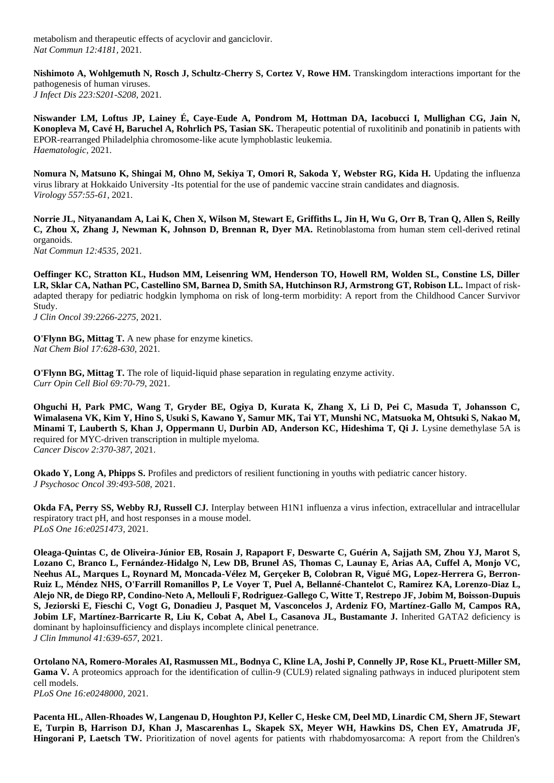metabolism and therapeutic effects of acyclovir and ganciclovir. *Nat Commun 12:4181,* 2021.

**Nishimoto A, Wohlgemuth N, Rosch J, Schultz-Cherry S, Cortez V, Rowe HM.** Transkingdom interactions important for the pathogenesis of human viruses. *J Infect Dis 223:S201-S208*, 2021.

**Niswander LM, Loftus JP, Lainey É, Caye-Eude A, Pondrom M, Hottman DA, Iacobucci I, Mullighan CG, Jain N, Konopleva M, Cavé H, Baruchel A, Rohrlich PS, Tasian SK.** Therapeutic potential of ruxolitinib and ponatinib in patients with EPOR-rearranged Philadelphia chromosome-like acute lymphoblastic leukemia. *Haematologic,* 2021.

**Nomura N, Matsuno K, Shingai M, Ohno M, Sekiya T, Omori R, Sakoda Y, Webster RG, Kida H.** Updating the influenza virus library at Hokkaido University -Its potential for the use of pandemic vaccine strain candidates and diagnosis. *Virology 557:55-61*, 2021.

**Norrie JL, Nityanandam A, Lai K, Chen X, Wilson M, Stewart E, Griffiths L, Jin H, Wu G, Orr B, Tran Q, Allen S, Reilly C, Zhou X, Zhang J, Newman K, Johnson D, Brennan R, Dyer MA.** Retinoblastoma from human stem cell-derived retinal organoids.

*Nat Commun 12:4535,* 2021.

**Oeffinger KC, Stratton KL, Hudson MM, Leisenring WM, Henderson TO, Howell RM, Wolden SL, Constine LS, Diller LR, Sklar CA, Nathan PC, Castellino SM, Barnea D, Smith SA, Hutchinson RJ, Armstrong GT, Robison LL.** Impact of riskadapted therapy for pediatric hodgkin lymphoma on risk of long-term morbidity: A report from the Childhood Cancer Survivor Study.

*J Clin Oncol 39:2266-2275,* 2021.

**O'Flynn BG, Mittag T.** A new phase for enzyme kinetics. *Nat Chem Biol 17:628-630*, 2021.

**O'Flynn BG, Mittag T.** The role of liquid-liquid phase separation in regulating enzyme activity. *Curr Opin Cell Biol 69:70-79*, 2021.

**Ohguchi H, Park PMC, Wang T, Gryder BE, Ogiya D, Kurata K, Zhang X, Li D, Pei C, Masuda T, Johansson C, Wimalasena VK, Kim Y, Hino S, Usuki S, Kawano Y, Samur MK, Tai YT, Munshi NC, Matsuoka M, Ohtsuki S, Nakao M, Minami T, Lauberth S, Khan J, Oppermann U, Durbin AD, Anderson KC, Hideshima T, Qi J.** Lysine demethylase 5A is required for MYC-driven transcription in multiple myeloma. *Cancer Discov 2:370-387*, 2021.

**Okado Y, Long A, Phipps S.** Profiles and predictors of resilient functioning in youths with pediatric cancer history. *J Psychosoc Oncol 39:493-508*, 2021.

**Okda FA, Perry SS, Webby RJ, Russell CJ.** Interplay between H1N1 influenza a virus infection, extracellular and intracellular respiratory tract pH, and host responses in a mouse model. *PLoS One 16:e0251473,* 2021.

**Oleaga-Quintas C, de Oliveira-Júnior EB, Rosain J, Rapaport F, Deswarte C, Guérin A, Sajjath SM, Zhou YJ, Marot S, Lozano C, Branco L, Fernández-Hidalgo N, Lew DB, Brunel AS, Thomas C, Launay E, Arias AA, Cuffel A, Monjo VC, Neehus AL, Marques L, Roynard M, Moncada-Vélez M, Gerçeker B, Colobran R, Vigué MG, Lopez-Herrera G, Berron-Ruiz L, Méndez NHS, O'Farrill Romanillos P, Le Voyer T, Puel A, Bellanné-Chantelot C, Ramirez KA, Lorenzo-Diaz L, Alejo NR, de Diego RP, Condino-Neto A, Mellouli F, Rodriguez-Gallego C, Witte T, Restrepo JF, Jobim M, Boisson-Dupuis S, Jeziorski E, Fieschi C, Vogt G, Donadieu J, Pasquet M, Vasconcelos J, Ardeniz FO, Martínez-Gallo M, Campos RA, Jobim LF, Martínez-Barricarte R, Liu K, Cobat A, Abel L, Casanova JL, Bustamante J. Inherited GATA2 deficiency is** dominant by haploinsufficiency and displays incomplete clinical penetrance. *J Clin Immunol 41:639-657*, 2021.

**Ortolano NA, Romero-Morales AI, Rasmussen ML, Bodnya C, Kline LA, Joshi P, Connelly JP, Rose KL, Pruett-Miller SM,**  Gama V. A proteomics approach for the identification of cullin-9 (CUL9) related signaling pathways in induced pluripotent stem cell models. *PLoS One 16:e0248000,* 2021.

**Pacenta HL, Allen-Rhoades W, Langenau D, Houghton PJ, Keller C, Heske CM, Deel MD, Linardic CM, Shern JF, Stewart E, Turpin B, Harrison DJ, Khan J, Mascarenhas L, Skapek SX, Meyer WH, Hawkins DS, Chen EY, Amatruda JF, Hingorani P, Laetsch TW.** Prioritization of novel agents for patients with rhabdomyosarcoma: A report from the Children's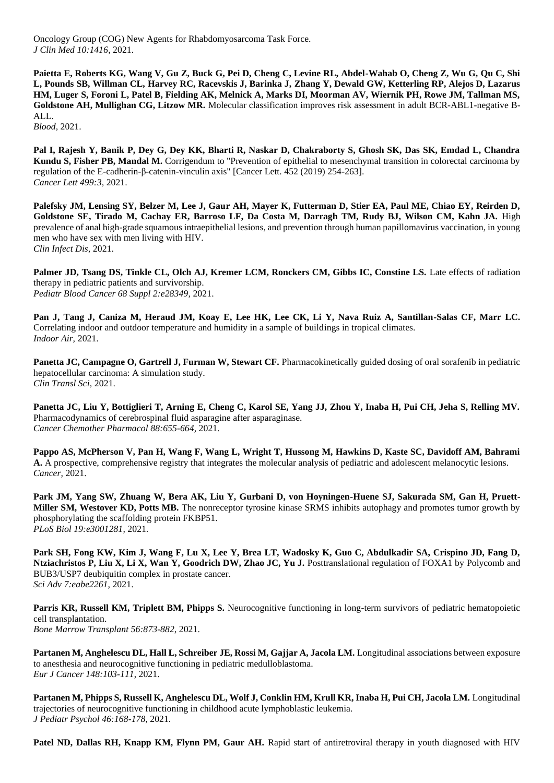Oncology Group (COG) New Agents for Rhabdomyosarcoma Task Force. *J Clin Med 10:1416,* 2021.

**Paietta E, Roberts KG, Wang V, Gu Z, Buck G, Pei D, Cheng C, Levine RL, Abdel-Wahab O, Cheng Z, Wu G, Qu C, Shi L, Pounds SB, Willman CL, Harvey RC, Racevskis J, Barinka J, Zhang Y, Dewald GW, Ketterling RP, Alejos D, Lazarus HM, Luger S, Foroni L, Patel B, Fielding AK, Melnick A, Marks DI, Moorman AV, Wiernik PH, Rowe JM, Tallman MS, Goldstone AH, Mullighan CG, Litzow MR.** Molecular classification improves risk assessment in adult BCR-ABL1-negative B-ALL.

*Blood,* 2021.

**Pal I, Rajesh Y, Banik P, Dey G, Dey KK, Bharti R, Naskar D, Chakraborty S, Ghosh SK, Das SK, Emdad L, Chandra Kundu S, Fisher PB, Mandal M.** Corrigendum to "Prevention of epithelial to mesenchymal transition in colorectal carcinoma by regulation of the E-cadherin-β-catenin-vinculin axis" [Cancer Lett. 452 (2019) 254-263]. *Cancer Lett 499:3,* 2021.

**Palefsky JM, Lensing SY, Belzer M, Lee J, Gaur AH, Mayer K, Futterman D, Stier EA, Paul ME, Chiao EY, Reirden D,**  Goldstone SE, Tirado M, Cachay ER, Barroso LF, Da Costa M, Darragh TM, Rudy BJ, Wilson CM, Kahn JA. High prevalence of anal high-grade squamous intraepithelial lesions, and prevention through human papillomavirus vaccination, in young men who have sex with men living with HIV. *Clin Infect Dis,* 2021.

Palmer JD, Tsang DS, Tinkle CL, Olch AJ, Kremer LCM, Ronckers CM, Gibbs IC, Constine LS. Late effects of radiation therapy in pediatric patients and survivorship. *Pediatr Blood Cancer 68 Suppl 2:e28349,* 2021.

**Pan J, Tang J, Caniza M, Heraud JM, Koay E, Lee HK, Lee CK, Li Y, Nava Ruiz A, Santillan-Salas CF, Marr LC.**  Correlating indoor and outdoor temperature and humidity in a sample of buildings in tropical climates. *Indoor Air,* 2021.

**Panetta JC, Campagne O, Gartrell J, Furman W, Stewart CF.** Pharmacokinetically guided dosing of oral sorafenib in pediatric hepatocellular carcinoma: A simulation study. *Clin Transl Sci,* 2021.

**Panetta JC, Liu Y, Bottiglieri T, Arning E, Cheng C, Karol SE, Yang JJ, Zhou Y, Inaba H, Pui CH, Jeha S, Relling MV.**  Pharmacodynamics of cerebrospinal fluid asparagine after asparaginase. *Cancer Chemother Pharmacol 88:655-664,* 2021.

**Pappo AS, McPherson V, Pan H, Wang F, Wang L, Wright T, Hussong M, Hawkins D, Kaste SC, Davidoff AM, Bahrami A.** A prospective, comprehensive registry that integrates the molecular analysis of pediatric and adolescent melanocytic lesions. *Cancer,* 2021.

**Park JM, Yang SW, Zhuang W, Bera AK, Liu Y, Gurbani D, von Hoyningen-Huene SJ, Sakurada SM, Gan H, Pruett-Miller SM, Westover KD, Potts MB.** The nonreceptor tyrosine kinase SRMS inhibits autophagy and promotes tumor growth by phosphorylating the scaffolding protein FKBP51. *PLoS Biol 19:e3001281,* 2021.

**Park SH, Fong KW, Kim J, Wang F, Lu X, Lee Y, Brea LT, Wadosky K, Guo C, Abdulkadir SA, Crispino JD, Fang D, Ntziachristos P, Liu X, Li X, Wan Y, Goodrich DW, Zhao JC, Yu J.** Posttranslational regulation of FOXA1 by Polycomb and BUB3/USP7 deubiquitin complex in prostate cancer. *Sci Adv 7:eabe2261,* 2021.

**Parris KR, Russell KM, Triplett BM, Phipps S.** Neurocognitive functioning in long-term survivors of pediatric hematopoietic cell transplantation. *Bone Marrow Transplant 56:873-882*, 2021.

Partanen M, Anghelescu DL, Hall L, Schreiber JE, Rossi M, Gajjar A, Jacola LM. Longitudinal associations between exposure to anesthesia and neurocognitive functioning in pediatric medulloblastoma. *Eur J Cancer 148:103-111*, 2021.

**Partanen M, Phipps S, Russell K, Anghelescu DL, Wolf J, Conklin HM, Krull KR, Inaba H, Pui CH, Jacola LM.** Longitudinal trajectories of neurocognitive functioning in childhood acute lymphoblastic leukemia. *J Pediatr Psychol 46:168-178*, 2021.

Patel ND, Dallas RH, Knapp KM, Flynn PM, Gaur AH. Rapid start of antiretroviral therapy in youth diagnosed with HIV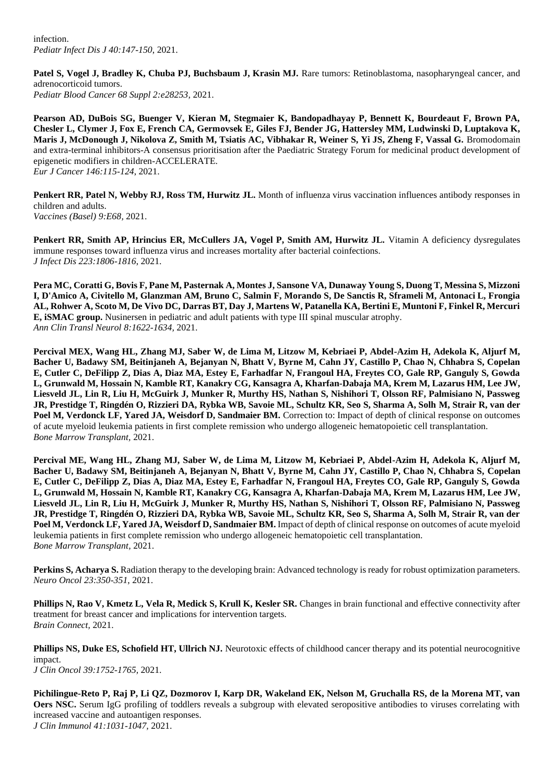infection. *Pediatr Infect Dis J 40:147-150*, 2021.

Patel S, Vogel J, Bradley K, Chuba PJ, Buchsbaum J, Krasin MJ. Rare tumors: Retinoblastoma, nasopharyngeal cancer, and adrenocorticoid tumors. *Pediatr Blood Cancer 68 Suppl 2:e28253,* 2021.

**Pearson AD, DuBois SG, Buenger V, Kieran M, Stegmaier K, Bandopadhayay P, Bennett K, Bourdeaut F, Brown PA, Chesler L, Clymer J, Fox E, French CA, Germovsek E, Giles FJ, Bender JG, Hattersley MM, Ludwinski D, Luptakova K, Maris J, McDonough J, Nikolova Z, Smith M, Tsiatis AC, Vibhakar R, Weiner S, Yi JS, Zheng F, Vassal G.** Bromodomain and extra-terminal inhibitors-A consensus prioritisation after the Paediatric Strategy Forum for medicinal product development of epigenetic modifiers in children-ACCELERATE. *Eur J Cancer 146:115-124*, 2021.

**Penkert RR, Patel N, Webby RJ, Ross TM, Hurwitz JL.** Month of influenza virus vaccination influences antibody responses in children and adults. *Vaccines (Basel) 9:E68,* 2021.

Penkert RR, Smith AP, Hrincius ER, McCullers JA, Vogel P, Smith AM, Hurwitz JL. Vitamin A deficiency dysregulates immune responses toward influenza virus and increases mortality after bacterial coinfections. *J Infect Dis 223:1806-1816*, 2021.

**Pera MC, Coratti G, Bovis F, Pane M, Pasternak A, Montes J, Sansone VA, Dunaway Young S, Duong T, Messina S, Mizzoni I, D'Amico A, Civitello M, Glanzman AM, Bruno C, Salmin F, Morando S, De Sanctis R, Sframeli M, Antonaci L, Frongia AL, Rohwer A, Scoto M, De Vivo DC, Darras BT, Day J, Martens W, Patanella KA, Bertini E, Muntoni F, Finkel R, Mercuri E, iSMAC group.** Nusinersen in pediatric and adult patients with type III spinal muscular atrophy. *Ann Clin Transl Neurol 8:1622-1634,* 2021.

**Percival MEX, Wang HL, Zhang MJ, Saber W, de Lima M, Litzow M, Kebriaei P, Abdel-Azim H, Adekola K, Aljurf M, Bacher U, Badawy SM, Beitinjaneh A, Bejanyan N, Bhatt V, Byrne M, Cahn JY, Castillo P, Chao N, Chhabra S, Copelan E, Cutler C, DeFilipp Z, Dias A, Diaz MA, Estey E, Farhadfar N, Frangoul HA, Freytes CO, Gale RP, Ganguly S, Gowda L, Grunwald M, Hossain N, Kamble RT, Kanakry CG, Kansagra A, Kharfan-Dabaja MA, Krem M, Lazarus HM, Lee JW, Liesveld JL, Lin R, Liu H, McGuirk J, Munker R, Murthy HS, Nathan S, Nishihori T, Olsson RF, Palmisiano N, Passweg JR, Prestidge T, Ringdén O, Rizzieri DA, Rybka WB, Savoie ML, Schultz KR, Seo S, Sharma A, Solh M, Strair R, van der Poel M, Verdonck LF, Yared JA, Weisdorf D, Sandmaier BM.** Correction to: Impact of depth of clinical response on outcomes of acute myeloid leukemia patients in first complete remission who undergo allogeneic hematopoietic cell transplantation. *Bone Marrow Transplant,* 2021.

**Percival ME, Wang HL, Zhang MJ, Saber W, de Lima M, Litzow M, Kebriaei P, Abdel-Azim H, Adekola K, Aljurf M, Bacher U, Badawy SM, Beitinjaneh A, Bejanyan N, Bhatt V, Byrne M, Cahn JY, Castillo P, Chao N, Chhabra S, Copelan E, Cutler C, DeFilipp Z, Dias A, Diaz MA, Estey E, Farhadfar N, Frangoul HA, Freytes CO, Gale RP, Ganguly S, Gowda L, Grunwald M, Hossain N, Kamble RT, Kanakry CG, Kansagra A, Kharfan-Dabaja MA, Krem M, Lazarus HM, Lee JW, Liesveld JL, Lin R, Liu H, McGuirk J, Munker R, Murthy HS, Nathan S, Nishihori T, Olsson RF, Palmisiano N, Passweg JR, Prestidge T, Ringdén O, Rizzieri DA, Rybka WB, Savoie ML, Schultz KR, Seo S, Sharma A, Solh M, Strair R, van der Poel M, Verdonck LF, Yared JA, Weisdorf D, Sandmaier BM.** Impact of depth of clinical response on outcomes of acute myeloid leukemia patients in first complete remission who undergo allogeneic hematopoietic cell transplantation. *Bone Marrow Transplant,* 2021.

**Perkins S, Acharya S.** Radiation therapy to the developing brain: Advanced technology is ready for robust optimization parameters. *Neuro Oncol 23:350-351*, 2021.

**Phillips N, Rao V, Kmetz L, Vela R, Medick S, Krull K, Kesler SR.** Changes in brain functional and effective connectivity after treatment for breast cancer and implications for intervention targets. *Brain Connect,* 2021.

**Phillips NS, Duke ES, Schofield HT, Ullrich NJ.** Neurotoxic effects of childhood cancer therapy and its potential neurocognitive impact.

*J Clin Oncol 39:1752-1765,* 2021.

**Pichilingue-Reto P, Raj P, Li QZ, Dozmorov I, Karp DR, Wakeland EK, Nelson M, Gruchalla RS, de la Morena MT, van Oers NSC.** Serum IgG profiling of toddlers reveals a subgroup with elevated seropositive antibodies to viruses correlating with increased vaccine and autoantigen responses. *J Clin Immunol 41:1031-1047,* 2021.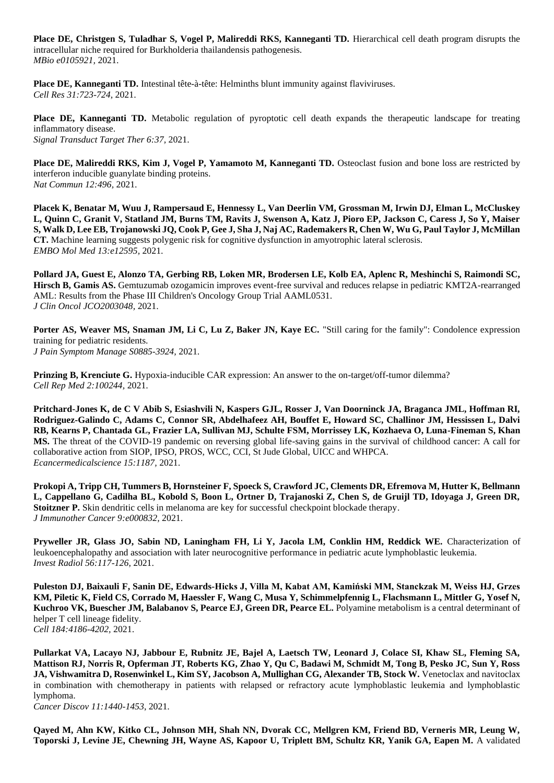**Place DE, Christgen S, Tuladhar S, Vogel P, Malireddi RKS, Kanneganti TD.** Hierarchical cell death program disrupts the intracellular niche required for Burkholderia thailandensis pathogenesis. *MBio e0105921,* 2021.

**Place DE, Kanneganti TD.** Intestinal tête-à-tête: Helminths blunt immunity against flaviviruses. *Cell Res 31:723-724,* 2021.

**Place DE, Kanneganti TD.** Metabolic regulation of pyroptotic cell death expands the therapeutic landscape for treating inflammatory disease. *Signal Transduct Target Ther 6:37,* 2021.

Place DE, Malireddi RKS, Kim J, Vogel P, Yamamoto M, Kanneganti TD. Osteoclast fusion and bone loss are restricted by interferon inducible guanylate binding proteins. *Nat Commun 12:496,* 2021.

**Placek K, Benatar M, Wuu J, Rampersaud E, Hennessy L, Van Deerlin VM, Grossman M, Irwin DJ, Elman L, McCluskey L, Quinn C, Granit V, Statland JM, Burns TM, Ravits J, Swenson A, Katz J, Pioro EP, Jackson C, Caress J, So Y, Maiser S, Walk D, Lee EB, Trojanowski JQ, Cook P, Gee J, Sha J, Naj AC, Rademakers R, Chen W, Wu G, Paul Taylor J, McMillan CT.** Machine learning suggests polygenic risk for cognitive dysfunction in amyotrophic lateral sclerosis. *EMBO Mol Med 13:e12595,* 2021.

**Pollard JA, Guest E, Alonzo TA, Gerbing RB, Loken MR, Brodersen LE, Kolb EA, Aplenc R, Meshinchi S, Raimondi SC, Hirsch B, Gamis AS.** Gemtuzumab ozogamicin improves event-free survival and reduces relapse in pediatric KMT2A-rearranged AML: Results from the Phase III Children's Oncology Group Trial AAML0531. *J Clin Oncol JCO2003048,* 2021.

**Porter AS, Weaver MS, Snaman JM, Li C, Lu Z, Baker JN, Kaye EC.** "Still caring for the family": Condolence expression training for pediatric residents. *J Pain Symptom Manage S0885-3924,* 2021.

**Prinzing B, Krenciute G.** Hypoxia-inducible CAR expression: An answer to the on-target/off-tumor dilemma? *Cell Rep Med 2:100244,* 2021.

**Pritchard-Jones K, de C V Abib S, Esiashvili N, Kaspers GJL, Rosser J, Van Doorninck JA, Braganca JML, Hoffman RI, Rodriguez-Galindo C, Adams C, Connor SR, Abdelhafeez AH, Bouffet E, Howard SC, Challinor JM, Hessissen L, Dalvi RB, Kearns P, Chantada GL, Frazier LA, Sullivan MJ, Schulte FSM, Morrissey LK, Kozhaeva O, Luna-Fineman S, Khan MS.** The threat of the COVID-19 pandemic on reversing global life-saving gains in the survival of childhood cancer: A call for collaborative action from SIOP, IPSO, PROS, WCC, CCI, St Jude Global, UICC and WHPCA. *Ecancermedicalscience 15:1187,* 2021.

**Prokopi A, Tripp CH, Tummers B, Hornsteiner F, Spoeck S, Crawford JC, Clements DR, Efremova M, Hutter K, Bellmann L, Cappellano G, Cadilha BL, Kobold S, Boon L, Ortner D, Trajanoski Z, Chen S, de Gruijl TD, Idoyaga J, Green DR, Stoitzner P.** Skin dendritic cells in melanoma are key for successful checkpoint blockade therapy. *J Immunother Cancer 9:e000832,* 2021.

**Pryweller JR, Glass JO, Sabin ND, Laningham FH, Li Y, Jacola LM, Conklin HM, Reddick WE.** Characterization of leukoencephalopathy and association with later neurocognitive performance in pediatric acute lymphoblastic leukemia. *Invest Radiol 56:117-126*, 2021.

**Puleston DJ, Baixauli F, Sanin DE, Edwards-Hicks J, Villa M, Kabat AM, Kamiński MM, Stanckzak M, Weiss HJ, Grzes KM, Piletic K, Field CS, Corrado M, Haessler F, Wang C, Musa Y, Schimmelpfennig L, Flachsmann L, Mittler G, Yosef N, Kuchroo VK, Buescher JM, Balabanov S, Pearce EJ, Green DR, Pearce EL.** Polyamine metabolism is a central determinant of helper T cell lineage fidelity. *Cell 184:4186-4202,* 2021.

**Pullarkat VA, Lacayo NJ, Jabbour E, Rubnitz JE, Bajel A, Laetsch TW, Leonard J, Colace SI, Khaw SL, Fleming SA, Mattison RJ, Norris R, Opferman JT, Roberts KG, Zhao Y, Qu C, Badawi M, Schmidt M, Tong B, Pesko JC, Sun Y, Ross**  JA, Vishwamitra D, Rosenwinkel L, Kim SY, Jacobson A, Mullighan CG, Alexander TB, Stock W. Venetoclax and navitoclax in combination with chemotherapy in patients with relapsed or refractory acute lymphoblastic leukemia and lymphoblastic lymphoma.

*Cancer Discov 11:1440-1453*, 2021.

**Qayed M, Ahn KW, Kitko CL, Johnson MH, Shah NN, Dvorak CC, Mellgren KM, Friend BD, Verneris MR, Leung W, Toporski J, Levine JE, Chewning JH, Wayne AS, Kapoor U, Triplett BM, Schultz KR, Yanik GA, Eapen M.** A validated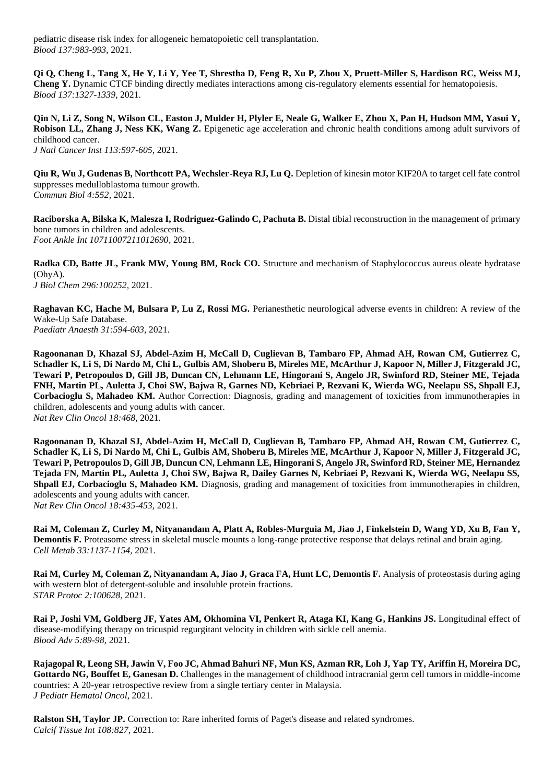pediatric disease risk index for allogeneic hematopoietic cell transplantation. *Blood 137:983-993*, 2021.

**Qi Q, Cheng L, Tang X, He Y, Li Y, Yee T, Shrestha D, Feng R, Xu P, Zhou X, Pruett-Miller S, Hardison RC, Weiss MJ, Cheng Y.** Dynamic CTCF binding directly mediates interactions among cis-regulatory elements essential for hematopoiesis. *Blood 137:1327-1339*, 2021.

**Qin N, Li Z, Song N, Wilson CL, Easton J, Mulder H, Plyler E, Neale G, Walker E, Zhou X, Pan H, Hudson MM, Yasui Y, Robison LL, Zhang J, Ness KK, Wang Z.** Epigenetic age acceleration and chronic health conditions among adult survivors of childhood cancer. *J Natl Cancer Inst 113:597-605*, 2021.

**Qiu R, Wu J, Gudenas B, Northcott PA, Wechsler-Reya RJ, Lu Q.** Depletion of kinesin motor KIF20A to target cell fate control suppresses medulloblastoma tumour growth. *Commun Biol 4:552,* 2021.

**Raciborska A, Bilska K, Malesza I, Rodriguez-Galindo C, Pachuta B.** Distal tibial reconstruction in the management of primary bone tumors in children and adolescents. *Foot Ankle Int 10711007211012690,* 2021.

**Radka CD, Batte JL, Frank MW, Young BM, Rock CO.** Structure and mechanism of Staphylococcus aureus oleate hydratase (OhyA). *J Biol Chem 296:100252,* 2021.

**Raghavan KC, Hache M, Bulsara P, Lu Z, Rossi MG.** Perianesthetic neurological adverse events in children: A review of the Wake-Up Safe Database. *Paediatr Anaesth 31:594-603,* 2021.

**Ragoonanan D, Khazal SJ, Abdel-Azim H, McCall D, Cuglievan B, Tambaro FP, Ahmad AH, Rowan CM, Gutierrez C, Schadler K, Li S, Di Nardo M, Chi L, Gulbis AM, Shoberu B, Mireles ME, McArthur J, Kapoor N, Miller J, Fitzgerald JC, Tewari P, Petropoulos D, Gill JB, Duncan CN, Lehmann LE, Hingorani S, Angelo JR, Swinford RD, Steiner ME, Tejada FNH, Martin PL, Auletta J, Choi SW, Bajwa R, Garnes ND, Kebriaei P, Rezvani K, Wierda WG, Neelapu SS, Shpall EJ, Corbacioglu S, Mahadeo KM.** Author Correction: Diagnosis, grading and management of toxicities from immunotherapies in children, adolescents and young adults with cancer. *Nat Rev Clin Oncol 18:468,* 2021.

**Ragoonanan D, Khazal SJ, Abdel-Azim H, McCall D, Cuglievan B, Tambaro FP, Ahmad AH, Rowan CM, Gutierrez C, Schadler K, Li S, Di Nardo M, Chi L, Gulbis AM, Shoberu B, Mireles ME, McArthur J, Kapoor N, Miller J, Fitzgerald JC, Tewari P, Petropoulos D, Gill JB, Duncun CN, Lehmann LE, Hingorani S, Angelo JR, Swinford RD, Steiner ME, Hernandez Tejada FN, Martin PL, Auletta J, Choi SW, Bajwa R, Dailey Garnes N, Kebriaei P, Rezvani K, Wierda WG, Neelapu SS, Shpall EJ, Corbacioglu S, Mahadeo KM.** Diagnosis, grading and management of toxicities from immunotherapies in children, adolescents and young adults with cancer. *Nat Rev Clin Oncol 18:435-453,* 2021.

**Rai M, Coleman Z, Curley M, Nityanandam A, Platt A, Robles-Murguia M, Jiao J, Finkelstein D, Wang YD, Xu B, Fan Y, Demontis F.** Proteasome stress in skeletal muscle mounts a long-range protective response that delays retinal and brain aging. *Cell Metab 33:1137-1154,* 2021.

**Rai M, Curley M, Coleman Z, Nityanandam A, Jiao J, Graca FA, Hunt LC, Demontis F.** Analysis of proteostasis during aging with western blot of detergent-soluble and insoluble protein fractions. *STAR Protoc 2:100628,* 2021.

**Rai P, Joshi VM, Goldberg JF, Yates AM, Okhomina VI, Penkert R, Ataga KI, Kang G, Hankins JS.** Longitudinal effect of disease-modifying therapy on tricuspid regurgitant velocity in children with sickle cell anemia. *Blood Adv 5:89-98*, 2021.

**Rajagopal R, Leong SH, Jawin V, Foo JC, Ahmad Bahuri NF, Mun KS, Azman RR, Loh J, Yap TY, Ariffin H, Moreira DC,**  Gottardo NG, Bouffet E, Ganesan D. Challenges in the management of childhood intracranial germ cell tumors in middle-income countries: A 20-year retrospective review from a single tertiary center in Malaysia. *J Pediatr Hematol Oncol,* 2021.

**Ralston SH, Taylor JP.** Correction to: Rare inherited forms of Paget's disease and related syndromes. *Calcif Tissue Int 108:827,* 2021.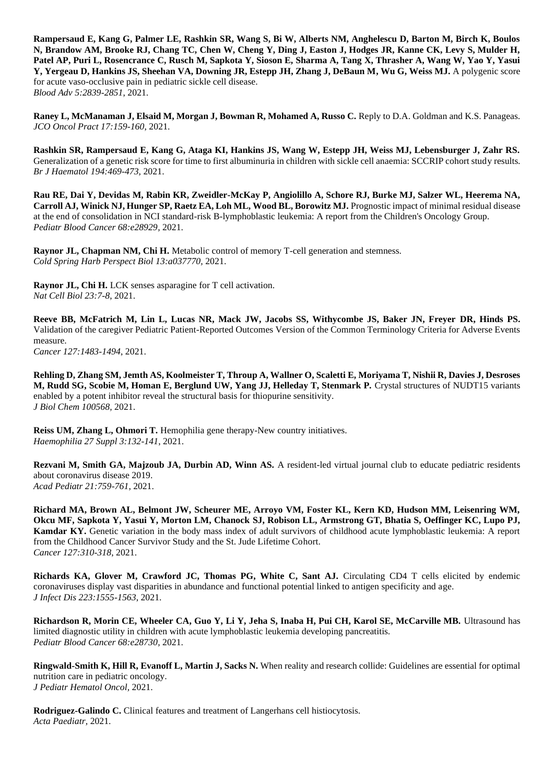**Rampersaud E, Kang G, Palmer LE, Rashkin SR, Wang S, Bi W, Alberts NM, Anghelescu D, Barton M, Birch K, Boulos N, Brandow AM, Brooke RJ, Chang TC, Chen W, Cheng Y, Ding J, Easton J, Hodges JR, Kanne CK, Levy S, Mulder H, Patel AP, Puri L, Rosencrance C, Rusch M, Sapkota Y, Sioson E, Sharma A, Tang X, Thrasher A, Wang W, Yao Y, Yasui Y, Yergeau D, Hankins JS, Sheehan VA, Downing JR, Estepp JH, Zhang J, DeBaun M, Wu G, Weiss MJ.** A polygenic score for acute vaso-occlusive pain in pediatric sickle cell disease. *Blood Adv 5:2839-2851*, 2021.

Raney L, McManaman J, Elsaid M, Morgan J, Bowman R, Mohamed A, Russo C. Reply to D.A. Goldman and K.S. Panageas. *JCO Oncol Pract 17:159-160*, 2021.

**Rashkin SR, Rampersaud E, Kang G, Ataga KI, Hankins JS, Wang W, Estepp JH, Weiss MJ, Lebensburger J, Zahr RS.**  Generalization of a genetic risk score for time to first albuminuria in children with sickle cell anaemia: SCCRIP cohort study results. *Br J Haematol 194:469-473,* 2021.

**Rau RE, Dai Y, Devidas M, Rabin KR, Zweidler-McKay P, Angiolillo A, Schore RJ, Burke MJ, Salzer WL, Heerema NA, Carroll AJ, Winick NJ, Hunger SP, Raetz EA, Loh ML, Wood BL, Borowitz MJ.** Prognostic impact of minimal residual disease at the end of consolidation in NCI standard-risk B-lymphoblastic leukemia: A report from the Children's Oncology Group. *Pediatr Blood Cancer 68:e28929,* 2021.

**Raynor JL, Chapman NM, Chi H.** Metabolic control of memory T-cell generation and stemness. *Cold Spring Harb Perspect Biol 13:a037770,* 2021.

**Raynor JL, Chi H.** LCK senses asparagine for T cell activation. *Nat Cell Biol 23:7-8*, 2021.

**Reeve BB, McFatrich M, Lin L, Lucas NR, Mack JW, Jacobs SS, Withycombe JS, Baker JN, Freyer DR, Hinds PS.**  Validation of the caregiver Pediatric Patient-Reported Outcomes Version of the Common Terminology Criteria for Adverse Events measure. *Cancer 127:1483-1494*, 2021.

**Rehling D, Zhang SM, Jemth AS, Koolmeister T, Throup A, Wallner O, Scaletti E, Moriyama T, Nishii R, Davies J, Desroses M, Rudd SG, Scobie M, Homan E, Berglund UW, Yang JJ, Helleday T, Stenmark P.** Crystal structures of NUDT15 variants enabled by a potent inhibitor reveal the structural basis for thiopurine sensitivity. *J Biol Chem 100568,* 2021.

Reiss UM, Zhang L, Ohmori T. Hemophilia gene therapy-New country initiatives. *Haemophilia 27 Suppl 3:132-141*, 2021.

**Rezvani M, Smith GA, Majzoub JA, Durbin AD, Winn AS.** A resident-led virtual journal club to educate pediatric residents about coronavirus disease 2019. *Acad Pediatr 21:759-761*, 2021.

**Richard MA, Brown AL, Belmont JW, Scheurer ME, Arroyo VM, Foster KL, Kern KD, Hudson MM, Leisenring WM, Okcu MF, Sapkota Y, Yasui Y, Morton LM, Chanock SJ, Robison LL, Armstrong GT, Bhatia S, Oeffinger KC, Lupo PJ, Kamdar KY.** Genetic variation in the body mass index of adult survivors of childhood acute lymphoblastic leukemia: A report from the Childhood Cancer Survivor Study and the St. Jude Lifetime Cohort. *Cancer 127:310-318*, 2021.

Richards KA, Glover M, Crawford JC, Thomas PG, White C, Sant AJ. Circulating CD4 T cells elicited by endemic coronaviruses display vast disparities in abundance and functional potential linked to antigen specificity and age. *J Infect Dis 223:1555-1563*, 2021.

**Richardson R, Morin CE, Wheeler CA, Guo Y, Li Y, Jeha S, Inaba H, Pui CH, Karol SE, McCarville MB.** Ultrasound has limited diagnostic utility in children with acute lymphoblastic leukemia developing pancreatitis. *Pediatr Blood Cancer 68:e28730,* 2021.

**Ringwald-Smith K, Hill R, Evanoff L, Martin J, Sacks N.** When reality and research collide: Guidelines are essential for optimal nutrition care in pediatric oncology. *J Pediatr Hematol Oncol,* 2021.

**Rodriguez-Galindo C.** Clinical features and treatment of Langerhans cell histiocytosis. *Acta Paediatr,* 2021.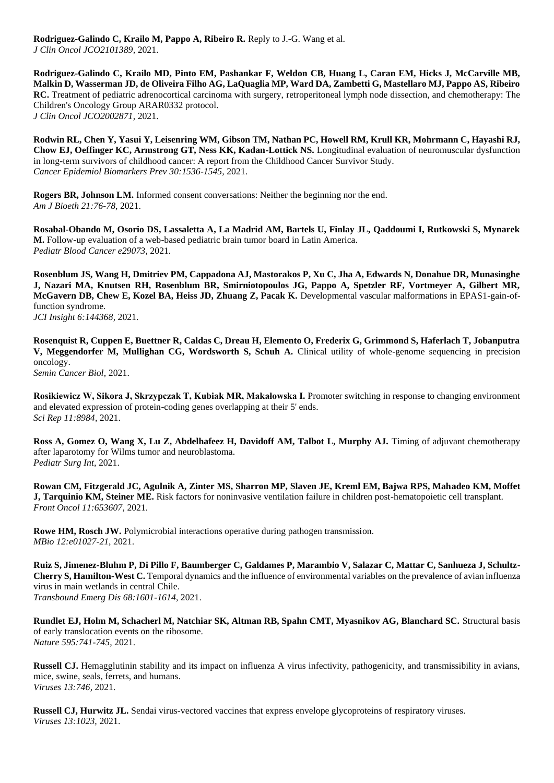**Rodriguez-Galindo C, Krailo M, Pappo A, Ribeiro R.** Reply to J.-G. Wang et al. *J Clin Oncol JCO2101389,* 2021.

**Rodriguez-Galindo C, Krailo MD, Pinto EM, Pashankar F, Weldon CB, Huang L, Caran EM, Hicks J, McCarville MB, Malkin D, Wasserman JD, de Oliveira Filho AG, LaQuaglia MP, Ward DA, Zambetti G, Mastellaro MJ, Pappo AS, Ribeiro RC.** Treatment of pediatric adrenocortical carcinoma with surgery, retroperitoneal lymph node dissection, and chemotherapy: The Children's Oncology Group ARAR0332 protocol. *J Clin Oncol JCO2002871,* 2021.

**Rodwin RL, Chen Y, Yasui Y, Leisenring WM, Gibson TM, Nathan PC, Howell RM, Krull KR, Mohrmann C, Hayashi RJ, Chow EJ, Oeffinger KC, Armstrong GT, Ness KK, Kadan-Lottick NS.** Longitudinal evaluation of neuromuscular dysfunction in long-term survivors of childhood cancer: A report from the Childhood Cancer Survivor Study. *Cancer Epidemiol Biomarkers Prev 30:1536-1545,* 2021.

**Rogers BR, Johnson LM.** Informed consent conversations: Neither the beginning nor the end. *Am J Bioeth 21:76-78*, 2021.

**Rosabal-Obando M, Osorio DS, Lassaletta A, La Madrid AM, Bartels U, Finlay JL, Qaddoumi I, Rutkowski S, Mynarek M.** Follow-up evaluation of a web-based pediatric brain tumor board in Latin America. *Pediatr Blood Cancer e29073,* 2021.

**Rosenblum JS, Wang H, Dmitriev PM, Cappadona AJ, Mastorakos P, Xu C, Jha A, Edwards N, Donahue DR, Munasinghe J, Nazari MA, Knutsen RH, Rosenblum BR, Smirniotopoulos JG, Pappo A, Spetzler RF, Vortmeyer A, Gilbert MR, McGavern DB, Chew E, Kozel BA, Heiss JD, Zhuang Z, Pacak K.** Developmental vascular malformations in EPAS1-gain-offunction syndrome.

*JCI Insight 6:144368,* 2021.

**Rosenquist R, Cuppen E, Buettner R, Caldas C, Dreau H, Elemento O, Frederix G, Grimmond S, Haferlach T, Jobanputra V, Meggendorfer M, Mullighan CG, Wordsworth S, Schuh A.** Clinical utility of whole-genome sequencing in precision oncology. *Semin Cancer Biol,* 2021.

**Rosikiewicz W, Sikora J, Skrzypczak T, Kubiak MR, Makałowska I.** Promoter switching in response to changing environment and elevated expression of protein-coding genes overlapping at their 5' ends. *Sci Rep 11:8984,* 2021.

**Ross A, Gomez O, Wang X, Lu Z, Abdelhafeez H, Davidoff AM, Talbot L, Murphy AJ.** Timing of adjuvant chemotherapy after laparotomy for Wilms tumor and neuroblastoma. *Pediatr Surg Int,* 2021.

**Rowan CM, Fitzgerald JC, Agulnik A, Zinter MS, Sharron MP, Slaven JE, Kreml EM, Bajwa RPS, Mahadeo KM, Moffet J, Tarquinio KM, Steiner ME.** Risk factors for noninvasive ventilation failure in children post-hematopoietic cell transplant. *Front Oncol 11:653607,* 2021.

**Rowe HM, Rosch JW.** Polymicrobial interactions operative during pathogen transmission. *MBio 12:e01027-21,* 2021.

**Ruiz S, Jimenez-Bluhm P, Di Pillo F, Baumberger C, Galdames P, Marambio V, Salazar C, Mattar C, Sanhueza J, Schultz-Cherry S, Hamilton-West C.** Temporal dynamics and the influence of environmental variables on the prevalence of avian influenza virus in main wetlands in central Chile. *Transbound Emerg Dis 68:1601-1614*, 2021.

**Rundlet EJ, Holm M, Schacherl M, Natchiar SK, Altman RB, Spahn CMT, Myasnikov AG, Blanchard SC.** Structural basis of early translocation events on the ribosome. *Nature 595:741-745,* 2021.

**Russell CJ.** Hemagglutinin stability and its impact on influenza A virus infectivity, pathogenicity, and transmissibility in avians, mice, swine, seals, ferrets, and humans. *Viruses 13:746,* 2021.

**Russell CJ, Hurwitz JL.** Sendai virus-vectored vaccines that express envelope glycoproteins of respiratory viruses. *Viruses 13:1023,* 2021.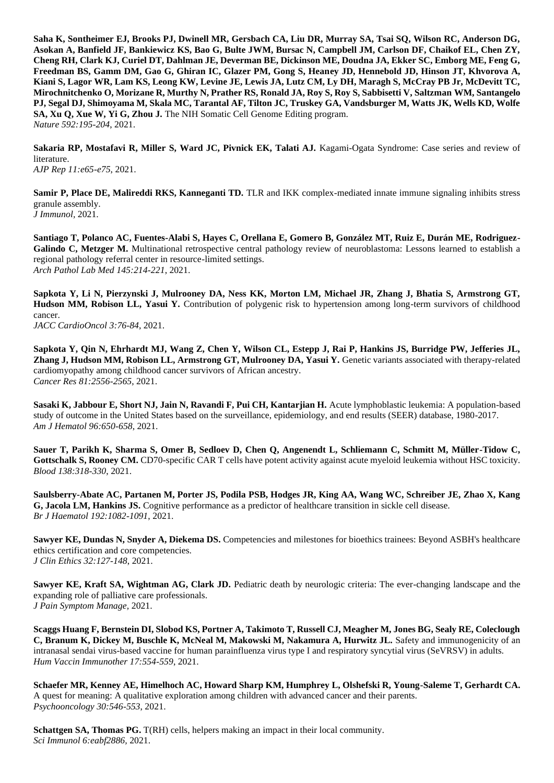**Saha K, Sontheimer EJ, Brooks PJ, Dwinell MR, Gersbach CA, Liu DR, Murray SA, Tsai SQ, Wilson RC, Anderson DG, Asokan A, Banfield JF, Bankiewicz KS, Bao G, Bulte JWM, Bursac N, Campbell JM, Carlson DF, Chaikof EL, Chen ZY, Cheng RH, Clark KJ, Curiel DT, Dahlman JE, Deverman BE, Dickinson ME, Doudna JA, Ekker SC, Emborg ME, Feng G, Freedman BS, Gamm DM, Gao G, Ghiran IC, Glazer PM, Gong S, Heaney JD, Hennebold JD, Hinson JT, Khvorova A, Kiani S, Lagor WR, Lam KS, Leong KW, Levine JE, Lewis JA, Lutz CM, Ly DH, Maragh S, McCray PB Jr, McDevitt TC, Mirochnitchenko O, Morizane R, Murthy N, Prather RS, Ronald JA, Roy S, Roy S, Sabbisetti V, Saltzman WM, Santangelo PJ, Segal DJ, Shimoyama M, Skala MC, Tarantal AF, Tilton JC, Truskey GA, Vandsburger M, Watts JK, Wells KD, Wolfe SA, Xu Q, Xue W, Yi G, Zhou J.** The NIH Somatic Cell Genome Editing program. *Nature 592:195-204*, 2021.

**Sakaria RP, Mostafavi R, Miller S, Ward JC, Pivnick EK, Talati AJ.** Kagami-Ogata Syndrome: Case series and review of literature.

*AJP Rep 11:e65-e75*, 2021.

**Samir P, Place DE, Malireddi RKS, Kanneganti TD.** TLR and IKK complex-mediated innate immune signaling inhibits stress granule assembly. *J Immunol,* 2021.

**Santiago T, Polanco AC, Fuentes-Alabi S, Hayes C, Orellana E, Gomero B, González MT, Ruiz E, Durán ME, Rodriguez-**Galindo C, Metzger M. Multinational retrospective central pathology review of neuroblastoma: Lessons learned to establish a regional pathology referral center in resource-limited settings. *Arch Pathol Lab Med 145:214-221*, 2021.

**Sapkota Y, Li N, Pierzynski J, Mulrooney DA, Ness KK, Morton LM, Michael JR, Zhang J, Bhatia S, Armstrong GT, Hudson MM, Robison LL, Yasui Y.** Contribution of polygenic risk to hypertension among long-term survivors of childhood cancer.

*JACC CardioOncol 3:76-84*, 2021.

**Sapkota Y, Qin N, Ehrhardt MJ, Wang Z, Chen Y, Wilson CL, Estepp J, Rai P, Hankins JS, Burridge PW, Jefferies JL, Zhang J, Hudson MM, Robison LL, Armstrong GT, Mulrooney DA, Yasui Y.** Genetic variants associated with therapy-related cardiomyopathy among childhood cancer survivors of African ancestry. *Cancer Res 81:2556-2565*, 2021.

**Sasaki K, Jabbour E, Short NJ, Jain N, Ravandi F, Pui CH, Kantarjian H.** Acute lymphoblastic leukemia: A population-based study of outcome in the United States based on the surveillance, epidemiology, and end results (SEER) database, 1980-2017. *Am J Hematol 96:650-658*, 2021.

**Sauer T, Parikh K, Sharma S, Omer B, Sedloev D, Chen Q, Angenendt L, Schliemann C, Schmitt M, Müller-Tidow C, Gottschalk S, Rooney CM.** CD70-specific CAR T cells have potent activity against acute myeloid leukemia without HSC toxicity. *Blood 138:318-330*, 2021.

**Saulsberry-Abate AC, Partanen M, Porter JS, Podila PSB, Hodges JR, King AA, Wang WC, Schreiber JE, Zhao X, Kang G, Jacola LM, Hankins JS.** Cognitive performance as a predictor of healthcare transition in sickle cell disease. *Br J Haematol 192:1082-1091*, 2021.

**Sawyer KE, Dundas N, Snyder A, Diekema DS.** Competencies and milestones for bioethics trainees: Beyond ASBH's healthcare ethics certification and core competencies. *J Clin Ethics 32:127-148*, 2021.

**Sawyer KE, Kraft SA, Wightman AG, Clark JD.** Pediatric death by neurologic criteria: The ever-changing landscape and the expanding role of palliative care professionals. *J Pain Symptom Manage,* 2021.

**Scaggs Huang F, Bernstein DI, Slobod KS, Portner A, Takimoto T, Russell CJ, Meagher M, Jones BG, Sealy RE, Coleclough C, Branum K, Dickey M, Buschle K, McNeal M, Makowski M, Nakamura A, Hurwitz JL.** Safety and immunogenicity of an intranasal sendai virus-based vaccine for human parainfluenza virus type I and respiratory syncytial virus (SeVRSV) in adults. *Hum Vaccin Immunother 17:554-559*, 2021.

**Schaefer MR, Kenney AE, Himelhoch AC, Howard Sharp KM, Humphrey L, Olshefski R, Young-Saleme T, Gerhardt CA.**  A quest for meaning: A qualitative exploration among children with advanced cancer and their parents. *Psychooncology 30:546-553*, 2021.

**Schattgen SA, Thomas PG.** T(RH) cells, helpers making an impact in their local community. *Sci Immunol 6:eabf2886,* 2021.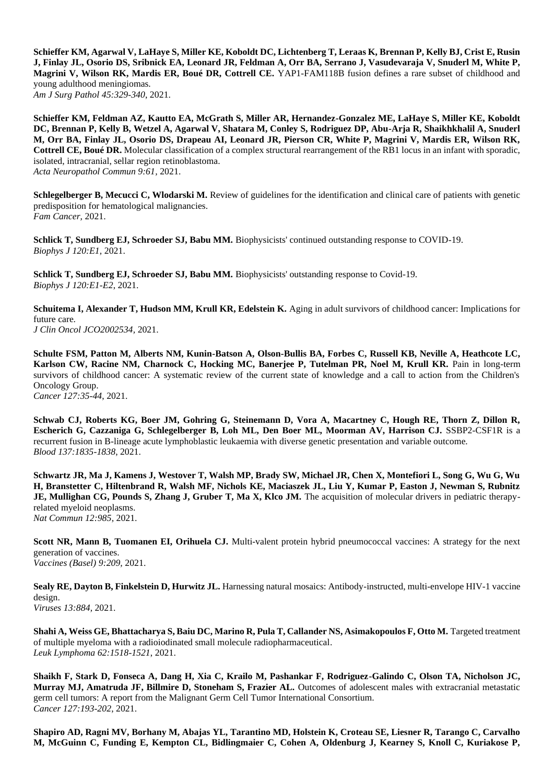**Schieffer KM, Agarwal V, LaHaye S, Miller KE, Koboldt DC, Lichtenberg T, Leraas K, Brennan P, Kelly BJ, Crist E, Rusin J, Finlay JL, Osorio DS, Sribnick EA, Leonard JR, Feldman A, Orr BA, Serrano J, Vasudevaraja V, Snuderl M, White P, Magrini V, Wilson RK, Mardis ER, Boué DR, Cottrell CE.** YAP1-FAM118B fusion defines a rare subset of childhood and young adulthood meningiomas. *Am J Surg Pathol 45:329-340*, 2021.

**Schieffer KM, Feldman AZ, Kautto EA, McGrath S, Miller AR, Hernandez-Gonzalez ME, LaHaye S, Miller KE, Koboldt DC, Brennan P, Kelly B, Wetzel A, Agarwal V, Shatara M, Conley S, Rodriguez DP, Abu-Arja R, Shaikhkhalil A, Snuderl M, Orr BA, Finlay JL, Osorio DS, Drapeau AI, Leonard JR, Pierson CR, White P, Magrini V, Mardis ER, Wilson RK, Cottrell CE, Boué DR.** Molecular classification of a complex structural rearrangement of the RB1 locus in an infant with sporadic, isolated, intracranial, sellar region retinoblastoma. *Acta Neuropathol Commun 9:61,* 2021.

**Schlegelberger B, Mecucci C, Wlodarski M.** Review of guidelines for the identification and clinical care of patients with genetic predisposition for hematological malignancies. *Fam Cancer,* 2021.

**Schlick T, Sundberg EJ, Schroeder SJ, Babu MM.** Biophysicists' continued outstanding response to COVID-19. *Biophys J 120:E1,* 2021.

**Schlick T, Sundberg EJ, Schroeder SJ, Babu MM.** Biophysicists' outstanding response to Covid-19. *Biophys J 120:E1-E2*, 2021.

**Schuitema I, Alexander T, Hudson MM, Krull KR, Edelstein K.** Aging in adult survivors of childhood cancer: Implications for future care.

*J Clin Oncol JCO2002534,* 2021.

**Schulte FSM, Patton M, Alberts NM, Kunin-Batson A, Olson-Bullis BA, Forbes C, Russell KB, Neville A, Heathcote LC, Karlson CW, Racine NM, Charnock C, Hocking MC, Banerjee P, Tutelman PR, Noel M, Krull KR.** Pain in long-term survivors of childhood cancer: A systematic review of the current state of knowledge and a call to action from the Children's Oncology Group.

*Cancer 127:35-44*, 2021.

**Schwab CJ, Roberts KG, Boer JM, Gohring G, Steinemann D, Vora A, Macartney C, Hough RE, Thorn Z, Dillon R, Escherich G, Cazzaniga G, Schlegelberger B, Loh ML, Den Boer ML, Moorman AV, Harrison CJ. SSBP2-CSF1R** is a recurrent fusion in B-lineage acute lymphoblastic leukaemia with diverse genetic presentation and variable outcome. *Blood 137:1835-1838*, 2021.

**Schwartz JR, Ma J, Kamens J, Westover T, Walsh MP, Brady SW, Michael JR, Chen X, Montefiori L, Song G, Wu G, Wu H, Branstetter C, Hiltenbrand R, Walsh MF, Nichols KE, Maciaszek JL, Liu Y, Kumar P, Easton J, Newman S, Rubnitz JE, Mullighan CG, Pounds S, Zhang J, Gruber T, Ma X, Klco JM.** The acquisition of molecular drivers in pediatric therapyrelated myeloid neoplasms. *Nat Commun 12:985,* 2021.

**Scott NR, Mann B, Tuomanen EI, Orihuela CJ.** Multi-valent protein hybrid pneumococcal vaccines: A strategy for the next generation of vaccines. *Vaccines (Basel) 9:209,* 2021.

**Sealy RE, Dayton B, Finkelstein D, Hurwitz JL.** Harnessing natural mosaics: Antibody-instructed, multi-envelope HIV-1 vaccine design. *Viruses 13:884,* 2021.

**Shahi A, Weiss GE, Bhattacharya S, Baiu DC, Marino R, Pula T, Callander NS, Asimakopoulos F, Otto M.** Targeted treatment of multiple myeloma with a radioiodinated small molecule radiopharmaceutical. *Leuk Lymphoma 62:1518-1521*, 2021.

**Shaikh F, Stark D, Fonseca A, Dang H, Xia C, Krailo M, Pashankar F, Rodriguez-Galindo C, Olson TA, Nicholson JC, Murray MJ, Amatruda JF, Billmire D, Stoneham S, Frazier AL.** Outcomes of adolescent males with extracranial metastatic germ cell tumors: A report from the Malignant Germ Cell Tumor International Consortium. *Cancer 127:193-202*, 2021.

**Shapiro AD, Ragni MV, Borhany M, Abajas YL, Tarantino MD, Holstein K, Croteau SE, Liesner R, Tarango C, Carvalho M, McGuinn C, Funding E, Kempton CL, Bidlingmaier C, Cohen A, Oldenburg J, Kearney S, Knoll C, Kuriakose P,**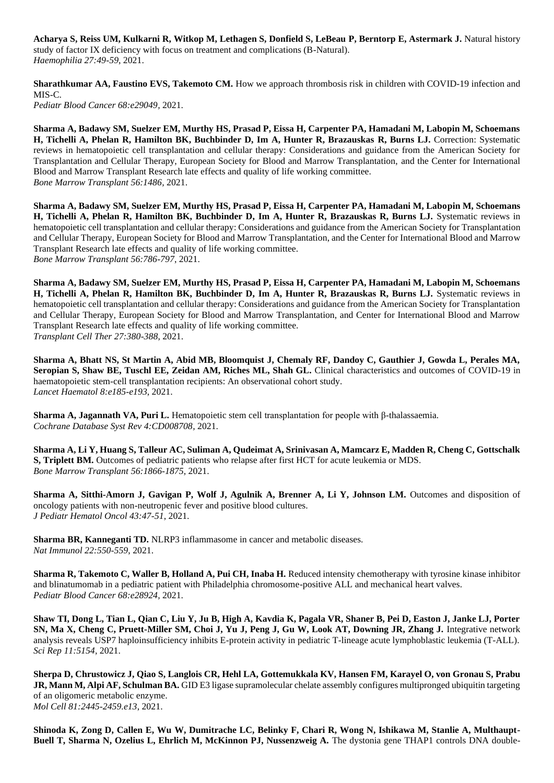**Acharya S, Reiss UM, Kulkarni R, Witkop M, Lethagen S, Donfield S, LeBeau P, Berntorp E, Astermark J.** Natural history study of factor IX deficiency with focus on treatment and complications (B-Natural). *Haemophilia 27:49-59*, 2021.

**Sharathkumar AA, Faustino EVS, Takemoto CM.** How we approach thrombosis risk in children with COVID-19 infection and MIS-C.

*Pediatr Blood Cancer 68:e29049,* 2021.

**Sharma A, Badawy SM, Suelzer EM, Murthy HS, Prasad P, Eissa H, Carpenter PA, Hamadani M, Labopin M, Schoemans H, Tichelli A, Phelan R, Hamilton BK, Buchbinder D, Im A, Hunter R, Brazauskas R, Burns LJ.** Correction: Systematic reviews in hematopoietic cell transplantation and cellular therapy: Considerations and guidance from the American Society for Transplantation and Cellular Therapy, European Society for Blood and Marrow Transplantation, and the Center for International Blood and Marrow Transplant Research late effects and quality of life working committee. *Bone Marrow Transplant 56:1486,* 2021.

**Sharma A, Badawy SM, Suelzer EM, Murthy HS, Prasad P, Eissa H, Carpenter PA, Hamadani M, Labopin M, Schoemans H, Tichelli A, Phelan R, Hamilton BK, Buchbinder D, Im A, Hunter R, Brazauskas R, Burns LJ.** Systematic reviews in hematopoietic cell transplantation and cellular therapy: Considerations and guidance from the American Society for Transplantation and Cellular Therapy, European Society for Blood and Marrow Transplantation, and the Center for International Blood and Marrow Transplant Research late effects and quality of life working committee. *Bone Marrow Transplant 56:786-797*, 2021.

**Sharma A, Badawy SM, Suelzer EM, Murthy HS, Prasad P, Eissa H, Carpenter PA, Hamadani M, Labopin M, Schoemans H, Tichelli A, Phelan R, Hamilton BK, Buchbinder D, Im A, Hunter R, Brazauskas R, Burns LJ.** Systematic reviews in hematopoietic cell transplantation and cellular therapy: Considerations and guidance from the American Society for Transplantation and Cellular Therapy, European Society for Blood and Marrow Transplantation, and Center for International Blood and Marrow Transplant Research late effects and quality of life working committee. *Transplant Cell Ther 27:380-388*, 2021.

**Sharma A, Bhatt NS, St Martin A, Abid MB, Bloomquist J, Chemaly RF, Dandoy C, Gauthier J, Gowda L, Perales MA, Seropian S, Shaw BE, Tuschl EE, Zeidan AM, Riches ML, Shah GL.** Clinical characteristics and outcomes of COVID-19 in haematopoietic stem-cell transplantation recipients: An observational cohort study. *Lancet Haematol 8:e185-e193*, 2021.

**Sharma A, Jagannath VA, Puri L.** Hematopoietic stem cell transplantation for people with β-thalassaemia. *Cochrane Database Syst Rev 4:CD008708,* 2021.

**Sharma A, Li Y, Huang S, Talleur AC, Suliman A, Qudeimat A, Srinivasan A, Mamcarz E, Madden R, Cheng C, Gottschalk S, Triplett BM.** Outcomes of pediatric patients who relapse after first HCT for acute leukemia or MDS. *Bone Marrow Transplant 56:1866-1875,* 2021.

**Sharma A, Sitthi-Amorn J, Gavigan P, Wolf J, Agulnik A, Brenner A, Li Y, Johnson LM.** Outcomes and disposition of oncology patients with non-neutropenic fever and positive blood cultures. *J Pediatr Hematol Oncol 43:47-51*, 2021.

**Sharma BR, Kanneganti TD.** NLRP3 inflammasome in cancer and metabolic diseases. *Nat Immunol 22:550-559*, 2021.

**Sharma R, Takemoto C, Waller B, Holland A, Pui CH, Inaba H.** Reduced intensity chemotherapy with tyrosine kinase inhibitor and blinatumomab in a pediatric patient with Philadelphia chromosome-positive ALL and mechanical heart valves. *Pediatr Blood Cancer 68:e28924,* 2021.

**Shaw TI, Dong L, Tian L, Qian C, Liu Y, Ju B, High A, Kavdia K, Pagala VR, Shaner B, Pei D, Easton J, Janke LJ, Porter SN, Ma X, Cheng C, Pruett-Miller SM, Choi J, Yu J, Peng J, Gu W, Look AT, Downing JR, Zhang J.** Integrative network analysis reveals USP7 haploinsufficiency inhibits E-protein activity in pediatric T-lineage acute lymphoblastic leukemia (T-ALL). *Sci Rep 11:5154,* 2021.

**Sherpa D, Chrustowicz J, Qiao S, Langlois CR, Hehl LA, Gottemukkala KV, Hansen FM, Karayel O, von Gronau S, Prabu JR, Mann M, Alpi AF, Schulman BA.** GID E3 ligase supramolecular chelate assembly configures multipronged ubiquitin targeting of an oligomeric metabolic enzyme. *Mol Cell 81:2445-2459.e13*, 2021.

**Shinoda K, Zong D, Callen E, Wu W, Dumitrache LC, Belinky F, Chari R, Wong N, Ishikawa M, Stanlie A, Multhaupt-Buell T, Sharma N, Ozelius L, Ehrlich M, McKinnon PJ, Nussenzweig A.** The dystonia gene THAP1 controls DNA double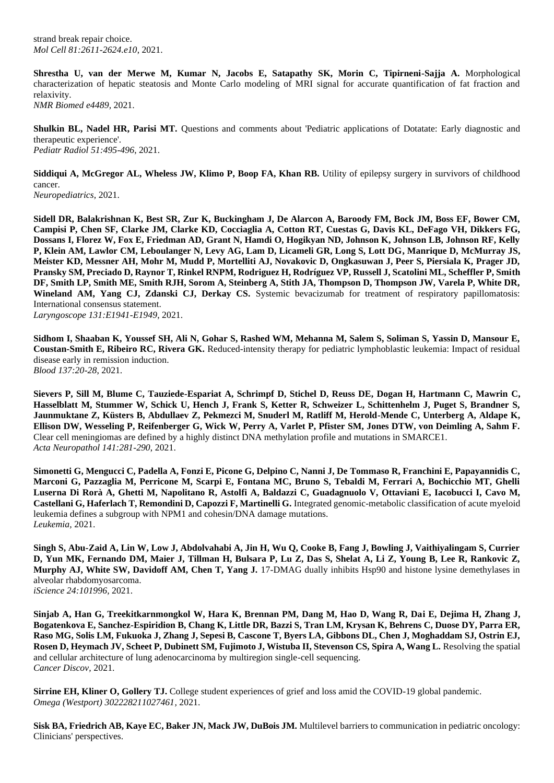strand break repair choice. *Mol Cell 81:2611-2624.e10*, 2021.

**Shrestha U, van der Merwe M, Kumar N, Jacobs E, Satapathy SK, Morin C, Tipirneni-Sajja A.** Morphological characterization of hepatic steatosis and Monte Carlo modeling of MRI signal for accurate quantification of fat fraction and relaxivity.

*NMR Biomed e4489,* 2021.

**Shulkin BL, Nadel HR, Parisi MT.** Questions and comments about 'Pediatric applications of Dotatate: Early diagnostic and therapeutic experience'. *Pediatr Radiol 51:495-496*, 2021.

**Siddiqui A, McGregor AL, Wheless JW, Klimo P, Boop FA, Khan RB.** Utility of epilepsy surgery in survivors of childhood cancer.

*Neuropediatrics,* 2021.

**Sidell DR, Balakrishnan K, Best SR, Zur K, Buckingham J, De Alarcon A, Baroody FM, Bock JM, Boss EF, Bower CM, Campisi P, Chen SF, Clarke JM, Clarke KD, Cocciaglia A, Cotton RT, Cuestas G, Davis KL, DeFago VH, Dikkers FG, Dossans I, Florez W, Fox E, Friedman AD, Grant N, Hamdi O, Hogikyan ND, Johnson K, Johnson LB, Johnson RF, Kelly P, Klein AM, Lawlor CM, Leboulanger N, Levy AG, Lam D, Licameli GR, Long S, Lott DG, Manrique D, McMurray JS, Meister KD, Messner AH, Mohr M, Mudd P, Mortelliti AJ, Novakovic D, Ongkasuwan J, Peer S, Piersiala K, Prager JD, Pransky SM, Preciado D, Raynor T, Rinkel RNPM, Rodriguez H, Rodríguez VP, Russell J, Scatolini ML, Scheffler P, Smith DF, Smith LP, Smith ME, Smith RJH, Sorom A, Steinberg A, Stith JA, Thompson D, Thompson JW, Varela P, White DR,**  Wineland AM, Yang CJ, Zdanski CJ, Derkay CS. Systemic bevacizumab for treatment of respiratory papillomatosis: International consensus statement.

*Laryngoscope 131:E1941-E1949*, 2021.

**Sidhom I, Shaaban K, Youssef SH, Ali N, Gohar S, Rashed WM, Mehanna M, Salem S, Soliman S, Yassin D, Mansour E, Coustan-Smith E, Ribeiro RC, Rivera GK.** Reduced-intensity therapy for pediatric lymphoblastic leukemia: Impact of residual disease early in remission induction. *Blood 137:20-28*, 2021.

**Sievers P, Sill M, Blume C, Tauziede-Espariat A, Schrimpf D, Stichel D, Reuss DE, Dogan H, Hartmann C, Mawrin C, Hasselblatt M, Stummer W, Schick U, Hench J, Frank S, Ketter R, Schweizer L, Schittenhelm J, Puget S, Brandner S, Jaunmuktane Z, Küsters B, Abdullaev Z, Pekmezci M, Snuderl M, Ratliff M, Herold-Mende C, Unterberg A, Aldape K, Ellison DW, Wesseling P, Reifenberger G, Wick W, Perry A, Varlet P, Pfister SM, Jones DTW, von Deimling A, Sahm F.**  Clear cell meningiomas are defined by a highly distinct DNA methylation profile and mutations in SMARCE1. *Acta Neuropathol 141:281-290*, 2021.

**Simonetti G, Mengucci C, Padella A, Fonzi E, Picone G, Delpino C, Nanni J, De Tommaso R, Franchini E, Papayannidis C, Marconi G, Pazzaglia M, Perricone M, Scarpi E, Fontana MC, Bruno S, Tebaldi M, Ferrari A, Bochicchio MT, Ghelli Luserna Di Rorà A, Ghetti M, Napolitano R, Astolfi A, Baldazzi C, Guadagnuolo V, Ottaviani E, Iacobucci I, Cavo M, Castellani G, Haferlach T, Remondini D, Capozzi F, Martinelli G.** Integrated genomic-metabolic classification of acute myeloid leukemia defines a subgroup with NPM1 and cohesin/DNA damage mutations. *Leukemia,* 2021.

**Singh S, Abu-Zaid A, Lin W, Low J, Abdolvahabi A, Jin H, Wu Q, Cooke B, Fang J, Bowling J, Vaithiyalingam S, Currier D, Yun MK, Fernando DM, Maier J, Tillman H, Bulsara P, Lu Z, Das S, Shelat A, Li Z, Young B, Lee R, Rankovic Z, Murphy AJ, White SW, Davidoff AM, Chen T, Yang J.** 17-DMAG dually inhibits Hsp90 and histone lysine demethylases in alveolar rhabdomyosarcoma. *iScience 24:101996,* 2021.

**Sinjab A, Han G, Treekitkarnmongkol W, Hara K, Brennan PM, Dang M, Hao D, Wang R, Dai E, Dejima H, Zhang J, Bogatenkova E, Sanchez-Espiridion B, Chang K, Little DR, Bazzi S, Tran LM, Krysan K, Behrens C, Duose DY, Parra ER, Raso MG, Solis LM, Fukuoka J, Zhang J, Sepesi B, Cascone T, Byers LA, Gibbons DL, Chen J, Moghaddam SJ, Ostrin EJ, Rosen D, Heymach JV, Scheet P, Dubinett SM, Fujimoto J, Wistuba II, Stevenson CS, Spira A, Wang L. Resolving the spatial** and cellular architecture of lung adenocarcinoma by multiregion single-cell sequencing. *Cancer Discov,* 2021.

**Sirrine EH, Kliner O, Gollery TJ.** College student experiences of grief and loss amid the COVID-19 global pandemic. *Omega (Westport) 302228211027461,* 2021.

**Sisk BA, Friedrich AB, Kaye EC, Baker JN, Mack JW, DuBois JM.** Multilevel barriers to communication in pediatric oncology: Clinicians' perspectives.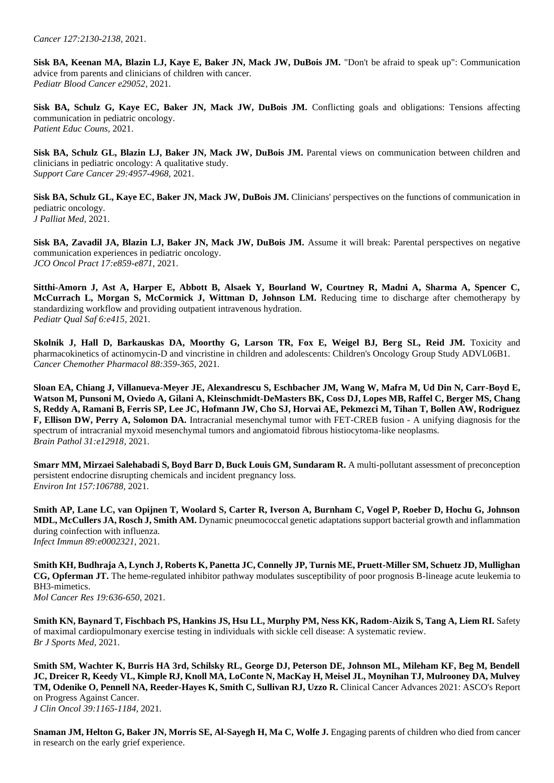**Sisk BA, Keenan MA, Blazin LJ, Kaye E, Baker JN, Mack JW, DuBois JM.** "Don't be afraid to speak up": Communication advice from parents and clinicians of children with cancer. *Pediatr Blood Cancer e29052,* 2021.

Sisk BA, Schulz G, Kaye EC, Baker JN, Mack JW, DuBois JM. Conflicting goals and obligations: Tensions affecting communication in pediatric oncology. *Patient Educ Couns,* 2021.

Sisk BA, Schulz GL, Blazin LJ, Baker JN, Mack JW, DuBois JM. Parental views on communication between children and clinicians in pediatric oncology: A qualitative study. *Support Care Cancer 29:4957-4968,* 2021.

**Sisk BA, Schulz GL, Kaye EC, Baker JN, Mack JW, DuBois JM.** Clinicians' perspectives on the functions of communication in pediatric oncology. *J Palliat Med,* 2021.

**Sisk BA, Zavadil JA, Blazin LJ, Baker JN, Mack JW, DuBois JM.** Assume it will break: Parental perspectives on negative communication experiences in pediatric oncology. *JCO Oncol Pract 17:e859-e871*, 2021.

**Sitthi-Amorn J, Ast A, Harper E, Abbott B, Alsaek Y, Bourland W, Courtney R, Madni A, Sharma A, Spencer C, McCurrach L, Morgan S, McCormick J, Wittman D, Johnson LM.** Reducing time to discharge after chemotherapy by standardizing workflow and providing outpatient intravenous hydration. *Pediatr Qual Saf 6:e415,* 2021.

Skolnik J, Hall D, Barkauskas DA, Moorthy G, Larson TR, Fox E, Weigel BJ, Berg SL, Reid JM. Toxicity and pharmacokinetics of actinomycin-D and vincristine in children and adolescents: Children's Oncology Group Study ADVL06B1. *Cancer Chemother Pharmacol 88:359-365,* 2021.

**Sloan EA, Chiang J, Villanueva-Meyer JE, Alexandrescu S, Eschbacher JM, Wang W, Mafra M, Ud Din N, Carr-Boyd E, Watson M, Punsoni M, Oviedo A, Gilani A, Kleinschmidt-DeMasters BK, Coss DJ, Lopes MB, Raffel C, Berger MS, Chang S, Reddy A, Ramani B, Ferris SP, Lee JC, Hofmann JW, Cho SJ, Horvai AE, Pekmezci M, Tihan T, Bollen AW, Rodriguez F, Ellison DW, Perry A, Solomon DA.** Intracranial mesenchymal tumor with FET-CREB fusion - A unifying diagnosis for the spectrum of intracranial myxoid mesenchymal tumors and angiomatoid fibrous histiocytoma-like neoplasms. *Brain Pathol 31:e12918,* 2021.

**Smarr MM, Mirzaei Salehabadi S, Boyd Barr D, Buck Louis GM, Sundaram R.** A multi-pollutant assessment of preconception persistent endocrine disrupting chemicals and incident pregnancy loss. *Environ Int 157:106788,* 2021.

**Smith AP, Lane LC, van Opijnen T, Woolard S, Carter R, Iverson A, Burnham C, Vogel P, Roeber D, Hochu G, Johnson MDL, McCullers JA, Rosch J, Smith AM.** Dynamic pneumococcal genetic adaptations support bacterial growth and inflammation during coinfection with influenza. *Infect Immun 89:e0002321,* 2021.

**Smith KH, Budhraja A, Lynch J, Roberts K, Panetta JC, Connelly JP, Turnis ME, Pruett-Miller SM, Schuetz JD, Mullighan CG, Opferman JT.** The heme-regulated inhibitor pathway modulates susceptibility of poor prognosis B-lineage acute leukemia to BH3-mimetics. *Mol Cancer Res 19:636-650*, 2021.

**Smith KN, Baynard T, Fischbach PS, Hankins JS, Hsu LL, Murphy PM, Ness KK, Radom-Aizik S, Tang A, Liem RI.** Safety of maximal cardiopulmonary exercise testing in individuals with sickle cell disease: A systematic review. *Br J Sports Med,* 2021.

**Smith SM, Wachter K, Burris HA 3rd, Schilsky RL, George DJ, Peterson DE, Johnson ML, Mileham KF, Beg M, Bendell JC, Dreicer R, Keedy VL, Kimple RJ, Knoll MA, LoConte N, MacKay H, Meisel JL, Moynihan TJ, Mulrooney DA, Mulvey TM, Odenike O, Pennell NA, Reeder-Hayes K, Smith C, Sullivan RJ, Uzzo R.** Clinical Cancer Advances 2021: ASCO's Report on Progress Against Cancer.

*J Clin Oncol 39:1165-1184*, 2021.

**Snaman JM, Helton G, Baker JN, Morris SE, Al-Sayegh H, Ma C, Wolfe J.** Engaging parents of children who died from cancer in research on the early grief experience.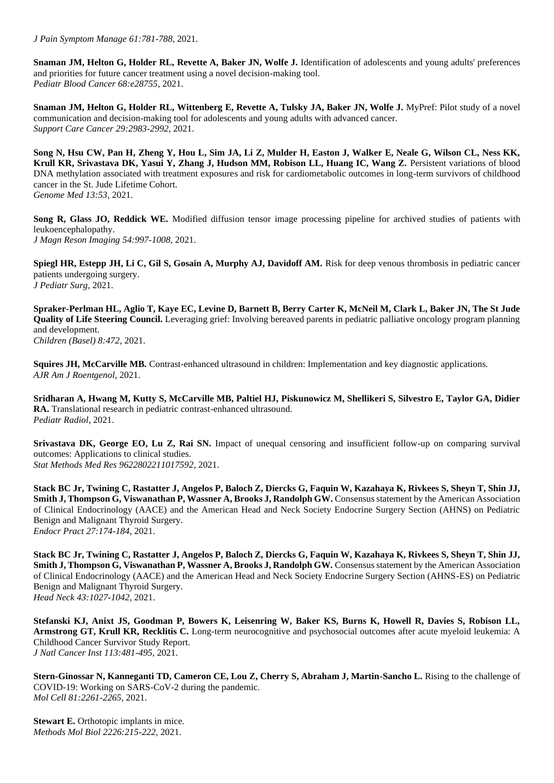*J Pain Symptom Manage 61:781-788*, 2021.

**Snaman JM, Helton G, Holder RL, Revette A, Baker JN, Wolfe J.** Identification of adolescents and young adults' preferences and priorities for future cancer treatment using a novel decision-making tool. *Pediatr Blood Cancer 68:e28755,* 2021.

**Snaman JM, Helton G, Holder RL, Wittenberg E, Revette A, Tulsky JA, Baker JN, Wolfe J. MyPref: Pilot study of a novel** communication and decision-making tool for adolescents and young adults with advanced cancer. *Support Care Cancer 29:2983-2992*, 2021.

**Song N, Hsu CW, Pan H, Zheng Y, Hou L, Sim JA, Li Z, Mulder H, Easton J, Walker E, Neale G, Wilson CL, Ness KK,**  Krull KR, Srivastava DK, Yasui Y, Zhang J, Hudson MM, Robison LL, Huang IC, Wang Z. Persistent variations of blood DNA methylation associated with treatment exposures and risk for cardiometabolic outcomes in long-term survivors of childhood cancer in the St. Jude Lifetime Cohort. *Genome Med 13:53,* 2021.

**Song R, Glass JO, Reddick WE.** Modified diffusion tensor image processing pipeline for archived studies of patients with leukoencephalopathy. *J Magn Reson Imaging 54:997-1008,* 2021.

**Spiegl HR, Estepp JH, Li C, Gil S, Gosain A, Murphy AJ, Davidoff AM.** Risk for deep venous thrombosis in pediatric cancer patients undergoing surgery. *J Pediatr Surg,* 2021.

**Spraker-Perlman HL, Aglio T, Kaye EC, Levine D, Barnett B, Berry Carter K, McNeil M, Clark L, Baker JN, The St Jude Quality of Life Steering Council.** Leveraging grief: Involving bereaved parents in pediatric palliative oncology program planning and development. *Children (Basel) 8:472,* 2021.

**Squires JH, McCarville MB.** Contrast-enhanced ultrasound in children: Implementation and key diagnostic applications. *AJR Am J Roentgenol,* 2021.

**Sridharan A, Hwang M, Kutty S, McCarville MB, Paltiel HJ, Piskunowicz M, Shellikeri S, Silvestro E, Taylor GA, Didier RA.** Translational research in pediatric contrast-enhanced ultrasound. *Pediatr Radiol,* 2021.

**Srivastava DK, George EO, Lu Z, Rai SN.** Impact of unequal censoring and insufficient follow-up on comparing survival outcomes: Applications to clinical studies. *Stat Methods Med Res 9622802211017592,* 2021.

**Stack BC Jr, Twining C, Rastatter J, Angelos P, Baloch Z, Diercks G, Faquin W, Kazahaya K, Rivkees S, Sheyn T, Shin JJ, Smith J, Thompson G, Viswanathan P, Wassner A, Brooks J, Randolph GW.** Consensus statement by the American Association of Clinical Endocrinology (AACE) and the American Head and Neck Society Endocrine Surgery Section (AHNS) on Pediatric Benign and Malignant Thyroid Surgery. *Endocr Pract 27:174-184*, 2021.

**Stack BC Jr, Twining C, Rastatter J, Angelos P, Baloch Z, Diercks G, Faquin W, Kazahaya K, Rivkees S, Sheyn T, Shin JJ, Smith J, Thompson G, Viswanathan P, Wassner A, Brooks J, Randolph GW.** Consensus statement by the American Association of Clinical Endocrinology (AACE) and the American Head and Neck Society Endocrine Surgery Section (AHNS-ES) on Pediatric Benign and Malignant Thyroid Surgery. *Head Neck 43:1027-1042*, 2021.

**Stefanski KJ, Anixt JS, Goodman P, Bowers K, Leisenring W, Baker KS, Burns K, Howell R, Davies S, Robison LL, Armstrong GT, Krull KR, Recklitis C.** Long-term neurocognitive and psychosocial outcomes after acute myeloid leukemia: A Childhood Cancer Survivor Study Report. *J Natl Cancer Inst 113:481-495*, 2021.

**Stern-Ginossar N, Kanneganti TD, Cameron CE, Lou Z, Cherry S, Abraham J, Martin-Sancho L.** Rising to the challenge of COVID-19: Working on SARS-CoV-2 during the pandemic. *Mol Cell 81:2261-2265*, 2021.

**Stewart E.** Orthotopic implants in mice. *Methods Mol Biol 2226:215-222*, 2021.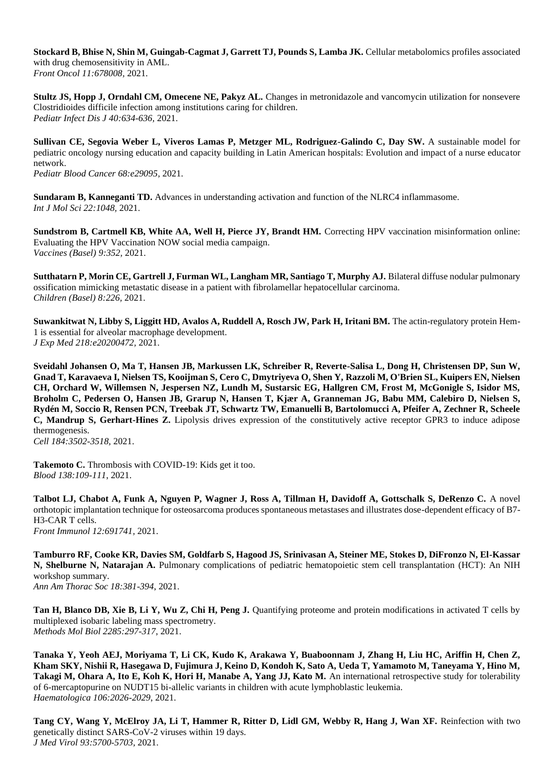**Stockard B, Bhise N, Shin M, Guingab-Cagmat J, Garrett TJ, Pounds S, Lamba JK.** Cellular metabolomics profiles associated with drug chemosensitivity in AML. *Front Oncol 11:678008,* 2021.

**Stultz JS, Hopp J, Orndahl CM, Omecene NE, Pakyz AL.** Changes in metronidazole and vancomycin utilization for nonsevere Clostridioides difficile infection among institutions caring for children. *Pediatr Infect Dis J 40:634-636,* 2021.

Sullivan CE, Segovia Weber L, Viveros Lamas P, Metzger ML, Rodriguez-Galindo C, Day SW. A sustainable model for pediatric oncology nursing education and capacity building in Latin American hospitals: Evolution and impact of a nurse educator network. *Pediatr Blood Cancer 68:e29095,* 2021.

**Sundaram B, Kanneganti TD.** Advances in understanding activation and function of the NLRC4 inflammasome. *Int J Mol Sci 22:1048,* 2021.

**Sundstrom B, Cartmell KB, White AA, Well H, Pierce JY, Brandt HM.** Correcting HPV vaccination misinformation online: Evaluating the HPV Vaccination NOW social media campaign. *Vaccines (Basel) 9:352,* 2021.

**Sutthatarn P, Morin CE, Gartrell J, Furman WL, Langham MR, Santiago T, Murphy AJ.** Bilateral diffuse nodular pulmonary ossification mimicking metastatic disease in a patient with fibrolamellar hepatocellular carcinoma. *Children (Basel) 8:226,* 2021.

**Suwankitwat N, Libby S, Liggitt HD, Avalos A, Ruddell A, Rosch JW, Park H, Iritani BM.** The actin-regulatory protein Hem-1 is essential for alveolar macrophage development. *J Exp Med 218:e20200472,* 2021.

**Sveidahl Johansen O, Ma T, Hansen JB, Markussen LK, Schreiber R, Reverte-Salisa L, Dong H, Christensen DP, Sun W, Gnad T, Karavaeva I, Nielsen TS, Kooijman S, Cero C, Dmytriyeva O, Shen Y, Razzoli M, O'Brien SL, Kuipers EN, Nielsen CH, Orchard W, Willemsen N, Jespersen NZ, Lundh M, Sustarsic EG, Hallgren CM, Frost M, McGonigle S, Isidor MS, Broholm C, Pedersen O, Hansen JB, Grarup N, Hansen T, Kjær A, Granneman JG, Babu MM, Calebiro D, Nielsen S, Rydén M, Soccio R, Rensen PCN, Treebak JT, Schwartz TW, Emanuelli B, Bartolomucci A, Pfeifer A, Zechner R, Scheele C, Mandrup S, Gerhart-Hines Z.** Lipolysis drives expression of the constitutively active receptor GPR3 to induce adipose thermogenesis.

*Cell 184:3502-3518,* 2021.

**Takemoto C.** Thrombosis with COVID-19: Kids get it too. *Blood 138:109-111*, 2021.

**Talbot LJ, Chabot A, Funk A, Nguyen P, Wagner J, Ross A, Tillman H, Davidoff A, Gottschalk S, DeRenzo C.** A novel orthotopic implantation technique for osteosarcoma produces spontaneous metastases and illustrates dose-dependent efficacy of B7- H3-CAR T cells. *Front Immunol 12:691741,* 2021.

**Tamburro RF, Cooke KR, Davies SM, Goldfarb S, Hagood JS, Srinivasan A, Steiner ME, Stokes D, DiFronzo N, El-Kassar N, Shelburne N, Natarajan A.** Pulmonary complications of pediatric hematopoietic stem cell transplantation (HCT): An NIH workshop summary. *Ann Am Thorac Soc 18:381-394*, 2021.

**Tan H, Blanco DB, Xie B, Li Y, Wu Z, Chi H, Peng J.** Quantifying proteome and protein modifications in activated T cells by multiplexed isobaric labeling mass spectrometry. *Methods Mol Biol 2285:297-317*, 2021.

**Tanaka Y, Yeoh AEJ, Moriyama T, Li CK, Kudo K, Arakawa Y, Buaboonnam J, Zhang H, Liu HC, Ariffin H, Chen Z, Kham SKY, Nishii R, Hasegawa D, Fujimura J, Keino D, Kondoh K, Sato A, Ueda T, Yamamoto M, Taneyama Y, Hino M, Takagi M, Ohara A, Ito E, Koh K, Hori H, Manabe A, Yang JJ, Kato M.** An international retrospective study for tolerability of 6-mercaptopurine on NUDT15 bi-allelic variants in children with acute lymphoblastic leukemia. *Haematologica 106:2026-2029*, 2021.

**Tang CY, Wang Y, McElroy JA, Li T, Hammer R, Ritter D, Lidl GM, Webby R, Hang J, Wan XF.** Reinfection with two genetically distinct SARS-CoV-2 viruses within 19 days. *J Med Virol 93:5700-5703,* 2021.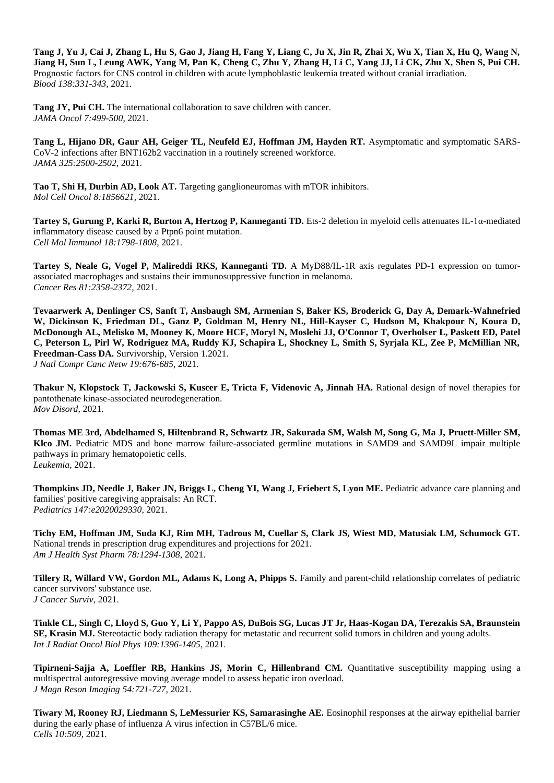**Tang J, Yu J, Cai J, Zhang L, Hu S, Gao J, Jiang H, Fang Y, Liang C, Ju X, Jin R, Zhai X, Wu X, Tian X, Hu Q, Wang N, Jiang H, Sun L, Leung AWK, Yang M, Pan K, Cheng C, Zhu Y, Zhang H, Li C, Yang JJ, Li CK, Zhu X, Shen S, Pui CH.**  Prognostic factors for CNS control in children with acute lymphoblastic leukemia treated without cranial irradiation. *Blood 138:331-343,* 2021.

**Tang JY, Pui CH.** The international collaboration to save children with cancer. *JAMA Oncol 7:499-500*, 2021.

**Tang L, Hijano DR, Gaur AH, Geiger TL, Neufeld EJ, Hoffman JM, Hayden RT.** Asymptomatic and symptomatic SARS-CoV-2 infections after BNT162b2 vaccination in a routinely screened workforce. *JAMA 325:2500-2502*, 2021.

**Tao T, Shi H, Durbin AD, Look AT.** Targeting ganglioneuromas with mTOR inhibitors. *Mol Cell Oncol 8:1856621,* 2021.

**Tartey S, Gurung P, Karki R, Burton A, Hertzog P, Kanneganti TD.** Ets-2 deletion in myeloid cells attenuates IL-1α-mediated inflammatory disease caused by a Ptpn6 point mutation. *Cell Mol Immunol 18:1798-1808*, 2021.

**Tartey S, Neale G, Vogel P, Malireddi RKS, Kanneganti TD.** A MyD88/IL-1R axis regulates PD-1 expression on tumorassociated macrophages and sustains their immunosuppressive function in melanoma. *Cancer Res 81:2358-2372*, 2021.

**Tevaarwerk A, Denlinger CS, Sanft T, Ansbaugh SM, Armenian S, Baker KS, Broderick G, Day A, Demark-Wahnefried W, Dickinson K, Friedman DL, Ganz P, Goldman M, Henry NL, Hill-Kayser C, Hudson M, Khakpour N, Koura D, McDonough AL, Melisko M, Mooney K, Moore HCF, Moryl N, Moslehi JJ, O'Connor T, Overholser L, Paskett ED, Patel C, Peterson L, Pirl W, Rodriguez MA, Ruddy KJ, Schapira L, Shockney L, Smith S, Syrjala KL, Zee P, McMillian NR, Freedman-Cass DA.** Survivorship, Version 1.2021.

*J Natl Compr Canc Netw 19:676-685*, 2021.

**Thakur N, Klopstock T, Jackowski S, Kuscer E, Tricta F, Videnovic A, Jinnah HA.** Rational design of novel therapies for pantothenate kinase-associated neurodegeneration. *Mov Disord,* 2021.

**Thomas ME 3rd, Abdelhamed S, Hiltenbrand R, Schwartz JR, Sakurada SM, Walsh M, Song G, Ma J, Pruett-Miller SM, Klco JM.** Pediatric MDS and bone marrow failure-associated germline mutations in SAMD9 and SAMD9L impair multiple pathways in primary hematopoietic cells. *Leukemia,* 2021.

**Thompkins JD, Needle J, Baker JN, Briggs L, Cheng YI, Wang J, Friebert S, Lyon ME.** Pediatric advance care planning and families' positive caregiving appraisals: An RCT. *Pediatrics 147:e2020029330,* 2021.

**Tichy EM, Hoffman JM, Suda KJ, Rim MH, Tadrous M, Cuellar S, Clark JS, Wiest MD, Matusiak LM, Schumock GT.**  National trends in prescription drug expenditures and projections for 2021. *Am J Health Syst Pharm 78:1294-1308*, 2021.

**Tillery R, Willard VW, Gordon ML, Adams K, Long A, Phipps S. Family and parent-child relationship correlates of pediatric** cancer survivors' substance use. *J Cancer Surviv,* 2021.

**Tinkle CL, Singh C, Lloyd S, Guo Y, Li Y, Pappo AS, DuBois SG, Lucas JT Jr, Haas-Kogan DA, Terezakis SA, Braunstein SE, Krasin MJ.** Stereotactic body radiation therapy for metastatic and recurrent solid tumors in children and young adults. *Int J Radiat Oncol Biol Phys 109:1396-1405*, 2021.

**Tipirneni-Sajja A, Loeffler RB, Hankins JS, Morin C, Hillenbrand CM.** Quantitative susceptibility mapping using a multispectral autoregressive moving average model to assess hepatic iron overload. *J Magn Reson Imaging 54:721-727,* 2021.

**Tiwary M, Rooney RJ, Liedmann S, LeMessurier KS, Samarasinghe AE.** Eosinophil responses at the airway epithelial barrier during the early phase of influenza A virus infection in C57BL/6 mice. *Cells 10:509,* 2021.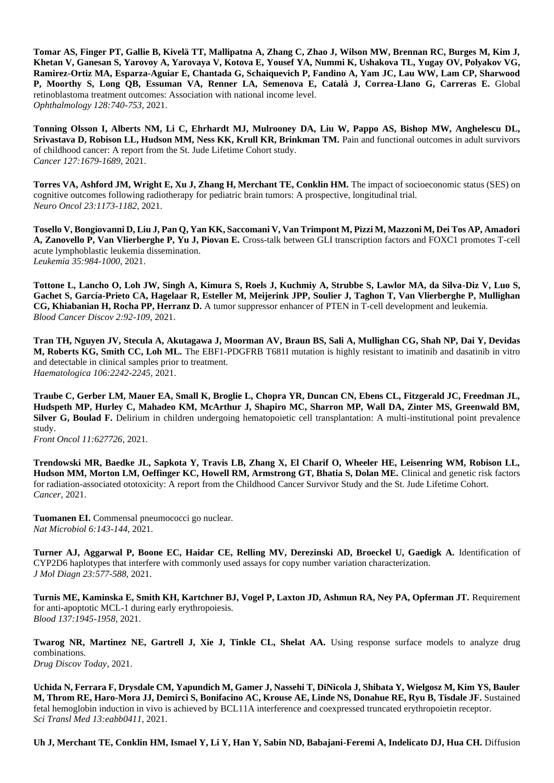**Tomar AS, Finger PT, Gallie B, Kivelä TT, Mallipatna A, Zhang C, Zhao J, Wilson MW, Brennan RC, Burges M, Kim J, Khetan V, Ganesan S, Yarovoy A, Yarovaya V, Kotova E, Yousef YA, Nummi K, Ushakova TL, Yugay OV, Polyakov VG, Ramirez-Ortiz MA, Esparza-Aguiar E, Chantada G, Schaiquevich P, Fandino A, Yam JC, Lau WW, Lam CP, Sharwood P, Moorthy S, Long QB, Essuman VA, Renner LA, Semenova E, Català J, Correa-Llano G, Carreras E.** Global retinoblastoma treatment outcomes: Association with national income level. *Ophthalmology 128:740-753*, 2021.

**Tonning Olsson I, Alberts NM, Li C, Ehrhardt MJ, Mulrooney DA, Liu W, Pappo AS, Bishop MW, Anghelescu DL, Srivastava D, Robison LL, Hudson MM, Ness KK, Krull KR, Brinkman TM.** Pain and functional outcomes in adult survivors of childhood cancer: A report from the St. Jude Lifetime Cohort study. *Cancer 127:1679-1689*, 2021.

**Torres VA, Ashford JM, Wright E, Xu J, Zhang H, Merchant TE, Conklin HM.** The impact of socioeconomic status (SES) on cognitive outcomes following radiotherapy for pediatric brain tumors: A prospective, longitudinal trial. *Neuro Oncol 23:1173-1182*, 2021.

**Tosello V, Bongiovanni D, Liu J, Pan Q, Yan KK, Saccomani V, Van Trimpont M, Pizzi M, Mazzoni M, Dei Tos AP, Amadori A, Zanovello P, Van Vlierberghe P, Yu J, Piovan E.** Cross-talk between GLI transcription factors and FOXC1 promotes T-cell acute lymphoblastic leukemia dissemination. *Leukemia 35:984-1000*, 2021.

**Tottone L, Lancho O, Loh JW, Singh A, Kimura S, Roels J, Kuchmiy A, Strubbe S, Lawlor MA, da Silva-Diz V, Luo S, Gachet S, García-Prieto CA, Hagelaar R, Esteller M, Meijerink JPP, Soulier J, Taghon T, Van Vlierberghe P, Mullighan CG, Khiabanian H, Rocha PP, Herranz D.** A tumor suppressor enhancer of PTEN in T-cell development and leukemia. *Blood Cancer Discov 2:92-109*, 2021.

**Tran TH, Nguyen JV, Stecula A, Akutagawa J, Moorman AV, Braun BS, Sali A, Mullighan CG, Shah NP, Dai Y, Devidas M, Roberts KG, Smith CC, Loh ML.** The EBF1-PDGFRB T681I mutation is highly resistant to imatinib and dasatinib in vitro and detectable in clinical samples prior to treatment. *Haematologica 106:2242-2245,* 2021.

**Traube C, Gerber LM, Mauer EA, Small K, Broglie L, Chopra YR, Duncan CN, Ebens CL, Fitzgerald JC, Freedman JL, Hudspeth MP, Hurley C, Mahadeo KM, McArthur J, Shapiro MC, Sharron MP, Wall DA, Zinter MS, Greenwald BM, Silver G, Boulad F.** Delirium in children undergoing hematopoietic cell transplantation: A multi-institutional point prevalence study.

*Front Oncol 11:627726,* 2021.

**Trendowski MR, Baedke JL, Sapkota Y, Travis LB, Zhang X, El Charif O, Wheeler HE, Leisenring WM, Robison LL, Hudson MM, Morton LM, Oeffinger KC, Howell RM, Armstrong GT, Bhatia S, Dolan ME.** Clinical and genetic risk factors for radiation-associated ototoxicity: A report from the Childhood Cancer Survivor Study and the St. Jude Lifetime Cohort. *Cancer,* 2021.

**Tuomanen EI.** Commensal pneumococci go nuclear. *Nat Microbiol 6:143-144*, 2021.

**Turner AJ, Aggarwal P, Boone EC, Haidar CE, Relling MV, Derezinski AD, Broeckel U, Gaedigk A.** Identification of CYP2D6 haplotypes that interfere with commonly used assays for copy number variation characterization. *J Mol Diagn 23:577-588,* 2021.

**Turnis ME, Kaminska E, Smith KH, Kartchner BJ, Vogel P, Laxton JD, Ashmun RA, Ney PA, Opferman JT.** Requirement for anti-apoptotic MCL-1 during early erythropoiesis. *Blood 137:1945-1958*, 2021.

**Twarog NR, Martinez NE, Gartrell J, Xie J, Tinkle CL, Shelat AA.** Using response surface models to analyze drug combinations. *Drug Discov Today,* 2021.

**Uchida N, Ferrara F, Drysdale CM, Yapundich M, Gamer J, Nassehi T, DiNicola J, Shibata Y, Wielgosz M, Kim YS, Bauler M, Throm RE, Haro-Mora JJ, Demirci S, Bonifacino AC, Krouse AE, Linde NS, Donahue RE, Ryu B, Tisdale JF.** Sustained fetal hemoglobin induction in vivo is achieved by BCL11A interference and coexpressed truncated erythropoietin receptor. *Sci Transl Med 13:eabb0411,* 2021.

**Uh J, Merchant TE, Conklin HM, Ismael Y, Li Y, Han Y, Sabin ND, Babajani-Feremi A, Indelicato DJ, Hua CH.** Diffusion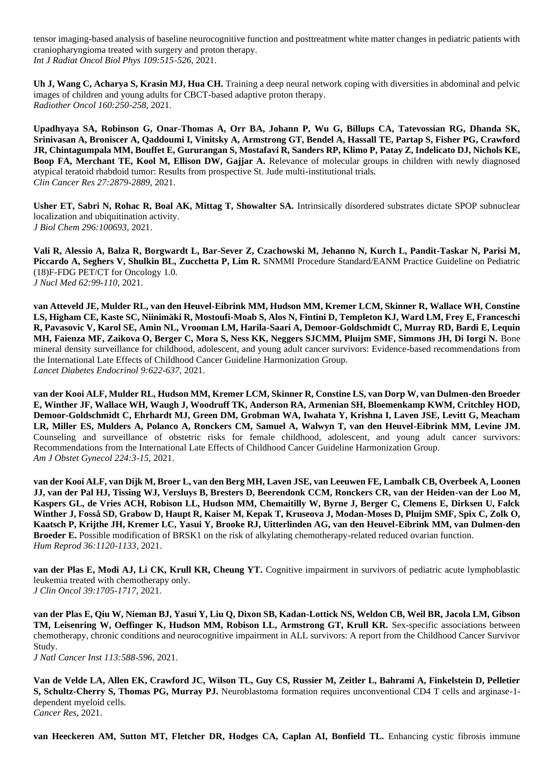tensor imaging-based analysis of baseline neurocognitive function and posttreatment white matter changes in pediatric patients with craniopharyngioma treated with surgery and proton therapy. *Int J Radiat Oncol Biol Phys 109:515-526*, 2021.

**Uh J, Wang C, Acharya S, Krasin MJ, Hua CH.** Training a deep neural network coping with diversities in abdominal and pelvic images of children and young adults for CBCT-based adaptive proton therapy. *Radiother Oncol 160:250-258*, 2021.

**Upadhyaya SA, Robinson G, Onar-Thomas A, Orr BA, Johann P, Wu G, Billups CA, Tatevossian RG, Dhanda SK, Srinivasan A, Broniscer A, Qaddoumi I, Vinitsky A, Armstrong GT, Bendel A, Hassall TE, Partap S, Fisher PG, Crawford JR, Chintagumpala MM, Bouffet E, Gururangan S, Mostafavi R, Sanders RP, Klimo P, Patay Z, Indelicato DJ, Nichols KE, Boop FA, Merchant TE, Kool M, Ellison DW, Gajjar A.** Relevance of molecular groups in children with newly diagnosed atypical teratoid rhabdoid tumor: Results from prospective St. Jude multi-institutional trials. *Clin Cancer Res 27:2879-2889*, 2021.

**Usher ET, Sabri N, Rohac R, Boal AK, Mittag T, Showalter SA.** Intrinsically disordered substrates dictate SPOP subnuclear localization and ubiquitination activity. *J Biol Chem 296:100693,* 2021.

**Vali R, Alessio A, Balza R, Borgwardt L, Bar-Sever Z, Czachowski M, Jehanno N, Kurch L, Pandit-Taskar N, Parisi M,**  Piccardo A, Seghers V, Shulkin BL, Zucchetta P, Lim R. SNMMI Procedure Standard/EANM Practice Guideline on Pediatric (18)F-FDG PET/CT for Oncology 1.0. *J Nucl Med 62:99-110*, 2021.

**van Atteveld JE, Mulder RL, van den Heuvel-Eibrink MM, Hudson MM, Kremer LCM, Skinner R, Wallace WH, Constine LS, Higham CE, Kaste SC, Niinimäki R, Mostoufi-Moab S, Alos N, Fintini D, Templeton KJ, Ward LM, Frey E, Franceschi R, Pavasovic V, Karol SE, Amin NL, Vrooman LM, Harila-Saari A, Demoor-Goldschmidt C, Murray RD, Bardi E, Lequin MH, Faienza MF, Zaikova O, Berger C, Mora S, Ness KK, Neggers SJCMM, Pluijm SMF, Simmons JH, Di Iorgi N.** Bone mineral density surveillance for childhood, adolescent, and young adult cancer survivors: Evidence-based recommendations from the International Late Effects of Childhood Cancer Guideline Harmonization Group. *Lancet Diabetes Endocrinol 9:622-637,* 2021.

**van der Kooi ALF, Mulder RL, Hudson MM, Kremer LCM, Skinner R, Constine LS, van Dorp W, van Dulmen-den Broeder E, Winther JF, Wallace WH, Waugh J, Woodruff TK, Anderson RA, Armenian SH, Bloemenkamp KWM, Critchley HOD, Demoor-Goldschmidt C, Ehrhardt MJ, Green DM, Grobman WA, Iwahata Y, Krishna I, Laven JSE, Levitt G, Meacham LR, Miller ES, Mulders A, Polanco A, Ronckers CM, Samuel A, Walwyn T, van den Heuvel-Eibrink MM, Levine JM.**  Counseling and surveillance of obstetric risks for female childhood, adolescent, and young adult cancer survivors: Recommendations from the International Late Effects of Childhood Cancer Guideline Harmonization Group. *Am J Obstet Gynecol 224:3-15*, 2021.

**van der Kooi ALF, van Dijk M, Broer L, van den Berg MH, Laven JSE, van Leeuwen FE, Lambalk CB, Overbeek A, Loonen JJ, van der Pal HJ, Tissing WJ, Versluys B, Bresters D, Beerendonk CCM, Ronckers CR, van der Heiden-van der Loo M, Kaspers GL, de Vries ACH, Robison LL, Hudson MM, Chemaitilly W, Byrne J, Berger C, Clemens E, Dirksen U, Falck Winther J, Fosså SD, Grabow D, Haupt R, Kaiser M, Kepak T, Kruseova J, Modan-Moses D, Pluijm SMF, Spix C, Zolk O, Kaatsch P, Krijthe JH, Kremer LC, Yasui Y, Brooke RJ, Uitterlinden AG, van den Heuvel-Eibrink MM, van Dulmen-den Broeder E.** Possible modification of BRSK1 on the risk of alkylating chemotherapy-related reduced ovarian function. *Hum Reprod 36:1120-1133*, 2021.

**van der Plas E, Modi AJ, Li CK, Krull KR, Cheung YT.** Cognitive impairment in survivors of pediatric acute lymphoblastic leukemia treated with chemotherapy only. *J Clin Oncol 39:1705-1717*, 2021.

**van der Plas E, Qiu W, Nieman BJ, Yasui Y, Liu Q, Dixon SB, Kadan-Lottick NS, Weldon CB, Weil BR, Jacola LM, Gibson TM, Leisenring W, Oeffinger K, Hudson MM, Robison LL, Armstrong GT, Krull KR.** Sex-specific associations between chemotherapy, chronic conditions and neurocognitive impairment in ALL survivors: A report from the Childhood Cancer Survivor Study.

*J Natl Cancer Inst 113:588-596*, 2021.

**Van de Velde LA, Allen EK, Crawford JC, Wilson TL, Guy CS, Russier M, Zeitler L, Bahrami A, Finkelstein D, Pelletier S, Schultz-Cherry S, Thomas PG, Murray PJ.** Neuroblastoma formation requires unconventional CD4 T cells and arginase-1 dependent myeloid cells. *Cancer Res,* 2021.

**van Heeckeren AM, Sutton MT, Fletcher DR, Hodges CA, Caplan AI, Bonfield TL.** Enhancing cystic fibrosis immune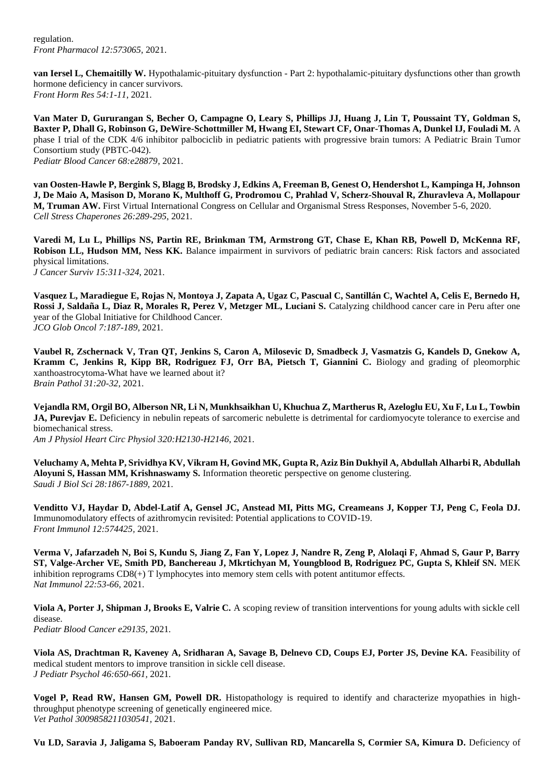regulation. *Front Pharmacol 12:573065,* 2021.

**van Iersel L, Chemaitilly W.** Hypothalamic-pituitary dysfunction - Part 2: hypothalamic-pituitary dysfunctions other than growth hormone deficiency in cancer survivors. *Front Horm Res 54:1-11*, 2021.

**Van Mater D, Gururangan S, Becher O, Campagne O, Leary S, Phillips JJ, Huang J, Lin T, Poussaint TY, Goldman S, Baxter P, Dhall G, Robinson G, DeWire-Schottmiller M, Hwang EI, Stewart CF, Onar-Thomas A, Dunkel IJ, Fouladi M.** A phase I trial of the CDK 4/6 inhibitor palbociclib in pediatric patients with progressive brain tumors: A Pediatric Brain Tumor Consortium study (PBTC-042). *Pediatr Blood Cancer 68:e28879*, 2021.

**van Oosten-Hawle P, Bergink S, Blagg B, Brodsky J, Edkins A, Freeman B, Genest O, Hendershot L, Kampinga H, Johnson J, De Maio A, Masison D, Morano K, Multhoff G, Prodromou C, Prahlad V, Scherz-Shouval R, Zhuravleva A, Mollapour M, Truman AW.** First Virtual International Congress on Cellular and Organismal Stress Responses, November 5-6, 2020. *Cell Stress Chaperones 26:289-295*, 2021.

**Varedi M, Lu L, Phillips NS, Partin RE, Brinkman TM, Armstrong GT, Chase E, Khan RB, Powell D, McKenna RF, Robison LL, Hudson MM, Ness KK.** Balance impairment in survivors of pediatric brain cancers: Risk factors and associated physical limitations. *J Cancer Surviv 15:311-324*, 2021.

**Vasquez L, Maradiegue E, Rojas N, Montoya J, Zapata A, Ugaz C, Pascual C, Santillán C, Wachtel A, Celis E, Bernedo H,**  Rossi J, Saldaña L, Diaz R, Morales R, Perez V, Metzger ML, Luciani S. Catalyzing childhood cancer care in Peru after one year of the Global Initiative for Childhood Cancer. *JCO Glob Oncol 7:187-189*, 2021.

**Vaubel R, Zschernack V, Tran QT, Jenkins S, Caron A, Milosevic D, Smadbeck J, Vasmatzis G, Kandels D, Gnekow A, Kramm C, Jenkins R, Kipp BR, Rodriguez FJ, Orr BA, Pietsch T, Giannini C.** Biology and grading of pleomorphic xanthoastrocytoma-What have we learned about it? *Brain Pathol 31:20-32*, 2021.

**Vejandla RM, Orgil BO, Alberson NR, Li N, Munkhsaikhan U, Khuchua Z, Martherus R, Azeloglu EU, Xu F, Lu L, Towbin JA, Pureviav E.** Deficiency in nebulin repeats of sarcomeric nebulette is detrimental for cardiomyocyte tolerance to exercise and biomechanical stress. *Am J Physiol Heart Circ Physiol 320:H2130-H2146*, 2021.

**Veluchamy A, Mehta P, Srividhya KV, Vikram H, Govind MK, Gupta R, Aziz Bin Dukhyil A, Abdullah Alharbi R, Abdullah Aloyuni S, Hassan MM, Krishnaswamy S.** Information theoretic perspective on genome clustering. *Saudi J Biol Sci 28:1867-1889*, 2021.

**Venditto VJ, Haydar D, Abdel-Latif A, Gensel JC, Anstead MI, Pitts MG, Creameans J, Kopper TJ, Peng C, Feola DJ.**  Immunomodulatory effects of azithromycin revisited: Potential applications to COVID-19. *Front Immunol 12:574425,* 2021.

**Verma V, Jafarzadeh N, Boi S, Kundu S, Jiang Z, Fan Y, Lopez J, Nandre R, Zeng P, Alolaqi F, Ahmad S, Gaur P, Barry ST, Valge-Archer VE, Smith PD, Banchereau J, Mkrtichyan M, Youngblood B, Rodriguez PC, Gupta S, Khleif SN.** MEK inhibition reprograms CD8(+) T lymphocytes into memory stem cells with potent antitumor effects. *Nat Immunol 22:53-66*, 2021.

**Viola A, Porter J, Shipman J, Brooks E, Valrie C.** A scoping review of transition interventions for young adults with sickle cell disease. *Pediatr Blood Cancer e29135,* 2021.

**Viola AS, Drachtman R, Kaveney A, Sridharan A, Savage B, Delnevo CD, Coups EJ, Porter JS, Devine KA.** Feasibility of medical student mentors to improve transition in sickle cell disease. *J Pediatr Psychol 46:650-661,* 2021.

**Vogel P, Read RW, Hansen GM, Powell DR.** Histopathology is required to identify and characterize myopathies in highthroughput phenotype screening of genetically engineered mice. *Vet Pathol 3009858211030541,* 2021.

**Vu LD, Saravia J, Jaligama S, Baboeram Panday RV, Sullivan RD, Mancarella S, Cormier SA, Kimura D.** Deficiency of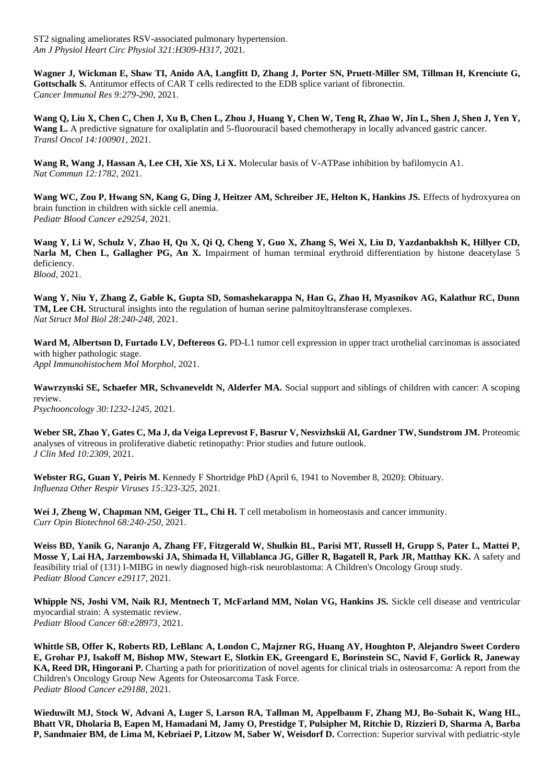ST2 signaling ameliorates RSV-associated pulmonary hypertension. *Am J Physiol Heart Circ Physiol 321:H309-H317,* 2021.

**Wagner J, Wickman E, Shaw TI, Anido AA, Langfitt D, Zhang J, Porter SN, Pruett-Miller SM, Tillman H, Krenciute G, Gottschalk S.** Antitumor effects of CAR T cells redirected to the EDB splice variant of fibronectin. *Cancer Immunol Res 9:279-290*, 2021.

**Wang Q, Liu X, Chen C, Chen J, Xu B, Chen L, Zhou J, Huang Y, Chen W, Teng R, Zhao W, Jin L, Shen J, Shen J, Yen Y, Wang L.** A predictive signature for oxaliplatin and 5-fluorouracil based chemotherapy in locally advanced gastric cancer. *Transl Oncol 14:100901,* 2021.

**Wang R, Wang J, Hassan A, Lee CH, Xie XS, Li X.** Molecular basis of V-ATPase inhibition by bafilomycin A1. *Nat Commun 12:1782,* 2021.

Wang WC, Zou P, Hwang SN, Kang G, Ding J, Heitzer AM, Schreiber JE, Helton K, Hankins JS. Effects of hydroxyurea on brain function in children with sickle cell anemia. *Pediatr Blood Cancer e29254,* 2021.

**Wang Y, Li W, Schulz V, Zhao H, Qu X, Qi Q, Cheng Y, Guo X, Zhang S, Wei X, Liu D, Yazdanbakhsh K, Hillyer CD, Narla M, Chen L, Gallagher PG, An X.** Impairment of human terminal erythroid differentiation by histone deacetylase 5 deficiency. *Blood,* 2021.

**Wang Y, Niu Y, Zhang Z, Gable K, Gupta SD, Somashekarappa N, Han G, Zhao H, Myasnikov AG, Kalathur RC, Dunn TM, Lee CH.** Structural insights into the regulation of human serine palmitoyltransferase complexes. *Nat Struct Mol Biol 28:240-248*, 2021.

Ward M, Albertson D, Furtado LV, Deftereos G. PD-L1 tumor cell expression in upper tract urothelial carcinomas is associated with higher pathologic stage.

*Appl Immunohistochem Mol Morphol,* 2021.

**Wawrzynski SE, Schaefer MR, Schvaneveldt N, Alderfer MA.** Social support and siblings of children with cancer: A scoping review.

*Psychooncology 30:1232-1245,* 2021.

**Weber SR, Zhao Y, Gates C, Ma J, da Veiga Leprevost F, Basrur V, Nesvizhskii AI, Gardner TW, Sundstrom JM.** Proteomic analyses of vitreous in proliferative diabetic retinopathy: Prior studies and future outlook. *J Clin Med 10:2309,* 2021.

**Webster RG, Guan Y, Peiris M.** Kennedy F Shortridge PhD (April 6, 1941 to November 8, 2020): Obituary. *Influenza Other Respir Viruses 15:323-325*, 2021.

Wei J, Zheng W, Chapman NM, Geiger TL, Chi H. T cell metabolism in homeostasis and cancer immunity. *Curr Opin Biotechnol 68:240-250*, 2021.

**Weiss BD, Yanik G, Naranjo A, Zhang FF, Fitzgerald W, Shulkin BL, Parisi MT, Russell H, Grupp S, Pater L, Mattei P, Mosse Y, Lai HA, Jarzembowski JA, Shimada H, Villablanca JG, Giller R, Bagatell R, Park JR, Matthay KK.** A safety and feasibility trial of (131) I-MIBG in newly diagnosed high-risk neuroblastoma: A Children's Oncology Group study. *Pediatr Blood Cancer e29117,* 2021.

**Whipple NS, Joshi VM, Naik RJ, Mentnech T, McFarland MM, Nolan VG, Hankins JS.** Sickle cell disease and ventricular myocardial strain: A systematic review. *Pediatr Blood Cancer 68:e28973,* 2021.

**Whittle SB, Offer K, Roberts RD, LeBlanc A, London C, Majzner RG, Huang AY, Houghton P, Alejandro Sweet Cordero E, Grohar PJ, Isakoff M, Bishop MW, Stewart E, Slotkin EK, Greengard E, Borinstein SC, Navid F, Gorlick R, Janeway KA, Reed DR, Hingorani P.** Charting a path for prioritization of novel agents for clinical trials in osteosarcoma: A report from the Children's Oncology Group New Agents for Osteosarcoma Task Force. *Pediatr Blood Cancer e29188,* 2021.

**Wieduwilt MJ, Stock W, Advani A, Luger S, Larson RA, Tallman M, Appelbaum F, Zhang MJ, Bo-Subait K, Wang HL, Bhatt VR, Dholaria B, Eapen M, Hamadani M, Jamy O, Prestidge T, Pulsipher M, Ritchie D, Rizzieri D, Sharma A, Barba P, Sandmaier BM, de Lima M, Kebriaei P, Litzow M, Saber W, Weisdorf D.** Correction: Superior survival with pediatric-style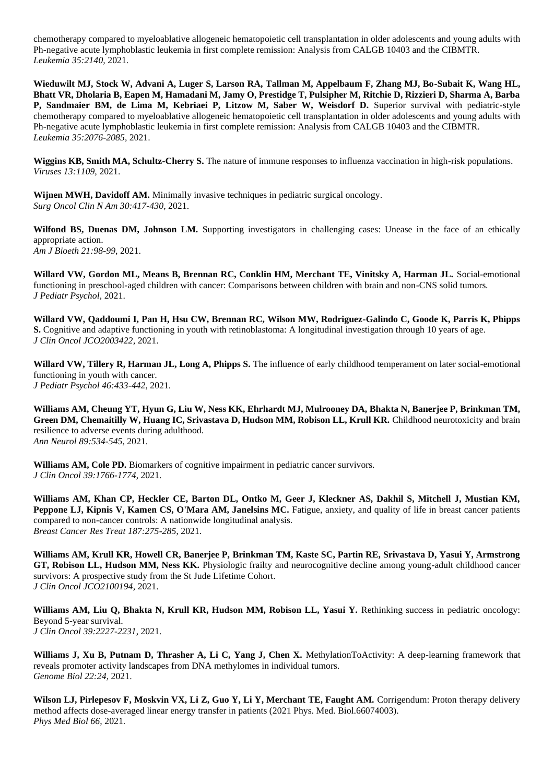chemotherapy compared to myeloablative allogeneic hematopoietic cell transplantation in older adolescents and young adults with Ph-negative acute lymphoblastic leukemia in first complete remission: Analysis from CALGB 10403 and the CIBMTR. *Leukemia 35:2140,* 2021.

**Wieduwilt MJ, Stock W, Advani A, Luger S, Larson RA, Tallman M, Appelbaum F, Zhang MJ, Bo-Subait K, Wang HL, Bhatt VR, Dholaria B, Eapen M, Hamadani M, Jamy O, Prestidge T, Pulsipher M, Ritchie D, Rizzieri D, Sharma A, Barba P, Sandmaier BM, de Lima M, Kebriaei P, Litzow M, Saber W, Weisdorf D.** Superior survival with pediatric-style chemotherapy compared to myeloablative allogeneic hematopoietic cell transplantation in older adolescents and young adults with Ph-negative acute lymphoblastic leukemia in first complete remission: Analysis from CALGB 10403 and the CIBMTR. *Leukemia 35:2076-2085*, 2021.

**Wiggins KB, Smith MA, Schultz-Cherry S.** The nature of immune responses to influenza vaccination in high-risk populations. *Viruses 13:1109,* 2021.

**Wijnen MWH, Davidoff AM.** Minimally invasive techniques in pediatric surgical oncology. *Surg Oncol Clin N Am 30:417-430*, 2021.

**Wilfond BS, Duenas DM, Johnson LM.** Supporting investigators in challenging cases: Unease in the face of an ethically appropriate action. *Am J Bioeth 21:98-99*, 2021.

**Willard VW, Gordon ML, Means B, Brennan RC, Conklin HM, Merchant TE, Vinitsky A, Harman JL.** Social-emotional functioning in preschool-aged children with cancer: Comparisons between children with brain and non-CNS solid tumors. *J Pediatr Psychol,* 2021.

**Willard VW, Qaddoumi I, Pan H, Hsu CW, Brennan RC, Wilson MW, Rodriguez-Galindo C, Goode K, Parris K, Phipps S.** Cognitive and adaptive functioning in youth with retinoblastoma: A longitudinal investigation through 10 years of age. *J Clin Oncol JCO2003422,* 2021.

Willard VW, Tillery R, Harman JL, Long A, Phipps S. The influence of early childhood temperament on later social-emotional functioning in youth with cancer. *J Pediatr Psychol 46:433-442*, 2021.

**Williams AM, Cheung YT, Hyun G, Liu W, Ness KK, Ehrhardt MJ, Mulrooney DA, Bhakta N, Banerjee P, Brinkman TM, Green DM, Chemaitilly W, Huang IC, Srivastava D, Hudson MM, Robison LL, Krull KR.** Childhood neurotoxicity and brain resilience to adverse events during adulthood. *Ann Neurol 89:534-545*, 2021.

**Williams AM, Cole PD.** Biomarkers of cognitive impairment in pediatric cancer survivors. *J Clin Oncol 39:1766-1774*, 2021.

**Williams AM, Khan CP, Heckler CE, Barton DL, Ontko M, Geer J, Kleckner AS, Dakhil S, Mitchell J, Mustian KM, Peppone LJ, Kipnis V, Kamen CS, O'Mara AM, Janelsins MC.** Fatigue, anxiety, and quality of life in breast cancer patients compared to non-cancer controls: A nationwide longitudinal analysis. *Breast Cancer Res Treat 187:275-285*, 2021.

**Williams AM, Krull KR, Howell CR, Banerjee P, Brinkman TM, Kaste SC, Partin RE, Srivastava D, Yasui Y, Armstrong GT, Robison LL, Hudson MM, Ness KK.** Physiologic frailty and neurocognitive decline among young-adult childhood cancer survivors: A prospective study from the St Jude Lifetime Cohort. *J Clin Oncol JCO2100194,* 2021.

Williams AM, Liu Q, Bhakta N, Krull KR, Hudson MM, Robison LL, Yasui Y. Rethinking success in pediatric oncology: Beyond 5-year survival. *J Clin Oncol 39:2227-2231*, 2021.

Williams J, Xu B, Putnam D, Thrasher A, Li C, Yang J, Chen X. MethylationToActivity: A deep-learning framework that reveals promoter activity landscapes from DNA methylomes in individual tumors. *Genome Biol 22:24,* 2021.

**Wilson LJ, Pirlepesov F, Moskvin VX, Li Z, Guo Y, Li Y, Merchant TE, Faught AM.** Corrigendum: Proton therapy delivery method affects dose-averaged linear energy transfer in patients (2021 Phys. Med. Biol.66074003). *Phys Med Biol 66,* 2021.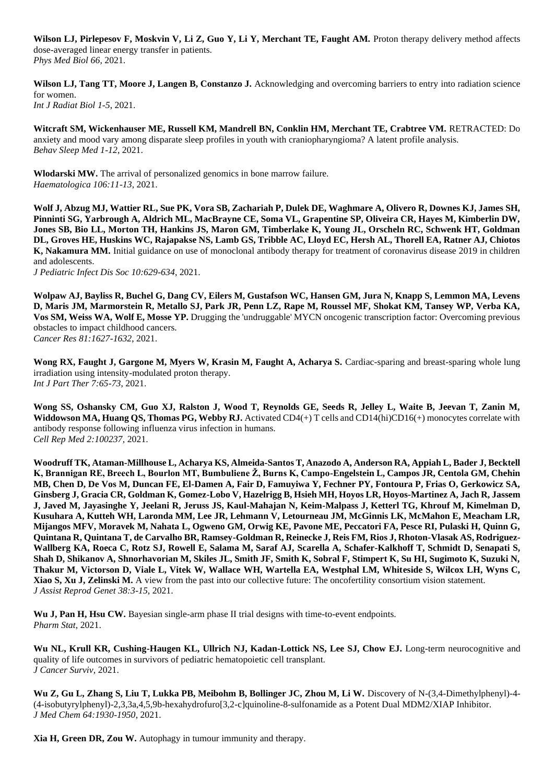**Wilson LJ, Pirlepesov F, Moskvin V, Li Z, Guo Y, Li Y, Merchant TE, Faught AM.** Proton therapy delivery method affects dose-averaged linear energy transfer in patients. *Phys Med Biol 66,* 2021.

Wilson LJ, Tang TT, Moore J, Langen B, Constanzo J. Acknowledging and overcoming barriers to entry into radiation science for women. *Int J Radiat Biol 1-5*, 2021.

**Witcraft SM, Wickenhauser ME, Russell KM, Mandrell BN, Conklin HM, Merchant TE, Crabtree VM.** RETRACTED: Do anxiety and mood vary among disparate sleep profiles in youth with craniopharyngioma? A latent profile analysis. *Behav Sleep Med 1-12*, 2021.

**Wlodarski MW.** The arrival of personalized genomics in bone marrow failure. *Haematologica 106:11-13*, 2021.

**Wolf J, Abzug MJ, Wattier RL, Sue PK, Vora SB, Zachariah P, Dulek DE, Waghmare A, Olivero R, Downes KJ, James SH, Pinninti SG, Yarbrough A, Aldrich ML, MacBrayne CE, Soma VL, Grapentine SP, Oliveira CR, Hayes M, Kimberlin DW, Jones SB, Bio LL, Morton TH, Hankins JS, Maron GM, Timberlake K, Young JL, Orscheln RC, Schwenk HT, Goldman DL, Groves HE, Huskins WC, Rajapakse NS, Lamb GS, Tribble AC, Lloyd EC, Hersh AL, Thorell EA, Ratner AJ, Chiotos K, Nakamura MM.** Initial guidance on use of monoclonal antibody therapy for treatment of coronavirus disease 2019 in children and adolescents.

*J Pediatric Infect Dis Soc 10:629-634*, 2021.

**Wolpaw AJ, Bayliss R, Buchel G, Dang CV, Eilers M, Gustafson WC, Hansen GM, Jura N, Knapp S, Lemmon MA, Levens D, Maris JM, Marmorstein R, Metallo SJ, Park JR, Penn LZ, Rape M, Roussel MF, Shokat KM, Tansey WP, Verba KA, Vos SM, Weiss WA, Wolf E, Mosse YP.** Drugging the 'undruggable' MYCN oncogenic transcription factor: Overcoming previous obstacles to impact childhood cancers. *Cancer Res 81:1627-1632*, 2021.

**Wong RX, Faught J, Gargone M, Myers W, Krasin M, Faught A, Acharya S.** Cardiac-sparing and breast-sparing whole lung irradiation using intensity-modulated proton therapy. *Int J Part Ther 7:65-73*, 2021.

**Wong SS, Oshansky CM, Guo XJ, Ralston J, Wood T, Reynolds GE, Seeds R, Jelley L, Waite B, Jeevan T, Zanin M, Widdowson MA, Huang QS, Thomas PG, Webby RJ.** Activated CD4(+) T cells and CD14(hi)CD16(+) monocytes correlate with antibody response following influenza virus infection in humans. *Cell Rep Med 2:100237,* 2021.

**Woodruff TK, Ataman-Millhouse L, Acharya KS, Almeida-Santos T, Anazodo A, Anderson RA, Appiah L, Bader J, Becktell K, Brannigan RE, Breech L, Bourlon MT, Bumbuliene Ž, Burns K, Campo-Engelstein L, Campos JR, Centola GM, Chehin MB, Chen D, De Vos M, Duncan FE, El-Damen A, Fair D, Famuyiwa Y, Fechner PY, Fontoura P, Frias O, Gerkowicz SA, Ginsberg J, Gracia CR, Goldman K, Gomez-Lobo V, Hazelrigg B, Hsieh MH, Hoyos LR, Hoyos-Martinez A, Jach R, Jassem J, Javed M, Jayasinghe Y, Jeelani R, Jeruss JS, Kaul-Mahajan N, Keim-Malpass J, Ketterl TG, Khrouf M, Kimelman D, Kusuhara A, Kutteh WH, Laronda MM, Lee JR, Lehmann V, Letourneau JM, McGinnis LK, McMahon E, Meacham LR, Mijangos MFV, Moravek M, Nahata L, Ogweno GM, Orwig KE, Pavone ME, Peccatori FA, Pesce RI, Pulaski H, Quinn G, Quintana R, Quintana T, de Carvalho BR, Ramsey-Goldman R, Reinecke J, Reis FM, Rios J, Rhoton-Vlasak AS, Rodriguez-Wallberg KA, Roeca C, Rotz SJ, Rowell E, Salama M, Saraf AJ, Scarella A, Schafer-Kalkhoff T, Schmidt D, Senapati S, Shah D, Shikanov A, Shnorhavorian M, Skiles JL, Smith JF, Smith K, Sobral F, Stimpert K, Su HI, Sugimoto K, Suzuki N, Thakur M, Victorson D, Viale L, Vitek W, Wallace WH, Wartella EA, Westphal LM, Whiteside S, Wilcox LH, Wyns C, Xiao S, Xu J, Zelinski M.** A view from the past into our collective future: The oncofertility consortium vision statement. *J Assist Reprod Genet 38:3-15*, 2021.

**Wu J, Pan H, Hsu CW.** Bayesian single-arm phase II trial designs with time-to-event endpoints. *Pharm Stat,* 2021.

**Wu NL, Krull KR, Cushing-Haugen KL, Ullrich NJ, Kadan-Lottick NS, Lee SJ, Chow EJ.** Long-term neurocognitive and quality of life outcomes in survivors of pediatric hematopoietic cell transplant. *J Cancer Surviv,* 2021.

**Wu Z, Gu L, Zhang S, Liu T, Lukka PB, Meibohm B, Bollinger JC, Zhou M, Li W.** Discovery of N-(3,4-Dimethylphenyl)-4- (4-isobutyrylphenyl)-2,3,3a,4,5,9b-hexahydrofuro[3,2-c]quinoline-8-sulfonamide as a Potent Dual MDM2/XIAP Inhibitor. *J Med Chem 64:1930-1950*, 2021.

**Xia H, Green DR, Zou W.** Autophagy in tumour immunity and therapy.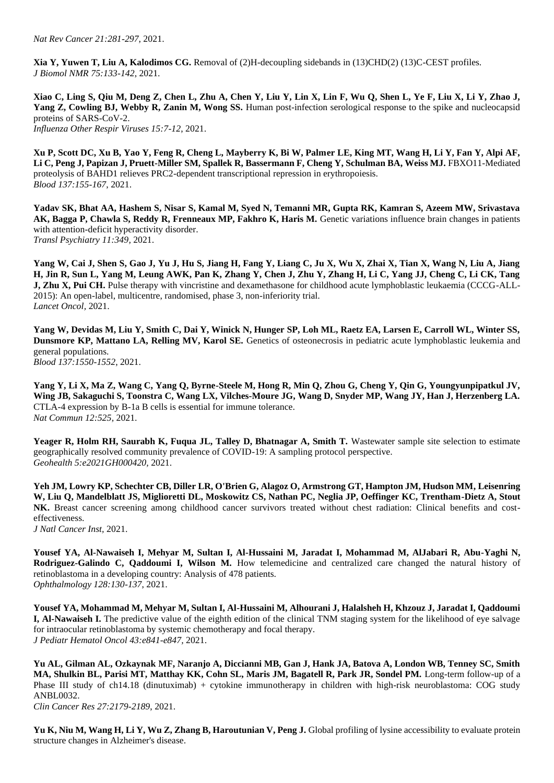**Xia Y, Yuwen T, Liu A, Kalodimos CG.** Removal of (2)H-decoupling sidebands in (13)CHD(2) (13)C-CEST profiles. *J Biomol NMR 75:133-142*, 2021.

**Xiao C, Ling S, Qiu M, Deng Z, Chen L, Zhu A, Chen Y, Liu Y, Lin X, Lin F, Wu Q, Shen L, Ye F, Liu X, Li Y, Zhao J, Yang Z, Cowling BJ, Webby R, Zanin M, Wong SS.** Human post-infection serological response to the spike and nucleocapsid proteins of SARS-CoV-2. *Influenza Other Respir Viruses 15:7-12*, 2021.

**Xu P, Scott DC, Xu B, Yao Y, Feng R, Cheng L, Mayberry K, Bi W, Palmer LE, King MT, Wang H, Li Y, Fan Y, Alpi AF,**  Li C, Peng J, Papizan J, Pruett-Miller SM, Spallek R, Bassermann F, Cheng Y, Schulman BA, Weiss MJ. **FBXO11-Mediated** proteolysis of BAHD1 relieves PRC2-dependent transcriptional repression in erythropoiesis. *Blood 137:155-167*, 2021.

**Yadav SK, Bhat AA, Hashem S, Nisar S, Kamal M, Syed N, Temanni MR, Gupta RK, Kamran S, Azeem MW, Srivastava**  AK, Bagga P, Chawla S, Reddy R, Frenneaux MP, Fakhro K, Haris M. Genetic variations influence brain changes in patients with attention-deficit hyperactivity disorder. *Transl Psychiatry 11:349,* 2021.

**Yang W, Cai J, Shen S, Gao J, Yu J, Hu S, Jiang H, Fang Y, Liang C, Ju X, Wu X, Zhai X, Tian X, Wang N, Liu A, Jiang H, Jin R, Sun L, Yang M, Leung AWK, Pan K, Zhang Y, Chen J, Zhu Y, Zhang H, Li C, Yang JJ, Cheng C, Li CK, Tang J, Zhu X, Pui CH.** Pulse therapy with vincristine and dexamethasone for childhood acute lymphoblastic leukaemia (CCCG-ALL-2015): An open-label, multicentre, randomised, phase 3, non-inferiority trial. *Lancet Oncol,* 2021.

**Yang W, Devidas M, Liu Y, Smith C, Dai Y, Winick N, Hunger SP, Loh ML, Raetz EA, Larsen E, Carroll WL, Winter SS, Dunsmore KP, Mattano LA, Relling MV, Karol SE.** Genetics of osteonecrosis in pediatric acute lymphoblastic leukemia and general populations.

*Blood 137:1550-1552*, 2021.

**Yang Y, Li X, Ma Z, Wang C, Yang Q, Byrne-Steele M, Hong R, Min Q, Zhou G, Cheng Y, Qin G, Youngyunpipatkul JV, Wing JB, Sakaguchi S, Toonstra C, Wang LX, Vilches-Moure JG, Wang D, Snyder MP, Wang JY, Han J, Herzenberg LA.**  CTLA-4 expression by B-1a B cells is essential for immune tolerance. *Nat Commun 12:525,* 2021.

Yeager R, Holm RH, Saurabh K, Fuqua JL, Talley D, Bhatnagar A, Smith T. Wastewater sample site selection to estimate geographically resolved community prevalence of COVID-19: A sampling protocol perspective. *Geohealth 5:e2021GH000420,* 2021.

**Yeh JM, Lowry KP, Schechter CB, Diller LR, O'Brien G, Alagoz O, Armstrong GT, Hampton JM, Hudson MM, Leisenring W, Liu Q, Mandelblatt JS, Miglioretti DL, Moskowitz CS, Nathan PC, Neglia JP, Oeffinger KC, Trentham-Dietz A, Stout NK.** Breast cancer screening among childhood cancer survivors treated without chest radiation: Clinical benefits and costeffectiveness.

*J Natl Cancer Inst,* 2021.

**Yousef YA, Al-Nawaiseh I, Mehyar M, Sultan I, Al-Hussaini M, Jaradat I, Mohammad M, AlJabari R, Abu-Yaghi N, Rodriguez-Galindo C, Qaddoumi I, Wilson M.** How telemedicine and centralized care changed the natural history of retinoblastoma in a developing country: Analysis of 478 patients. *Ophthalmology 128:130-137*, 2021.

**Yousef YA, Mohammad M, Mehyar M, Sultan I, Al-Hussaini M, Alhourani J, Halalsheh H, Khzouz J, Jaradat I, Qaddoumi I, Al-Nawaiseh I.** The predictive value of the eighth edition of the clinical TNM staging system for the likelihood of eye salvage for intraocular retinoblastoma by systemic chemotherapy and focal therapy. *J Pediatr Hematol Oncol 43:e841-e847,* 2021.

**Yu AL, Gilman AL, Ozkaynak MF, Naranjo A, Diccianni MB, Gan J, Hank JA, Batova A, London WB, Tenney SC, Smith MA, Shulkin BL, Parisi MT, Matthay KK, Cohn SL, Maris JM, Bagatell R, Park JR, Sondel PM.** Long-term follow-up of a Phase III study of ch14.18 (dinutuximab) + cytokine immunotherapy in children with high-risk neuroblastoma: COG study ANBL0032.

*Clin Cancer Res 27:2179-2189*, 2021.

**Yu K, Niu M, Wang H, Li Y, Wu Z, Zhang B, Haroutunian V, Peng J.** Global profiling of lysine accessibility to evaluate protein structure changes in Alzheimer's disease.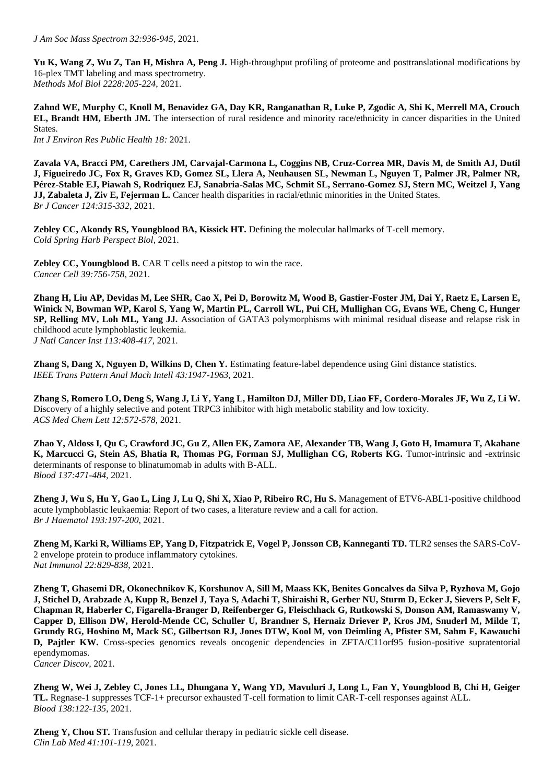**Yu K, Wang Z, Wu Z, Tan H, Mishra A, Peng J.** High-throughput profiling of proteome and posttranslational modifications by 16-plex TMT labeling and mass spectrometry. *Methods Mol Biol 2228:205-224*, 2021.

**Zahnd WE, Murphy C, Knoll M, Benavidez GA, Day KR, Ranganathan R, Luke P, Zgodic A, Shi K, Merrell MA, Crouch EL, Brandt HM, Eberth JM.** The intersection of rural residence and minority race/ethnicity in cancer disparities in the United **States**. *Int J Environ Res Public Health 18:* 2021.

**Zavala VA, Bracci PM, Carethers JM, Carvajal-Carmona L, Coggins NB, Cruz-Correa MR, Davis M, de Smith AJ, Dutil J, Figueiredo JC, Fox R, Graves KD, Gomez SL, Llera A, Neuhausen SL, Newman L, Nguyen T, Palmer JR, Palmer NR, Pérez-Stable EJ, Piawah S, Rodriquez EJ, Sanabria-Salas MC, Schmit SL, Serrano-Gomez SJ, Stern MC, Weitzel J, Yang JJ, Zabaleta J, Ziv E, Fejerman L.** Cancer health disparities in racial/ethnic minorities in the United States.

*Br J Cancer 124:315-332*, 2021.

**Zebley CC, Akondy RS, Youngblood BA, Kissick HT.** Defining the molecular hallmarks of T-cell memory. *Cold Spring Harb Perspect Biol,* 2021.

**Zebley CC, Youngblood B.** CAR T cells need a pitstop to win the race. *Cancer Cell 39:756-758*, 2021.

**Zhang H, Liu AP, Devidas M, Lee SHR, Cao X, Pei D, Borowitz M, Wood B, Gastier-Foster JM, Dai Y, Raetz E, Larsen E, Winick N, Bowman WP, Karol S, Yang W, Martin PL, Carroll WL, Pui CH, Mullighan CG, Evans WE, Cheng C, Hunger SP, Relling MV, Loh ML, Yang JJ.** Association of GATA3 polymorphisms with minimal residual disease and relapse risk in childhood acute lymphoblastic leukemia. *J Natl Cancer Inst 113:408-417*, 2021.

**Zhang S, Dang X, Nguyen D, Wilkins D, Chen Y.** Estimating feature-label dependence using Gini distance statistics. *IEEE Trans Pattern Anal Mach Intell 43:1947-1963*, 2021.

**Zhang S, Romero LO, Deng S, Wang J, Li Y, Yang L, Hamilton DJ, Miller DD, Liao FF, Cordero-Morales JF, Wu Z, Li W.**  Discovery of a highly selective and potent TRPC3 inhibitor with high metabolic stability and low toxicity. *ACS Med Chem Lett 12:572-578*, 2021.

**Zhao Y, Aldoss I, Qu C, Crawford JC, Gu Z, Allen EK, Zamora AE, Alexander TB, Wang J, Goto H, Imamura T, Akahane K, Marcucci G, Stein AS, Bhatia R, Thomas PG, Forman SJ, Mullighan CG, Roberts KG.** Tumor-intrinsic and -extrinsic determinants of response to blinatumomab in adults with B-ALL. *Blood 137:471-484*, 2021.

**Zheng J, Wu S, Hu Y, Gao L, Ling J, Lu Q, Shi X, Xiao P, Ribeiro RC, Hu S.** Management of ETV6-ABL1-positive childhood acute lymphoblastic leukaemia: Report of two cases, a literature review and a call for action. *Br J Haematol 193:197-200*, 2021.

**Zheng M, Karki R, Williams EP, Yang D, Fitzpatrick E, Vogel P, Jonsson CB, Kanneganti TD.** TLR2 senses the SARS-CoV-2 envelope protein to produce inflammatory cytokines. *Nat Immunol 22:829-838*, 2021.

**Zheng T, Ghasemi DR, Okonechnikov K, Korshunov A, Sill M, Maass KK, Benites Goncalves da Silva P, Ryzhova M, Gojo J, Stichel D, Arabzade A, Kupp R, Benzel J, Taya S, Adachi T, Shiraishi R, Gerber NU, Sturm D, Ecker J, Sievers P, Selt F, Chapman R, Haberler C, Figarella-Branger D, Reifenberger G, Fleischhack G, Rutkowski S, Donson AM, Ramaswamy V, Capper D, Ellison DW, Herold-Mende CC, Schuller U, Brandner S, Hernaiz Driever P, Kros JM, Snuderl M, Milde T, Grundy RG, Hoshino M, Mack SC, Gilbertson RJ, Jones DTW, Kool M, von Deimling A, Pfister SM, Sahm F, Kawauchi D, Pajtler KW.** Cross-species genomics reveals oncogenic dependencies in ZFTA/C11orf95 fusion-positive supratentorial ependymomas. *Cancer Discov,* 2021.

**Zheng W, Wei J, Zebley C, Jones LL, Dhungana Y, Wang YD, Mavuluri J, Long L, Fan Y, Youngblood B, Chi H, Geiger TL.** Regnase-1 suppresses TCF-1+ precursor exhausted T-cell formation to limit CAR-T-cell responses against ALL. *Blood 138:122-135*, 2021.

**Zheng Y, Chou ST.** Transfusion and cellular therapy in pediatric sickle cell disease. *Clin Lab Med 41:101-119*, 2021.